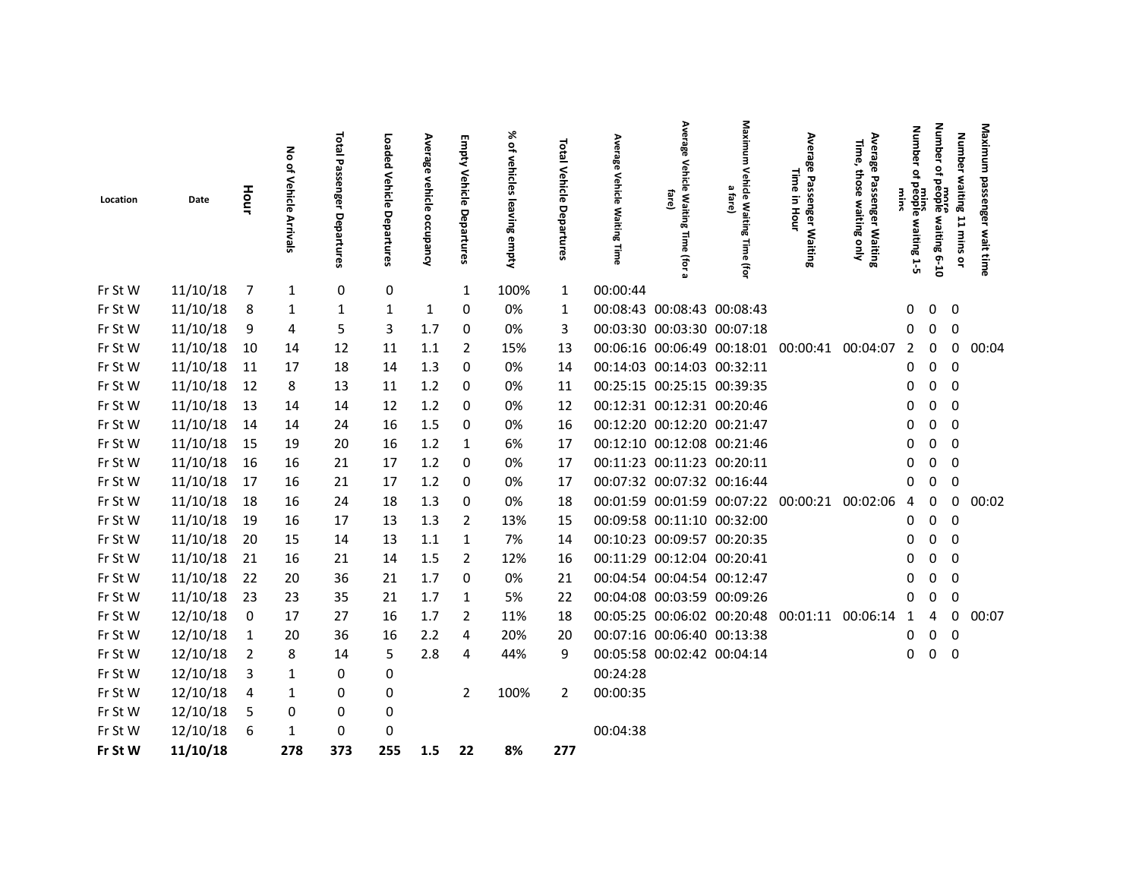| Location           | Date                 | Hour     | る<br>of Vehicle<br>Arrivals | Total<br>Passe<br>nger<br>Departures | Loaded<br>Vehicle<br>Departures | Average<br>vehicle<br>occupancy | <b>Empty Vehicle Departures</b> | ⋇<br>of vehicles<br>leaving<br>empty | Total Vehicle<br>Departures | Avera<br>នូ<br>Vehicle<br>Waiting<br>Time | Ave<br>rage<br>Vehicl<br>$\overline{p}$<br>fare]<br>Waiting<br>Time<br>(For | Vehicle Waiting<br>മ<br>fare)<br>Time (for | Avera<br>σā<br>ō<br>Time<br>Passenger Waiting<br>$\Xi$<br>Hour | Averago<br>Time,<br>ō<br>\$<br>τ<br>ō<br>ă<br>enger Waiting<br>waiting<br>Ajuo | <b>Number</b><br>₽<br>people.<br>waiting 1-5 | <b>Number</b><br>å<br>beople<br>Propie<br>waiting 6-10 | Number waiting 11 mins<br>å | Maximum<br>passenger<br>wait time |
|--------------------|----------------------|----------|-----------------------------|--------------------------------------|---------------------------------|---------------------------------|---------------------------------|--------------------------------------|-----------------------------|-------------------------------------------|-----------------------------------------------------------------------------|--------------------------------------------|----------------------------------------------------------------|--------------------------------------------------------------------------------|----------------------------------------------|--------------------------------------------------------|-----------------------------|-----------------------------------|
| Fr St W            | 11/10/18             | 7        | $\mathbf{1}$                | 0                                    | 0                               |                                 | 1                               | 100%                                 | $\mathbf{1}$                | 00:00:44                                  |                                                                             |                                            |                                                                |                                                                                |                                              |                                                        |                             |                                   |
| Fr St W            | 11/10/18             | 8        | 1                           | 1                                    | 1                               | 1                               | 0                               | 0%                                   | 1                           |                                           | 00:08:43 00:08:43 00:08:43                                                  |                                            |                                                                |                                                                                | 0                                            | $\mathbf 0$                                            | 0                           |                                   |
| Fr St W            | 11/10/18             | 9        | 4                           | 5                                    | 3                               | 1.7                             | 0                               | 0%                                   | 3                           |                                           | 00:03:30 00:03:30 00:07:18                                                  |                                            |                                                                |                                                                                | 0                                            | $\mathbf 0$                                            | $\mathbf 0$                 |                                   |
| Fr St W            | 11/10/18             | 10       | 14                          | 12                                   | 11                              | 1.1                             | 2                               | 15%                                  | 13                          |                                           |                                                                             |                                            | 00:06:16 00:06:49 00:18:01 00:00:41 00:04:07                   |                                                                                | $\overline{2}$                               | 0                                                      | 0                           | 00:04                             |
| Fr St W            | 11/10/18             | 11       | 17                          | 18                                   | 14                              | 1.3                             | 0                               | 0%                                   | 14                          |                                           | 00:14:03 00:14:03 00:32:11                                                  |                                            |                                                                |                                                                                | 0                                            | 0                                                      | 0                           |                                   |
| Fr St W            | 11/10/18             | 12       | 8                           | 13                                   | 11                              | 1.2                             | 0                               | 0%                                   | 11                          |                                           | 00:25:15 00:25:15 00:39:35                                                  |                                            |                                                                |                                                                                | 0                                            | $\mathbf 0$                                            | $\mathbf 0$                 |                                   |
| Fr St W            | 11/10/18             | 13       | 14                          | 14                                   | 12                              | 1.2                             | 0                               | 0%                                   | 12                          |                                           | 00:12:31 00:12:31 00:20:46                                                  |                                            |                                                                |                                                                                | 0                                            | 0                                                      | $\Omega$                    |                                   |
| Fr St W            | 11/10/18             | 14       | 14                          | 24                                   | 16                              | 1.5                             | 0                               | 0%                                   | 16                          |                                           | 00:12:20 00:12:20 00:21:47                                                  |                                            |                                                                |                                                                                | 0                                            | 0                                                      | 0                           |                                   |
| Fr St W            | 11/10/18             | 15       | 19                          | 20                                   | 16                              | 1.2                             | -1                              | 6%                                   | 17                          |                                           | 00:12:10 00:12:08 00:21:46                                                  |                                            |                                                                |                                                                                | 0                                            | 0                                                      | 0                           |                                   |
| Fr St W            | 11/10/18             | 16       | 16                          | 21                                   | 17                              | 1.2                             | 0                               | 0%                                   | 17                          |                                           | 00:11:23 00:11:23 00:20:11                                                  |                                            |                                                                |                                                                                | 0                                            | 0                                                      | 0                           |                                   |
| Fr St W            | 11/10/18             | 17       | 16                          | 21                                   | 17                              | 1.2                             | 0                               | 0%                                   | 17                          |                                           | 00:07:32 00:07:32 00:16:44                                                  |                                            |                                                                |                                                                                | 0                                            | 0                                                      | 0                           |                                   |
| Fr St W            | 11/10/18             | 18       | 16                          | 24                                   | 18                              | 1.3                             | 0                               | 0%                                   | 18                          |                                           |                                                                             |                                            | 00:01:59 00:01:59 00:07:22 00:00:21                            | 00:02:06                                                                       | 4                                            | 0                                                      | 0                           | 00:02                             |
| Fr St W            | 11/10/18             | 19       | 16                          | 17                                   | 13                              | 1.3                             | 2                               | 13%                                  | 15                          |                                           | 00:09:58 00:11:10 00:32:00                                                  |                                            |                                                                |                                                                                | 0                                            | 0                                                      | 0                           |                                   |
| Fr St W            | 11/10/18             | 20       | 15                          | 14                                   | 13                              | 1.1                             | 1                               | 7%                                   | 14                          |                                           | 00:10:23 00:09:57 00:20:35                                                  |                                            |                                                                |                                                                                | 0                                            | 0                                                      | 0                           |                                   |
| Fr St W<br>Fr St W | 11/10/18<br>11/10/18 | 21       | 16<br>20                    | 21<br>36                             | 14                              | 1.5<br>1.7                      | 2<br>0                          | 12%<br>0%                            | 16<br>21                    |                                           | 00:11:29 00:12:04 00:20:41<br>00:04:54 00:04:54 00:12:47                    |                                            |                                                                |                                                                                | 0<br>0                                       | 0<br>$\mathbf{0}$                                      | 0<br>0                      |                                   |
| Fr St W            | 11/10/18             | 22<br>23 | 23                          | 35                                   | 21<br>21                        | 1.7                             | -1                              | 5%                                   | 22                          |                                           | 00:04:08 00:03:59 00:09:26                                                  |                                            |                                                                |                                                                                | 0                                            | 0                                                      | 0                           |                                   |
| Fr St W            | 12/10/18             | 0        | 17                          | 27                                   | 16                              | 1.7                             | 2                               | 11%                                  | 18                          |                                           | 00:05:25 00:06:02 00:20:48                                                  |                                            | 00:01:11 00:06:14                                              |                                                                                | 1                                            | 4                                                      | 0                           | 00:07                             |
| Fr St W            | 12/10/18             | 1        | 20                          | 36                                   | 16                              | 2.2                             | 4                               | 20%                                  | 20                          |                                           | 00:07:16 00:06:40 00:13:38                                                  |                                            |                                                                |                                                                                | 0                                            | $\mathbf 0$                                            | 0                           |                                   |
| Fr St W            | 12/10/18             | 2        | 8                           | 14                                   | 5                               | 2.8                             | 4                               | 44%                                  | 9                           |                                           | 00:05:58 00:02:42 00:04:14                                                  |                                            |                                                                |                                                                                | 0                                            | 0                                                      | 0                           |                                   |
| Fr St W            | 12/10/18             | 3        | 1                           | 0                                    | 0                               |                                 |                                 |                                      |                             | 00:24:28                                  |                                                                             |                                            |                                                                |                                                                                |                                              |                                                        |                             |                                   |
| Fr St W            | 12/10/18             | 4        | 1                           | 0                                    | 0                               |                                 | $\overline{2}$                  | 100%                                 | 2                           | 00:00:35                                  |                                                                             |                                            |                                                                |                                                                                |                                              |                                                        |                             |                                   |
| Fr St W            | 12/10/18             | 5        | 0                           | 0                                    | 0                               |                                 |                                 |                                      |                             |                                           |                                                                             |                                            |                                                                |                                                                                |                                              |                                                        |                             |                                   |
| Fr St W            | 12/10/18             | 6        | 1                           | 0                                    | $\mathbf 0$                     |                                 |                                 |                                      |                             | 00:04:38                                  |                                                                             |                                            |                                                                |                                                                                |                                              |                                                        |                             |                                   |
| Fr St W            | 11/10/18             |          | 278                         | 373                                  | 255                             | 1.5                             | 22                              | 8%                                   | 277                         |                                           |                                                                             |                                            |                                                                |                                                                                |                                              |                                                        |                             |                                   |
|                    |                      |          |                             |                                      |                                 |                                 |                                 |                                      |                             |                                           |                                                                             |                                            |                                                                |                                                                                |                                              |                                                        |                             |                                   |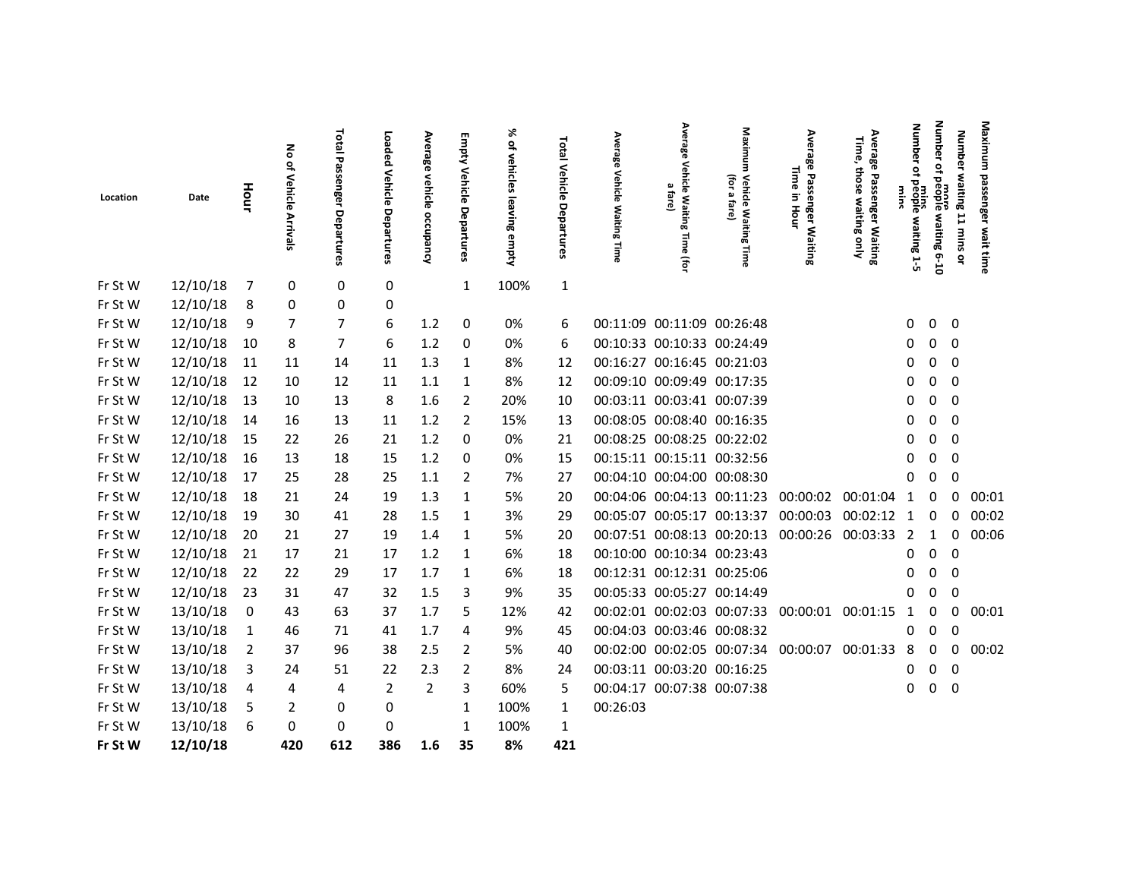|          |          |      |                             | Total                           |                              |                                 |                          | ৯<br>₽                    |                                       |                                       | Average                                                        | Maxim                                        | Avera                                        |                                                                                | <b>Number</b>                   | Number                    |                           | Maximum             |
|----------|----------|------|-----------------------------|---------------------------------|------------------------------|---------------------------------|--------------------------|---------------------------|---------------------------------------|---------------------------------------|----------------------------------------------------------------|----------------------------------------------|----------------------------------------------|--------------------------------------------------------------------------------|---------------------------------|---------------------------|---------------------------|---------------------|
| Location | Date     | Hour | る<br>of Vehicle<br>Arrivals | Passen<br>ger<br>o<br>epartures | Loaded<br>Vehicle Departures | Average<br>vehicle<br>occupancy | Empty Vehicle Departures | vehicles<br>leaving empty | Total<br><b>Vehicle</b><br>Departures | Average<br>Vehicle<br>Waiting<br>Time | γehi<br>흠<br>$\omega$<br><b>tare</b><br>: Waiting<br>Time<br>ā | (for<br><b>Vehicle Waiting</b><br>മ<br>fare) | ౙౢ<br>Time<br>Passenger Waiting<br>3<br>Hour | Average<br>Time,<br>those<br>Passen<br>waiting<br>nger Waiting<br>vaiting only | ٩<br>mins<br>people waiting 1-5 | ot people<br>waiting 6-10 | Number waiting 11 mins or | passenger wait time |
| Fr St W  | 12/10/18 | 7    | 0                           | 0                               | 0                            |                                 | $\mathbf{1}$             | 100%                      | $\mathbf 1$                           |                                       |                                                                |                                              |                                              |                                                                                |                                 |                           |                           |                     |
| Fr St W  | 12/10/18 | 8    | 0                           | 0                               | 0                            |                                 |                          |                           |                                       |                                       |                                                                |                                              |                                              |                                                                                |                                 |                           |                           |                     |
| Fr St W  | 12/10/18 | 9    | 7                           | 7                               | 6                            | 1.2                             | 0                        | 0%                        | 6                                     |                                       | 00:11:09 00:11:09 00:26:48                                     |                                              |                                              |                                                                                | 0                               | $\mathbf 0$               | $\mathbf 0$               |                     |
| Fr St W  | 12/10/18 | 10   | 8                           | $\overline{7}$                  | 6                            | 1.2                             | 0                        | 0%                        | 6                                     |                                       | 00:10:33 00:10:33 00:24:49                                     |                                              |                                              |                                                                                | 0                               | 0                         | 0                         |                     |
| Fr St W  | 12/10/18 | 11   | 11                          | 14                              | 11                           | 1.3                             | 1                        | 8%                        | 12                                    |                                       | 00:16:27 00:16:45 00:21:03                                     |                                              |                                              |                                                                                | 0                               | 0                         | 0                         |                     |
| Fr St W  | 12/10/18 | 12   | 10                          | 12                              | 11                           | 1.1                             | 1                        | 8%                        | 12                                    |                                       | 00:09:10 00:09:49 00:17:35                                     |                                              |                                              |                                                                                | 0                               | 0                         | 0                         |                     |
| Fr St W  | 12/10/18 | 13   | 10                          | 13                              | 8                            | 1.6                             | 2                        | 20%                       | 10                                    |                                       | 00:03:11 00:03:41 00:07:39                                     |                                              |                                              |                                                                                | 0                               | 0                         | 0                         |                     |
| Fr St W  | 12/10/18 | 14   | 16                          | 13                              | 11                           | 1.2                             | 2                        | 15%                       | 13                                    |                                       | 00:08:05 00:08:40 00:16:35                                     |                                              |                                              |                                                                                | 0                               | 0                         | 0                         |                     |
| Fr St W  | 12/10/18 | 15   | 22                          | 26                              | 21                           | 1.2                             | 0                        | 0%                        | 21                                    |                                       | 00:08:25 00:08:25 00:22:02                                     |                                              |                                              |                                                                                | 0                               | 0                         | 0                         |                     |
| Fr St W  | 12/10/18 | 16   | 13                          | 18                              | 15                           | 1.2                             | 0                        | 0%                        | 15                                    |                                       | 00:15:11 00:15:11 00:32:56                                     |                                              |                                              |                                                                                | 0                               | 0                         | 0                         |                     |
| Fr St W  | 12/10/18 | 17   | 25                          | 28                              | 25                           | 1.1                             | 2                        | 7%                        | 27                                    |                                       | 00:04:10 00:04:00 00:08:30                                     |                                              |                                              |                                                                                | 0                               | 0                         | 0                         |                     |
| Fr St W  | 12/10/18 | 18   | 21                          | 24                              | 19                           | 1.3                             | $\mathbf{1}$             | 5%                        | 20                                    |                                       |                                                                | 00:04:06 00:04:13 00:11:23 00:00:02          |                                              | 00:01:04                                                                       | $\mathbf{1}$                    | 0                         | 0                         | 00:01               |
| Fr St W  | 12/10/18 | 19   | 30                          | 41                              | 28                           | 1.5                             | 1                        | 3%                        | 29                                    |                                       |                                                                | 00:05:07 00:05:17 00:13:37                   | 00:00:03                                     | 00:02:12                                                                       | 1                               | 0                         | 0                         | 00:02               |
| Fr St W  | 12/10/18 | 20   | 21                          | 27                              | 19                           | 1.4                             | 1                        | 5%                        | 20                                    |                                       |                                                                |                                              | 00:07:51 00:08:13 00:20:13 00:00:26 00:03:33 |                                                                                | $\overline{2}$                  | 1                         | 0                         | 00:06               |
| Fr St W  | 12/10/18 | 21   | 17                          | 21                              | 17                           | 1.2                             | 1                        | 6%                        | 18                                    |                                       | 00:10:00 00:10:34 00:23:43                                     |                                              |                                              |                                                                                | 0                               | 0                         | $\Omega$                  |                     |
| Fr St W  | 12/10/18 | 22   | 22                          | 29                              | 17                           | 1.7                             | $\mathbf{1}$             | 6%                        | 18                                    |                                       | 00:12:31 00:12:31 00:25:06                                     |                                              |                                              |                                                                                | 0                               | 0                         | 0                         |                     |
| Fr St W  | 12/10/18 | 23   | 31                          | 47                              | 32                           | 1.5                             | 3                        | 9%                        | 35                                    |                                       | 00:05:33 00:05:27 00:14:49                                     |                                              |                                              |                                                                                | 0                               | 0                         | 0                         |                     |
| Fr St W  | 13/10/18 | 0    | 43                          | 63                              | 37                           | 1.7                             | 5                        | 12%                       | 42                                    |                                       |                                                                |                                              | 00:02:01 00:02:03 00:07:33 00:00:01 00:01:15 |                                                                                | $\mathbf{1}$                    | 0                         | 0                         | 00:01               |
| Fr St W  | 13/10/18 | 1    | 46                          | 71                              | 41                           | 1.7                             | 4                        | 9%                        | 45                                    |                                       | 00:04:03 00:03:46 00:08:32                                     |                                              |                                              |                                                                                | 0                               | 0                         | 0                         |                     |
| Fr St W  | 13/10/18 | 2    | 37                          | 96                              | 38                           | 2.5                             | 2                        | 5%                        | 40                                    |                                       |                                                                | 00:02:00 00:02:05 00:07:34 00:00:07          |                                              | 00:01:33                                                                       | 8                               | 0                         | 0                         | 00:02               |
| Fr St W  | 13/10/18 | 3    | 24                          | 51                              | 22                           | 2.3                             | 2                        | 8%                        | 24                                    |                                       | 00:03:11 00:03:20 00:16:25                                     |                                              |                                              |                                                                                | 0                               | 0                         | 0                         |                     |
| Fr St W  | 13/10/18 | 4    | 4                           | 4                               | $\overline{2}$               | $\overline{2}$                  | 3                        | 60%                       | 5                                     |                                       | 00:04:17 00:07:38 00:07:38                                     |                                              |                                              |                                                                                | 0                               | $\mathbf 0$               | 0                         |                     |
| Fr St W  | 13/10/18 | 5    | 2                           | 0                               | 0                            |                                 | 1                        | 100%                      | 1                                     | 00:26:03                              |                                                                |                                              |                                              |                                                                                |                                 |                           |                           |                     |
| Fr St W  | 13/10/18 | 6    | 0                           | 0                               | 0                            |                                 | 1                        | 100%                      | 1                                     |                                       |                                                                |                                              |                                              |                                                                                |                                 |                           |                           |                     |
| Fr St W  | 12/10/18 |      | 420                         | 612                             | 386                          | 1.6                             | 35                       | 8%                        | 421                                   |                                       |                                                                |                                              |                                              |                                                                                |                                 |                           |                           |                     |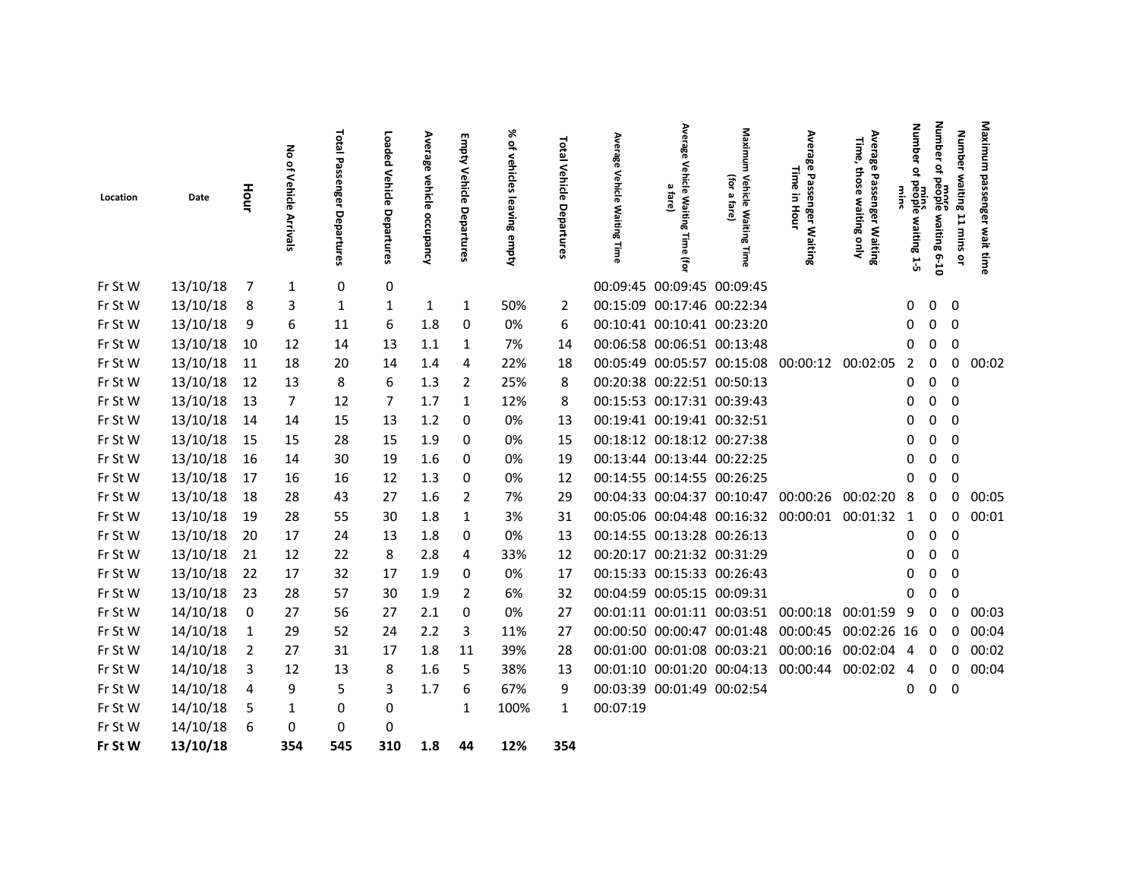|          |          |      | る                        | Total                                  | Loaded                | Average              |                             | ৯<br>٩                       | Total                 | Average                           | Avera<br>쭹                                                | Maxim                                       | Avera                                           | Avera<br>Time,                                                       | Number                                                       | <b>Number</b>               | <b>Number</b>      | Maximum             |
|----------|----------|------|--------------------------|----------------------------------------|-----------------------|----------------------|-----------------------------|------------------------------|-----------------------|-----------------------------------|-----------------------------------------------------------|---------------------------------------------|-------------------------------------------------|----------------------------------------------------------------------|--------------------------------------------------------------|-----------------------------|--------------------|---------------------|
| Location | Date     | Hour | ٩<br>Vehicle<br>Arrivals | 品<br>SSG<br>nger<br>o<br>ന<br>partures | Vehicle<br>Departures | vehicle<br>occupancy | Empty Vehicle<br>Departures | vehicles<br>leaving<br>empty | Vehicle<br>Departures | Vehicle<br><b>Waiting</b><br>lime | δęh<br>icle<br>$\omega$<br>Tare)<br>Waitin<br>œ<br>Φ<br>ᇹ | (for<br>Vehicle Waitin<br>ΩJ.<br>fare)<br>œ | œ<br>Time in<br>Passen<br>Hour<br>ger Waiting   | œ<br>Φ<br>those<br>Passen<br>waiting<br>nger Waiting<br>vaiting only | $\overline{\mathsf{d}}$<br>people<br>sulus<br>waiting<br>1-5 | ₽<br>beople<br>waiting 6-10 | waiting 11 mins or | passenger wait time |
| Fr St W  | 13/10/18 | 7    | 1                        | 0                                      | 0                     |                      |                             |                              |                       |                                   | 00:09:45 00:09:45 00:09:45                                |                                             |                                                 |                                                                      |                                                              |                             |                    |                     |
| Fr St W  | 13/10/18 | 8    | 3                        | 1                                      | 1                     | 1                    | 1                           | 50%                          | 2                     |                                   | 00:15:09 00:17:46 00:22:34                                |                                             |                                                 |                                                                      | 0                                                            | $\mathbf{0}$                | 0                  |                     |
| Fr St W  | 13/10/18 | 9    | 6                        | 11                                     | 6                     | 1.8                  | 0                           | 0%                           | 6                     |                                   | 00:10:41 00:10:41 00:23:20                                |                                             |                                                 |                                                                      | 0                                                            | 0                           | 0                  |                     |
| Fr St W  | 13/10/18 | 10   | 12                       | 14                                     | 13                    | 1.1                  | 1                           | 7%                           | 14                    |                                   | 00:06:58 00:06:51 00:13:48                                |                                             |                                                 |                                                                      | 0                                                            | 0                           | 0                  |                     |
| Fr St W  | 13/10/18 | 11   | 18                       | 20                                     | 14                    | 1.4                  | 4                           | 22%                          | 18                    |                                   |                                                           |                                             | 00:05:49 00:05:57 00:15:08 00:00:12 00:02:05    |                                                                      | 2                                                            | 0                           | 0                  | 00:02               |
| Fr St W  | 13/10/18 | 12   | 13                       | 8                                      | 6                     | 1.3                  | 2                           | 25%                          | 8                     |                                   | 00:20:38 00:22:51 00:50:13                                |                                             |                                                 |                                                                      | 0                                                            | $\mathbf{0}$                | 0                  |                     |
| Fr St W  | 13/10/18 | 13   | 7                        | 12                                     | 7                     | 1.7                  | 1                           | 12%                          | 8                     |                                   | 00:15:53 00:17:31 00:39:43                                |                                             |                                                 |                                                                      | 0                                                            | 0                           | $\mathbf 0$        |                     |
| Fr St W  | 13/10/18 | 14   | 14                       | 15                                     | 13                    | 1.2                  | 0                           | 0%                           | 13                    |                                   | 00:19:41 00:19:41 00:32:51                                |                                             |                                                 |                                                                      | 0                                                            | $\mathbf 0$                 | $\Omega$           |                     |
| Fr St W  | 13/10/18 | 15   | 15                       | 28                                     | 15                    | 1.9                  | 0                           | 0%                           | 15                    |                                   | 00:18:12 00:18:12 00:27:38                                |                                             |                                                 |                                                                      | 0                                                            | 0                           | 0                  |                     |
| Fr St W  | 13/10/18 | 16   | 14                       | 30                                     | 19                    | 1.6                  | 0                           | 0%                           | 19                    |                                   | 00:13:44 00:13:44 00:22:25                                |                                             |                                                 |                                                                      | 0                                                            | 0                           | 0                  |                     |
| Fr St W  | 13/10/18 | 17   | 16                       | 16                                     | 12                    | 1.3                  | 0                           | 0%                           | 12                    |                                   | 00:14:55 00:14:55 00:26:25                                |                                             |                                                 |                                                                      | 0                                                            | 0                           | $\mathbf 0$        |                     |
| Fr St W  | 13/10/18 | 18   | 28                       | 43                                     | 27                    | 1.6                  | 2                           | 7%                           | 29                    |                                   |                                                           |                                             | 00:04:33 00:04:37 00:10:47 00:00:26             | 00:02:20                                                             | 8                                                            | 0                           | 0                  | 00:05               |
| Fr St W  | 13/10/18 | 19   | 28                       | 55                                     | 30                    | 1.8                  | 1                           | 3%                           | 31                    |                                   |                                                           |                                             | 00:05:06 00:04:48 00:16:32 00:00:01             | 00:01:32                                                             | -1                                                           | 0                           | 0                  | 00:01               |
| Fr St W  | 13/10/18 | 20   | 17                       | 24                                     | 13                    | 1.8                  | 0                           | 0%                           | 13                    |                                   | 00:14:55 00:13:28 00:26:13                                |                                             |                                                 |                                                                      | 0                                                            | 0                           | 0                  |                     |
| Fr St W  | 13/10/18 | 21   | 12                       | 22                                     | 8                     | 2.8                  | 4                           | 33%                          | 12                    |                                   | 00:20:17 00:21:32 00:31:29                                |                                             |                                                 |                                                                      | 0                                                            | $\Omega$                    | $\Omega$           |                     |
| Fr St W  | 13/10/18 | 22   | 17                       | 32                                     | 17                    | 1.9                  | 0                           | 0%                           | 17                    |                                   | 00:15:33 00:15:33 00:26:43                                |                                             |                                                 |                                                                      | 0                                                            | 0                           | 0                  |                     |
| Fr St W  | 13/10/18 | 23   | 28                       | 57                                     | 30                    | 1.9                  | 2                           | 6%                           | 32                    |                                   | 00:04:59 00:05:15 00:09:31                                |                                             |                                                 |                                                                      | 0                                                            | 0                           | 0                  |                     |
| Fr St W  | 14/10/18 | 0    | 27                       | 56                                     | 27                    | 2.1                  | 0                           | 0%                           | 27                    |                                   |                                                           |                                             | 00:01:11 00:01:11 00:03:51 00:00:18 00:01:59    |                                                                      | -9                                                           | 0                           | 0                  | 00:03               |
| Fr St W  | 14/10/18 | 1    | 29                       | 52                                     | 24                    | 2.2                  | 3                           | 11%                          | 27                    |                                   |                                                           |                                             | 00:00:50 00:00:47 00:01:48 00:00:45 00:02:26 16 |                                                                      |                                                              | $\overline{\mathbf{0}}$     | 0                  | 00:04               |
| Fr St W  | 14/10/18 | 2    | 27                       | 31                                     | 17                    | 1.8                  | 11                          | 39%                          | 28                    |                                   |                                                           |                                             | 00:01:00 00:01:08 00:03:21 00:00:16 00:02:04    |                                                                      | 4                                                            | 0                           | 0                  | 00:02               |
| Fr St W  | 14/10/18 | 3    | 12                       | 13                                     | 8                     | 1.6                  | 5                           | 38%                          | 13                    |                                   |                                                           |                                             | 00:01:10 00:01:20 00:04:13 00:00:44 00:02:02    |                                                                      | 4                                                            | 0                           | 0                  | 00:04               |
| Fr St W  | 14/10/18 | 4    | 9                        | 5                                      | 3                     | 1.7                  | 6                           | 67%                          | 9                     |                                   | 00:03:39 00:01:49 00:02:54                                |                                             |                                                 |                                                                      | 0                                                            | $\mathbf 0$                 | 0                  |                     |
| Fr St W  | 14/10/18 | 5    | 1                        | 0                                      | 0                     |                      | 1                           | 100%                         | 1                     | 00:07:19                          |                                                           |                                             |                                                 |                                                                      |                                                              |                             |                    |                     |
| Fr St W  | 14/10/18 |      | 0                        | 0                                      | 0                     |                      |                             |                              |                       |                                   |                                                           |                                             |                                                 |                                                                      |                                                              |                             |                    |                     |
| Fr St W  | 13/10/18 |      | 354                      | 545                                    | 310                   | 1.8                  | 44                          | 12%                          | 354                   |                                   |                                                           |                                             |                                                 |                                                                      |                                                              |                             |                    |                     |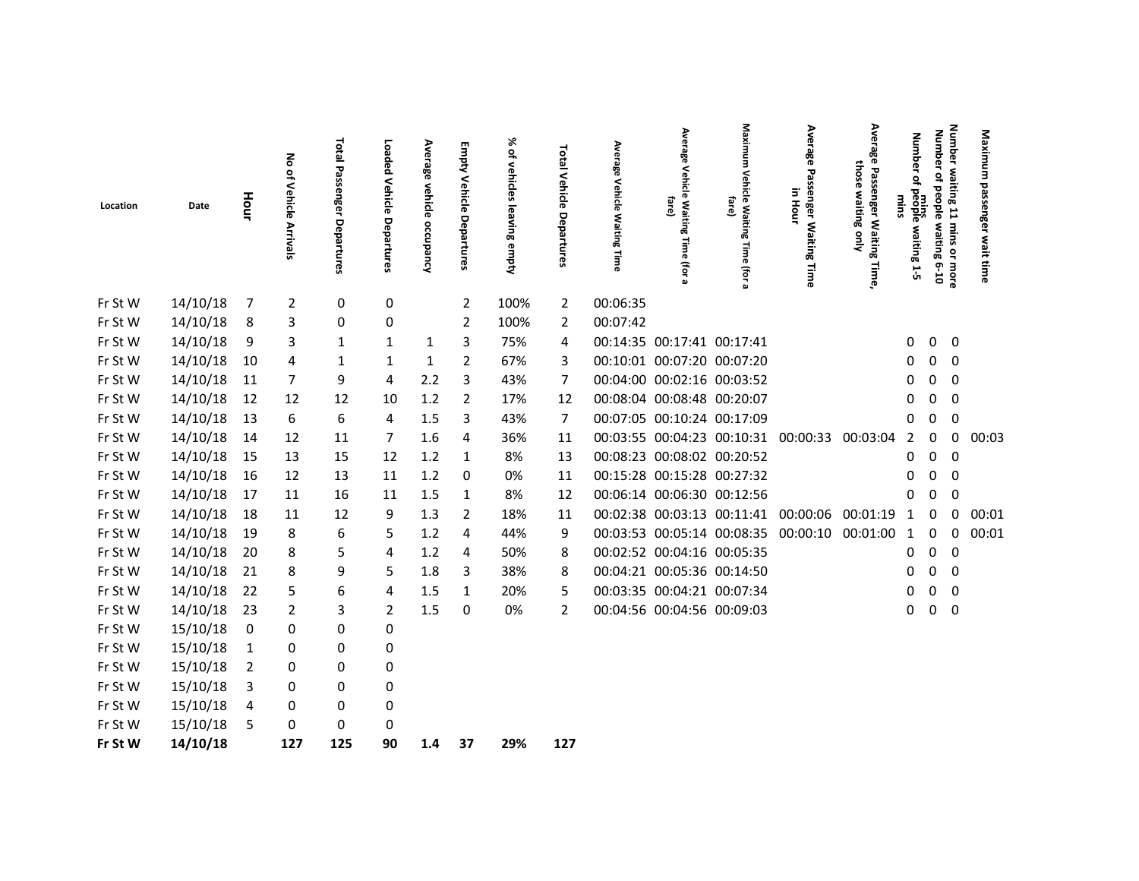| Location | Date     | Hour | No of Vehicle<br>Arrivals | Total Passe<br>inger<br>Departure | Loaded Vehicle Departures | Average<br>vehicle<br>A <sub>Juedno</sub> | Empty Vehicle Departures | ৯<br>of vehicles<br><b>leaving</b><br>empty | Total Vehicle<br><b>De</b><br>partures | Average<br>Vehicle<br><b>Waiting Time</b> | Average<br>Vehicl<br>ᢛ<br>fare)<br>Waitin<br>ōā<br><b>Time</b><br>ltor | Maximu<br>з<br>Vehicle Waitin<br>fare)<br>œ<br>Time<br>(for a | Average<br>Passenger Waiting Time<br>Ξ.<br>Hour | Avera<br>ఇ<br>those<br>$\mathbf{z}$<br>enger Waiting<br>waiting<br>Auo.<br>Time, | <b>Number</b><br>$\tilde{\sigma}$<br>people<br>people<br>zulu<br>waiting 1-5 | Number waiting 11 mins or more<br>Number<br>of people waiting<br>0.10 | Maximum<br>passenger<br>wait time |  |
|----------|----------|------|---------------------------|-----------------------------------|---------------------------|-------------------------------------------|--------------------------|---------------------------------------------|----------------------------------------|-------------------------------------------|------------------------------------------------------------------------|---------------------------------------------------------------|-------------------------------------------------|----------------------------------------------------------------------------------|------------------------------------------------------------------------------|-----------------------------------------------------------------------|-----------------------------------|--|
| Fr St W  | 14/10/18 | 7    | $\overline{2}$            | 0                                 | 0                         |                                           | 2                        | 100%                                        | $\overline{2}$                         | 00:06:35                                  |                                                                        |                                                               |                                                 |                                                                                  |                                                                              |                                                                       |                                   |  |
| Fr St W  | 14/10/18 | 8    | 3                         | 0                                 | 0                         |                                           | 2                        | 100%                                        | 2                                      | 00:07:42                                  |                                                                        |                                                               |                                                 |                                                                                  |                                                                              |                                                                       |                                   |  |
| Fr St W  | 14/10/18 | 9    | 3                         | $\mathbf{1}$                      | $\mathbf{1}$              | $\mathbf{1}$                              | 3                        | 75%                                         | 4                                      |                                           | 00:14:35 00:17:41 00:17:41                                             |                                                               |                                                 |                                                                                  | 0                                                                            | 0<br>0                                                                |                                   |  |
| Fr St W  | 14/10/18 | 10   | 4                         | $\mathbf{1}$                      | 1                         | $\mathbf{1}$                              | 2                        | 67%                                         | 3                                      |                                           | 00:10:01 00:07:20 00:07:20                                             |                                                               |                                                 |                                                                                  | 0                                                                            | $\mathbf 0$<br>0                                                      |                                   |  |
| Fr St W  | 14/10/18 | 11   | 7                         | 9                                 | 4                         | 2.2                                       | 3                        | 43%                                         | 7                                      |                                           | 00:04:00 00:02:16 00:03:52                                             |                                                               |                                                 |                                                                                  | 0                                                                            | $\mathbf 0$<br>0                                                      |                                   |  |
| Fr St W  | 14/10/18 | 12   | 12                        | 12                                | 10                        | 1.2                                       | 2                        | 17%                                         | 12                                     |                                           | 00:08:04 00:08:48 00:20:07                                             |                                                               |                                                 |                                                                                  | 0                                                                            | 0<br>0                                                                |                                   |  |
| Fr St W  | 14/10/18 | 13   | 6                         | 6                                 | 4                         | 1.5                                       | 3                        | 43%                                         | $\overline{7}$                         |                                           | 00:07:05 00:10:24 00:17:09                                             |                                                               |                                                 |                                                                                  | 0                                                                            | 0<br>0                                                                |                                   |  |
| Fr St W  | 14/10/18 | 14   | 12                        | 11                                | 7                         | 1.6                                       | 4                        | 36%                                         | 11                                     |                                           |                                                                        | 00:03:55 00:04:23 00:10:31 00:00:33                           |                                                 | 00:03:04                                                                         | 2                                                                            | 0<br>0                                                                | 00:03                             |  |
| Fr St W  | 14/10/18 | 15   | 13                        | 15                                | 12                        | 1.2                                       | 1                        | 8%                                          | 13                                     |                                           | 00:08:23 00:08:02 00:20:52                                             |                                                               |                                                 |                                                                                  | 0                                                                            | 0<br>0                                                                |                                   |  |
| Fr St W  | 14/10/18 | 16   | 12                        | 13                                | 11                        | 1.2                                       | 0                        | 0%                                          | 11                                     |                                           | 00:15:28 00:15:28 00:27:32                                             |                                                               |                                                 |                                                                                  | 0                                                                            | 0<br>0                                                                |                                   |  |
| Fr St W  | 14/10/18 | 17   | 11                        | 16                                | 11                        | 1.5                                       | $\mathbf{1}$             | 8%                                          | 12                                     |                                           | 00:06:14 00:06:30 00:12:56                                             |                                                               |                                                 |                                                                                  | 0                                                                            | 0<br>0                                                                |                                   |  |
| Fr St W  | 14/10/18 | 18   | 11                        | 12                                | 9                         | 1.3                                       | $\overline{2}$           | 18%                                         | 11                                     |                                           |                                                                        | 00:02:38 00:03:13 00:11:41 00:00:06                           |                                                 | 00:01:19                                                                         | 1                                                                            | 0<br>0                                                                | 00:01                             |  |
| Fr St W  | 14/10/18 | 19   | 8                         | 6                                 | 5                         | 1.2                                       | 4                        | 44%                                         | 9                                      |                                           |                                                                        | 00:03:53 00:05:14 00:08:35 00:00:10                           |                                                 | 00:01:00                                                                         | $\mathbf{1}$                                                                 | 0<br>0                                                                | 00:01                             |  |
| Fr St W  | 14/10/18 | 20   | 8                         | 5                                 | 4                         | 1.2                                       | 4                        | 50%                                         | 8                                      |                                           | 00:02:52 00:04:16 00:05:35                                             |                                                               |                                                 |                                                                                  | 0                                                                            | 0<br>0                                                                |                                   |  |
| Fr St W  | 14/10/18 | 21   | 8                         | 9                                 | 5                         | 1.8                                       | 3                        | 38%                                         | 8                                      |                                           | 00:04:21 00:05:36 00:14:50                                             |                                                               |                                                 |                                                                                  | 0                                                                            | $\mathbf 0$<br>$\mathbf 0$                                            |                                   |  |
| Fr St W  | 14/10/18 | 22   | 5                         | 6                                 | 4                         | 1.5                                       | 1                        | 20%                                         | 5                                      |                                           | 00:03:35 00:04:21 00:07:34                                             |                                                               |                                                 |                                                                                  | 0                                                                            | 0<br>0                                                                |                                   |  |
| Fr St W  | 14/10/18 | 23   | $\overline{2}$            | 3                                 | $\overline{2}$            | 1.5                                       | 0                        | 0%                                          | $\overline{2}$                         |                                           | 00:04:56 00:04:56 00:09:03                                             |                                                               |                                                 |                                                                                  | 0                                                                            | 0<br>0                                                                |                                   |  |
| Fr St W  | 15/10/18 | 0    | 0                         | 0                                 | 0                         |                                           |                          |                                             |                                        |                                           |                                                                        |                                                               |                                                 |                                                                                  |                                                                              |                                                                       |                                   |  |
| Fr St W  | 15/10/18 | 1    | 0                         | 0                                 | 0                         |                                           |                          |                                             |                                        |                                           |                                                                        |                                                               |                                                 |                                                                                  |                                                                              |                                                                       |                                   |  |
| Fr St W  | 15/10/18 | 2    | 0                         | 0                                 | 0                         |                                           |                          |                                             |                                        |                                           |                                                                        |                                                               |                                                 |                                                                                  |                                                                              |                                                                       |                                   |  |
| Fr St W  | 15/10/18 | 3    | 0                         | 0                                 | 0                         |                                           |                          |                                             |                                        |                                           |                                                                        |                                                               |                                                 |                                                                                  |                                                                              |                                                                       |                                   |  |
| Fr St W  | 15/10/18 | 4    | 0                         | 0                                 | 0                         |                                           |                          |                                             |                                        |                                           |                                                                        |                                                               |                                                 |                                                                                  |                                                                              |                                                                       |                                   |  |
| Fr St W  | 15/10/18 | 5    | 0                         | $\pmb{0}$                         | 0                         |                                           |                          |                                             |                                        |                                           |                                                                        |                                                               |                                                 |                                                                                  |                                                                              |                                                                       |                                   |  |
| Fr St W  | 14/10/18 |      | 127                       | 125                               | 90                        | 1.4                                       | 37                       | 29%                                         | 127                                    |                                           |                                                                        |                                                               |                                                 |                                                                                  |                                                                              |                                                                       |                                   |  |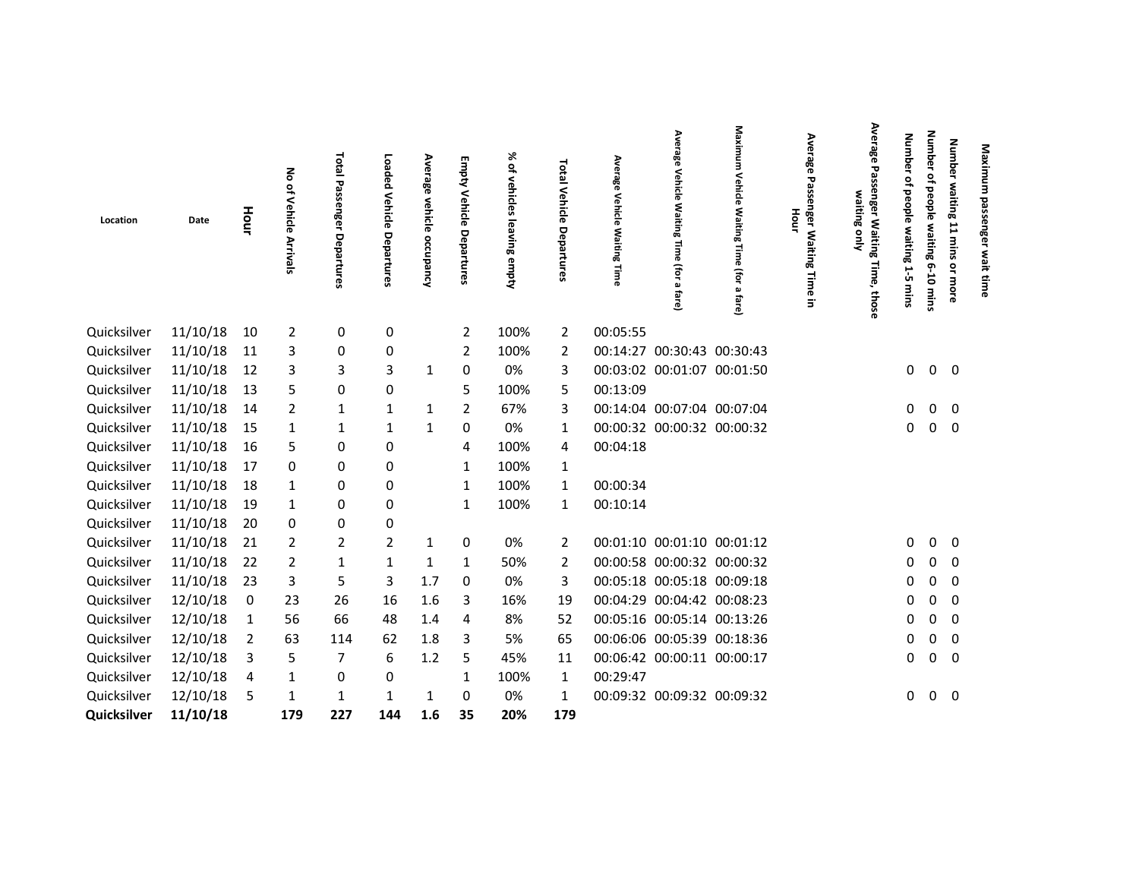| Location    | Date     | Hour | る<br>of Vehicle<br>Arrivals | Total<br>Passenger<br>Departures | Loaded<br>Vehicle<br>Departures | Average vehicle<br>occupancy | Empty<br>Vehicle Departures | % of<br>vehicles<br>lea<br>ving empty | Total Vehicle<br>Departures | Average<br>Vehicle Waiting Time | Average<br>Vehicle<br>Waiting Time (for a<br><b>tare</b> | Maximum<br>Vehicle<br>Waiting Time (for a fare) | Average<br>ᇃ<br>nger Waiting<br>Hour<br>Time<br>Ξ. | Average<br>Passenger Waiting Time, those<br>waiting only | <b>Number</b><br>₽<br>people<br>waiting<br>1.5<br>mins | Number<br>٩<br>people<br>waiting<br>$6 - 10$<br>mins | Number waiting 11 mins<br>Maximum<br>nger wait tim<br>ă<br>more |  |
|-------------|----------|------|-----------------------------|----------------------------------|---------------------------------|------------------------------|-----------------------------|---------------------------------------|-----------------------------|---------------------------------|----------------------------------------------------------|-------------------------------------------------|----------------------------------------------------|----------------------------------------------------------|--------------------------------------------------------|------------------------------------------------------|-----------------------------------------------------------------|--|
| Quicksilver | 11/10/18 | 10   | $\overline{2}$              | 0                                | 0                               |                              | 2                           | 100%                                  | 2                           | 00:05:55                        |                                                          |                                                 |                                                    |                                                          |                                                        |                                                      |                                                                 |  |
| Quicksilver | 11/10/18 | 11   | 3                           | 0                                | 0                               |                              | $\overline{2}$              | 100%                                  | 2                           |                                 | 00:14:27 00:30:43 00:30:43                               |                                                 |                                                    |                                                          |                                                        |                                                      |                                                                 |  |
| Quicksilver | 11/10/18 | 12   | 3                           | 3                                | 3                               | 1                            | 0                           | 0%                                    | 3                           |                                 | 00:03:02 00:01:07 00:01:50                               |                                                 |                                                    |                                                          | 0                                                      | 0                                                    | 0                                                               |  |
| Quicksilver | 11/10/18 | 13   | 5                           | 0                                | 0                               |                              | 5                           | 100%                                  | 5                           | 00:13:09                        |                                                          |                                                 |                                                    |                                                          |                                                        |                                                      |                                                                 |  |
| Quicksilver | 11/10/18 | 14   | 2                           | 1                                | 1                               | 1                            | 2                           | 67%                                   | 3                           |                                 | 00:14:04 00:07:04 00:07:04                               |                                                 |                                                    |                                                          | 0                                                      | 0                                                    | 0                                                               |  |
| Quicksilver | 11/10/18 | 15   | 1                           | 1                                | 1                               | 1                            | 0                           | 0%                                    | 1                           |                                 | 00:00:32 00:00:32 00:00:32                               |                                                 |                                                    |                                                          | 0                                                      | $\mathsf 0$                                          | 0                                                               |  |
| Quicksilver | 11/10/18 | 16   | 5                           | 0                                | 0                               |                              | 4                           | 100%                                  | 4                           | 00:04:18                        |                                                          |                                                 |                                                    |                                                          |                                                        |                                                      |                                                                 |  |
| Quicksilver | 11/10/18 | 17   | 0                           | 0                                | 0                               |                              | 1                           | 100%                                  | $\mathbf 1$                 |                                 |                                                          |                                                 |                                                    |                                                          |                                                        |                                                      |                                                                 |  |
| Quicksilver | 11/10/18 | 18   | 1                           | 0                                | 0                               |                              | 1                           | 100%                                  | 1                           | 00:00:34                        |                                                          |                                                 |                                                    |                                                          |                                                        |                                                      |                                                                 |  |
| Quicksilver | 11/10/18 | 19   | 1                           | 0                                | 0                               |                              | 1                           | 100%                                  | 1                           | 00:10:14                        |                                                          |                                                 |                                                    |                                                          |                                                        |                                                      |                                                                 |  |
| Quicksilver | 11/10/18 | 20   | 0                           | 0                                | 0                               |                              |                             |                                       |                             |                                 |                                                          |                                                 |                                                    |                                                          |                                                        |                                                      |                                                                 |  |
| Quicksilver | 11/10/18 | 21   | 2                           | 2                                | $\overline{2}$                  | $\mathbf{1}$                 | 0                           | 0%                                    | 2                           |                                 | 00:01:10 00:01:10 00:01:12                               |                                                 |                                                    |                                                          | 0                                                      | 0                                                    | 0                                                               |  |
| Quicksilver | 11/10/18 | 22   | 2                           | 1                                | 1                               | 1                            | 1                           | 50%                                   | 2                           |                                 | 00:00:58 00:00:32 00:00:32                               |                                                 |                                                    |                                                          | 0                                                      | 0                                                    | 0                                                               |  |
| Quicksilver | 11/10/18 | 23   | 3                           | 5                                | 3                               | 1.7                          | 0                           | 0%                                    | 3                           |                                 | 00:05:18 00:05:18 00:09:18                               |                                                 |                                                    |                                                          | 0                                                      | $\mathbf 0$                                          | $\mathbf 0$                                                     |  |
| Quicksilver | 12/10/18 | 0    | 23                          | 26                               | 16                              | 1.6                          | 3                           | 16%                                   | 19                          |                                 | 00:04:29 00:04:42 00:08:23                               |                                                 |                                                    |                                                          | 0                                                      | 0                                                    | 0                                                               |  |
| Quicksilver | 12/10/18 | - 1  | 56                          | 66                               | 48                              | 1.4                          | 4                           | 8%                                    | 52                          |                                 | 00:05:16 00:05:14 00:13:26                               |                                                 |                                                    |                                                          | 0                                                      | 0                                                    | 0                                                               |  |
| Quicksilver | 12/10/18 | 2    | 63                          | 114                              | 62                              | 1.8                          | 3                           | 5%                                    | 65                          |                                 | 00:06:06 00:05:39 00:18:36                               |                                                 |                                                    |                                                          | 0                                                      | 0                                                    | 0                                                               |  |
| Quicksilver | 12/10/18 | 3    | 5                           | 7                                | 6                               | 1.2                          | 5                           | 45%                                   | 11                          |                                 | 00:06:42 00:00:11 00:00:17                               |                                                 |                                                    |                                                          | 0                                                      | 0                                                    | 0                                                               |  |
| Quicksilver | 12/10/18 | 4    | 1                           | 0                                | 0                               |                              | 1                           | 100%                                  | 1                           | 00:29:47                        |                                                          |                                                 |                                                    |                                                          |                                                        |                                                      |                                                                 |  |
| Quicksilver | 12/10/18 | -5   | 1                           | $\mathbf{1}$                     | 1                               | 1                            | 0                           | 0%                                    | 1                           |                                 | 00:09:32 00:09:32 00:09:32                               |                                                 |                                                    |                                                          | 0                                                      | 0                                                    | 0                                                               |  |
| Quicksilver | 11/10/18 |      | 179                         | 227                              | 144                             | 1.6                          | 35                          | 20%                                   | 179                         |                                 |                                                          |                                                 |                                                    |                                                          |                                                        |                                                      |                                                                 |  |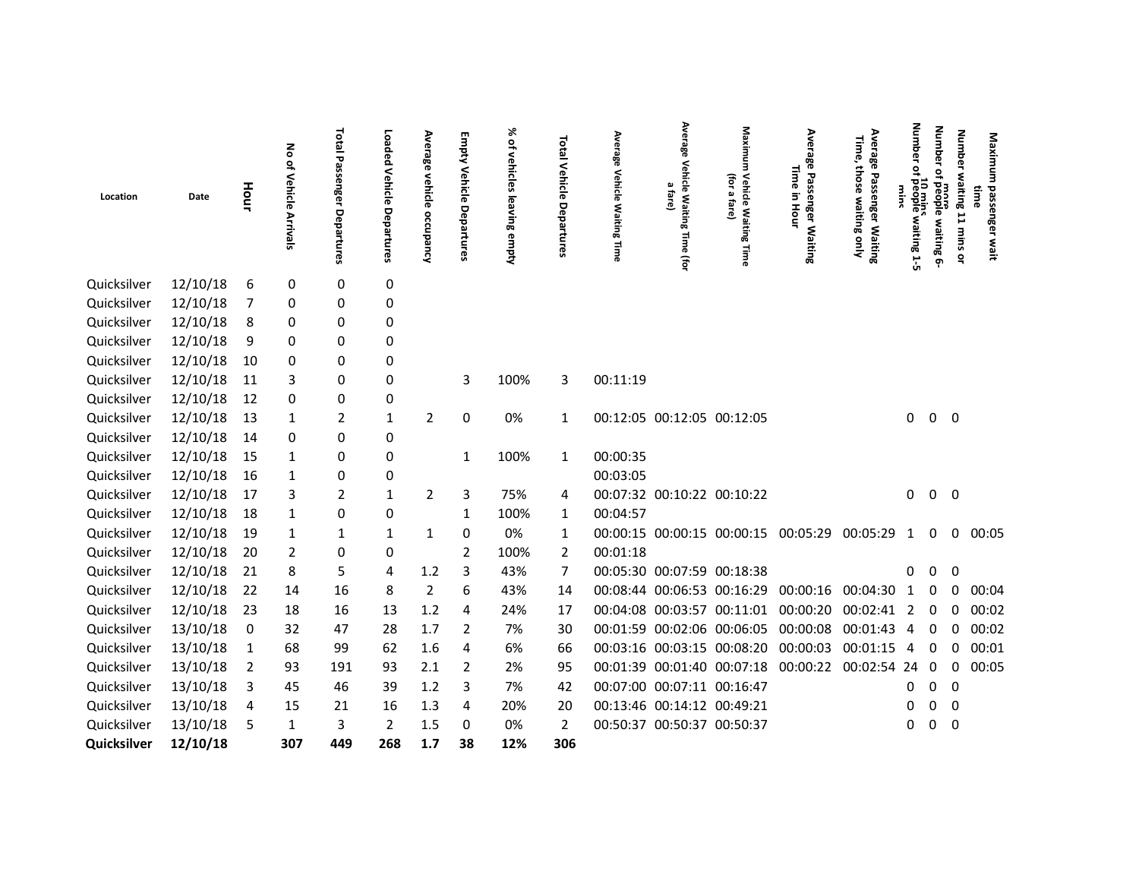| Location    | Date     | Hour           | No of Vehicle<br>Arrivals | Total<br>Passel<br>inger<br>Departures | Loaded<br>Vehicle<br>Departures | Average<br>vehicle<br>occupancy | Empty<br>Vehicle<br>Departures | % of vehicles<br>leaving<br>empty | <b>Total</b><br>Vehicle<br>Departures | Avera<br>쭹<br><b>Vehicle</b><br><b>Waiting Time</b> | Average<br><b>Vehicle Waitin</b><br>$\mathbf{a}$<br>fare)<br>œ<br>Time (for | Maximum<br>(for<br><b>Vehicle Waiting</b><br>Ø.<br>fare)<br>Time | Average<br>Time<br>Passenger<br>$\overline{5}$<br>Hour<br>Waiting | Average<br>Time,<br>those waiting only<br>Passenger Waiting | Number<br>Չ<br>10 mins<br>people waiting 1-5 | <b>Number</b><br>$\overline{a}$<br>more<br>people waiting 6- | <b>Number</b><br>waiting 11 mins or | Maximu<br>passenger<br>time<br>wait |
|-------------|----------|----------------|---------------------------|----------------------------------------|---------------------------------|---------------------------------|--------------------------------|-----------------------------------|---------------------------------------|-----------------------------------------------------|-----------------------------------------------------------------------------|------------------------------------------------------------------|-------------------------------------------------------------------|-------------------------------------------------------------|----------------------------------------------|--------------------------------------------------------------|-------------------------------------|-------------------------------------|
| Quicksilver | 12/10/18 | 6              | 0                         | 0                                      | 0                               |                                 |                                |                                   |                                       |                                                     |                                                                             |                                                                  |                                                                   |                                                             |                                              |                                                              |                                     |                                     |
| Quicksilver | 12/10/18 | 7              | 0                         | 0                                      | 0                               |                                 |                                |                                   |                                       |                                                     |                                                                             |                                                                  |                                                                   |                                                             |                                              |                                                              |                                     |                                     |
| Quicksilver | 12/10/18 | 8              | 0                         | 0                                      | 0                               |                                 |                                |                                   |                                       |                                                     |                                                                             |                                                                  |                                                                   |                                                             |                                              |                                                              |                                     |                                     |
| Quicksilver | 12/10/18 | 9              | 0                         | 0                                      | 0                               |                                 |                                |                                   |                                       |                                                     |                                                                             |                                                                  |                                                                   |                                                             |                                              |                                                              |                                     |                                     |
| Quicksilver | 12/10/18 | 10             | 0                         | 0                                      | 0                               |                                 |                                |                                   |                                       |                                                     |                                                                             |                                                                  |                                                                   |                                                             |                                              |                                                              |                                     |                                     |
| Quicksilver | 12/10/18 | 11             | 3                         | 0                                      | 0                               |                                 | 3                              | 100%                              | 3                                     | 00:11:19                                            |                                                                             |                                                                  |                                                                   |                                                             |                                              |                                                              |                                     |                                     |
| Quicksilver | 12/10/18 | 12             | 0                         | 0                                      | 0                               |                                 |                                |                                   |                                       |                                                     |                                                                             |                                                                  |                                                                   |                                                             |                                              |                                                              |                                     |                                     |
| Quicksilver | 12/10/18 | 13             | 1                         | 2                                      | $\mathbf{1}$                    | $\overline{2}$                  | 0                              | 0%                                | 1                                     |                                                     |                                                                             | 00:12:05 00:12:05 00:12:05                                       |                                                                   |                                                             | 0                                            |                                                              | $0\quad 0$                          |                                     |
| Quicksilver | 12/10/18 | 14             | 0                         | 0                                      | 0                               |                                 |                                |                                   |                                       |                                                     |                                                                             |                                                                  |                                                                   |                                                             |                                              |                                                              |                                     |                                     |
| Quicksilver | 12/10/18 | 15             | 1                         | 0                                      | 0                               |                                 | 1                              | 100%                              | $\mathbf{1}$                          | 00:00:35                                            |                                                                             |                                                                  |                                                                   |                                                             |                                              |                                                              |                                     |                                     |
| Quicksilver | 12/10/18 | 16             | 1                         | 0                                      | 0                               |                                 |                                |                                   |                                       | 00:03:05                                            |                                                                             |                                                                  |                                                                   |                                                             |                                              |                                                              |                                     |                                     |
| Quicksilver | 12/10/18 | 17             | 3                         | 2                                      | $\mathbf{1}$                    | $\overline{2}$                  | 3                              | 75%                               | 4                                     |                                                     |                                                                             | 00:07:32 00:10:22 00:10:22                                       |                                                                   |                                                             | 0                                            |                                                              | $0\quad 0$                          |                                     |
| Quicksilver | 12/10/18 | 18             | 1                         | 0                                      | 0                               |                                 | 1                              | 100%                              | 1                                     | 00:04:57                                            |                                                                             |                                                                  |                                                                   |                                                             |                                              |                                                              |                                     |                                     |
| Quicksilver | 12/10/18 | 19             | 1                         | 1                                      | $\mathbf{1}$                    | 1                               | $\mathbf 0$                    | 0%                                | 1                                     |                                                     |                                                                             | 00:00:15 00:00:15 00:00:15 00:05:29                              |                                                                   | 00:05:29                                                    | 1                                            | $\Omega$                                                     | 0                                   | 00:05                               |
| Quicksilver | 12/10/18 | 20             | 2                         | 0                                      | 0                               |                                 | 2                              | 100%                              | 2                                     | 00:01:18                                            |                                                                             |                                                                  |                                                                   |                                                             |                                              |                                                              |                                     |                                     |
| Quicksilver | 12/10/18 | 21             | 8                         | 5                                      | 4                               | 1.2                             | 3                              | 43%                               | 7                                     |                                                     |                                                                             | 00:05:30 00:07:59 00:18:38                                       |                                                                   |                                                             | 0                                            | <sup>0</sup>                                                 | 0                                   |                                     |
| Quicksilver | 12/10/18 | 22             | 14                        | 16                                     | 8                               | $\overline{2}$                  | 6                              | 43%                               | 14                                    |                                                     |                                                                             | 00:08:44 00:06:53 00:16:29 00:00:16                              |                                                                   | 00:04:30                                                    | 1                                            | 0                                                            | 0                                   | 00:04                               |
| Quicksilver | 12/10/18 | 23             | 18                        | 16                                     | 13                              | 1.2                             | 4                              | 24%                               | 17                                    |                                                     |                                                                             | 00:04:08 00:03:57 00:11:01 00:00:20                              |                                                                   | 00:02:41                                                    | 2                                            | 0                                                            | 0                                   | 00:02                               |
| Quicksilver | 13/10/18 | 0              | 32                        | 47                                     | 28                              | 1.7                             | 2                              | 7%                                | 30                                    |                                                     |                                                                             | 00:01:59 00:02:06 00:06:05 00:00:08                              |                                                                   | 00:01:43                                                    | $\overline{4}$                               | $\Omega$                                                     | $\Omega$                            | 00:02                               |
| Quicksilver | 13/10/18 | 1              | 68                        | 99                                     | 62                              | 1.6                             | 4                              | 6%                                | 66                                    |                                                     |                                                                             | 00:03:16 00:03:15 00:08:20 00:00:03                              |                                                                   | 00:01:15                                                    | 4                                            | 0                                                            | 0                                   | 00:01                               |
| Quicksilver | 13/10/18 | $\overline{2}$ | 93                        | 191                                    | 93                              | 2.1                             | 2                              | 2%                                | 95                                    |                                                     |                                                                             | 00:01:39 00:01:40 00:07:18 00:00:22                              |                                                                   | 00:02:54 24                                                 |                                              | 0                                                            | 0                                   | 00:05                               |
| Quicksilver | 13/10/18 | 3              | 45                        | 46                                     | 39                              | 1.2                             | 3                              | 7%                                | 42                                    |                                                     |                                                                             | 00:07:00 00:07:11 00:16:47                                       |                                                                   |                                                             | 0                                            | 0                                                            | 0                                   |                                     |
| Quicksilver | 13/10/18 | 4              | 15                        | 21                                     | 16                              | 1.3                             | 4                              | 20%                               | 20                                    |                                                     |                                                                             | 00:13:46 00:14:12 00:49:21                                       |                                                                   |                                                             |                                              | 0                                                            | - 0                                 |                                     |
| Quicksilver | 13/10/18 | 5              | 1                         | 3                                      | $\overline{2}$                  | 1.5                             | 0                              | 0%                                | 2                                     |                                                     |                                                                             | 00:50:37 00:50:37 00:50:37                                       |                                                                   |                                                             |                                              |                                                              | $\overline{0}$                      |                                     |
| Quicksilver | 12/10/18 |                | 307                       | 449                                    | 268                             | 1.7                             | 38                             | 12%                               | 306                                   |                                                     |                                                                             |                                                                  |                                                                   |                                                             |                                              |                                                              |                                     |                                     |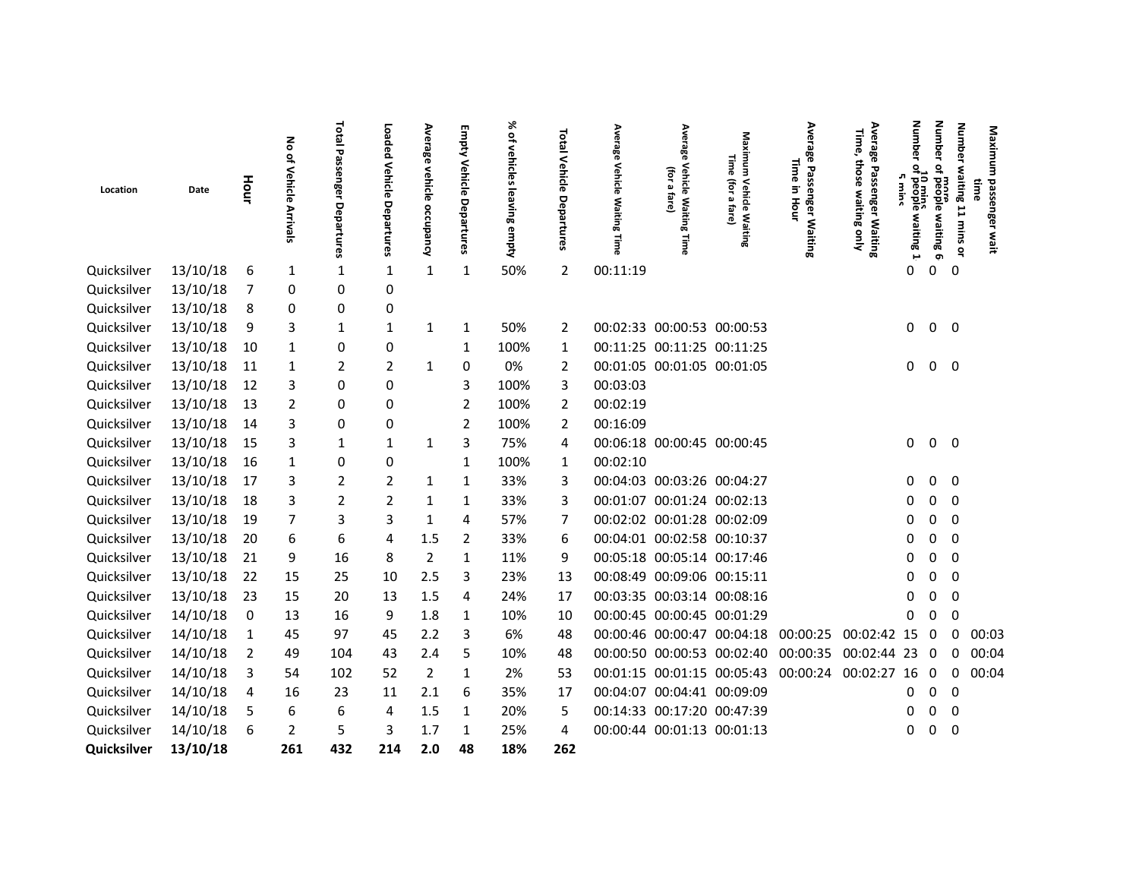|             |          |                | ᅙ                                     |                               | Loaded                | Ave                               | Empty                 | ℅                         | Total                                     | Average                           | Average                                               |                                                           | Average                                                | Average<br>Time,                        | Numb                                   | Number                                                  | Number<br>Maximu                                                     |  |
|-------------|----------|----------------|---------------------------------------|-------------------------------|-----------------------|-----------------------------------|-----------------------|---------------------------|-------------------------------------------|-----------------------------------|-------------------------------------------------------|-----------------------------------------------------------|--------------------------------------------------------|-----------------------------------------|----------------------------------------|---------------------------------------------------------|----------------------------------------------------------------------|--|
| Location    | Date     | Hour           | $\overline{a}$<br>Vehicle<br>Arrivals | Total Passenger<br>Departures | Vehicle<br>Departures | rage<br><<br>rehicle<br>occupancy | Vehicle<br>Departures | of vehicles leaving empty | Vehicle<br>$\mathbf{\sigma}$<br>epartures | <b>Vehicle</b><br>Waiting<br>Time | <b>Vehicle Waiting</b><br>(for<br>Ø,<br>fare)<br>Time | Maximum<br>Time<br>(for<br>Vehicle Waiting<br>Ø,<br>fare) | Time<br>Passenger<br>$\overline{5}$<br>Hour<br>Waiting | those waiting only<br>Passenger Waiting | ዌ<br>10 mins<br>of people<br>waiting 1 | $\overline{\mathsf{a}}$<br>mora<br>Fpeople<br>o Buiting | waiting 11 mins<br>time<br>passenger<br>Wait<br>$\tilde{\mathbf{a}}$ |  |
| Quicksilver | 13/10/18 | 6              | 1                                     | 1                             | 1                     | 1                                 | 1                     | 50%                       | 2                                         | 00:11:19                          |                                                       |                                                           |                                                        |                                         | 0                                      | 0<br>$\mathbf 0$                                        |                                                                      |  |
| Quicksilver | 13/10/18 | 7              | 0                                     | 0                             | 0                     |                                   |                       |                           |                                           |                                   |                                                       |                                                           |                                                        |                                         |                                        |                                                         |                                                                      |  |
| Quicksilver | 13/10/18 | 8              | 0                                     | 0                             | 0                     |                                   |                       |                           |                                           |                                   |                                                       |                                                           |                                                        |                                         |                                        |                                                         |                                                                      |  |
| Quicksilver | 13/10/18 | 9              | 3                                     | 1                             | 1                     | 1                                 | 1                     | 50%                       | 2                                         |                                   | 00:02:33 00:00:53 00:00:53                            |                                                           |                                                        |                                         | 0                                      | $0\quad 0$                                              |                                                                      |  |
| Quicksilver | 13/10/18 | 10             | 1                                     | 0                             | 0                     |                                   | 1                     | 100%                      | 1                                         |                                   | 00:11:25 00:11:25 00:11:25                            |                                                           |                                                        |                                         |                                        |                                                         |                                                                      |  |
| Quicksilver | 13/10/18 | 11             | 1                                     | 2                             | $\overline{2}$        | $\mathbf{1}$                      | 0                     | 0%                        | 2                                         |                                   | 00:01:05 00:01:05 00:01:05                            |                                                           |                                                        |                                         | 0                                      | $0\quad 0$                                              |                                                                      |  |
| Quicksilver | 13/10/18 | 12             | 3                                     | 0                             | 0                     |                                   | 3                     | 100%                      | 3                                         | 00:03:03                          |                                                       |                                                           |                                                        |                                         |                                        |                                                         |                                                                      |  |
| Quicksilver | 13/10/18 | 13             | 2                                     | 0                             | 0                     |                                   | $\overline{2}$        | 100%                      | 2                                         | 00:02:19                          |                                                       |                                                           |                                                        |                                         |                                        |                                                         |                                                                      |  |
| Quicksilver | 13/10/18 | 14             | 3                                     | 0                             | 0                     |                                   | 2                     | 100%                      | 2                                         | 00:16:09                          |                                                       |                                                           |                                                        |                                         |                                        |                                                         |                                                                      |  |
| Quicksilver | 13/10/18 | 15             | 3                                     | 1                             | 1                     | 1                                 | 3                     | 75%                       | 4                                         |                                   | 00:06:18 00:00:45 00:00:45                            |                                                           |                                                        |                                         | 0                                      | 0<br>$\overline{\mathbf{0}}$                            |                                                                      |  |
| Quicksilver | 13/10/18 | 16             | 1                                     | 0                             | 0                     |                                   | 1                     | 100%                      | 1                                         | 00:02:10                          |                                                       |                                                           |                                                        |                                         |                                        |                                                         |                                                                      |  |
| Quicksilver | 13/10/18 | 17             | 3                                     | 2                             | 2                     | 1                                 | 1                     | 33%                       | 3                                         |                                   | 00:04:03 00:03:26 00:04:27                            |                                                           |                                                        |                                         | 0                                      | 0<br>0                                                  |                                                                      |  |
| Quicksilver | 13/10/18 | 18             | 3                                     | $\overline{2}$                | $\overline{2}$        | 1                                 | 1                     | 33%                       | 3                                         |                                   | 00:01:07 00:01:24 00:02:13                            |                                                           |                                                        |                                         |                                        | $\mathbf 0$<br>0                                        |                                                                      |  |
| Quicksilver | 13/10/18 | 19             | 7                                     | 3                             | 3                     | 1                                 | 4                     | 57%                       | 7                                         |                                   | 00:02:02 00:01:28 00:02:09                            |                                                           |                                                        |                                         |                                        | 0<br>0                                                  |                                                                      |  |
| Quicksilver | 13/10/18 | 20             | 6                                     | 6                             | 4                     | 1.5                               | 2                     | 33%                       | 6                                         |                                   | 00:04:01 00:02:58 00:10:37                            |                                                           |                                                        |                                         | O                                      | 0<br>$\mathbf 0$                                        |                                                                      |  |
| Quicksilver | 13/10/18 | 21             | 9                                     | 16                            | 8                     | 2                                 | 1                     | 11%                       | 9                                         |                                   | 00:05:18 00:05:14 00:17:46                            |                                                           |                                                        |                                         |                                        | 0<br>0                                                  |                                                                      |  |
| Quicksilver | 13/10/18 | 22             | 15                                    | 25                            | 10                    | 2.5                               | 3                     | 23%                       | 13                                        |                                   | 00:08:49 00:09:06 00:15:11                            |                                                           |                                                        |                                         |                                        | 0<br>0                                                  |                                                                      |  |
| Quicksilver | 13/10/18 | 23             | 15                                    | 20                            | 13                    | 1.5                               | 4                     | 24%                       | 17                                        |                                   | 00:03:35 00:03:14 00:08:16                            |                                                           |                                                        |                                         |                                        | 0<br>0                                                  |                                                                      |  |
| Quicksilver | 14/10/18 | 0              | 13                                    | 16                            | 9                     | 1.8                               | 1                     | 10%                       | 10                                        |                                   | 00:00:45 00:00:45 00:01:29                            |                                                           |                                                        |                                         | 0                                      | 0<br>0                                                  |                                                                      |  |
| Quicksilver | 14/10/18 | 1              | 45                                    | 97                            | 45                    | 2.2                               | 3                     | 6%                        | 48                                        |                                   |                                                       | 00:00:46 00:00:47 00:04:18 00:00:25                       |                                                        | 00:02:42 15                             |                                        | $\mathbf{0}$                                            | 00:03<br>0                                                           |  |
| Quicksilver | 14/10/18 | $\overline{2}$ | 49                                    | 104                           | 43                    | 2.4                               | 5                     | 10%                       | 48                                        |                                   |                                                       | 00:00:50 00:00:53 00:02:40                                | 00:00:35                                               | 00:02:44                                | 23                                     | 0                                                       | 00:04<br>0                                                           |  |
| Quicksilver | 14/10/18 | 3              | 54                                    | 102                           | 52                    | $\overline{2}$                    | 1                     | 2%                        | 53                                        |                                   |                                                       | 00:01:15 00:01:15 00:05:43 00:00:24                       |                                                        | 00:02:27 16                             |                                        | $\Omega$<br>0                                           | 00:04                                                                |  |
| Quicksilver | 14/10/18 | 4              | 16                                    | 23                            | 11                    | 2.1                               | 6                     | 35%                       | 17                                        |                                   | 00:04:07 00:04:41 00:09:09                            |                                                           |                                                        |                                         | 0                                      | $\mathbf 0$<br>0                                        |                                                                      |  |
| Quicksilver | 14/10/18 | 5              | 6                                     | 6                             | 4                     | 1.5                               | 1                     | 20%                       | 5                                         |                                   | 00:14:33 00:17:20 00:47:39                            |                                                           |                                                        |                                         | 0                                      | 0<br>0                                                  |                                                                      |  |
| Quicksilver | 14/10/18 | 6              | 2                                     | 5                             | 3                     | 1.7                               | 1                     | 25%                       | 4                                         |                                   | 00:00:44 00:01:13 00:01:13                            |                                                           |                                                        |                                         | O                                      | $\mathbf 0$                                             |                                                                      |  |
| Quicksilver | 13/10/18 |                | 261                                   | 432                           | 214                   | 2.0                               | 48                    | 18%                       | 262                                       |                                   |                                                       |                                                           |                                                        |                                         |                                        |                                                         |                                                                      |  |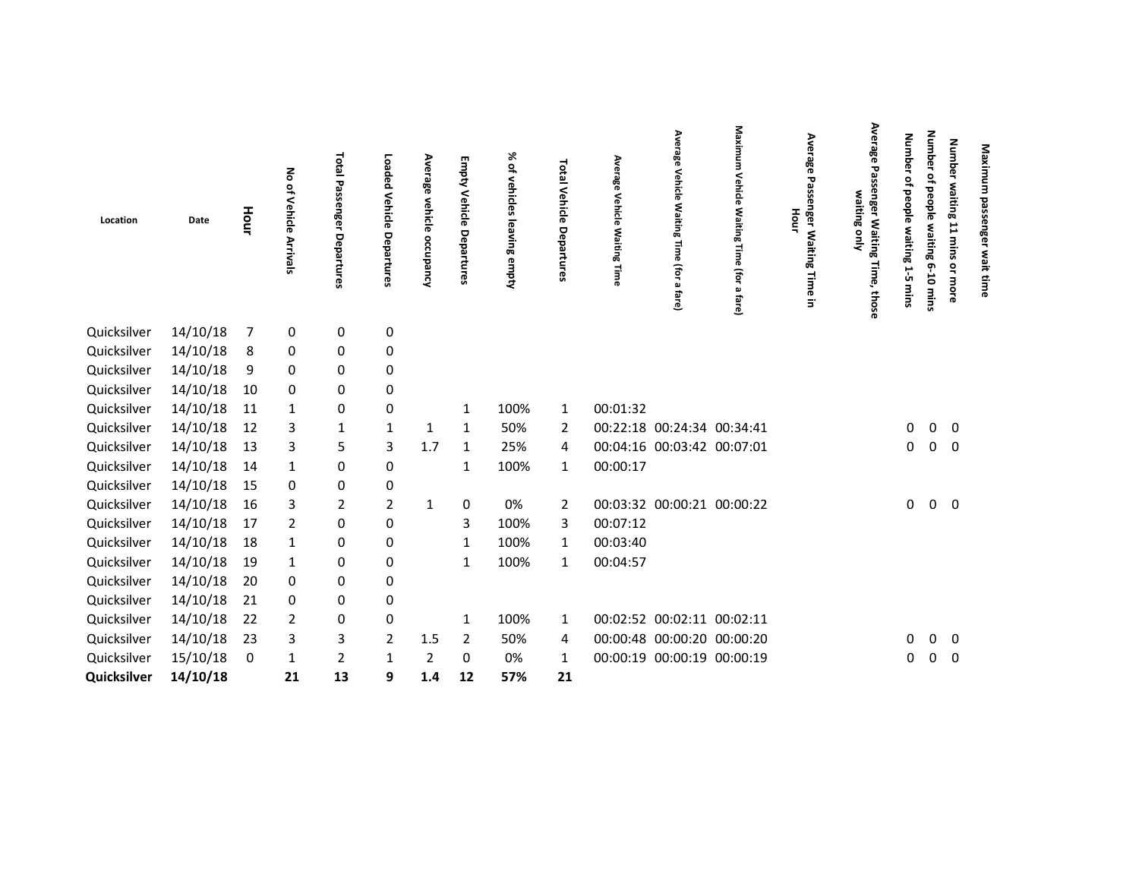| Location    | Date     | Hour | No of<br>Vehicle Arrivals | Total Passenger<br>Departures | Loaded Vehicle<br>Departures | Average<br>vehicle<br>occupancy | Empty<br>Vehicle Departures | % of vehic<br><b>GS</b><br><b>Ga</b><br>ving empty | Total Vehicle Departures | Average<br>Vehicle<br><b>Waiting</b><br>Time | Average<br><b>Vehicle</b><br>Waiting<br>$\overline{3}$<br>(for<br>ച<br>fare) | Maximum<br>≺<br><b>ehicle</b><br>Waiting<br>Time<br>(for<br>മ<br>fare) | Average<br>᠊ᢦ<br>Hour<br>nger<br>Waiting<br>Time<br>3. | Average<br>29<br>ssenger Waiting Time, those<br>waiting only | <b>Number</b><br>٩,<br>people<br>s maiting<br>ù,<br>mins | <b>Number</b><br>읶<br>beople<br>waiting<br>$6 - 10$<br>mins | Number waiting<br>11 mins<br>or more | Maximum<br>passenger wait time |
|-------------|----------|------|---------------------------|-------------------------------|------------------------------|---------------------------------|-----------------------------|----------------------------------------------------|--------------------------|----------------------------------------------|------------------------------------------------------------------------------|------------------------------------------------------------------------|--------------------------------------------------------|--------------------------------------------------------------|----------------------------------------------------------|-------------------------------------------------------------|--------------------------------------|--------------------------------|
| Quicksilver | 14/10/18 | 7    | $\pmb{0}$                 | 0                             | $\pmb{0}$                    |                                 |                             |                                                    |                          |                                              |                                                                              |                                                                        |                                                        |                                                              |                                                          |                                                             |                                      |                                |
| Quicksilver | 14/10/18 | 8    | 0                         | 0                             | $\pmb{0}$                    |                                 |                             |                                                    |                          |                                              |                                                                              |                                                                        |                                                        |                                                              |                                                          |                                                             |                                      |                                |
| Quicksilver | 14/10/18 | 9    | 0                         | 0                             | 0                            |                                 |                             |                                                    |                          |                                              |                                                                              |                                                                        |                                                        |                                                              |                                                          |                                                             |                                      |                                |
| Quicksilver | 14/10/18 | 10   | 0                         | 0                             | 0                            |                                 |                             |                                                    |                          |                                              |                                                                              |                                                                        |                                                        |                                                              |                                                          |                                                             |                                      |                                |
| Quicksilver | 14/10/18 | 11   | $\mathbf{1}$              | 0                             | $\pmb{0}$                    |                                 | 1                           | 100%                                               | 1                        | 00:01:32                                     |                                                                              |                                                                        |                                                        |                                                              |                                                          |                                                             |                                      |                                |
| Quicksilver | 14/10/18 | 12   | 3                         | 1                             | 1                            | 1                               | 1                           | 50%                                                | $\overline{2}$           |                                              | 00:22:18 00:24:34 00:34:41                                                   |                                                                        |                                                        |                                                              | 0                                                        | $\mathbf 0$                                                 | $\mathbf 0$                          |                                |
| Quicksilver | 14/10/18 | 13   | 3                         | 5                             | 3                            | 1.7                             | 1                           | 25%                                                | 4                        |                                              | 00:04:16 00:03:42 00:07:01                                                   |                                                                        |                                                        |                                                              | 0                                                        | $\overline{0}$                                              | $\mathbf 0$                          |                                |
| Quicksilver | 14/10/18 | 14   | 1                         | 0                             | $\pmb{0}$                    |                                 | 1                           | 100%                                               | 1                        | 00:00:17                                     |                                                                              |                                                                        |                                                        |                                                              |                                                          |                                                             |                                      |                                |
| Quicksilver | 14/10/18 | 15   | 0                         | 0                             | $\mathbf 0$                  |                                 |                             |                                                    |                          |                                              |                                                                              |                                                                        |                                                        |                                                              |                                                          |                                                             |                                      |                                |
| Quicksilver | 14/10/18 | 16   | 3                         | 2                             | $\overline{2}$               | 1                               | $\pmb{0}$                   | 0%                                                 | $\overline{2}$           |                                              | 00:03:32 00:00:21 00:00:22                                                   |                                                                        |                                                        |                                                              | 0                                                        | $\mathbf 0$                                                 | $\mathbf 0$                          |                                |
| Quicksilver | 14/10/18 | 17   | $\overline{2}$            | 0                             | $\pmb{0}$                    |                                 | 3                           | 100%                                               | 3                        | 00:07:12                                     |                                                                              |                                                                        |                                                        |                                                              |                                                          |                                                             |                                      |                                |
| Quicksilver | 14/10/18 | 18   | 1                         | 0                             | $\mathbf 0$                  |                                 | $\mathbf{1}$                | 100%                                               | 1                        | 00:03:40                                     |                                                                              |                                                                        |                                                        |                                                              |                                                          |                                                             |                                      |                                |
| Quicksilver | 14/10/18 | 19   | 1                         | 0                             | $\pmb{0}$                    |                                 | 1                           | 100%                                               | 1                        | 00:04:57                                     |                                                                              |                                                                        |                                                        |                                                              |                                                          |                                                             |                                      |                                |
| Quicksilver | 14/10/18 | 20   | 0                         | 0                             | $\mathbf 0$                  |                                 |                             |                                                    |                          |                                              |                                                                              |                                                                        |                                                        |                                                              |                                                          |                                                             |                                      |                                |
| Quicksilver | 14/10/18 | 21   | 0                         | 0                             | 0                            |                                 |                             |                                                    |                          |                                              |                                                                              |                                                                        |                                                        |                                                              |                                                          |                                                             |                                      |                                |
| Quicksilver | 14/10/18 | 22   | $\overline{2}$            | 0                             | $\mathbf 0$                  |                                 | 1                           | 100%                                               | 1                        |                                              | 00:02:52 00:02:11 00:02:11                                                   |                                                                        |                                                        |                                                              |                                                          |                                                             |                                      |                                |
| Quicksilver | 14/10/18 | 23   | 3                         | $\mathbf{3}$                  | $\overline{2}$               | 1.5                             | $\overline{2}$              | 50%                                                | 4                        |                                              | 00:00:48 00:00:20 00:00:20                                                   |                                                                        |                                                        |                                                              | 0                                                        | $\mathbf 0$                                                 | $\mathbf 0$                          |                                |
| Quicksilver | 15/10/18 | 0    | 1                         | 2                             | 1                            | 2                               | 0                           | 0%                                                 | 1                        |                                              | 00:00:19 00:00:19 00:00:19                                                   |                                                                        |                                                        |                                                              | 0                                                        | $\mathbf 0$                                                 | $\mathbf 0$                          |                                |
| Quicksilver | 14/10/18 |      | 21                        | 13                            | 9                            | 1.4                             | 12                          | 57%                                                | 21                       |                                              |                                                                              |                                                                        |                                                        |                                                              |                                                          |                                                             |                                      |                                |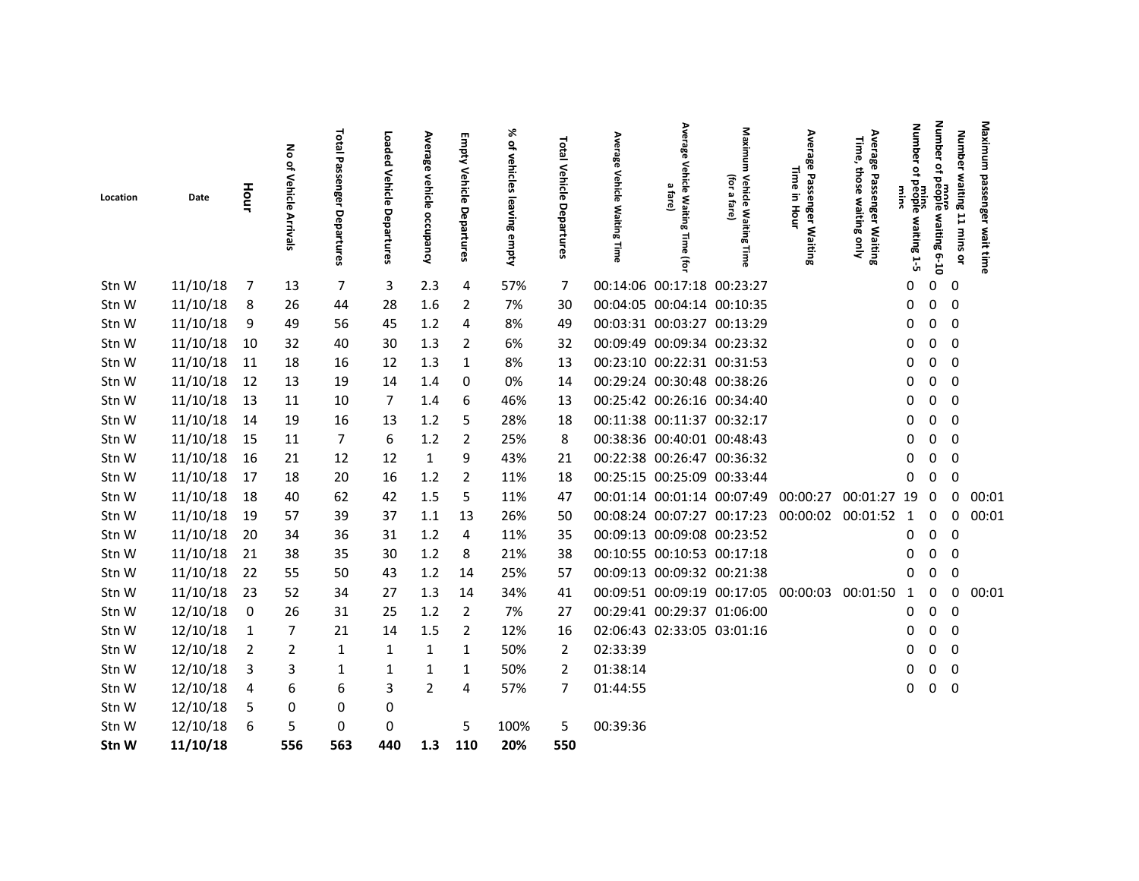|          |          |                | 종               | Total          | Loaded             |                           |                                 | ৯                         |                          | Average                    | Average                        | Maxim                             |                                         | Average<br>Time,                          | <b>Number</b>                 | Number                         |                           | Maximum             |
|----------|----------|----------------|-----------------|----------------|--------------------|---------------------------|---------------------------------|---------------------------|--------------------------|----------------------------|--------------------------------|-----------------------------------|-----------------------------------------|-------------------------------------------|-------------------------------|--------------------------------|---------------------------|---------------------|
| Location | Date     | Hour           | of Vehicle      | Passenger      |                    | Average vehicle occupancy | <b>Empty Vehicle Departures</b> | of vehicles leaving empty | Total Vehicle Departures | Vehicle                    | Vehicle Waiting<br>ā,<br>fare) | Ĕ<br>(for<br>Vehicle Waiting<br>파 | Average Passenger Waiting<br>Time<br>3. | those                                     | <b>Wins</b>                   |                                | Number waiting 11 mins or |                     |
|          |          |                | <b>Arrivals</b> | Departures     | Vehicle Departures |                           |                                 |                           |                          | <b>Waiting</b><br>Time     | Time<br>$\widehat{\mathbf{e}}$ | ුබ<br>Time                        | Hour                                    | e Passenger Waiting<br>those waiting only | mins<br>of people waiting 1-5 | more<br>of people waiting 6-10 |                           | passenger wait time |
| Stn W    | 11/10/18 | 7              | 13              | $\overline{7}$ | 3                  | 2.3                       | 4                               | 57%                       | 7                        |                            |                                | 00:14:06 00:17:18 00:23:27        |                                         |                                           | 0                             | 0                              | 0                         |                     |
| Stn W    | 11/10/18 | 8              | 26              | 44             | 28                 | 1.6                       | $\overline{2}$                  | 7%                        | 30                       | 00:04:05 00:04:14 00:10:35 |                                |                                   |                                         |                                           | 0                             | 0                              | 0                         |                     |
| Stn W    | 11/10/18 | 9              | 49              | 56             | 45                 | 1.2                       | 4                               | 8%                        | 49                       |                            |                                | 00:03:31 00:03:27 00:13:29        |                                         |                                           | 0                             | 0                              | $\mathbf 0$               |                     |
| Stn W    | 11/10/18 | 10             | 32              | 40             | 30                 | 1.3                       | 2                               | 6%                        | 32                       |                            |                                | 00:09:49 00:09:34 00:23:32        |                                         |                                           | 0                             | 0                              | 0                         |                     |
| Stn W    | 11/10/18 | 11             | 18              | 16             | 12                 | 1.3                       | 1                               | 8%                        | 13                       |                            | 00:23:10 00:22:31 00:31:53     |                                   |                                         |                                           | 0                             | 0                              | 0                         |                     |
| Stn W    | 11/10/18 | 12             | 13              | 19             | 14                 | 1.4                       | 0                               | 0%                        | 14                       |                            |                                | 00:29:24 00:30:48 00:38:26        |                                         |                                           | 0                             | 0                              | 0                         |                     |
| Stn W    | 11/10/18 | 13             | 11              | 10             | 7                  | 1.4                       | 6                               | 46%                       | 13                       |                            |                                | 00:25:42 00:26:16 00:34:40        |                                         |                                           | 0                             | 0                              | 0                         |                     |
| Stn W    | 11/10/18 | 14             | 19              | 16             | 13                 | 1.2                       | 5                               | 28%                       | 18                       |                            | 00:11:38 00:11:37 00:32:17     |                                   |                                         |                                           | 0                             | 0                              | $\mathbf 0$               |                     |
| Stn W    | 11/10/18 | -15            | 11              | 7              | 6                  | 1.2                       | 2                               | 25%                       | 8                        |                            | 00:38:36 00:40:01 00:48:43     |                                   |                                         |                                           | 0                             | 0                              | 0                         |                     |
| Stn W    | 11/10/18 | 16             | 21              | 12             | 12                 | $\mathbf{1}$              | 9                               | 43%                       | 21                       |                            |                                | 00:22:38 00:26:47 00:36:32        |                                         |                                           | 0                             | 0                              | 0                         |                     |
| Stn W    | 11/10/18 | 17             | 18              | 20             | 16                 | 1.2                       | $\overline{2}$                  | 11%                       | 18                       | 00:25:15 00:25:09 00:33:44 |                                |                                   |                                         |                                           | 0                             | 0                              | 0                         |                     |
| Stn W    | 11/10/18 | 18             | 40              | 62             | 42                 | 1.5                       | 5                               | 11%                       | 47                       |                            |                                | 00:01:14 00:01:14 00:07:49        | 00:00:27                                | 00:01:27 19                               |                               | 0                              | 0                         | 00:01               |
| Stn W    | 11/10/18 | 19             | 57              | 39             | 37                 | 1.1                       | 13                              | 26%                       | 50                       |                            |                                | 00:08:24 00:07:27 00:17:23        | 00:00:02 00:01:52                       |                                           | $\mathbf{1}$                  | 0                              | 0                         | 00:01               |
| Stn W    | 11/10/18 | 20             | 34              | 36             | 31                 | 1.2                       | 4                               | 11%                       | 35                       |                            |                                | 00:09:13 00:09:08 00:23:52        |                                         |                                           | 0                             | 0                              | 0                         |                     |
| Stn W    | 11/10/18 | 21             | 38              | 35             | 30                 | 1.2                       | 8                               | 21%                       | 38                       |                            |                                | 00:10:55 00:10:53 00:17:18        |                                         |                                           | 0                             | 0                              | 0                         |                     |
| Stn W    | 11/10/18 | 22             | 55              | 50             | 43                 | 1.2                       | 14                              | 25%                       | 57                       |                            |                                | 00:09:13 00:09:32 00:21:38        |                                         |                                           | 0                             | 0                              | 0                         |                     |
| Stn W    | 11/10/18 | 23             | 52              | 34             | 27                 | 1.3                       | 14                              | 34%                       | 41                       |                            |                                | 00:09:51 00:09:19 00:17:05        | 00:00:03                                | 00:01:50                                  | -1                            | 0                              | 0                         | 00:01               |
| Stn W    | 12/10/18 | 0              | 26              | 31             | 25                 | 1.2                       | $\overline{2}$                  | 7%                        | 27                       |                            |                                | 00:29:41 00:29:37 01:06:00        |                                         |                                           | 0                             | 0                              | 0                         |                     |
| Stn W    | 12/10/18 | $\mathbf{1}$   | 7               | 21             | 14                 | 1.5                       | 2                               | 12%                       | 16                       |                            |                                | 02:06:43 02:33:05 03:01:16        |                                         |                                           | 0                             | 0                              | 0                         |                     |
| Stn W    | 12/10/18 | $\overline{2}$ | $\overline{2}$  | 1              | 1                  | $\mathbf{1}$              | 1                               | 50%                       | 2                        | 02:33:39                   |                                |                                   |                                         |                                           | 0                             | 0                              | 0                         |                     |
| Stn W    | 12/10/18 | 3              | 3               | $\mathbf{1}$   | 1                  | $\mathbf{1}$              | 1                               | 50%                       | $\overline{2}$           | 01:38:14                   |                                |                                   |                                         |                                           | 0                             | 0                              | 0                         |                     |
| Stn W    | 12/10/18 | 4              | 6               | 6              | 3                  | $\overline{2}$            | 4                               | 57%                       | $\overline{7}$           | 01:44:55                   |                                |                                   |                                         |                                           | 0                             | $\mathsf{O}\xspace$            | $\pmb{0}$                 |                     |
| Stn W    | 12/10/18 | 5              | 0               | 0              | 0                  |                           |                                 |                           |                          |                            |                                |                                   |                                         |                                           |                               |                                |                           |                     |
| Stn W    | 12/10/18 | 6              | 5               | 0              | 0                  |                           | 5                               | 100%                      | 5                        | 00:39:36                   |                                |                                   |                                         |                                           |                               |                                |                           |                     |
| Stn W    | 11/10/18 |                | 556             | 563            | 440                | 1.3                       | 110                             | 20%                       | 550                      |                            |                                |                                   |                                         |                                           |                               |                                |                           |                     |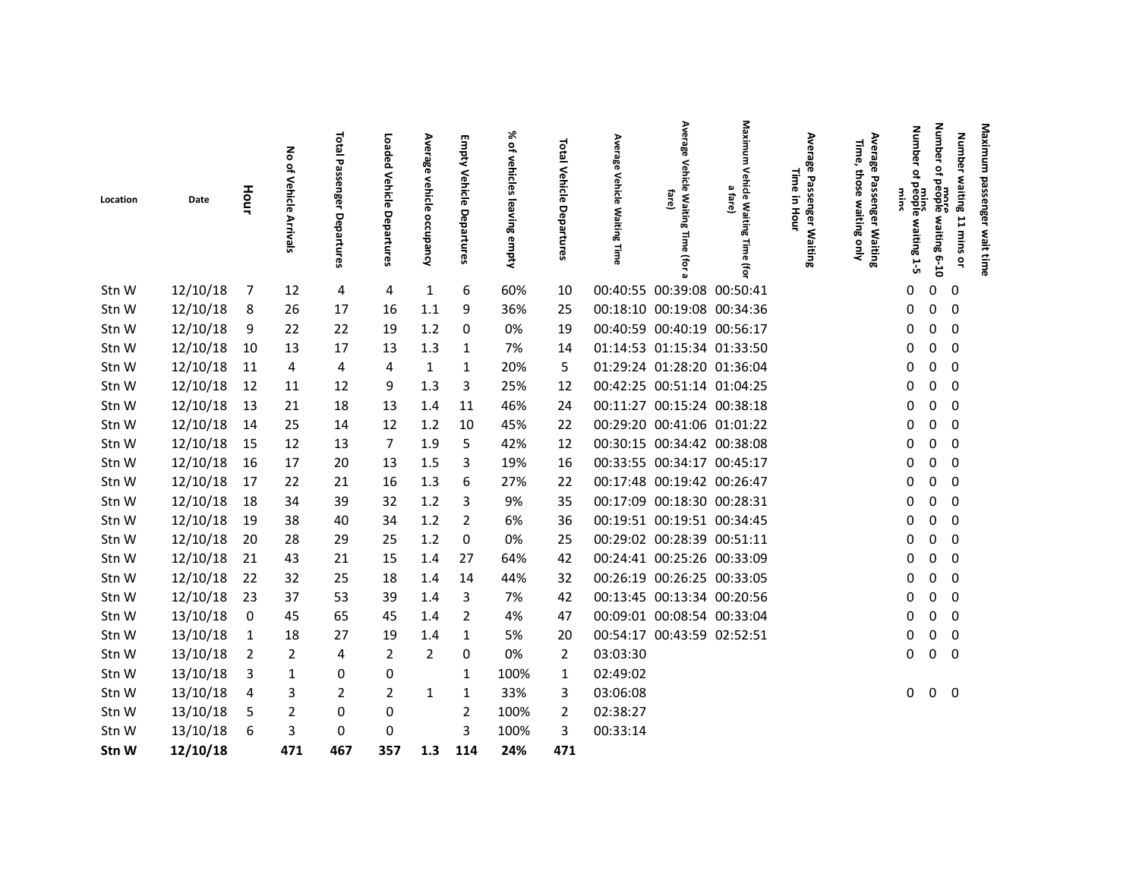| Location | Date     | Hour | る<br>of Vehicle<br><b>Arrivals</b> | Total<br>Passenger<br>Departures | Loaded<br>Vehicle Departures | Average<br>vehicle<br>occupancy | Empty Vehicle Departures | ৯<br>ዹ<br>vehicles leaving empty | Total Vehicle<br>Departures | Average<br><b>Vehicle</b><br><b>Waiting</b><br>∐ime | Average<br>Vehicle Waiting<br>fare)<br>lime<br>(for a | Maximum<br>Vehicle Waiting<br>ച<br>할<br>흐<br>Time<br>(for | Average Passenger Waiting<br>Time<br>in Hour | Average<br>Time,<br>those<br>Pass<br>enger<br>waiting<br><b>Waiting</b><br>gnly | <b>Number</b><br>$\overline{\mathbf{a}}$<br>mins<br>people waiting 1-5<br>mms | Number<br>Number waiting 11 mins<br>more<br>of people waiting 6-10<br>ă | Maximum passenger wait time |  |
|----------|----------|------|------------------------------------|----------------------------------|------------------------------|---------------------------------|--------------------------|----------------------------------|-----------------------------|-----------------------------------------------------|-------------------------------------------------------|-----------------------------------------------------------|----------------------------------------------|---------------------------------------------------------------------------------|-------------------------------------------------------------------------------|-------------------------------------------------------------------------|-----------------------------|--|
| Stn W    | 12/10/18 | 7    | 12                                 | 4                                | 4                            | $\mathbf{1}$                    | 6                        | 60%                              | 10                          | 00:40:55 00:39:08 00:50:41                          |                                                       |                                                           |                                              |                                                                                 | 0                                                                             | 0<br>0                                                                  |                             |  |
| Stn W    | 12/10/18 | 8    | 26                                 | 17                               | 16                           | 1.1                             | 9                        | 36%                              | 25                          | 00:18:10 00:19:08 00:34:36                          |                                                       |                                                           |                                              |                                                                                 | 0                                                                             | 0<br>0                                                                  |                             |  |
| Stn W    | 12/10/18 | 9    | 22                                 | 22                               | 19                           | 1.2                             | 0                        | 0%                               | 19                          | 00:40:59 00:40:19 00:56:17                          |                                                       |                                                           |                                              |                                                                                 | 0                                                                             | 0<br>0                                                                  |                             |  |
| Stn W    | 12/10/18 | 10   | 13                                 | 17                               | 13                           | 1.3                             | 1                        | 7%                               | 14                          | 01:14:53 01:15:34 01:33:50                          |                                                       |                                                           |                                              |                                                                                 | 0                                                                             | $\mathbf 0$<br>0                                                        |                             |  |
| Stn W    | 12/10/18 | 11   | 4                                  | 4                                | 4                            | $\mathbf{1}$                    | 1                        | 20%                              | 5                           | 01:29:24 01:28:20 01:36:04                          |                                                       |                                                           |                                              |                                                                                 | 0                                                                             | $\mathbf 0$<br>0                                                        |                             |  |
| Stn W    | 12/10/18 | 12   | 11                                 | 12                               | 9                            | 1.3                             | 3                        | 25%                              | 12                          | 00:42:25 00:51:14 01:04:25                          |                                                       |                                                           |                                              |                                                                                 | 0                                                                             | 0<br>0                                                                  |                             |  |
| Stn W    | 12/10/18 | 13   | 21                                 | 18                               | 13                           | 1.4                             | 11                       | 46%                              | 24                          | 00:11:27 00:15:24 00:38:18                          |                                                       |                                                           |                                              |                                                                                 | 0                                                                             | 0<br>0                                                                  |                             |  |
| Stn W    | 12/10/18 | 14   | 25                                 | 14                               | 12                           | 1.2                             | 10                       | 45%                              | 22                          | 00:29:20 00:41:06 01:01:22                          |                                                       |                                                           |                                              |                                                                                 | 0                                                                             | 0<br>0                                                                  |                             |  |
| Stn W    | 12/10/18 | 15   | 12                                 | 13                               | $\overline{7}$               | 1.9                             | 5                        | 42%                              | 12                          | 00:30:15 00:34:42 00:38:08                          |                                                       |                                                           |                                              |                                                                                 | 0                                                                             | 0<br>0                                                                  |                             |  |
| Stn W    | 12/10/18 | 16   | 17                                 | 20                               | 13                           | 1.5                             | 3                        | 19%                              | 16                          | 00:33:55 00:34:17 00:45:17                          |                                                       |                                                           |                                              |                                                                                 | 0                                                                             | 0<br>0                                                                  |                             |  |
| Stn W    | 12/10/18 | 17   | 22                                 | 21                               | 16                           | 1.3                             | 6                        | 27%                              | 22                          | 00:17:48 00:19:42 00:26:47                          |                                                       |                                                           |                                              |                                                                                 | 0                                                                             | 0<br>$\mathbf 0$                                                        |                             |  |
| Stn W    | 12/10/18 | 18   | 34                                 | 39                               | 32                           | 1.2                             | 3                        | 9%                               | 35                          | 00:17:09 00:18:30 00:28:31                          |                                                       |                                                           |                                              |                                                                                 | 0                                                                             | 0<br>0                                                                  |                             |  |
| Stn W    | 12/10/18 | 19   | 38                                 | 40                               | 34                           | 1.2                             | $\overline{2}$           | 6%                               | 36                          | 00:19:51 00:19:51 00:34:45                          |                                                       |                                                           |                                              |                                                                                 | 0                                                                             | 0<br>$\mathbf 0$                                                        |                             |  |
| Stn W    | 12/10/18 | 20   | 28                                 | 29                               | 25                           | $1.2\,$                         | $\mathbf 0$              | 0%                               | 25                          | 00:29:02 00:28:39 00:51:11                          |                                                       |                                                           |                                              |                                                                                 | 0                                                                             | 0<br>0                                                                  |                             |  |
| Stn W    | 12/10/18 | 21   | 43                                 | 21                               | 15                           | 1.4                             | 27                       | 64%                              | 42                          | 00:24:41 00:25:26 00:33:09                          |                                                       |                                                           |                                              |                                                                                 | 0                                                                             | $\mathbf 0$<br>$\mathbf 0$                                              |                             |  |
| Stn W    | 12/10/18 | 22   | 32                                 | 25                               | 18                           | 1.4                             | 14                       | 44%                              | 32                          | 00:26:19 00:26:25 00:33:05                          |                                                       |                                                           |                                              |                                                                                 | 0                                                                             | 0<br>0                                                                  |                             |  |
| Stn W    | 12/10/18 | 23   | 37                                 | 53                               | 39                           | 1.4                             | 3                        | 7%                               | 42                          | 00:13:45 00:13:34 00:20:56                          |                                                       |                                                           |                                              |                                                                                 | 0                                                                             | $\overline{0}$<br>0                                                     |                             |  |
| Stn W    | 13/10/18 | 0    | 45                                 | 65                               | 45                           | 1.4                             | $\overline{2}$           | 4%                               | 47                          | 00:09:01 00:08:54 00:33:04                          |                                                       |                                                           |                                              |                                                                                 | 0                                                                             | 0<br>0                                                                  |                             |  |
| Stn W    | 13/10/18 | 1    | 18                                 | 27                               | 19                           | 1.4                             | 1                        | 5%                               | 20                          | 00:54:17 00:43:59 02:52:51                          |                                                       |                                                           |                                              |                                                                                 | 0                                                                             | 0<br>0                                                                  |                             |  |
| Stn W    | 13/10/18 | 2    | 2                                  | 4                                | 2                            | $\overline{2}$                  | 0                        | 0%                               | $\overline{2}$              | 03:03:30                                            |                                                       |                                                           |                                              |                                                                                 | 0                                                                             | $\mathbf 0$<br>0                                                        |                             |  |
| Stn W    | 13/10/18 | 3    | 1                                  | 0                                | 0                            |                                 | 1                        | 100%                             | 1                           | 02:49:02                                            |                                                       |                                                           |                                              |                                                                                 |                                                                               |                                                                         |                             |  |
| Stn W    | 13/10/18 | 4    | 3                                  | $\overline{2}$                   | $\overline{2}$               | $\mathbf{1}$                    | 1                        | 33%                              | 3                           | 03:06:08                                            |                                                       |                                                           |                                              |                                                                                 | 0                                                                             | 0<br>$\mathbf 0$                                                        |                             |  |
| Stn W    | 13/10/18 | 5    | 2                                  | 0                                | 0                            |                                 | $\overline{2}$           | 100%                             | 2                           | 02:38:27                                            |                                                       |                                                           |                                              |                                                                                 |                                                                               |                                                                         |                             |  |
| Stn W    | 13/10/18 | 6    | 3                                  | 0                                | 0                            |                                 | $\overline{3}$           | 100%                             | 3                           | 00:33:14                                            |                                                       |                                                           |                                              |                                                                                 |                                                                               |                                                                         |                             |  |
| Stn W    | 12/10/18 |      | 471                                | 467                              | 357                          | 1.3                             | 114                      | 24%                              | 471                         |                                                     |                                                       |                                                           |                                              |                                                                                 |                                                                               |                                                                         |                             |  |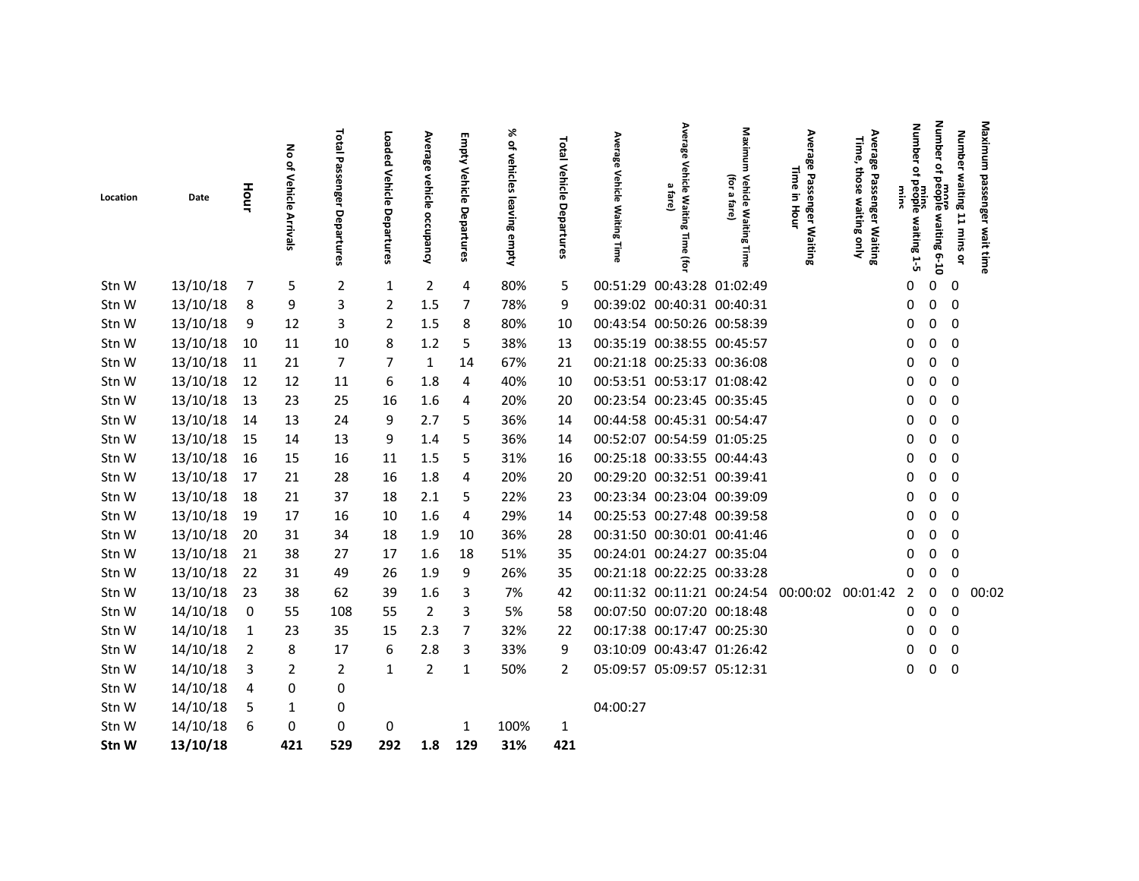|          |          |             |                                        | Total                   |                              |                           |                          | ৯ৎ                        |                                 |                                                     | Average                                              | Maxim                                                             |                                                |                                                                                | <b>Number</b>                             | Number                 |                           | Maximum             |
|----------|----------|-------------|----------------------------------------|-------------------------|------------------------------|---------------------------|--------------------------|---------------------------|---------------------------------|-----------------------------------------------------|------------------------------------------------------|-------------------------------------------------------------------|------------------------------------------------|--------------------------------------------------------------------------------|-------------------------------------------|------------------------|---------------------------|---------------------|
| Location | Date     | Hour        | $\mathbf{s}$<br>of Vehicle<br>Arrivals | Passenger<br>Departures | Loaded Vehicle<br>Departures | Average vehicle occupancy | Empty Vehicle Departures | of vehicles leaving empty | <b>Total Vehicle Departures</b> | Average<br><b>Vehicle</b><br><b>Waiting</b><br>Time | <b>Vehicle Waiting</b><br>മ<br>fare)<br>Time<br>(for | Ē<br>(for<br>Vehicle Waiting<br>$\pmb{\omega}$<br>ಪ್<br>ā<br>Time | Average Passenger Waiting<br>Time<br>3<br>Hour | Average<br>Time,<br>those<br>Passenger Waiting<br>hose waiting only<br>waiting | mins<br>of people waiting 1-5<br>mms<br>S | ot people waiting 6-10 | Number waiting 11 mins or | passenger wait time |
| Stn W    | 13/10/18 | 7           | 5                                      | 2                       | 1                            | $\overline{2}$            | 4                        | 80%                       | 5                               |                                                     | 00:51:29 00:43:28 01:02:49                           |                                                                   |                                                |                                                                                | 0                                         | 0                      | 0                         |                     |
| Stn W    | 13/10/18 | 8           | 9                                      | 3                       | 2                            | 1.5                       | 7                        | 78%                       | 9                               |                                                     | 00:39:02 00:40:31 00:40:31                           |                                                                   |                                                |                                                                                | 0                                         | 0                      | $\mathbf 0$               |                     |
| Stn W    | 13/10/18 | 9           | 12                                     | 3                       | $\overline{2}$               | 1.5                       | 8                        | 80%                       | 10                              |                                                     | 00:43:54 00:50:26 00:58:39                           |                                                                   |                                                |                                                                                | 0                                         | 0                      | $\mathbf 0$               |                     |
| Stn W    | 13/10/18 | 10          | 11                                     | 10                      | 8                            | 1.2                       | 5                        | 38%                       | 13                              |                                                     | 00:35:19 00:38:55 00:45:57                           |                                                                   |                                                |                                                                                | 0                                         | 0                      | 0                         |                     |
| Stn W    | 13/10/18 | 11          | 21                                     | $\overline{7}$          | 7                            | $\mathbf{1}$              | 14                       | 67%                       | 21                              |                                                     | 00:21:18 00:25:33 00:36:08                           |                                                                   |                                                |                                                                                | 0                                         | 0                      | 0                         |                     |
| Stn W    | 13/10/18 | 12          | 12                                     | 11                      | 6                            | 1.8                       | 4                        | 40%                       | 10                              |                                                     |                                                      | 00:53:51 00:53:17 01:08:42                                        |                                                |                                                                                | 0                                         | 0                      | 0                         |                     |
| Stn W    | 13/10/18 | 13          | 23                                     | 25                      | 16                           | 1.6                       | 4                        | 20%                       | 20                              |                                                     | 00:23:54 00:23:45 00:35:45                           |                                                                   |                                                |                                                                                | 0                                         | 0                      | 0                         |                     |
| Stn W    | 13/10/18 | 14          | 13                                     | 24                      | 9                            | 2.7                       | 5                        | 36%                       | 14                              |                                                     | 00:44:58 00:45:31 00:54:47                           |                                                                   |                                                |                                                                                | 0                                         | 0                      | 0                         |                     |
| Stn W    | 13/10/18 | 15          | 14                                     | 13                      | 9                            | 1.4                       | 5                        | 36%                       | 14                              |                                                     | 00:52:07 00:54:59 01:05:25                           |                                                                   |                                                |                                                                                | 0                                         | 0                      | 0                         |                     |
| Stn W    | 13/10/18 | 16          | 15                                     | 16                      | 11                           | 1.5                       | 5                        | 31%                       | 16                              |                                                     | 00:25:18 00:33:55 00:44:43                           |                                                                   |                                                |                                                                                | 0                                         | 0                      | $\mathbf 0$               |                     |
| Stn W    | 13/10/18 | 17          | 21                                     | 28                      | 16                           | 1.8                       | 4                        | 20%                       | 20                              |                                                     | 00:29:20 00:32:51 00:39:41                           |                                                                   |                                                |                                                                                | 0                                         | 0                      | 0                         |                     |
| Stn W    | 13/10/18 | 18          | 21                                     | 37                      | 18                           | 2.1                       | 5                        | 22%                       | 23                              |                                                     | 00:23:34 00:23:04 00:39:09                           |                                                                   |                                                |                                                                                | 0                                         | 0                      | $\mathbf 0$               |                     |
| Stn W    | 13/10/18 | 19          | 17                                     | 16                      | 10                           | 1.6                       | $\overline{4}$           | 29%                       | 14                              |                                                     |                                                      | 00:25:53 00:27:48 00:39:58                                        |                                                |                                                                                | 0                                         | 0                      | $\mathbf 0$               |                     |
| Stn W    | 13/10/18 | 20          | 31                                     | 34                      | 18                           | 1.9                       | 10                       | 36%                       | 28                              |                                                     |                                                      | 00:31:50 00:30:01 00:41:46                                        |                                                |                                                                                | 0                                         | 0                      | 0                         |                     |
| Stn W    | 13/10/18 | 21          | 38                                     | 27                      | 17                           | $1.6\,$                   | 18                       | 51%                       | 35                              |                                                     | 00:24:01 00:24:27 00:35:04                           |                                                                   |                                                |                                                                                | 0                                         | 0                      | 0                         |                     |
| Stn W    | 13/10/18 | 22          | 31                                     | 49                      | 26                           | 1.9                       | 9                        | 26%                       | 35                              |                                                     | 00:21:18 00:22:25 00:33:28                           |                                                                   |                                                |                                                                                | 0                                         | 0                      | $\Omega$                  |                     |
| Stn W    | 13/10/18 | -23         | 38                                     | 62                      | 39                           | 1.6                       | 3                        | 7%                        | 42                              |                                                     |                                                      | 00:11:32 00:11:21 00:24:54                                        | 00:00:02 00:01:42                              |                                                                                | 2                                         | 0                      | 0                         | 00:02               |
| Stn W    | 14/10/18 | $\mathbf 0$ | 55                                     | 108                     | 55                           | $\overline{2}$            | 3                        | 5%                        | 58                              |                                                     | 00:07:50 00:07:20 00:18:48                           |                                                                   |                                                |                                                                                | 0                                         | 0                      | $\mathbf 0$               |                     |
| Stn W    | 14/10/18 | 1           | 23                                     | 35                      | 15                           | 2.3                       | 7                        | 32%                       | 22                              |                                                     |                                                      | 00:17:38 00:17:47 00:25:30                                        |                                                |                                                                                | 0                                         | 0                      | 0                         |                     |
| Stn W    | 14/10/18 | 2           | 8                                      | 17                      | 6                            | 2.8                       | 3                        | 33%                       | 9                               |                                                     | 03:10:09 00:43:47 01:26:42                           |                                                                   |                                                |                                                                                | 0                                         | 0                      | 0                         |                     |
| Stn W    | 14/10/18 | 3           | 2                                      | $\overline{2}$          | $\mathbf{1}$                 | $\overline{2}$            | 1                        | 50%                       | 2                               |                                                     | 05:09:57 05:09:57 05:12:31                           |                                                                   |                                                |                                                                                | 0                                         | 0                      | $\mathbf 0$               |                     |
| Stn W    | 14/10/18 | 4           | 0                                      | 0                       |                              |                           |                          |                           |                                 |                                                     |                                                      |                                                                   |                                                |                                                                                |                                           |                        |                           |                     |
| Stn W    | 14/10/18 | 5           | 1                                      | 0                       |                              |                           |                          |                           |                                 | 04:00:27                                            |                                                      |                                                                   |                                                |                                                                                |                                           |                        |                           |                     |
| Stn W    | 14/10/18 | 6           | 0                                      | 0                       | 0                            |                           | 1                        | 100%                      | 1                               |                                                     |                                                      |                                                                   |                                                |                                                                                |                                           |                        |                           |                     |
| Stn W    | 13/10/18 |             | 421                                    | 529                     | 292                          | 1.8                       | 129                      | 31%                       | 421                             |                                                     |                                                      |                                                                   |                                                |                                                                                |                                           |                        |                           |                     |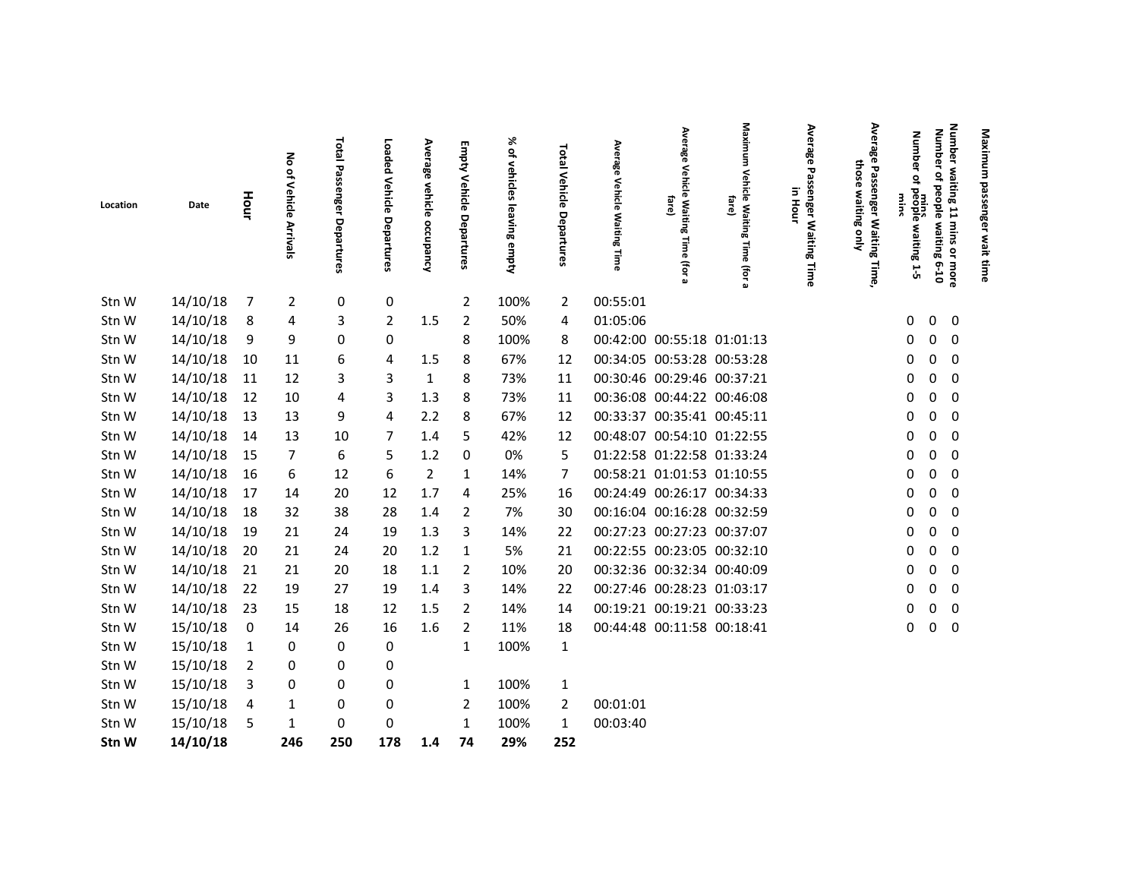| Location | Date     | Hour           | 종<br>of Vehicle<br><b>Arrivals</b> | Total Passenger Departures | Loaded<br><b>Vehicle</b><br>Departures | Average vehicle occupancy | <b>Empty Vehicle Departures</b> | % of vehicles leaving empty | Total Vehicle<br>Departures | Average<br>Vehicle<br><b>Waiting Time</b> | Average<br>Vehicle<br>fare)<br>Waiting<br>Time<br>(for | Maximum<br><b>Vehic</b><br>क<br>fare)<br><b>Waiting</b><br>lime<br>(for | Average Passenger Waiting Time<br>in Hour | Average<br>those<br>Ρá<br>൹<br>waiting<br>nger Waiting<br>Nuo<br>Time, | Number waiting 11 mins<br><b>Number</b><br><b>Number</b><br>of people waiting 6-10<br>٩<br>mins<br>people waiting 1-5<br><b>WINS</b><br>or more | Maximum passenger wait time |  |
|----------|----------|----------------|------------------------------------|----------------------------|----------------------------------------|---------------------------|---------------------------------|-----------------------------|-----------------------------|-------------------------------------------|--------------------------------------------------------|-------------------------------------------------------------------------|-------------------------------------------|------------------------------------------------------------------------|-------------------------------------------------------------------------------------------------------------------------------------------------|-----------------------------|--|
| Stn W    | 14/10/18 | $\overline{7}$ | 2                                  | 0                          | 0                                      |                           | $\overline{2}$                  | 100%                        | $\overline{2}$              | 00:55:01                                  |                                                        |                                                                         |                                           |                                                                        |                                                                                                                                                 |                             |  |
| Stn W    | 14/10/18 | 8              | 4                                  | 3                          | 2                                      | $1.5\,$                   | $\overline{2}$                  | 50%                         | 4                           | 01:05:06                                  |                                                        |                                                                         |                                           |                                                                        | 0<br>$\mathbf 0$<br>0                                                                                                                           |                             |  |
| Stn W    | 14/10/18 | 9              | 9                                  | 0                          | 0                                      |                           | 8                               | 100%                        | 8                           |                                           | 00:42:00 00:55:18 01:01:13                             |                                                                         |                                           |                                                                        | 0<br>$\mathbf 0$<br>0                                                                                                                           |                             |  |
| Stn W    | 14/10/18 | 10             | 11                                 | 6                          | 4                                      | 1.5                       | 8                               | 67%                         | 12                          |                                           | 00:34:05 00:53:28 00:53:28                             |                                                                         |                                           |                                                                        | 0<br>$\mathbf 0$<br>0                                                                                                                           |                             |  |
| Stn W    | 14/10/18 | 11             | 12                                 | 3                          | 3                                      | $\mathbf{1}$              | 8                               | 73%                         | 11                          |                                           | 00:30:46 00:29:46 00:37:21                             |                                                                         |                                           |                                                                        | $\boldsymbol{0}$<br>0<br>0                                                                                                                      |                             |  |
| Stn W    | 14/10/18 | 12             | 10                                 | 4                          | 3                                      | 1.3                       | 8                               | 73%                         | 11                          |                                           | 00:36:08 00:44:22 00:46:08                             |                                                                         |                                           |                                                                        | $\mathbf 0$<br>0<br>0                                                                                                                           |                             |  |
| Stn W    | 14/10/18 | 13             | 13                                 | 9                          | 4                                      | 2.2                       | 8                               | 67%                         | 12                          |                                           | 00:33:37 00:35:41 00:45:11                             |                                                                         |                                           |                                                                        | 0<br>$\mathbf 0$<br>0                                                                                                                           |                             |  |
| Stn W    | 14/10/18 | 14             | 13                                 | 10                         | 7                                      | 1.4                       | 5                               | 42%                         | 12                          |                                           | 00:48:07 00:54:10 01:22:55                             |                                                                         |                                           |                                                                        | 0<br>0<br>0                                                                                                                                     |                             |  |
| Stn W    | 14/10/18 | 15             | 7                                  | 6                          | 5                                      | 1.2                       | 0                               | 0%                          | 5                           |                                           | 01:22:58 01:22:58 01:33:24                             |                                                                         |                                           |                                                                        | 0<br>$\mathbf 0$<br>0                                                                                                                           |                             |  |
| Stn W    | 14/10/18 | 16             | 6                                  | 12                         | 6                                      | $\overline{2}$            | 1                               | 14%                         | 7                           |                                           | 00:58:21 01:01:53 01:10:55                             |                                                                         |                                           |                                                                        | 0<br>0<br>0                                                                                                                                     |                             |  |
| Stn W    | 14/10/18 | 17             | 14                                 | 20                         | 12                                     | 1.7                       | 4                               | 25%                         | 16                          |                                           | 00:24:49 00:26:17 00:34:33                             |                                                                         |                                           |                                                                        | 0<br>$\mathbf 0$<br>0                                                                                                                           |                             |  |
| Stn W    | 14/10/18 | 18             | 32                                 | 38                         | 28                                     | $1.4\,$                   | $\overline{2}$                  | 7%                          | 30                          |                                           | 00:16:04 00:16:28 00:32:59                             |                                                                         |                                           |                                                                        | 0<br>$\mathbf 0$<br>0                                                                                                                           |                             |  |
| Stn W    | 14/10/18 | 19             | 21                                 | 24                         | 19                                     | 1.3                       | 3                               | 14%                         | 22                          |                                           | 00:27:23 00:27:23 00:37:07                             |                                                                         |                                           |                                                                        | $\mathbf 0$<br>0<br>0                                                                                                                           |                             |  |
| Stn W    | 14/10/18 | 20             | 21                                 | 24                         | 20                                     | $1.2$                     | 1                               | 5%                          | 21                          |                                           | 00:22:55 00:23:05 00:32:10                             |                                                                         |                                           |                                                                        | 0<br>$\mathbf 0$<br>0                                                                                                                           |                             |  |
| Stn W    | 14/10/18 | 21             | 21                                 | 20                         | 18                                     | 1.1                       | $\overline{2}$                  | 10%                         | 20                          |                                           | 00:32:36 00:32:34 00:40:09                             |                                                                         |                                           |                                                                        | 0<br>$\mathbf 0$<br>0                                                                                                                           |                             |  |
| Stn W    | 14/10/18 | 22             | 19                                 | 27                         | 19                                     | 1.4                       | 3                               | 14%                         | 22                          |                                           | 00:27:46 00:28:23 01:03:17                             |                                                                         |                                           |                                                                        | 0<br>$\mathbf 0$<br>0                                                                                                                           |                             |  |
| Stn W    | 14/10/18 | 23             | 15                                 | 18                         | 12                                     | 1.5                       | $\overline{2}$                  | 14%                         | 14                          |                                           | 00:19:21 00:19:21 00:33:23                             |                                                                         |                                           |                                                                        | 0<br>$\mathbf 0$<br>0                                                                                                                           |                             |  |
| Stn W    | 15/10/18 | 0              | 14                                 | 26                         | 16                                     | 1.6                       | $\overline{2}$                  | 11%                         | 18                          |                                           | 00:44:48 00:11:58 00:18:41                             |                                                                         |                                           |                                                                        | 0<br>0<br>0                                                                                                                                     |                             |  |
| Stn W    | 15/10/18 | 1              | 0                                  | 0                          | 0                                      |                           | 1                               | 100%                        | $\mathbf{1}$                |                                           |                                                        |                                                                         |                                           |                                                                        |                                                                                                                                                 |                             |  |
| Stn W    | 15/10/18 | $\overline{2}$ | 0                                  | 0                          | 0                                      |                           |                                 |                             |                             |                                           |                                                        |                                                                         |                                           |                                                                        |                                                                                                                                                 |                             |  |
| Stn W    | 15/10/18 | 3              | 0                                  | 0                          | 0                                      |                           | 1                               | 100%                        | $\mathbf{1}$                |                                           |                                                        |                                                                         |                                           |                                                                        |                                                                                                                                                 |                             |  |
| Stn W    | 15/10/18 | 4              | 1                                  | 0                          | 0                                      |                           | $\overline{2}$                  | 100%                        | $\overline{2}$              | 00:01:01                                  |                                                        |                                                                         |                                           |                                                                        |                                                                                                                                                 |                             |  |
| Stn W    | 15/10/18 | 5              | $\mathbf{1}$                       | 0                          | 0                                      |                           | $\mathbf{1}$                    | 100%                        | $\mathbf{1}$                | 00:03:40                                  |                                                        |                                                                         |                                           |                                                                        |                                                                                                                                                 |                             |  |
| Stn W    | 14/10/18 |                | 246                                | 250                        | 178                                    | 1.4                       | 74                              | 29%                         | 252                         |                                           |                                                        |                                                                         |                                           |                                                                        |                                                                                                                                                 |                             |  |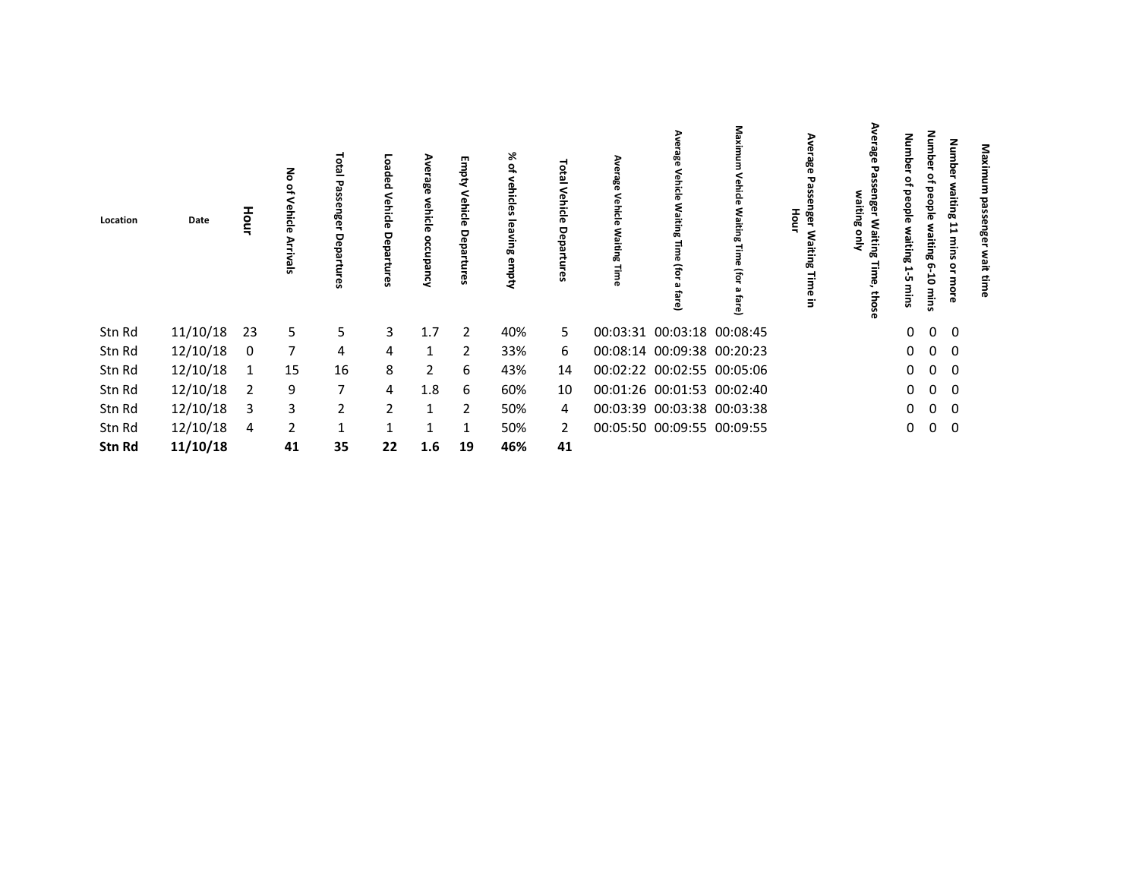| Location | Date     | Hour | 종<br>₽<br>Vehicle<br>⋗<br>ટું<br>ᇹ | ಕ<br>ឆ<br>ъ<br>ၛၟ | ខ្លួ<br>aed<br>Vehicle<br>5<br>ၛၟ | ന<br>986<br>vehicle<br>g<br>2<br>ರ<br>Laur<br>A | Empty<br>Vehicle<br>Departu<br><b>i</b> | ⋇<br>٩<br>vehicles<br>leaving<br>empty | <b>DEBI</b><br>Venicie<br>Depa | Ave<br>rrage<br>Vehicle<br>Waiting<br><b>TIME</b> | este<br>Vehicle<br>Μa<br>Ξ<br>品<br>Fo<br>$^{\circ}$<br>ڦ | Maxin<br>Vehicle<br>മ<br>iting<br>B<br>₹<br>급<br>తె | Ave<br>ក្លី<br>nger<br>Hour<br>ξÑ<br>niting<br>Time<br>$\Xi$ | ఇ<br>ℸ<br>$\mathbf{a}$<br>Ξ<br>٤<br>œ<br>aiting<br>ღ<br>those | dmub<br>Ō<br>ಕ<br>Ō<br>öple<br>aiting<br>پ<br>ÜП<br>mins | dmub<br>ሟ<br>₽<br><b>beople</b><br>vaiting 6<br>Ġ<br>mins | Number<br>waiting<br>11<br>mins<br>å<br>more | Maxi<br>g<br>mge<br>wait |  |
|----------|----------|------|------------------------------------|-------------------|-----------------------------------|-------------------------------------------------|-----------------------------------------|----------------------------------------|--------------------------------|---------------------------------------------------|----------------------------------------------------------|-----------------------------------------------------|--------------------------------------------------------------|---------------------------------------------------------------|----------------------------------------------------------|-----------------------------------------------------------|----------------------------------------------|--------------------------|--|
| Stn Rd   | 11/10/18 | 23   | 5.                                 | 5                 | $\mathbf{3}$                      | 1.7                                             | 2                                       | 40%                                    | 5.                             |                                                   | 00:03:31 00:03:18 00:08:45                               |                                                     |                                                              |                                                               | $\mathbf{0}$                                             | $\mathbf{0}$                                              | $\mathbf 0$                                  |                          |  |
| Stn Rd   | 12/10/18 | 0    | 7                                  | 4                 | 4                                 | 1                                               | 2                                       | 33%                                    | 6                              |                                                   | 00:08:14 00:09:38 00:20:23                               |                                                     |                                                              |                                                               | $\mathbf{0}$                                             | $\mathbf 0$                                               | 0                                            |                          |  |
| Stn Rd   | 12/10/18 | 1    | 15                                 | 16                | 8                                 | 2                                               | 6                                       | 43%                                    | 14                             |                                                   |                                                          | 00:02:22 00:02:55 00:05:06                          |                                                              |                                                               | $\mathbf 0$                                              | $\mathbf 0$                                               | $\mathbf 0$                                  |                          |  |
| Stn Rd   | 12/10/18 | 2    | 9                                  | $\overline{7}$    | 4                                 | 1.8                                             | 6                                       | 60%                                    | 10                             |                                                   | 00:01:26 00:01:53 00:02:40                               |                                                     |                                                              |                                                               | $\mathbf{0}$                                             | $\overline{0}$                                            | $\mathbf 0$                                  |                          |  |
| Stn Rd   | 12/10/18 | 3    | 3                                  | $\overline{2}$    | $\overline{2}$                    | $\mathbf{1}$                                    | 2                                       | 50%                                    | 4                              |                                                   |                                                          | 00:03:39 00:03:38 00:03:38                          |                                                              |                                                               | 0                                                        | 0                                                         | 0                                            |                          |  |
| Stn Rd   | 12/10/18 | 4    | $\overline{2}$                     | $\mathbf{1}$      |                                   | 1                                               |                                         | 50%                                    | $\overline{2}$                 |                                                   | 00:05:50 00:09:55 00:09:55                               |                                                     |                                                              |                                                               | 0                                                        | 0                                                         | 0                                            |                          |  |
| Stn Rd   | 11/10/18 |      | 41                                 | 35                | 22                                | 1.6                                             | 19                                      | 46%                                    | 41                             |                                                   |                                                          |                                                     |                                                              |                                                               |                                                          |                                                           |                                              |                          |  |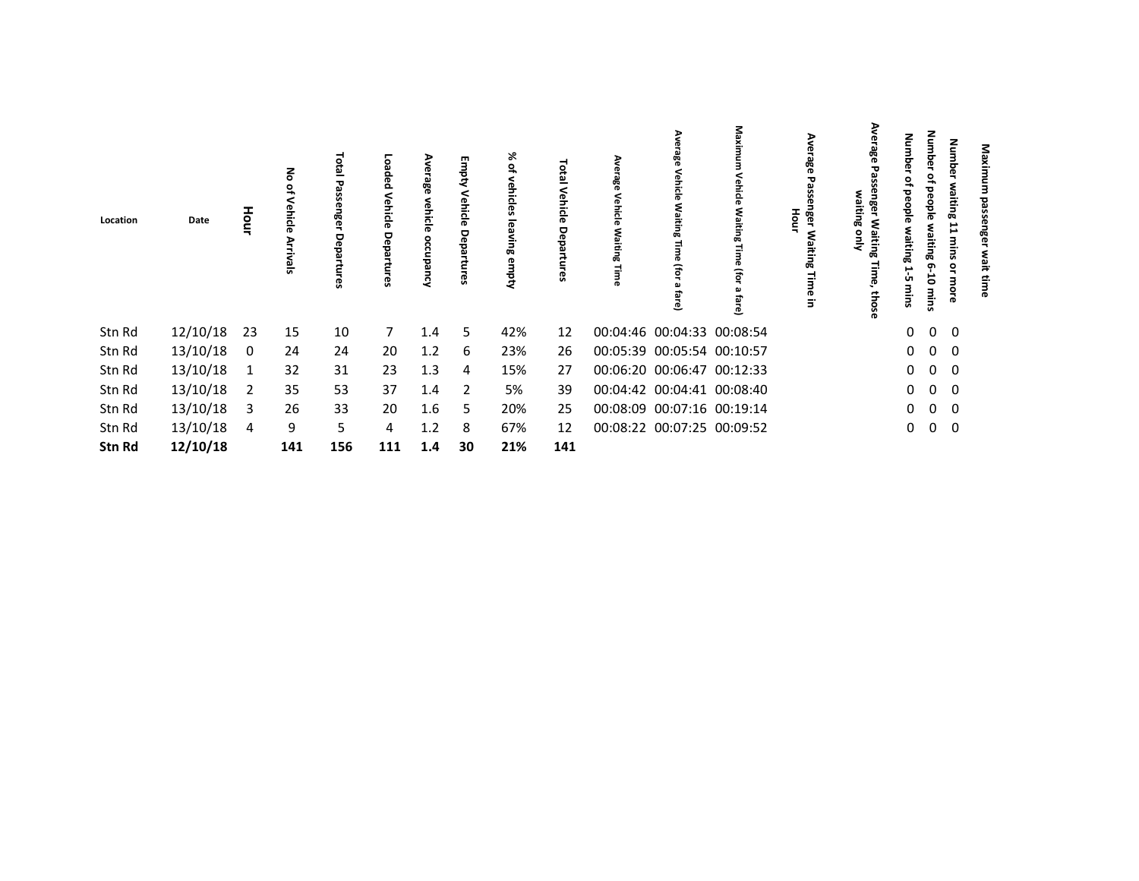| Location | Date     | Hour | 종<br>Vehicle<br>⋗<br><u>ટે</u><br>ᇹ | ಕ<br>ឆ<br>ၛၟ | ខ្លួ<br>āed<br>Vehicle<br>ទី<br>ၛၟ | ന<br>986<br>vehicle<br>8<br>2<br>정<br>ال<br>2 | Empty<br>Vehicle<br>Departur<br>Ü, | ⋇<br>٩<br>vehicles<br>leaving<br>empty | <b>DEBI</b><br>Vehicle<br>pepa | Ave<br>rrage<br>Vehicle<br>Waiting<br><b>TIME</b> | este<br><b>Tehicle</b><br>≳ٍ<br>Ξ<br>긂<br>Fo<br>$^{\circ}$<br>ڦ | Maxin<br>/ehicle<br>മ<br>iting<br>B<br>₹<br>굽<br>ڦ | Ave<br>ន្លិ<br>nger<br>Hour<br>Μa<br>niting<br>Time<br>$\Xi$ | ఇ<br>٤<br>œ<br>aiting<br>ღ<br>those | dmub<br>ō<br>ಕ<br>Ō<br>öple<br>aiting<br>پ<br>ÙП<br>mins | dmub<br>ሟ<br>₽<br>beople<br>vaiting 6<br>៩<br>mins | Number<br>waiting<br>11<br>sunu<br>å<br>more | Maxi<br>g<br>mge<br>wait |  |
|----------|----------|------|-------------------------------------|--------------|------------------------------------|-----------------------------------------------|------------------------------------|----------------------------------------|--------------------------------|---------------------------------------------------|-----------------------------------------------------------------|----------------------------------------------------|--------------------------------------------------------------|-------------------------------------|----------------------------------------------------------|----------------------------------------------------|----------------------------------------------|--------------------------|--|
| Stn Rd   | 12/10/18 | 23   | 15                                  | 10           | 7                                  | 1.4                                           | 5                                  | 42%                                    | 12                             |                                                   |                                                                 | 00:04:46 00:04:33 00:08:54                         |                                                              |                                     | $\mathbf{0}$                                             | $\mathbf{0}$                                       | $\mathbf 0$                                  |                          |  |
| Stn Rd   | 13/10/18 | 0    | 24                                  | 24           | 20                                 | 1.2                                           | 6                                  | 23%                                    | 26                             |                                                   | 00:05:39 00:05:54 00:10:57                                      |                                                    |                                                              |                                     | $\mathbf 0$                                              | $\mathbf 0$                                        | 0                                            |                          |  |
| Stn Rd   | 13/10/18 | 1    | 32                                  | 31           | 23                                 | 1.3                                           | 4                                  | 15%                                    | 27                             |                                                   |                                                                 | 00:06:20 00:06:47 00:12:33                         |                                                              |                                     | $\mathbf{0}$                                             | $\overline{0}$                                     | 0                                            |                          |  |
| Stn Rd   | 13/10/18 | 2    | 35                                  | 53           | 37                                 | 1.4                                           | $\overline{2}$                     | 5%                                     | 39                             |                                                   |                                                                 | 00:04:42 00:04:41 00:08:40                         |                                                              |                                     |                                                          | $0\quad 0$                                         | 0                                            |                          |  |
| Stn Rd   | 13/10/18 | 3    | 26                                  | 33           | 20                                 | 1.6                                           | 5                                  | 20%                                    | 25                             |                                                   |                                                                 | 00:08:09 00:07:16 00:19:14                         |                                                              |                                     | 0                                                        | $\mathbf{0}$                                       | 0                                            |                          |  |
| Stn Rd   | 13/10/18 | 4    | 9                                   | 5            | 4                                  | 1.2                                           | 8                                  | 67%                                    | 12                             |                                                   |                                                                 | 00:08:22 00:07:25 00:09:52                         |                                                              |                                     | 0                                                        | $\mathbf 0$                                        | 0                                            |                          |  |
| Stn Rd   | 12/10/18 |      | 141                                 | 156          | 111                                | 1.4                                           | 30                                 | 21%                                    | 141                            |                                                   |                                                                 |                                                    |                                                              |                                     |                                                          |                                                    |                                              |                          |  |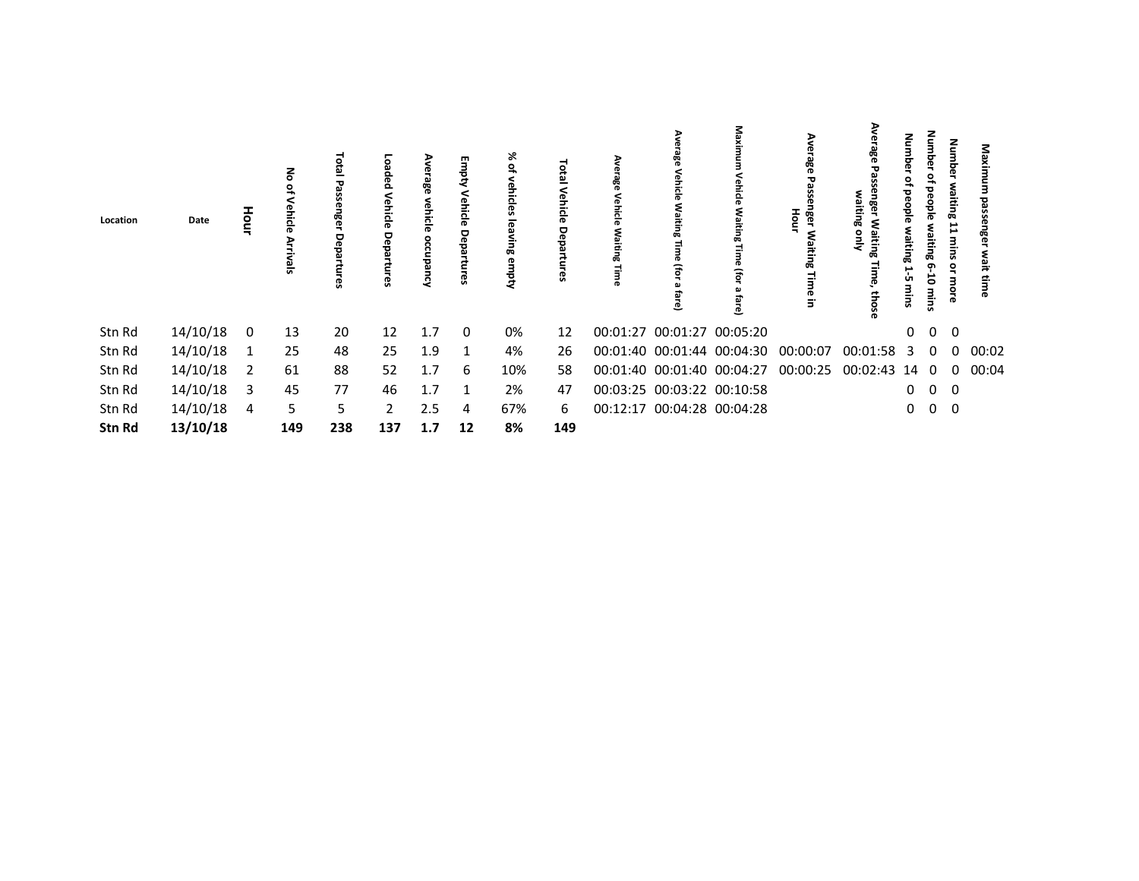| Location | Date     | Hour | る<br>ehicle<br>능 | Total<br>വ<br><b>ISSEN</b><br>ñer.<br>Depa<br>tures | ö<br>ಸ<br>Vehicle<br>Dep<br>က္တ | န္တီ<br>ehicle<br>occu<br>횺<br>ર | Emp<br>릉<br>ᅙ<br>Depa<br>c3 | X,<br>$\vec{\sigma}$<br>品<br>kadw | Vehicle<br>Depa | 쯩 | ڡ                          | ≅<br>൧                     | Aver<br>ခ်ိန်<br>59<br>ធូ<br>nger<br>줄<br>Waitin<br>œ<br>Ę<br>ō<br>$\overline{5}$ | ఇ<br>ឆ្លិ<br>aiting<br>Waiting<br><b>SHIV</b><br>ِ م<br>sou; | œ<br>ÜП | ರ<br>쁲<br>品<br>თ<br>5<br>mins | 클<br>e<br>E<br>品<br>د<br>s<br>٩ | Maxi<br>ai<br>≌ |  |
|----------|----------|------|------------------|-----------------------------------------------------|---------------------------------|----------------------------------|-----------------------------|-----------------------------------|-----------------|---|----------------------------|----------------------------|-----------------------------------------------------------------------------------|--------------------------------------------------------------|---------|-------------------------------|---------------------------------|-----------------|--|
| Stn Rd   | 14/10/18 | 0    | 13               | 20                                                  | 12                              | 1.7                              | $\Omega$                    | 0%                                | 12              |   | 00:01:27 00:01:27 00:05:20 |                            |                                                                                   |                                                              | 0       | $\overline{\mathbf{0}}$       | $\overline{\mathbf{0}}$         |                 |  |
| Stn Rd   | 14/10/18 |      | 25               | 48                                                  | 25                              | 1.9                              | 1                           | 4%                                | 26              |   |                            | 00:01:40 00:01:44 00:04:30 | 00:00:07                                                                          | 00:01:58 3                                                   |         | 0                             |                                 | $0\quad 00:02$  |  |
| Stn Rd   | 14/10/18 | 2    | 61               | 88                                                  | 52                              | 1.7                              | 6                           | 10%                               | 58              |   |                            | 00:01:40 00:01:40 00:04:27 | 00:00:25                                                                          | 00:02:43                                                     | 140     |                               | 0                               | 00:04           |  |
| Stn Rd   | 14/10/18 | 3    | 45               | 77                                                  | 46                              | 1.7                              |                             | 2%                                | 47              |   | 00:03:25 00:03:22 00:10:58 |                            |                                                                                   |                                                              | 0       | $\overline{0}$                | - 0                             |                 |  |
| Stn Rd   | 14/10/18 | 4    | 5                | 5.                                                  | $\mathbf{2}$                    | 2.5                              | 4                           | 67%                               | 6               |   | 00:12:17 00:04:28 00:04:28 |                            |                                                                                   |                                                              | 0       | $\overline{0}$                | $\overline{\mathbf{0}}$         |                 |  |
| Stn Rd   | 13/10/18 |      | 149              | 238                                                 | 137                             | 1.7                              | 12                          | 8%                                | 149             |   |                            |                            |                                                                                   |                                                              |         |                               |                                 |                 |  |
|          |          |      |                  |                                                     |                                 |                                  |                             |                                   |                 |   |                            |                            |                                                                                   |                                                              |         |                               |                                 |                 |  |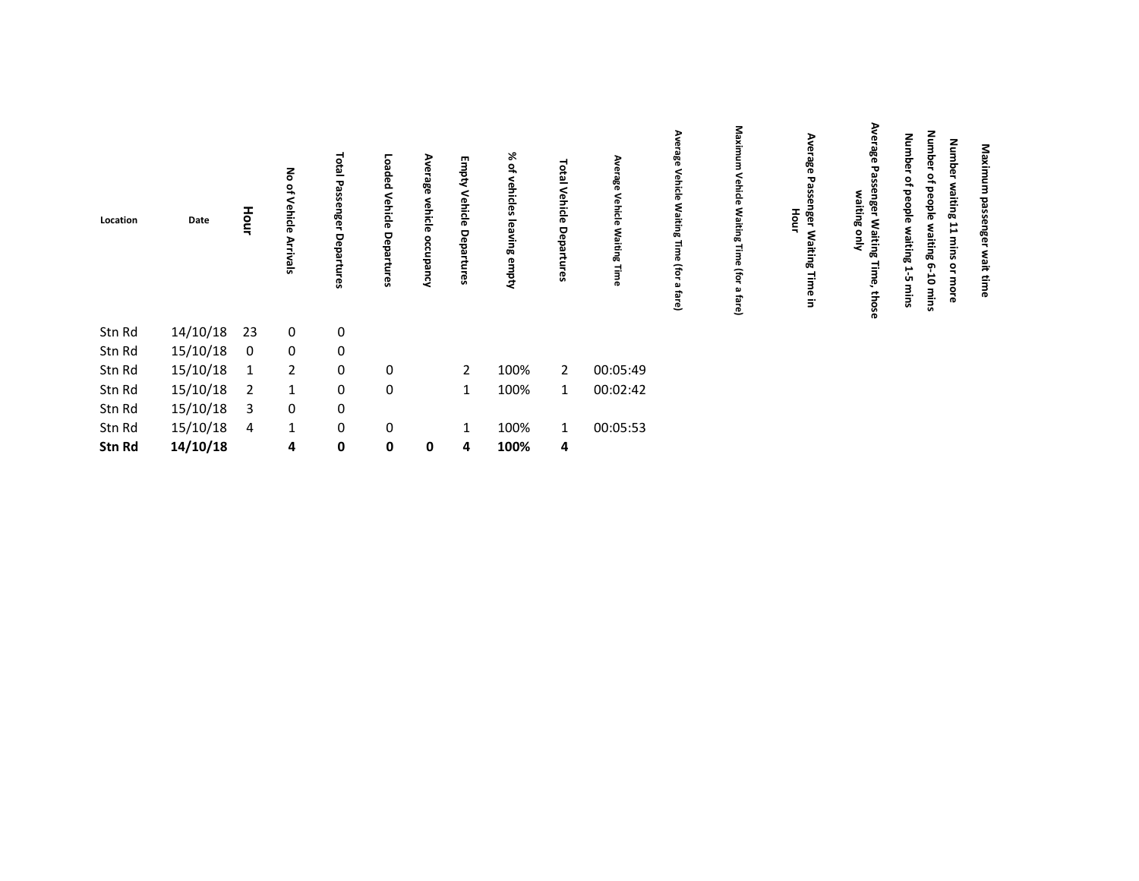| 14/10/18<br>23<br>$\boldsymbol{0}$<br>0<br>15/10/18<br>$\mathbf 0$<br>0<br>0<br>15/10/18<br>$\mathbf 0$<br>$\overline{2}$<br>$\overline{2}$<br>0<br>100%<br>00:05:49<br>$\overline{2}$<br>1<br>15/10/18<br>$\mathbf 0$<br>00:02:42<br>0<br>100%<br>$\mathbf{1}$<br>2<br>1<br>$\mathbf{1}$<br>$\mathbf 0$<br>15/10/18<br>$\pmb{0}$<br>3<br>15/10/18<br>0<br>0<br>100%<br>00:05:53<br>$\mathbf{1}$<br>1<br>4<br>14/10/18<br>$\mathbf 0$<br>4<br>0<br>100%<br>4<br>0<br>4 | Location | Date | Hour | No of<br>Vehicle<br><b>Arrivals</b> | ಕ<br>ದ<br>ᇃ<br>$\mathbf{a}$<br>휾<br>용<br>o.<br>G3 | Loaded<br>Vehicle<br>Departures | Ave<br>rage<br>vehicle<br>occupancy | Empty<br>Vehicle Departures | % of<br>vehicles leaving empty | Total<br>Vehicle<br>Depa<br>c3 | Average<br>Vehicle<br><b>Waiting</b><br>Time | Ave<br>rage<br>Vehicle<br>Waiting<br>$\frac{1}{3}$<br>ര<br>(for<br>മ<br>fare) | Maxim<br>Vehicle<br>Waiting<br>E<br>El<br>൹<br>$\widehat{\mathfrak{g}}$<br>മ<br>fare) | Ave<br>ခ်ိန်<br>Pass<br>൹<br>nger<br>Hour<br>Waiting Time in | Ave<br>age<br>Ρá<br>ënge<br>aiting<br>Waiting<br>ψŅ<br>Time,<br>those | <b>Number</b><br><b>Number</b><br><b>Number</b><br>읶<br>of people<br>waiting 11 mins or more<br>beople<br>waiting 6-10 mins<br>waiting 1-<br>ÜП<br>mins | Maximum<br>passenger<br>wait<br>time |  |
|------------------------------------------------------------------------------------------------------------------------------------------------------------------------------------------------------------------------------------------------------------------------------------------------------------------------------------------------------------------------------------------------------------------------------------------------------------------------|----------|------|------|-------------------------------------|---------------------------------------------------|---------------------------------|-------------------------------------|-----------------------------|--------------------------------|--------------------------------|----------------------------------------------|-------------------------------------------------------------------------------|---------------------------------------------------------------------------------------|--------------------------------------------------------------|-----------------------------------------------------------------------|---------------------------------------------------------------------------------------------------------------------------------------------------------|--------------------------------------|--|
|                                                                                                                                                                                                                                                                                                                                                                                                                                                                        | Stn Rd   |      |      |                                     |                                                   |                                 |                                     |                             |                                |                                |                                              |                                                                               |                                                                                       |                                                              |                                                                       |                                                                                                                                                         |                                      |  |
|                                                                                                                                                                                                                                                                                                                                                                                                                                                                        | Stn Rd   |      |      |                                     |                                                   |                                 |                                     |                             |                                |                                |                                              |                                                                               |                                                                                       |                                                              |                                                                       |                                                                                                                                                         |                                      |  |
|                                                                                                                                                                                                                                                                                                                                                                                                                                                                        | Stn Rd   |      |      |                                     |                                                   |                                 |                                     |                             |                                |                                |                                              |                                                                               |                                                                                       |                                                              |                                                                       |                                                                                                                                                         |                                      |  |
|                                                                                                                                                                                                                                                                                                                                                                                                                                                                        | Stn Rd   |      |      |                                     |                                                   |                                 |                                     |                             |                                |                                |                                              |                                                                               |                                                                                       |                                                              |                                                                       |                                                                                                                                                         |                                      |  |
|                                                                                                                                                                                                                                                                                                                                                                                                                                                                        | Stn Rd   |      |      |                                     |                                                   |                                 |                                     |                             |                                |                                |                                              |                                                                               |                                                                                       |                                                              |                                                                       |                                                                                                                                                         |                                      |  |
|                                                                                                                                                                                                                                                                                                                                                                                                                                                                        | Stn Rd   |      |      |                                     |                                                   |                                 |                                     |                             |                                |                                |                                              |                                                                               |                                                                                       |                                                              |                                                                       |                                                                                                                                                         |                                      |  |
|                                                                                                                                                                                                                                                                                                                                                                                                                                                                        | Stn Rd   |      |      |                                     |                                                   |                                 |                                     |                             |                                |                                |                                              |                                                                               |                                                                                       |                                                              |                                                                       |                                                                                                                                                         |                                      |  |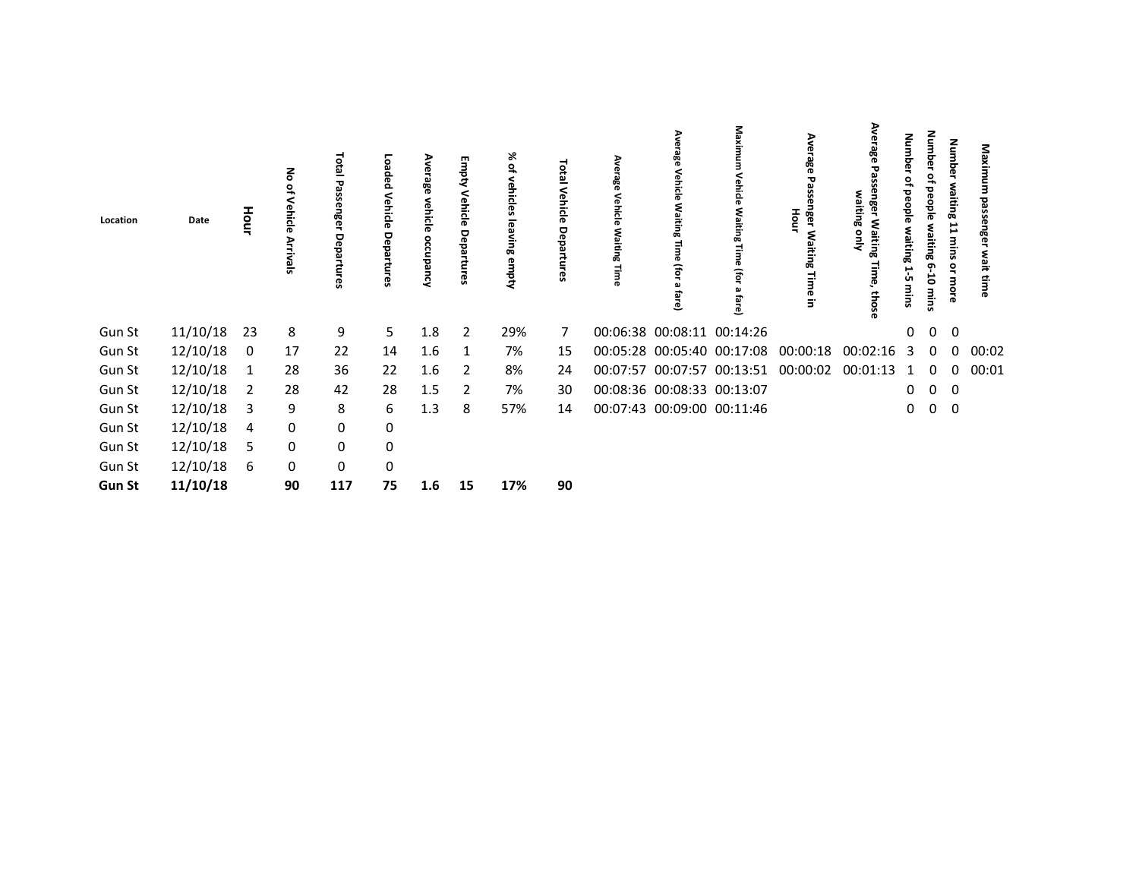| Location      | Date     | Hour           | る<br>$\mathbf{a}$<br>Vehicle<br>Arrivals | Total<br>នីទ<br>eba<br><b>GS</b> | papeo:<br>Vehicle<br>Departur<br>œ | Average<br>vehicl<br>ब<br>occupancy | Empty Vehicle<br>Departures | % ०<br>vehicles<br>leaving empty | <b>DEBI</b><br>Vehicle<br>Depar<br>tures | Average<br>Vehicle<br>Waiting<br>Time | Ave<br>este<br>Vehicle<br>Waiting<br>œ<br>(For<br>ച<br>흛<br>ۊ | Maxirr<br><b>ehicle</b><br><b>Waiting</b><br>£<br>fare) | Aver<br>age<br>G<br>ᇃ<br>nger<br>Hour<br><b>Waiting</b><br>Time in | ⋗<br>age<br>waiting<br>Waiting<br>을<br>Time,<br>those | Numbe<br>₽<br>people<br>raiting<br>ب<br>ÙП<br>mins | Number<br>۽<br>people<br>waiting 6-10<br>mins | <b>Number</b><br>waiting 11 mins<br>or more | Maxi<br>힒<br>enger<br>wait<br>time |  |
|---------------|----------|----------------|------------------------------------------|----------------------------------|------------------------------------|-------------------------------------|-----------------------------|----------------------------------|------------------------------------------|---------------------------------------|---------------------------------------------------------------|---------------------------------------------------------|--------------------------------------------------------------------|-------------------------------------------------------|----------------------------------------------------|-----------------------------------------------|---------------------------------------------|------------------------------------|--|
| Gun St        | 11/10/18 | 23             | 8                                        | 9                                | 5                                  | 1.8                                 | $\overline{2}$              | 29%                              | 7                                        |                                       | 00:06:38 00:08:11 00:14:26                                    |                                                         |                                                                    |                                                       | $\mathbf{0}$                                       | $\mathbf 0$                                   | $\overline{0}$                              |                                    |  |
| Gun St        | 12/10/18 | 0              | 17                                       | 22                               | 14                                 | 1.6                                 | 1                           | 7%                               | 15                                       |                                       | 00:05:28 00:05:40 00:17:08                                    |                                                         | 00:00:18                                                           | 00:02:16                                              | 3                                                  | $\Omega$                                      | $\Omega$                                    | 00:02                              |  |
| Gun St        | 12/10/18 | 1              | 28                                       | 36                               | 22                                 | 1.6                                 | 2                           | 8%                               | 24                                       |                                       | 00:07:57 00:07:57 00:13:51                                    |                                                         | 00:00:02                                                           | 00:01:13                                              | 1                                                  | $\mathbf 0$                                   | $\Omega$                                    | 00:01                              |  |
| Gun St        | 12/10/18 | $\overline{2}$ | 28                                       | 42                               | 28                                 | 1.5                                 | 2                           | 7%                               | 30                                       |                                       | 00:08:36 00:08:33 00:13:07                                    |                                                         |                                                                    |                                                       | $\mathbf 0$                                        | $\mathbf 0$                                   | 0                                           |                                    |  |
| Gun St        | 12/10/18 | 3              | 9                                        | 8                                | 6                                  | 1.3                                 | 8                           | 57%                              | 14                                       |                                       | 00:07:43 00:09:00 00:11:46                                    |                                                         |                                                                    |                                                       | 0                                                  | $\mathbf 0$                                   | $\overline{0}$                              |                                    |  |
| Gun St        | 12/10/18 | 4              | 0                                        | $\pmb{0}$                        | 0                                  |                                     |                             |                                  |                                          |                                       |                                                               |                                                         |                                                                    |                                                       |                                                    |                                               |                                             |                                    |  |
| Gun St        | 12/10/18 | 5              | 0                                        | $\pmb{0}$                        | 0                                  |                                     |                             |                                  |                                          |                                       |                                                               |                                                         |                                                                    |                                                       |                                                    |                                               |                                             |                                    |  |
| Gun St        | 12/10/18 | 6              | 0                                        | $\mathsf{O}\xspace$              | 0                                  |                                     |                             |                                  |                                          |                                       |                                                               |                                                         |                                                                    |                                                       |                                                    |                                               |                                             |                                    |  |
| <b>Gun St</b> | 11/10/18 |                | 90                                       | 117                              | 75                                 | 1.6                                 | 15                          | 17%                              | 90                                       |                                       |                                                               |                                                         |                                                                    |                                                       |                                                    |                                               |                                             |                                    |  |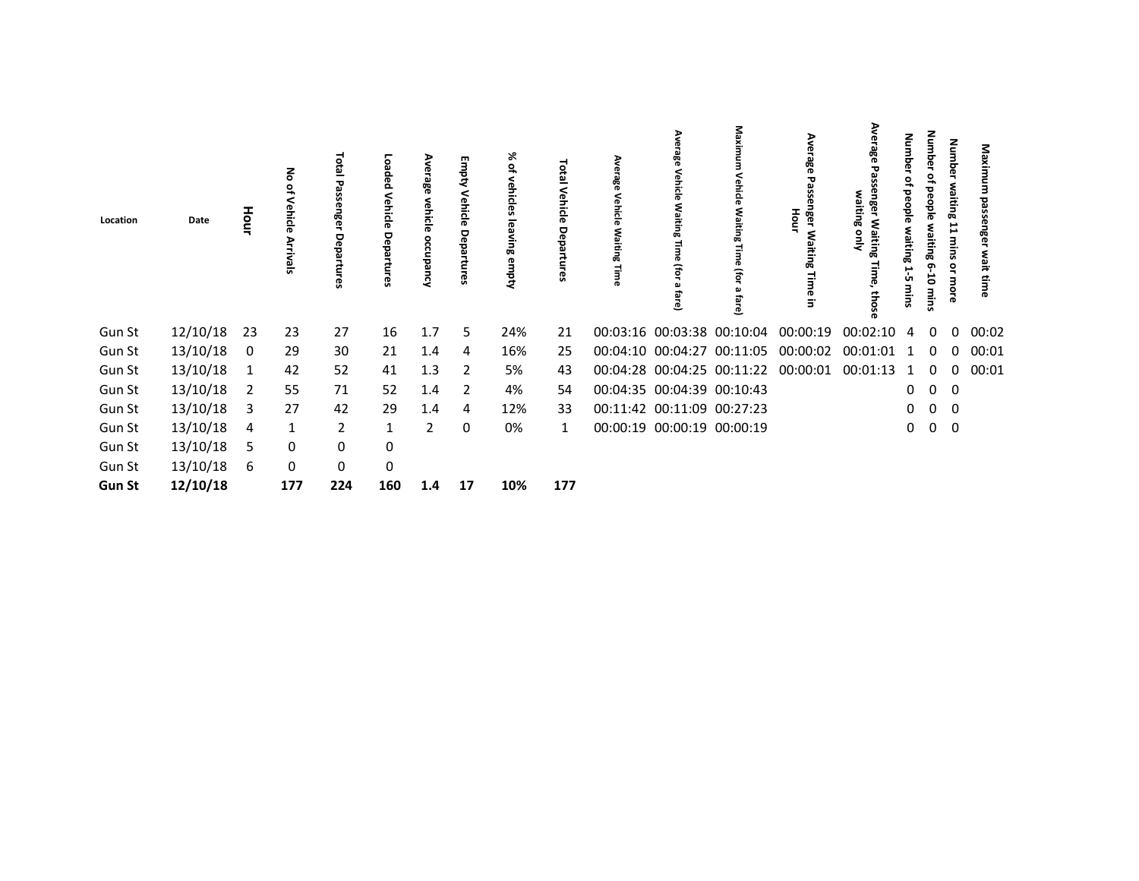| Location      | Date     | Hour | 종<br>읶<br>Vehicle<br>Arrivals | Lota<br>ఇ<br>Depa<br>res | ö<br>pabed<br>Vehicle<br>Depal<br>ဥ | Average<br>vehicle<br>occupancy | Empty Vehicle<br>Departures | % of<br>vehicles<br>leaving empty | letal<br>Venicle<br>Departures | Average<br>Vehicle<br>Waiting<br>Time | Average<br>Vehicle<br>Waiting<br>Φ<br>(for<br>മ<br>fare) | Maxi<br>ehicle<br>Waiting<br>Φ<br>Gol<br>fare) | Aver<br>age<br>Po<br>nger Waiting<br>Hour<br>Time in | age<br>waiting<br>Waiting<br>gnly<br>Time,<br>those | <b>Numbe</b><br>₽<br>people<br>waiting<br>ب<br>ÜП<br>mins | Number<br>ءِ<br>beople<br>waiting 6-10<br>mins | Number<br>waiting<br>11 mins<br>or more | Maxi<br>g<br>ទូ<br>enger<br>wait<br>time |  |
|---------------|----------|------|-------------------------------|--------------------------|-------------------------------------|---------------------------------|-----------------------------|-----------------------------------|--------------------------------|---------------------------------------|----------------------------------------------------------|------------------------------------------------|------------------------------------------------------|-----------------------------------------------------|-----------------------------------------------------------|------------------------------------------------|-----------------------------------------|------------------------------------------|--|
| Gun St        | 12/10/18 | 23   | 23                            | 27                       | 16                                  | 1.7                             | 5                           | 24%                               | 21                             |                                       |                                                          | 00:03:16 00:03:38 00:10:04                     | 00:00:19                                             | 00:02:10                                            | 4                                                         | 0                                              | 0                                       | 00:02                                    |  |
| Gun St        | 13/10/18 | 0    | 29                            | 30                       | 21                                  | 1.4                             | 4                           | 16%                               | 25                             |                                       |                                                          | 00:04:10 00:04:27 00:11:05                     | 00:00:02                                             | 00:01:01                                            | 1                                                         | 0                                              | 0                                       | 00:01                                    |  |
| Gun St        | 13/10/18 | 1    | 42                            | 52                       | 41                                  | 1.3                             | 2                           | 5%                                | 43                             |                                       |                                                          | 00:04:28 00:04:25 00:11:22                     | 00:00:01                                             | 00:01:13                                            | 1                                                         | 0                                              | 0                                       | 00:01                                    |  |
| Gun St        | 13/10/18 | 2    | 55                            | 71                       | 52                                  | 1.4                             | 2                           | 4%                                | 54                             | 00:04:35 00:04:39 00:10:43            |                                                          |                                                |                                                      |                                                     | $\mathbf 0$                                               | 0                                              | 0                                       |                                          |  |
| Gun St        | 13/10/18 | 3    | 27                            | 42                       | 29                                  | 1.4                             | 4                           | 12%                               | 33                             | 00:11:42 00:11:09 00:27:23            |                                                          |                                                |                                                      |                                                     | $\mathbf 0$                                               | $\mathbf 0$                                    | 0                                       |                                          |  |
| Gun St        | 13/10/18 | 4    | 1                             | $\overline{2}$           | 1                                   | $\overline{2}$                  | 0                           | 0%                                | 1                              | 00:00:19 00:00:19 00:00:19            |                                                          |                                                |                                                      |                                                     | 0                                                         | $\mathbf 0$                                    | 0                                       |                                          |  |
| Gun St        | 13/10/18 | 5    | 0                             | 0                        | 0                                   |                                 |                             |                                   |                                |                                       |                                                          |                                                |                                                      |                                                     |                                                           |                                                |                                         |                                          |  |
| Gun St        | 13/10/18 | 6    | 0                             | $\mathbf 0$              | $\pmb{0}$                           |                                 |                             |                                   |                                |                                       |                                                          |                                                |                                                      |                                                     |                                                           |                                                |                                         |                                          |  |
| <b>Gun St</b> | 12/10/18 |      | 177                           | 224                      | 160                                 | 1.4                             | 17                          | 10%                               | 177                            |                                       |                                                          |                                                |                                                      |                                                     |                                                           |                                                |                                         |                                          |  |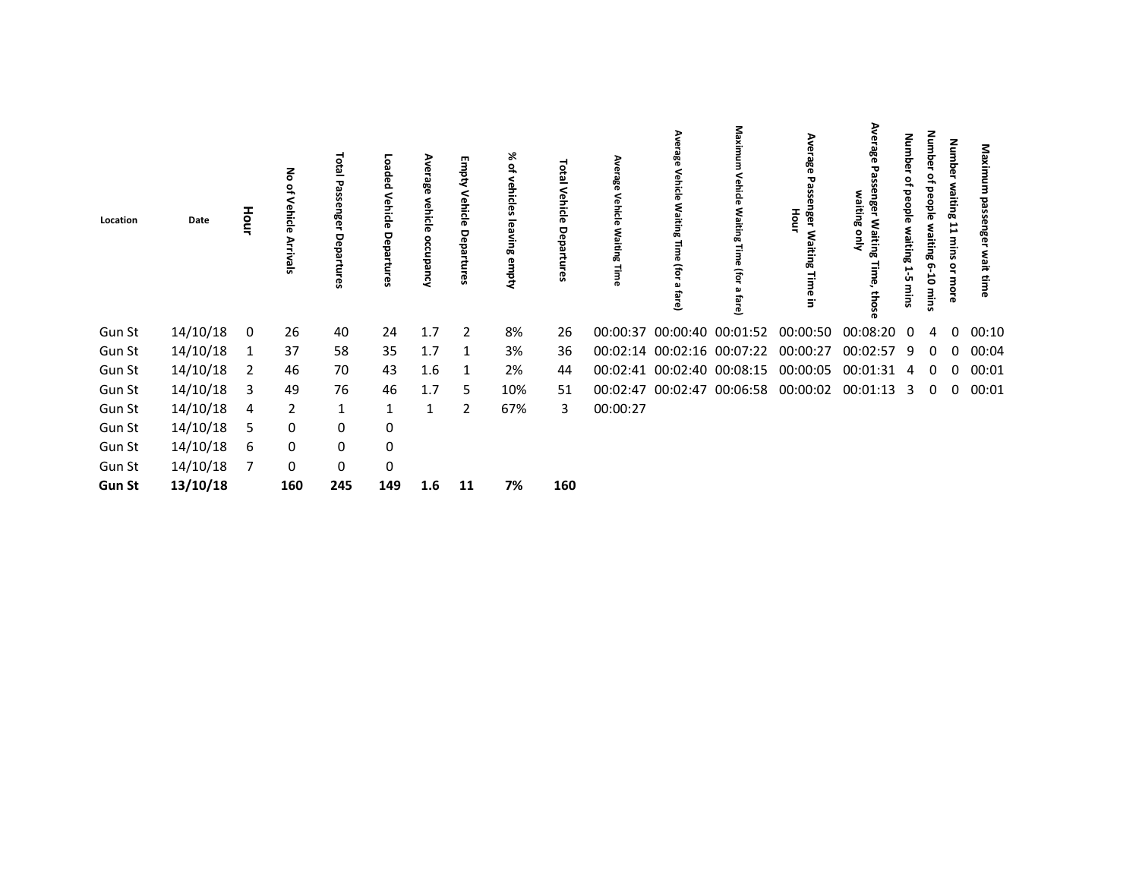| Location      | Date     | Hour | る<br>읶<br>Vehicle<br><b>Arrivals</b> | ಕ<br>ē<br>នីទ<br>용<br>Ē | Loaded<br>Vehicle<br>Depa<br>Ę<br>ဇ္ဟ | Ave<br>န္တီ<br>Neµ<br>i <u>c</u> le<br>occupancy | Empty Vehicle<br>Departures | ৯ৎ<br>읷<br>vehicles<br>leaving empty | <b>101al</b><br>Vehicle<br>Departu<br>က္က | Average<br>Vehicle<br>Waiting<br>Time | rage<br><b>Jehicle</b><br>§٤<br>iting<br>T<br>(for<br>ച<br>ھ | a<br>Vehicle<br>٩Ñ<br>iting<br>B<br>₹<br>fare) | Ave<br>age<br>G<br>nger<br>Hour<br><b>Waiting</b><br>Time<br>$\overline{5}$ | ఇ<br>꼯<br>Waiting<br>œ<br>g<br>Time,<br>those | quin<br>ወ<br>peo<br>흥<br>waiting<br>E<br>ŮΠ<br>mins | Number<br>₽<br><b>beople</b><br>waiting 6<br>Ġ<br>mins | <b>Number</b><br>waiting 11 mins or more | Maxi<br><b>bass</b><br>enger<br>wait<br>time |  |
|---------------|----------|------|--------------------------------------|-------------------------|---------------------------------------|--------------------------------------------------|-----------------------------|--------------------------------------|-------------------------------------------|---------------------------------------|--------------------------------------------------------------|------------------------------------------------|-----------------------------------------------------------------------------|-----------------------------------------------|-----------------------------------------------------|--------------------------------------------------------|------------------------------------------|----------------------------------------------|--|
| Gun St        | 14/10/18 | 0    | 26                                   | 40                      | 24                                    | 1.7                                              | $\overline{2}$              | 8%                                   | 26                                        |                                       | 00:00:37 00:00:40 00:01:52                                   |                                                | 00:00:50                                                                    | 00:08:20                                      | $\Omega$                                            | 4                                                      | 0                                        | 00:10                                        |  |
| Gun St        | 14/10/18 | 1    | 37                                   | 58                      | 35                                    | 1.7                                              | -1                          | 3%                                   | 36                                        |                                       | 00:02:14 00:02:16 00:07:22                                   |                                                | 00:00:27                                                                    | 00:02:57                                      | 9                                                   | 0                                                      | $\Omega$                                 | 00:04                                        |  |
| Gun St        | 14/10/18 | 2    | 46                                   | 70                      | 43                                    | 1.6                                              | 1                           | 2%                                   | 44                                        |                                       | 00:02:41 00:02:40 00:08:15                                   |                                                | 00:00:05                                                                    | 00:01:31                                      | 4                                                   |                                                        | 0                                        | 00:01                                        |  |
| Gun St        | 14/10/18 | 3    | 49                                   | 76                      | 46                                    | 1.7                                              | 5                           | 10%                                  | 51                                        |                                       |                                                              | 00:02:47 00:02:47 00:06:58                     | 00:00:02                                                                    | 00:01:13                                      | 3                                                   | 0                                                      | 0                                        | 00:01                                        |  |
| Gun St        | 14/10/18 | 4    | $\overline{2}$                       | $\mathbf{1}$            | 1                                     | 1                                                | $\overline{2}$              | 67%                                  | 3                                         | 00:00:27                              |                                                              |                                                |                                                                             |                                               |                                                     |                                                        |                                          |                                              |  |
| Gun St        | 14/10/18 | 5    | 0                                    | 0                       | 0                                     |                                                  |                             |                                      |                                           |                                       |                                                              |                                                |                                                                             |                                               |                                                     |                                                        |                                          |                                              |  |
| Gun St        | 14/10/18 | 6    | 0                                    | 0                       | $\mathbf 0$                           |                                                  |                             |                                      |                                           |                                       |                                                              |                                                |                                                                             |                                               |                                                     |                                                        |                                          |                                              |  |
| Gun St        | 14/10/18 | 7    | 0                                    | $\mathbf 0$             | 0                                     |                                                  |                             |                                      |                                           |                                       |                                                              |                                                |                                                                             |                                               |                                                     |                                                        |                                          |                                              |  |
| <b>Gun St</b> | 13/10/18 |      | 160                                  | 245                     | 149                                   | 1.6                                              | 11                          | 7%                                   | 160                                       |                                       |                                                              |                                                |                                                                             |                                               |                                                     |                                                        |                                          |                                              |  |
|               |          |      |                                      |                         |                                       |                                                  |                             |                                      |                                           |                                       |                                                              |                                                |                                                                             |                                               |                                                     |                                                        |                                          |                                              |  |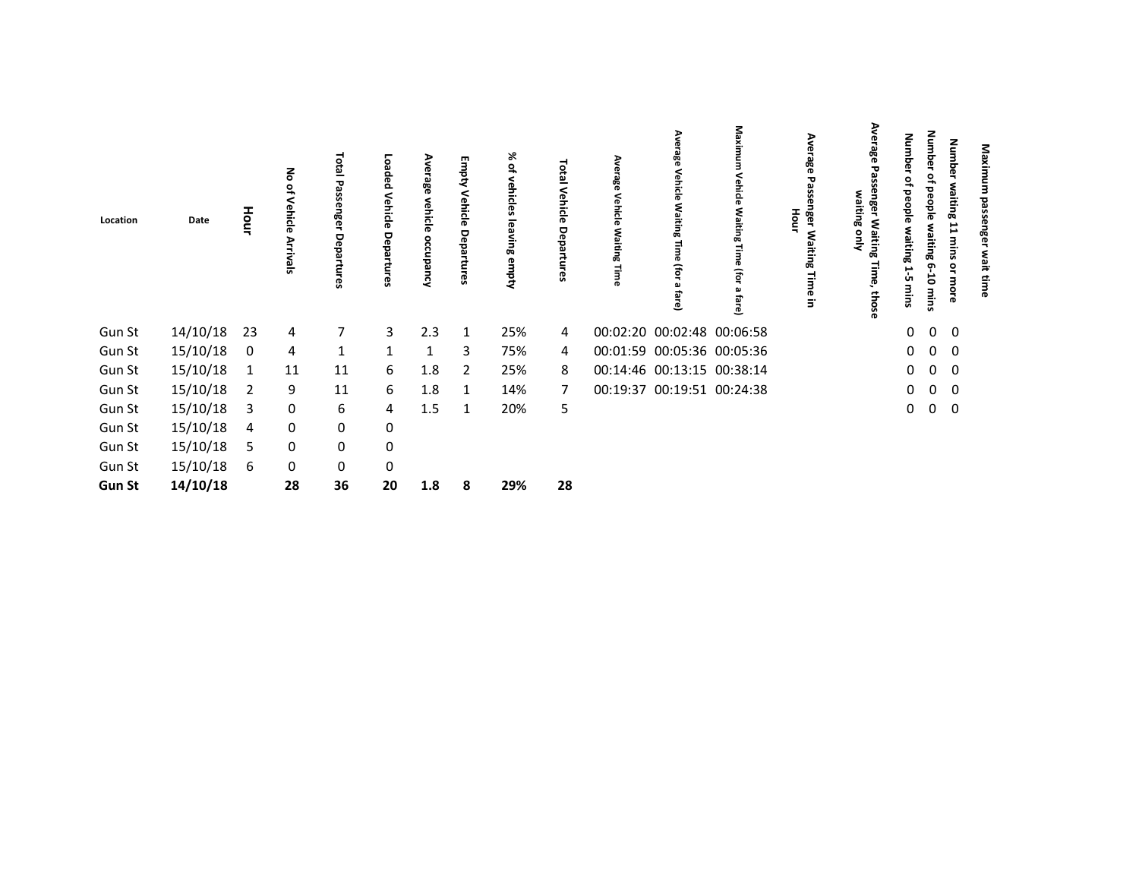| Location      | Date     | Hour | る<br>읶<br>Vehicle<br><b>Arrivals</b> | <b>Total</b><br>τ<br>ន្លឹ<br>eda<br>ၛၟ | Loaded<br>Vehicle<br>Departures | န္တီ<br>Neh<br>ਨ<br>ನ<br>Occupancy | <b>Empty Vehicle Departures</b> | ⋇<br>٩,<br>vehicles<br>leaving empty | <b>P101</b><br>Vehicle<br>Depa<br>c3 | Average<br>Vehicle<br>Waiting<br>Time | Ave<br>rage<br>Vehicle<br>Waiting<br>œ<br>ί<br>മ<br>ವ<br>ڦ | Maxim<br>Vehicle<br>Waiting<br>£<br>fare) | Ave<br>rage<br>29<br>nger<br>G<br>Hour<br>Waiting<br><b>Time in</b> | ⋗<br>ఇ<br>品<br>aiting<br>Waiting<br>을<br>Time,<br>those | dmub<br>Ō<br>۰<br>people<br>waiting<br>1-5<br>mins | <b>Number</b><br>₽<br>people<br>waiting 6<br>Ġ<br>mins | <b>Number</b><br>waiting 11 mins or<br>more | Maximum<br>passenger<br>wait |  |
|---------------|----------|------|--------------------------------------|----------------------------------------|---------------------------------|------------------------------------|---------------------------------|--------------------------------------|--------------------------------------|---------------------------------------|------------------------------------------------------------|-------------------------------------------|---------------------------------------------------------------------|---------------------------------------------------------|----------------------------------------------------|--------------------------------------------------------|---------------------------------------------|------------------------------|--|
| Gun St        | 14/10/18 | 23   | 4                                    | 7                                      | 3                               | 2.3                                | -1                              | 25%                                  | 4                                    |                                       | 00:02:20 00:02:48 00:06:58                                 |                                           |                                                                     |                                                         | 0                                                  | $\mathbf 0$                                            | 0                                           |                              |  |
| Gun St        | 15/10/18 | 0    | 4                                    | $\mathbf{1}$                           |                                 | 1                                  | 3                               | 75%                                  | 4                                    |                                       | 00:01:59 00:05:36 00:05:36                                 |                                           |                                                                     |                                                         | 0                                                  | $\mathbf 0$                                            | 0                                           |                              |  |
| Gun St        | 15/10/18 | 1    | 11                                   | 11                                     | 6                               | 1.8                                | 2                               | 25%                                  | 8                                    |                                       | 00:14:46 00:13:15 00:38:14                                 |                                           |                                                                     |                                                         | 0                                                  | $\mathbf 0$                                            | 0                                           |                              |  |
| Gun St        | 15/10/18 | 2    | 9                                    | 11                                     | 6                               | 1.8                                | -1                              | 14%                                  | 7                                    |                                       | 00:19:37 00:19:51 00:24:38                                 |                                           |                                                                     |                                                         | 0                                                  | $\mathbf 0$                                            | 0                                           |                              |  |
| Gun St        | 15/10/18 | 3    | 0                                    | 6                                      | 4                               | 1.5                                | -1                              | 20%                                  | 5                                    |                                       |                                                            |                                           |                                                                     |                                                         | 0                                                  | $\mathbf 0$                                            | $\mathbf 0$                                 |                              |  |
| Gun St        | 15/10/18 | 4    | 0                                    | 0                                      | 0                               |                                    |                                 |                                      |                                      |                                       |                                                            |                                           |                                                                     |                                                         |                                                    |                                                        |                                             |                              |  |
| Gun St        | 15/10/18 | 5    | 0                                    | 0                                      | 0                               |                                    |                                 |                                      |                                      |                                       |                                                            |                                           |                                                                     |                                                         |                                                    |                                                        |                                             |                              |  |
| Gun St        | 15/10/18 | 6    | 0                                    | 0                                      | 0                               |                                    |                                 |                                      |                                      |                                       |                                                            |                                           |                                                                     |                                                         |                                                    |                                                        |                                             |                              |  |
| <b>Gun St</b> | 14/10/18 |      | 28                                   | 36                                     | 20                              | 1.8                                | -8                              | 29%                                  | 28                                   |                                       |                                                            |                                           |                                                                     |                                                         |                                                    |                                                        |                                             |                              |  |
|               |          |      |                                      |                                        |                                 |                                    |                                 |                                      |                                      |                                       |                                                            |                                           |                                                                     |                                                         |                                                    |                                                        |                                             |                              |  |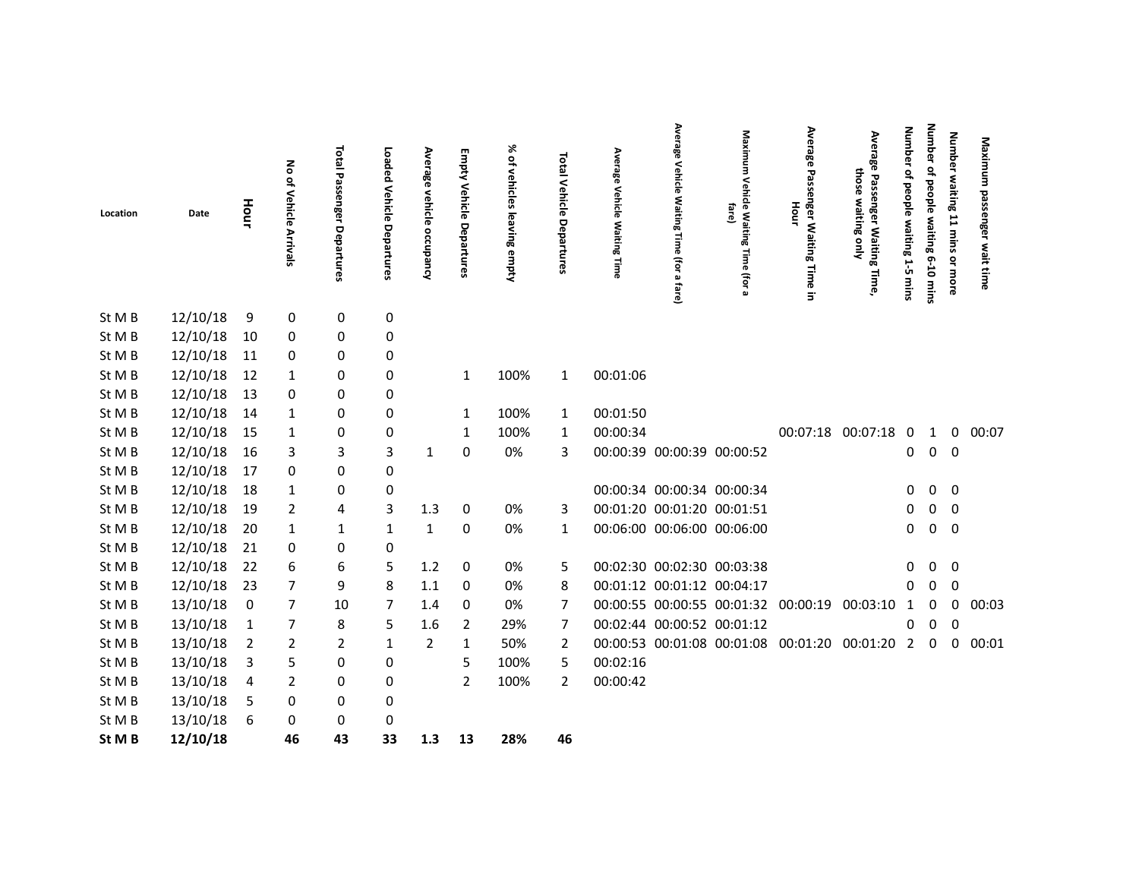| Location | Date     | Hour           | No of Vehicle Arrivals | Total<br>Passenger<br>Departures | Loaded Vehicle Departures | Average<br>vehicle<br>occupancy | <b>Empty Vehicle Departures</b> | % of vehicles<br>leaving empty | Total Vehicle Departures | Average<br>Vehicle<br><b>Waiting Time</b> | Average<br>Vehicle<br><b>Waiting</b><br>Time<br>(for a<br>fare) | Maximu<br>з<br>Vehicle Waiting<br>fare)<br>Time<br>(for<br>മ | Average<br>Passenger Waiting Time in<br>Hour   | Averag<br>൹<br>those<br>Passenger Waiting<br>waiting<br>λιμο<br>Time, | <b>Number</b><br>ዹ<br>people waiting 1-5<br>mins | <b>Number</b><br>of people waiting 6-10 mins | Number waiting 11 mins or more | Maximum passenger<br>wait time |
|----------|----------|----------------|------------------------|----------------------------------|---------------------------|---------------------------------|---------------------------------|--------------------------------|--------------------------|-------------------------------------------|-----------------------------------------------------------------|--------------------------------------------------------------|------------------------------------------------|-----------------------------------------------------------------------|--------------------------------------------------|----------------------------------------------|--------------------------------|--------------------------------|
| St M B   | 12/10/18 | 9              | 0                      | 0                                | 0                         |                                 |                                 |                                |                          |                                           |                                                                 |                                                              |                                                |                                                                       |                                                  |                                              |                                |                                |
| St M B   | 12/10/18 | 10             | 0                      | 0                                | 0                         |                                 |                                 |                                |                          |                                           |                                                                 |                                                              |                                                |                                                                       |                                                  |                                              |                                |                                |
| St M B   | 12/10/18 | 11             | 0                      | 0                                | 0                         |                                 |                                 |                                |                          |                                           |                                                                 |                                                              |                                                |                                                                       |                                                  |                                              |                                |                                |
| St M B   | 12/10/18 | 12             | 1                      | 0                                | 0                         |                                 | $\mathbf{1}$                    | 100%                           | $\mathbf{1}$             | 00:01:06                                  |                                                                 |                                                              |                                                |                                                                       |                                                  |                                              |                                |                                |
| St M B   | 12/10/18 | 13             | 0                      | 0                                | 0                         |                                 |                                 |                                |                          |                                           |                                                                 |                                                              |                                                |                                                                       |                                                  |                                              |                                |                                |
| St M B   | 12/10/18 | 14             | 1                      | 0                                | 0                         |                                 | 1                               | 100%                           | 1                        | 00:01:50                                  |                                                                 |                                                              |                                                |                                                                       |                                                  |                                              |                                |                                |
| St M B   | 12/10/18 | 15             | 1                      | $\mathbf 0$                      | 0                         |                                 | 1                               | 100%                           | 1                        | 00:00:34                                  |                                                                 |                                                              |                                                | 00:07:18 00:07:18 0                                                   |                                                  | 1                                            | 0                              | 00:07                          |
| St M B   | 12/10/18 | 16             | 3                      | 3                                | 3                         | $\mathbf{1}$                    | 0                               | 0%                             | 3                        | 00:00:39 00:00:39 00:00:52                |                                                                 |                                                              |                                                |                                                                       | 0                                                | $\mathbf 0$                                  | 0                              |                                |
| St M B   | 12/10/18 | 17             | 0                      | 0                                | 0                         |                                 |                                 |                                |                          |                                           |                                                                 |                                                              |                                                |                                                                       |                                                  |                                              |                                |                                |
| St M B   | 12/10/18 | 18             | 1                      | 0                                | 0                         |                                 |                                 |                                |                          | 00:00:34 00:00:34 00:00:34                |                                                                 |                                                              |                                                |                                                                       | 0                                                | $\mathbf{0}$                                 | 0                              |                                |
| St M B   | 12/10/18 | 19             | $\overline{2}$         | 4                                | 3                         | 1.3                             | 0                               | 0%                             | 3                        | 00:01:20 00:01:20 00:01:51                |                                                                 |                                                              |                                                |                                                                       | 0                                                | $\mathbf 0$                                  | 0                              |                                |
| St M B   | 12/10/18 | 20             | 1                      | $\mathbf{1}$                     | $\mathbf{1}$              | $\mathbf{1}$                    | $\pmb{0}$                       | 0%                             | 1                        | 00:06:00 00:06:00 00:06:00                |                                                                 |                                                              |                                                |                                                                       | 0                                                | $\overline{0}$                               | 0                              |                                |
| St M B   | 12/10/18 | 21             | 0                      | 0                                | 0                         |                                 |                                 |                                |                          |                                           |                                                                 |                                                              |                                                |                                                                       |                                                  |                                              |                                |                                |
| St M B   | 12/10/18 | 22             | 6                      | 6                                | 5                         | 1.2                             | 0                               | 0%                             | 5                        | 00:02:30 00:02:30 00:03:38                |                                                                 |                                                              |                                                |                                                                       | 0                                                | 0                                            | 0                              |                                |
| St M B   | 12/10/18 | 23             | $\overline{7}$         | 9                                | 8                         | 1.1                             | 0                               | 0%                             | 8                        | 00:01:12 00:01:12 00:04:17                |                                                                 |                                                              |                                                |                                                                       |                                                  | 0                                            | 0                              |                                |
| St M B   | 13/10/18 | 0              | 7                      | 10                               | 7                         | 1.4                             | 0                               | 0%                             | 7                        |                                           |                                                                 |                                                              | 00:00:55 00:00:55 00:01:32 00:00:19            | 00:03:10                                                              | -1                                               | 0                                            | 0                              | 00:03                          |
| St M B   | 13/10/18 | $\mathbf{1}$   | 7                      | 8                                | 5                         | 1.6                             | $\overline{2}$                  | 29%                            | 7                        | 00:02:44 00:00:52 00:01:12                |                                                                 |                                                              |                                                |                                                                       | 0                                                | 0                                            | 0                              |                                |
| St M B   | 13/10/18 | $\overline{2}$ | $\overline{2}$         | $\overline{2}$                   | 1                         | $\overline{2}$                  | 1                               | 50%                            | 2                        |                                           |                                                                 |                                                              | 00:00:53 00:01:08 00:01:08 00:01:20 00:01:20 2 |                                                                       |                                                  | 0                                            | 0                              | 00:01                          |
| St M B   | 13/10/18 | 3              | 5                      | 0                                | 0                         |                                 | 5                               | 100%                           | 5                        | 00:02:16                                  |                                                                 |                                                              |                                                |                                                                       |                                                  |                                              |                                |                                |
| St M B   | 13/10/18 | 4              | $\overline{2}$         | 0                                | 0                         |                                 | $\overline{2}$                  | 100%                           | $\overline{2}$           | 00:00:42                                  |                                                                 |                                                              |                                                |                                                                       |                                                  |                                              |                                |                                |
| St M B   | 13/10/18 | 5              | 0                      | 0                                | 0                         |                                 |                                 |                                |                          |                                           |                                                                 |                                                              |                                                |                                                                       |                                                  |                                              |                                |                                |
| St M B   | 13/10/18 | 6              | 0                      | 0                                | 0                         |                                 |                                 |                                |                          |                                           |                                                                 |                                                              |                                                |                                                                       |                                                  |                                              |                                |                                |
| St M B   | 12/10/18 |                | 46                     | 43                               | 33                        | 1.3                             | 13                              | 28%                            | 46                       |                                           |                                                                 |                                                              |                                                |                                                                       |                                                  |                                              |                                |                                |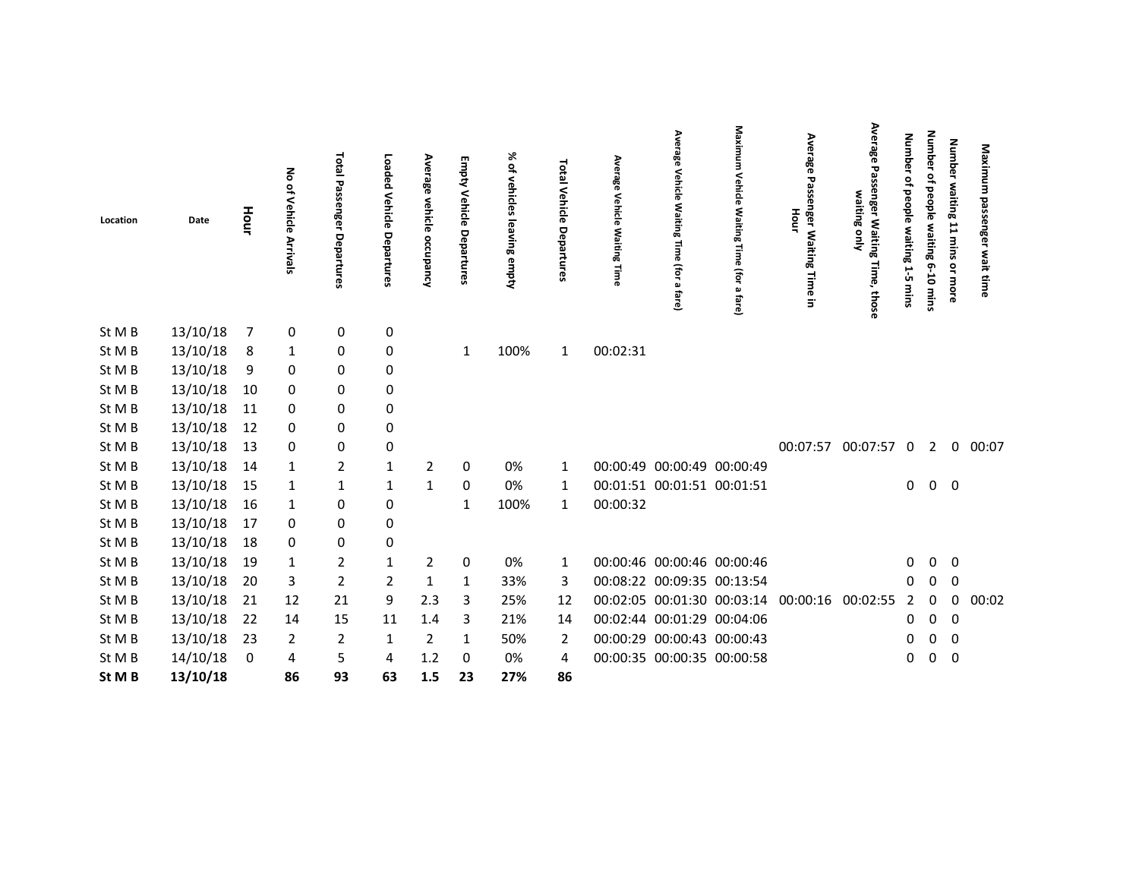| Location | Date     | Hour | ᅙ<br>of Vehicle Arrivals | Total<br>29<br>ienger<br>Departures | Loaded<br>Vehicle<br>Departures | Average<br>vehicle<br>occupancy | <b>Empty Vehicle Departures</b> | % of<br>vehicles<br>leaving empty | Total Vehicle<br>Departures | Average<br>Vehicle<br><b>Waiting</b><br>Time | Average<br>Vehicle<br>Waiting<br>$\frac{1}{2}$<br>O<br>(for<br>$\pmb{\omega}$<br>fare) | Maxim<br>Vehicle<br>ξ<br>Eing<br>Time<br>(for<br>$\pmb{\omega}$<br>fare) | Average<br>Passenger Waiting<br>Hour<br>Time<br>$\Xi$ | Avera<br>霞<br>enger Waiting<br>waiting only<br>Time,<br>those | <b>Number</b><br>٩<br>people waiting 1-5<br>mins | <b>Number</b><br>of people waiting 6-10 mins | Number waiting 11 mins or more | Maximum passenger<br>wait time |
|----------|----------|------|--------------------------|-------------------------------------|---------------------------------|---------------------------------|---------------------------------|-----------------------------------|-----------------------------|----------------------------------------------|----------------------------------------------------------------------------------------|--------------------------------------------------------------------------|-------------------------------------------------------|---------------------------------------------------------------|--------------------------------------------------|----------------------------------------------|--------------------------------|--------------------------------|
| St M B   | 13/10/18 | 7    | 0                        | 0                                   | 0                               |                                 |                                 |                                   |                             |                                              |                                                                                        |                                                                          |                                                       |                                                               |                                                  |                                              |                                |                                |
| St M B   | 13/10/18 | 8    | 1                        | 0                                   | 0                               |                                 | 1                               | 100%                              | $\mathbf{1}$                | 00:02:31                                     |                                                                                        |                                                                          |                                                       |                                                               |                                                  |                                              |                                |                                |
| St M B   | 13/10/18 | 9    | 0                        | 0                                   | 0                               |                                 |                                 |                                   |                             |                                              |                                                                                        |                                                                          |                                                       |                                                               |                                                  |                                              |                                |                                |
| St M B   | 13/10/18 | 10   | 0                        | 0                                   | 0                               |                                 |                                 |                                   |                             |                                              |                                                                                        |                                                                          |                                                       |                                                               |                                                  |                                              |                                |                                |
| St M B   | 13/10/18 | 11   | 0                        | 0                                   | 0                               |                                 |                                 |                                   |                             |                                              |                                                                                        |                                                                          |                                                       |                                                               |                                                  |                                              |                                |                                |
| St M B   | 13/10/18 | 12   | 0                        | 0                                   | 0                               |                                 |                                 |                                   |                             |                                              |                                                                                        |                                                                          |                                                       |                                                               |                                                  |                                              |                                |                                |
| St M B   | 13/10/18 | 13   | 0                        | 0                                   | 0                               |                                 |                                 |                                   |                             |                                              |                                                                                        |                                                                          |                                                       | 00:07:57 00:07:57                                             | $\mathbf 0$                                      | $\overline{2}$                               | 0                              | 00:07                          |
| St M B   | 13/10/18 | 14   | 1                        | $\overline{2}$                      | 1                               | $\overline{2}$                  | 0                               | 0%                                | 1                           |                                              |                                                                                        | 00:00:49 00:00:49 00:00:49                                               |                                                       |                                                               |                                                  |                                              |                                |                                |
| St M B   | 13/10/18 | 15   | 1                        | $\mathbf{1}$                        | 1                               | 1                               | 0                               | 0%                                | 1                           | 00:01:51 00:01:51 00:01:51                   |                                                                                        |                                                                          |                                                       |                                                               | $\mathbf{0}$                                     | $\overline{0}$                               | $\mathbf 0$                    |                                |
| St M B   | 13/10/18 | 16   | 1                        | 0                                   | 0                               |                                 | 1                               | 100%                              | $\mathbf{1}$                | 00:00:32                                     |                                                                                        |                                                                          |                                                       |                                                               |                                                  |                                              |                                |                                |
| St M B   | 13/10/18 | 17   | 0                        | $\pmb{0}$                           | $\pmb{0}$                       |                                 |                                 |                                   |                             |                                              |                                                                                        |                                                                          |                                                       |                                                               |                                                  |                                              |                                |                                |
| St M B   | 13/10/18 | 18   | 0                        | $\pmb{0}$                           | $\pmb{0}$                       |                                 |                                 |                                   |                             |                                              |                                                                                        |                                                                          |                                                       |                                                               |                                                  |                                              |                                |                                |
| St M B   | 13/10/18 | 19   | 1                        | $\overline{2}$                      | 1                               | $\overline{2}$                  | 0                               | 0%                                | 1                           |                                              |                                                                                        | 00:00:46 00:00:46 00:00:46                                               |                                                       |                                                               | 0                                                | 0                                            | 0                              |                                |
| St M B   | 13/10/18 | 20   | 3                        | $\overline{2}$                      | $\overline{2}$                  | 1                               | 1                               | 33%                               | 3                           |                                              |                                                                                        | 00:08:22 00:09:35 00:13:54                                               |                                                       |                                                               | 0                                                | $\Omega$                                     | 0                              |                                |
| St M B   | 13/10/18 | 21   | 12                       | 21                                  | 9                               | 2.3                             | 3                               | 25%                               | 12                          |                                              |                                                                                        | 00:02:05 00:01:30 00:03:14                                               | 00:00:16                                              | 00:02:55                                                      | $\overline{2}$                                   | $\Omega$                                     | $\mathbf 0$                    | 00:02                          |
| St M B   | 13/10/18 | 22   | 14                       | 15                                  | 11                              | 1.4                             | 3                               | 21%                               | 14                          |                                              |                                                                                        | 00:02:44 00:01:29 00:04:06                                               |                                                       |                                                               | 0                                                | $\mathbf 0$                                  | $\mathbf 0$                    |                                |
| St M B   | 13/10/18 | 23   | 2                        | $\overline{2}$                      | 1                               | $\overline{2}$                  | 1                               | 50%                               | 2                           |                                              |                                                                                        | 00:00:29 00:00:43 00:00:43                                               |                                                       |                                                               | 0                                                | 0                                            | 0                              |                                |
| St M B   | 14/10/18 | 0    | 4                        | 5                                   | 4                               | 1.2                             | $\Omega$                        | 0%                                | 4                           |                                              |                                                                                        | 00:00:35 00:00:35 00:00:58                                               |                                                       |                                                               | 0                                                | 0                                            | 0                              |                                |
| St M B   | 13/10/18 |      | 86                       | 93                                  | 63                              | 1.5                             | 23                              | 27%                               | 86                          |                                              |                                                                                        |                                                                          |                                                       |                                                               |                                                  |                                              |                                |                                |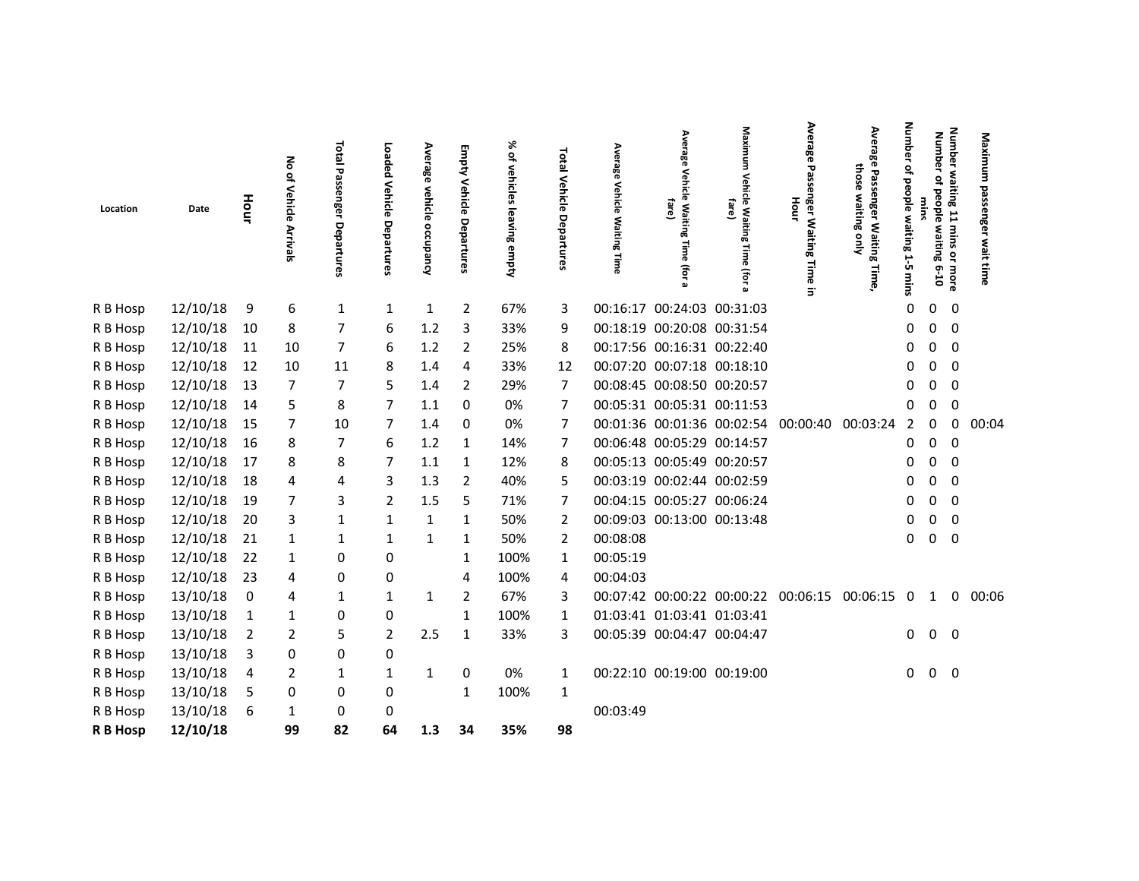| Location | Date     | Hour           | ᅙ<br>읶<br>Vehicle<br>Arrivals | Total Passenger Departures | Loaded<br>Vehicle<br>Departures | Average<br><b>vehicle</b><br>occupancy | Empty<br>Vehicle<br>Departures | % of vehicles leaving<br>empty | <b>Total</b><br>Vehicle<br>Departures | Average<br><b>Vehicle</b><br>Waiting<br>Time | Avera<br>ఇ<br><b>Vehicle Waiting</b><br>fare)<br>lime<br>S<br>(for | Maximum<br>Vehicle Waiting Time<br>fare)<br>(for | Average<br>Passenger Waiting<br>Hour<br>Time<br>Ξ. | Average Passenger Waiting<br>those<br>waiting only<br>llme | Num<br>E<br>ሟ<br>읶<br><b>beople</b><br>waiting<br>$\overline{\phantom{a}}$<br>ŮΤ<br>mins | Num<br>ber<br>₽<br>people<br>waiting<br>$6 - 10$ | Number waiting 11 mins or more | Maximu<br>з<br>passe<br>nger<br>wait |
|----------|----------|----------------|-------------------------------|----------------------------|---------------------------------|----------------------------------------|--------------------------------|--------------------------------|---------------------------------------|----------------------------------------------|--------------------------------------------------------------------|--------------------------------------------------|----------------------------------------------------|------------------------------------------------------------|------------------------------------------------------------------------------------------|--------------------------------------------------|--------------------------------|--------------------------------------|
| R B Hosp | 12/10/18 | 9              | 6                             | 1                          | 1                               | $\mathbf{1}$                           | $\overline{2}$                 | 67%                            | 3                                     |                                              | 00:16:17 00:24:03 00:31:03                                         |                                                  |                                                    |                                                            | $\Omega$                                                                                 | $\Omega$                                         | 0                              |                                      |
| R B Hosp | 12/10/18 | 10             | 8                             | 7                          | 6                               | 1.2                                    | 3                              | 33%                            | 9                                     |                                              | 00:18:19 00:20:08 00:31:54                                         |                                                  |                                                    |                                                            | 0                                                                                        | 0                                                | 0                              |                                      |
| R B Hosp | 12/10/18 | 11             | 10                            | 7                          | 6                               | 1.2                                    | 2                              | 25%                            | 8                                     |                                              | 00:17:56 00:16:31 00:22:40                                         |                                                  |                                                    |                                                            | 0                                                                                        | 0                                                | $\Omega$                       |                                      |
| R B Hosp | 12/10/18 | 12             | 10                            | 11                         | 8                               | 1.4                                    | 4                              | 33%                            | 12                                    |                                              | 00:07:20 00:07:18 00:18:10                                         |                                                  |                                                    |                                                            | 0                                                                                        | 0                                                | 0                              |                                      |
| R B Hosp | 12/10/18 | 13             | 7                             | 7                          |                                 | 1.4                                    | 2                              | 29%                            | 7                                     |                                              | 00:08:45 00:08:50 00:20:57                                         |                                                  |                                                    |                                                            | 0                                                                                        | 0                                                | 0                              |                                      |
| R B Hosp | 12/10/18 | 14             | 5                             | 8                          |                                 | 1.1                                    | $\Omega$                       | 0%                             | 7                                     |                                              | 00:05:31 00:05:31 00:11:53                                         |                                                  |                                                    |                                                            | 0                                                                                        | 0                                                | $\mathbf 0$                    |                                      |
| R B Hosp | 12/10/18 | - 15           | 7                             | 10                         | 7                               | 1.4                                    | 0                              | 0%                             | 7                                     |                                              |                                                                    | 00:01:36 00:01:36 00:02:54                       | 00:00:40                                           | 00:03:24                                                   | 2                                                                                        | 0                                                | 0                              | 00:04                                |
| R B Hosp | 12/10/18 | - 16           | 8                             | 7                          | 6                               | 1.2                                    | 1                              | 14%                            | 7                                     |                                              | 00:06:48 00:05:29 00:14:57                                         |                                                  |                                                    |                                                            | 0                                                                                        | $\mathbf{0}$                                     | 0                              |                                      |
| R B Hosp | 12/10/18 | 17             | 8                             | 8                          |                                 | 1.1                                    | 1                              | 12%                            | 8                                     |                                              | 00:05:13 00:05:49 00:20:57                                         |                                                  |                                                    |                                                            | 0                                                                                        | 0                                                | $\mathbf 0$                    |                                      |
| R B Hosp | 12/10/18 | 18             | 4                             | 4                          | 3                               | 1.3                                    | 2                              | 40%                            | 5                                     |                                              | 00:03:19 00:02:44 00:02:59                                         |                                                  |                                                    |                                                            | 0                                                                                        | 0                                                | 0                              |                                      |
| R B Hosp | 12/10/18 | 19             | 7                             | 3                          | 2                               | 1.5                                    | 5                              | 71%                            | 7                                     |                                              | 00:04:15 00:05:27 00:06:24                                         |                                                  |                                                    |                                                            | 0                                                                                        | 0                                                | $\Omega$                       |                                      |
| R B Hosp | 12/10/18 | -20            | 3                             | $\mathbf{1}$               |                                 | 1                                      | $\mathbf{1}$                   | 50%                            | 2                                     |                                              | 00:09:03 00:13:00 00:13:48                                         |                                                  |                                                    |                                                            | 0                                                                                        | 0                                                | 0                              |                                      |
| R B Hosp | 12/10/18 | 21             | 1                             | $\mathbf{1}$               | 1                               | 1                                      | $\mathbf{1}$                   | 50%                            | 2                                     | 00:08:08                                     |                                                                    |                                                  |                                                    |                                                            | 0                                                                                        | 0                                                | 0                              |                                      |
| R B Hosp | 12/10/18 | 22             | 1                             | $\mathbf 0$                | 0                               |                                        | $\mathbf{1}$                   | 100%                           | 1                                     | 00:05:19                                     |                                                                    |                                                  |                                                    |                                                            |                                                                                          |                                                  |                                |                                      |
| R B Hosp | 12/10/18 | 23             | 4                             | 0                          | 0                               |                                        | 4                              | 100%                           | 4                                     | 00:04:03                                     |                                                                    |                                                  |                                                    |                                                            |                                                                                          |                                                  |                                |                                      |
| R B Hosp | 13/10/18 | 0              | 4                             | 1                          | 1                               | 1                                      | 2                              | 67%                            | 3                                     |                                              |                                                                    |                                                  | 00:07:42 00:00:22 00:00:22 00:06:15 00:06:15 0     |                                                            |                                                                                          | $\mathbf{1}$                                     | $\mathbf 0$                    | 00:06                                |
| R B Hosp | 13/10/18 | $\mathbf{1}$   | 1                             | 0                          | 0                               |                                        | $\mathbf{1}$                   | 100%                           | 1                                     |                                              | 01:03:41 01:03:41 01:03:41                                         |                                                  |                                                    |                                                            |                                                                                          |                                                  |                                |                                      |
| R B Hosp | 13/10/18 | $\overline{2}$ | 2                             | 5                          | $\overline{2}$                  | 2.5                                    | 1                              | 33%                            | 3                                     |                                              | 00:05:39 00:04:47 00:04:47                                         |                                                  |                                                    |                                                            | 0                                                                                        | $\overline{0}$                                   | $\overline{0}$                 |                                      |
| R B Hosp | 13/10/18 | 3              | 0                             | 0                          | 0                               |                                        |                                |                                |                                       |                                              |                                                                    |                                                  |                                                    |                                                            |                                                                                          |                                                  |                                |                                      |
| R B Hosp | 13/10/18 | 4              | 2                             | 1                          | 1                               | 1                                      | 0                              | 0%                             | 1                                     |                                              | 00:22:10 00:19:00 00:19:00                                         |                                                  |                                                    |                                                            | 0                                                                                        | 0                                                | 0                              |                                      |
| R B Hosp | 13/10/18 | 5              | 0                             | 0                          | 0                               |                                        | 1                              | 100%                           | 1                                     |                                              |                                                                    |                                                  |                                                    |                                                            |                                                                                          |                                                  |                                |                                      |
| R B Hosp | 13/10/18 | 6              | 1                             | 0                          | 0                               |                                        |                                |                                |                                       | 00:03:49                                     |                                                                    |                                                  |                                                    |                                                            |                                                                                          |                                                  |                                |                                      |
| R B Hosp | 12/10/18 |                | 99                            | 82                         | 64                              | 1.3                                    | 34                             | 35%                            | 98                                    |                                              |                                                                    |                                                  |                                                    |                                                            |                                                                                          |                                                  |                                |                                      |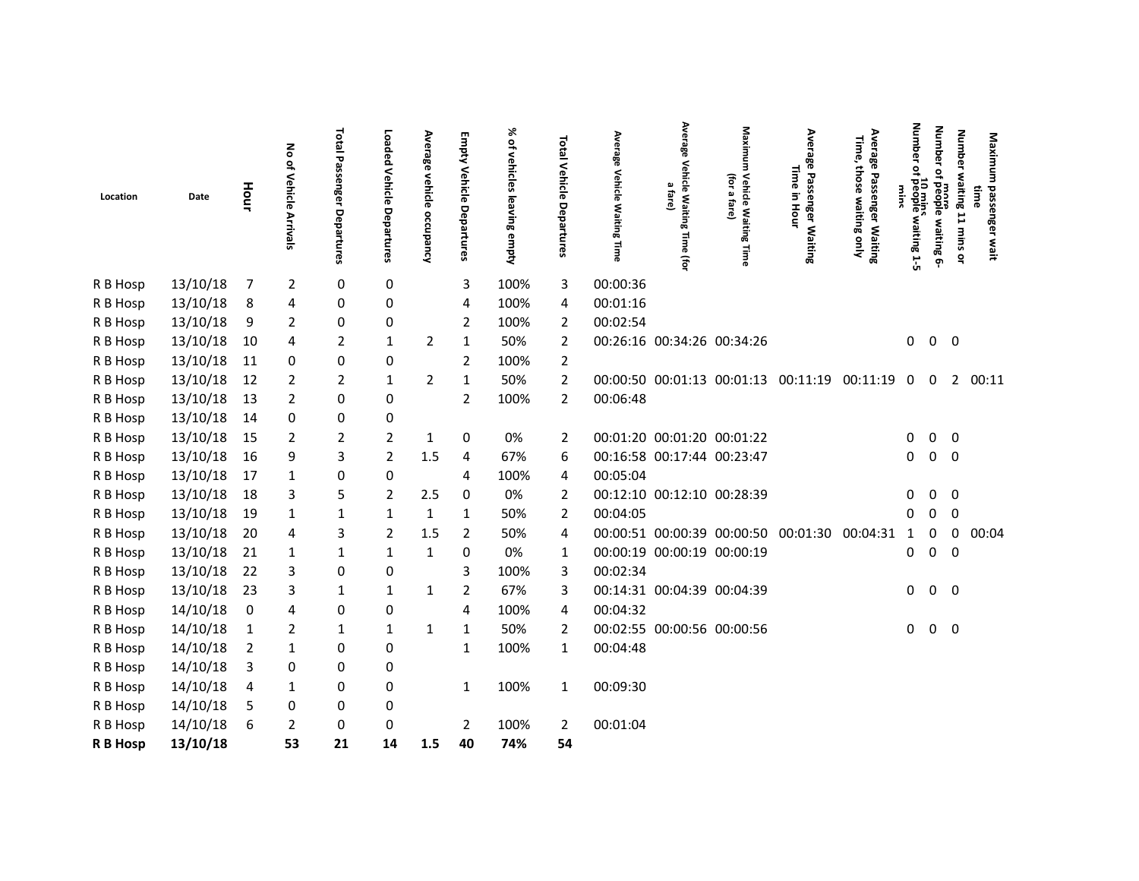| Location | Date     | Hour                    | 종<br>of Vehicle<br>Arrivals | <b>Total Passenger Departures</b> | Loaded<br>Vehicle Departures | Average vehicle occupancy | Empty<br>Vehicle<br>Departures | % of vehicles leaving empty | <b>Total Vehicle Departures</b> | Average<br>Vehicle<br><b>Waiting Time</b> | Average<br>Vehicle Waiting<br>$\pmb{\omega}$<br>fare)<br>Time (for | Maximum<br>(for<br>Vehicle<br>$\pmb{\omega}$<br>fare)<br><b>Waiting Time</b> | Average Passenger Waiting<br>lime<br>Ξ.<br>Hour | Average<br>Time,<br>those<br>Passenger Waiting<br>waiting<br><b>Snly</b> | <b>Number</b><br>٩<br>10 mins<br>people waiting 1-5<br><b>Wins</b> | <b>Number</b><br>$\mathbf{a}$<br>more<br>people waiting 6- | <b>Number</b><br>waiting 11 mins or | Maximum<br>passenger wait<br>time |
|----------|----------|-------------------------|-----------------------------|-----------------------------------|------------------------------|---------------------------|--------------------------------|-----------------------------|---------------------------------|-------------------------------------------|--------------------------------------------------------------------|------------------------------------------------------------------------------|-------------------------------------------------|--------------------------------------------------------------------------|--------------------------------------------------------------------|------------------------------------------------------------|-------------------------------------|-----------------------------------|
| R B Hosp | 13/10/18 | - 7                     | $\overline{2}$              | 0                                 | 0                            |                           | 3                              | 100%                        | 3                               | 00:00:36                                  |                                                                    |                                                                              |                                                 |                                                                          |                                                                    |                                                            |                                     |                                   |
| R B Hosp | 13/10/18 | 8                       | 4                           | 0                                 | 0                            |                           | 4                              | 100%                        | 4                               | 00:01:16                                  |                                                                    |                                                                              |                                                 |                                                                          |                                                                    |                                                            |                                     |                                   |
| R B Hosp | 13/10/18 | 9                       | 2                           | 0                                 | 0                            |                           | $\overline{2}$                 | 100%                        | $\overline{2}$                  | 00:02:54                                  |                                                                    |                                                                              |                                                 |                                                                          |                                                                    |                                                            |                                     |                                   |
| R B Hosp | 13/10/18 | 10                      | 4                           | $\overline{2}$                    | 1                            | 2                         | 1                              | 50%                         | $\overline{2}$                  |                                           |                                                                    | 00:26:16 00:34:26 00:34:26                                                   |                                                 |                                                                          | 0                                                                  | $\mathbf 0$                                                | $\overline{\mathbf{0}}$             |                                   |
| R B Hosp | 13/10/18 | 11                      | 0                           | 0                                 | 0                            |                           | $\overline{2}$                 | 100%                        | $\overline{2}$                  |                                           |                                                                    |                                                                              |                                                 |                                                                          |                                                                    |                                                            |                                     |                                   |
| R B Hosp | 13/10/18 | 12                      | 2                           | $\overline{2}$                    | 1                            | 2                         | 1                              | 50%                         | $\overline{2}$                  |                                           |                                                                    |                                                                              | 00:00:50 00:01:13 00:01:13 00:11:19 00:11:19    |                                                                          | 0                                                                  | 0                                                          | $\overline{2}$                      | 00:11                             |
| R B Hosp | 13/10/18 | 13                      | $\overline{2}$              | 0                                 | 0                            |                           | $\overline{2}$                 | 100%                        | $\overline{2}$                  | 00:06:48                                  |                                                                    |                                                                              |                                                 |                                                                          |                                                                    |                                                            |                                     |                                   |
| R B Hosp | 13/10/18 | 14                      | 0                           | 0                                 | 0                            |                           |                                |                             |                                 |                                           |                                                                    |                                                                              |                                                 |                                                                          |                                                                    |                                                            |                                     |                                   |
| R B Hosp | 13/10/18 | 15                      | $\overline{2}$              | 2                                 | $\overline{2}$               | 1                         | 0                              | 0%                          | 2                               |                                           |                                                                    | 00:01:20 00:01:20 00:01:22                                                   |                                                 |                                                                          | 0                                                                  | 0                                                          | 0                                   |                                   |
| R B Hosp | 13/10/18 | 16                      | 9                           | 3                                 | $\overline{2}$               | 1.5                       | 4                              | 67%                         | 6                               |                                           | 00:16:58 00:17:44 00:23:47                                         |                                                                              |                                                 |                                                                          | 0                                                                  | 0                                                          | $\mathbf 0$                         |                                   |
| R B Hosp | 13/10/18 | 17                      | 1                           | 0                                 | 0                            |                           | 4                              | 100%                        | 4                               | 00:05:04                                  |                                                                    |                                                                              |                                                 |                                                                          |                                                                    |                                                            |                                     |                                   |
| R B Hosp | 13/10/18 | 18                      | 3                           | 5                                 | $\overline{2}$               | 2.5                       | 0                              | 0%                          | $\overline{2}$                  |                                           | 00:12:10 00:12:10 00:28:39                                         |                                                                              |                                                 |                                                                          | 0                                                                  | 0                                                          | $\mathbf 0$                         |                                   |
| R B Hosp | 13/10/18 | 19                      | 1                           | 1                                 | 1                            | 1                         | 1                              | 50%                         | $\overline{2}$                  | 00:04:05                                  |                                                                    |                                                                              |                                                 |                                                                          | Ω                                                                  | 0                                                          | 0                                   |                                   |
| R B Hosp | 13/10/18 | 20                      | 4                           | 3                                 | $\overline{2}$               | 1.5                       | 2                              | 50%                         | 4                               |                                           |                                                                    |                                                                              | 00:00:51 00:00:39 00:00:50 00:01:30             | 00:04:31                                                                 | 1                                                                  | 0                                                          | 0                                   | 00:04                             |
| R B Hosp | 13/10/18 | 21                      | 1                           | $\mathbf{1}$                      | 1                            | 1                         | 0                              | 0%                          | 1                               |                                           | 00:00:19 00:00:19 00:00:19                                         |                                                                              |                                                 |                                                                          | 0                                                                  | 0                                                          | 0                                   |                                   |
| R B Hosp | 13/10/18 | 22                      | 3                           | 0                                 | 0                            |                           | 3                              | 100%                        | 3                               | 00:02:34                                  |                                                                    |                                                                              |                                                 |                                                                          |                                                                    |                                                            |                                     |                                   |
| R B Hosp | 13/10/18 | 23                      | 3                           | $\mathbf{1}$                      | $\mathbf{1}$                 | $\mathbf{1}$              | $\overline{2}$                 | 67%                         | 3                               |                                           | 00:14:31 00:04:39 00:04:39                                         |                                                                              |                                                 |                                                                          | 0                                                                  | $0\quad 0$                                                 |                                     |                                   |
| R B Hosp | 14/10/18 | $\overline{\mathbf{0}}$ | 4                           | 0                                 | 0                            |                           | 4                              | 100%                        | 4                               | 00:04:32                                  |                                                                    |                                                                              |                                                 |                                                                          |                                                                    |                                                            |                                     |                                   |
| R B Hosp | 14/10/18 | $\mathbf{1}$            | 2                           | $\mathbf{1}$                      | 1                            | 1                         | 1                              | 50%                         | $\overline{2}$                  |                                           |                                                                    | 00:02:55 00:00:56 00:00:56                                                   |                                                 |                                                                          | 0                                                                  | $\mathbf 0$                                                | $\overline{\mathbf{0}}$             |                                   |
| R B Hosp | 14/10/18 | $\overline{2}$          | 1                           | 0                                 | 0                            |                           | 1                              | 100%                        | 1                               | 00:04:48                                  |                                                                    |                                                                              |                                                 |                                                                          |                                                                    |                                                            |                                     |                                   |
| R B Hosp | 14/10/18 | 3                       | 0                           | 0                                 | 0                            |                           |                                |                             |                                 |                                           |                                                                    |                                                                              |                                                 |                                                                          |                                                                    |                                                            |                                     |                                   |
| R B Hosp | 14/10/18 | -4                      | 1                           | 0                                 | 0                            |                           | $\mathbf{1}$                   | 100%                        | 1                               | 00:09:30                                  |                                                                    |                                                                              |                                                 |                                                                          |                                                                    |                                                            |                                     |                                   |
| R B Hosp | 14/10/18 | 5                       | 0                           | 0                                 | 0                            |                           |                                |                             |                                 |                                           |                                                                    |                                                                              |                                                 |                                                                          |                                                                    |                                                            |                                     |                                   |
| R B Hosp | 14/10/18 | 6                       | $\overline{2}$              | 0                                 | 0                            |                           | 2                              | 100%                        | $\overline{2}$                  | 00:01:04                                  |                                                                    |                                                                              |                                                 |                                                                          |                                                                    |                                                            |                                     |                                   |
| R B Hosp | 13/10/18 |                         | 53                          | 21                                | 14                           | 1.5                       | 40                             | 74%                         | 54                              |                                           |                                                                    |                                                                              |                                                 |                                                                          |                                                                    |                                                            |                                     |                                   |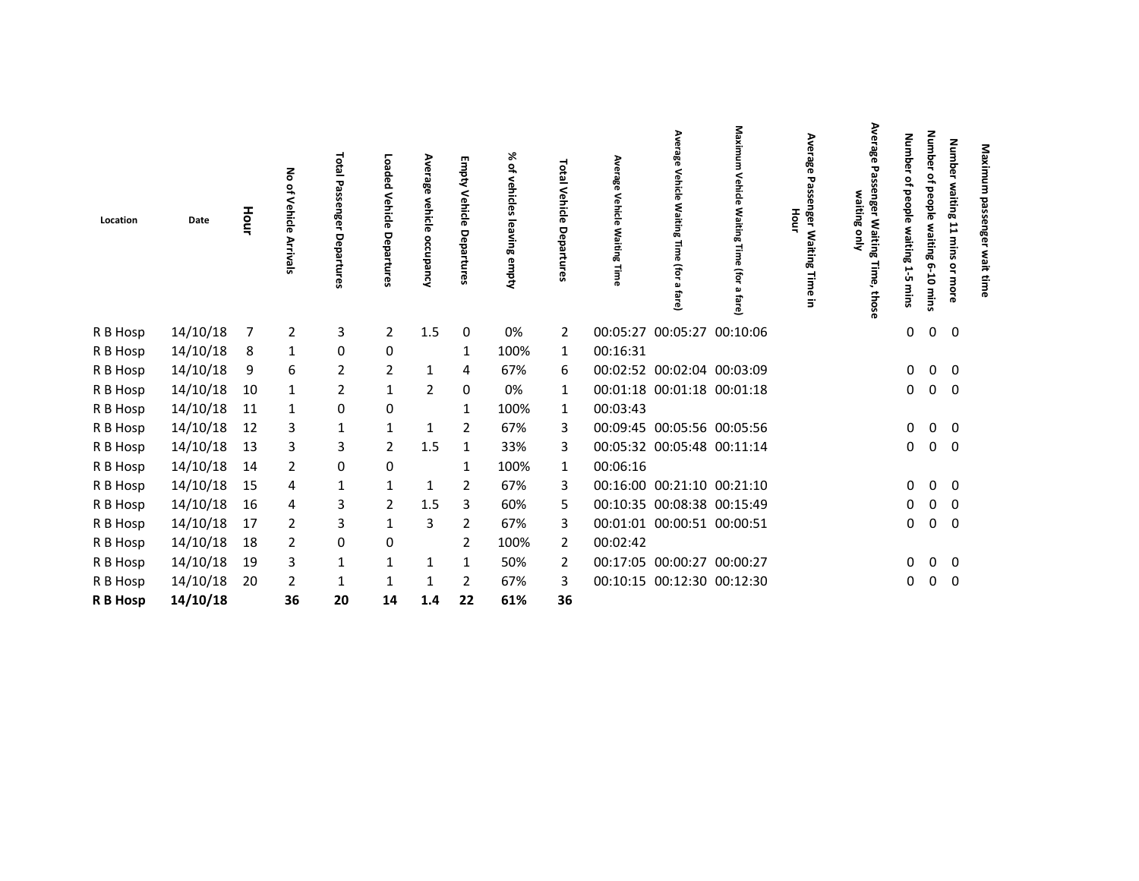| Location | Date     | Hour | 종<br>읶<br>Vehicle<br>Arrivals | <b>Total</b><br>Passe<br>ngel<br>Depa<br><b>Fures</b> | peon<br>6q<br>Vehicle<br>Departures | Average<br>vehicle<br>occupancy | Empty<br>Vehicle<br>Departures | ৯<br>٩<br>vehicles<br>leaving empty | Total<br>Vehicle<br>Departures | Average<br>Vehicle<br><b>Waiting</b><br>Time | Average Vehicle Waiting Time (for a<br>fare) | Maximum<br>Vehicle<br>Waiting<br>Time<br>€<br>fare | Average<br>Passenger Waiting<br>Hour<br>lime<br>Ξ. | Average<br>Passenger Waiting<br>waiting only<br>Time,<br>those | <b>Number</b><br>of people waiting<br>1.5<br>mins | <b>Number</b><br>익<br>people waiting 6-10<br>mins | <b>Number</b><br>waiting<br>11<br>mins<br>$\mathbf{S}$<br>more | Maximum<br>passenger<br>wait time |
|----------|----------|------|-------------------------------|-------------------------------------------------------|-------------------------------------|---------------------------------|--------------------------------|-------------------------------------|--------------------------------|----------------------------------------------|----------------------------------------------|----------------------------------------------------|----------------------------------------------------|----------------------------------------------------------------|---------------------------------------------------|---------------------------------------------------|----------------------------------------------------------------|-----------------------------------|
| R B Hosp | 14/10/18 | 7    | $\overline{2}$                | 3                                                     | $\overline{2}$                      | 1.5                             | 0                              | 0%                                  | $\overline{2}$                 | 00:05:27                                     | 00:05:27 00:10:06                            |                                                    |                                                    |                                                                | 0                                                 | 0                                                 | $\overline{0}$                                                 |                                   |
| R B Hosp | 14/10/18 | 8    | $\mathbf{1}$                  | 0                                                     | 0                                   |                                 | 1                              | 100%                                | 1                              | 00:16:31                                     |                                              |                                                    |                                                    |                                                                |                                                   |                                                   |                                                                |                                   |
| R B Hosp | 14/10/18 | 9    | 6                             | $\overline{2}$                                        | $\overline{2}$                      | $\mathbf{1}$                    | 4                              | 67%                                 | 6                              |                                              | 00:02:52 00:02:04 00:03:09                   |                                                    |                                                    |                                                                | 0                                                 |                                                   | $0\quad 0$                                                     |                                   |
| R B Hosp | 14/10/18 | 10   | $\mathbf{1}$                  | 2                                                     | $\mathbf{1}$                        | $\overline{2}$                  | 0                              | 0%                                  | $\mathbf{1}$                   |                                              | 00:01:18 00:01:18 00:01:18                   |                                                    |                                                    |                                                                | 0                                                 | $\mathbf 0$                                       | 0                                                              |                                   |
| R B Hosp | 14/10/18 | 11   | $\mathbf{1}$                  | 0                                                     | 0                                   |                                 | 1                              | 100%                                | 1                              | 00:03:43                                     |                                              |                                                    |                                                    |                                                                |                                                   |                                                   |                                                                |                                   |
| R B Hosp | 14/10/18 | 12   | 3                             | 1                                                     | 1                                   | 1                               | 2                              | 67%                                 | 3                              |                                              | 00:09:45 00:05:56 00:05:56                   |                                                    |                                                    |                                                                | 0                                                 |                                                   | $0\quad 0$                                                     |                                   |
| R B Hosp | 14/10/18 | 13   | 3                             | 3                                                     | $\overline{2}$                      | 1.5                             | 1                              | 33%                                 | 3                              |                                              | 00:05:32 00:05:48 00:11:14                   |                                                    |                                                    |                                                                | 0                                                 |                                                   | $0\quad 0$                                                     |                                   |
| R B Hosp | 14/10/18 | 14   | $\overline{2}$                | 0                                                     | 0                                   |                                 | 1                              | 100%                                | 1                              | 00:06:16                                     |                                              |                                                    |                                                    |                                                                |                                                   |                                                   |                                                                |                                   |
| R B Hosp | 14/10/18 | 15   | 4                             | 1                                                     | $\mathbf{1}$                        | 1                               | 2                              | 67%                                 | 3                              |                                              | 00:16:00 00:21:10 00:21:10                   |                                                    |                                                    |                                                                | 0                                                 | $\mathbf 0$                                       | - 0                                                            |                                   |
| R B Hosp | 14/10/18 | 16   | 4                             | 3                                                     | $\overline{2}$                      | 1.5                             | 3                              | 60%                                 | 5                              |                                              | 00:10:35 00:08:38 00:15:49                   |                                                    |                                                    |                                                                | 0                                                 | 0                                                 | 0                                                              |                                   |
| R B Hosp | 14/10/18 | 17   | $\overline{2}$                | 3                                                     | 1                                   | 3                               | 2                              | 67%                                 | 3                              |                                              | 00:01:01 00:00:51 00:00:51                   |                                                    |                                                    |                                                                | 0                                                 |                                                   | $0\quad 0$                                                     |                                   |
| R B Hosp | 14/10/18 | 18   | 2                             | 0                                                     | 0                                   |                                 | 2                              | 100%                                | 2                              | 00:02:42                                     |                                              |                                                    |                                                    |                                                                |                                                   |                                                   |                                                                |                                   |
| R B Hosp | 14/10/18 | 19   | 3                             | $\mathbf{1}$                                          | 1                                   | $\mathbf{1}$                    | 1                              | 50%                                 | 2                              |                                              | 00:17:05 00:00:27 00:00:27                   |                                                    |                                                    |                                                                | 0                                                 | $\mathbf 0$                                       | 0                                                              |                                   |
| R B Hosp | 14/10/18 | 20   | $\overline{2}$                | $\mathbf{1}$                                          | 1                                   | 1                               | 2                              | 67%                                 | 3                              |                                              | 00:10:15 00:12:30 00:12:30                   |                                                    |                                                    |                                                                | 0                                                 | 0                                                 | - 0                                                            |                                   |
| R B Hosp | 14/10/18 |      | 36                            | 20                                                    | 14                                  | 1.4                             | 22                             | 61%                                 | 36                             |                                              |                                              |                                                    |                                                    |                                                                |                                                   |                                                   |                                                                |                                   |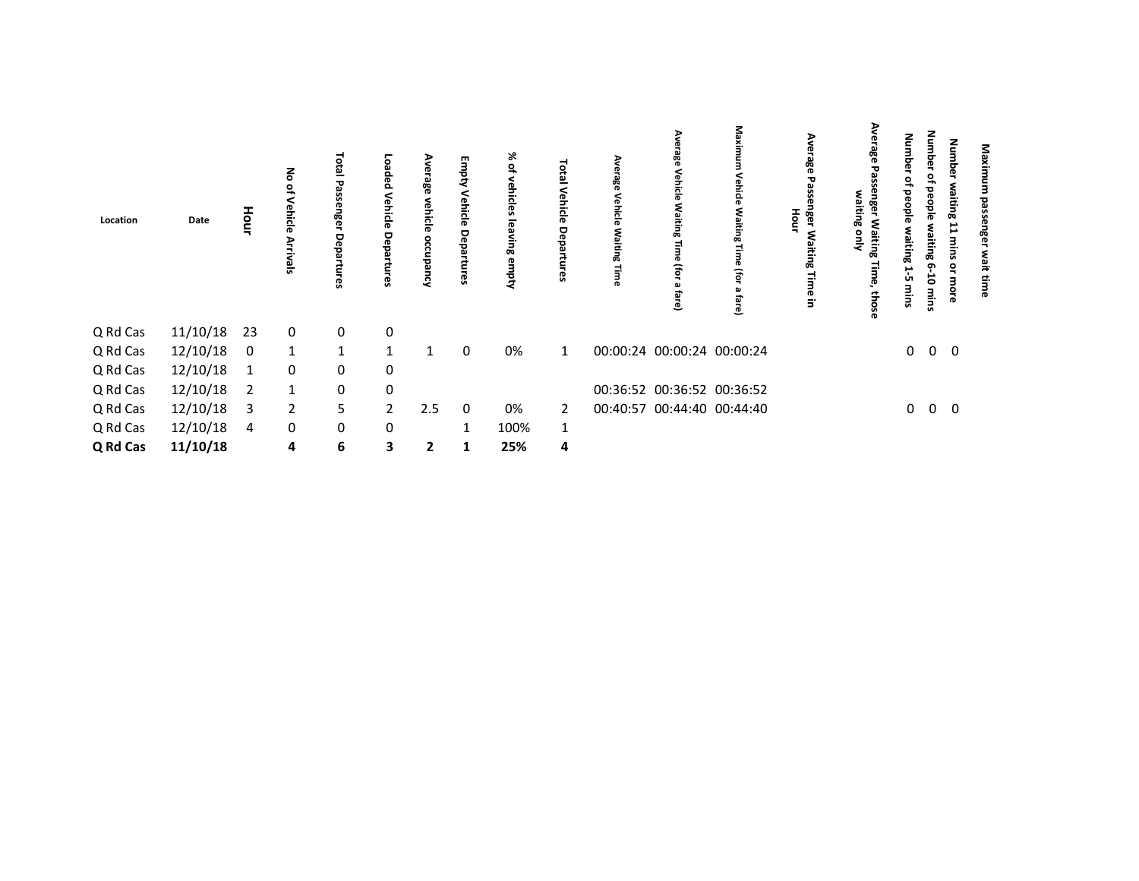| Location | Date     | Hour           | る<br>킁<br>$\overline{a}$<br>چ<br>ᇹ | <b>Total Passenger</b><br>Departures | Loaded<br>Vehicle<br>Departur<br>ဇ္ဟ | ఇ<br>vehi<br>⋖ | Empty<br>Vehicle<br>Departures | % of<br>vehicles<br><b>G</b><br>aving<br>empty | Ο<br>۵j        | ၛႄ<br>Vehicle<br>Waitir<br>σā<br>ō | ၛၟ<br>Vehicle<br>٤g<br>Ē<br>(for<br>ಪ<br>ā | Maxin<br>ehicle<br>Waitin<br>£<br>fare) | Aver<br>o.<br>က္က<br>Hour<br>nger<br>Ger<br>š۶<br>œ<br>Time<br>$\Xi$ | ξ<br>نە<br>ఇ<br>ssenger<br>waiting<br><b>Waiting</b><br>å<br>Time,<br>those | Numbe<br>of people<br>چ<br>و<br>ដូ<br>P<br>ŮΤ<br>mins | <b>Number</b><br>٩<br><b>beople</b><br>٤<br>iting 6<br>៩<br>mins | Number<br>waiting 11<br>mins<br>or more | Maxi<br>g<br>នីទ<br>wait |  |
|----------|----------|----------------|------------------------------------|--------------------------------------|--------------------------------------|----------------|--------------------------------|------------------------------------------------|----------------|------------------------------------|--------------------------------------------|-----------------------------------------|----------------------------------------------------------------------|-----------------------------------------------------------------------------|-------------------------------------------------------|------------------------------------------------------------------|-----------------------------------------|--------------------------|--|
| Q Rd Cas | 11/10/18 | 23             | 0                                  | $\boldsymbol{0}$                     | 0                                    |                |                                |                                                |                |                                    |                                            |                                         |                                                                      |                                                                             |                                                       |                                                                  |                                         |                          |  |
| Q Rd Cas | 12/10/18 | $\overline{0}$ | $\mathbf{1}$                       | $\mathbf{1}$                         | $\mathbf{1}$                         | 1              | 0                              | 0%                                             | $\mathbf{1}$   |                                    | 00:00:24 00:00:24 00:00:24                 |                                         |                                                                      |                                                                             | $\mathbf 0$                                           | $0\quad 0$                                                       |                                         |                          |  |
| Q Rd Cas | 12/10/18 | $\mathbf{1}$   | 0                                  | $\mathbf 0$                          | 0                                    |                |                                |                                                |                |                                    |                                            |                                         |                                                                      |                                                                             |                                                       |                                                                  |                                         |                          |  |
| Q Rd Cas | 12/10/18 | $\overline{2}$ | $\mathbf{1}$                       | $\mathbf 0$                          | 0                                    |                |                                |                                                |                |                                    | 00:36:52 00:36:52 00:36:52                 |                                         |                                                                      |                                                                             |                                                       |                                                                  |                                         |                          |  |
| Q Rd Cas | 12/10/18 | -3             | $\overline{2}$                     | 5                                    | $\overline{2}$                       | 2.5            | $\overline{0}$                 | 0%                                             | $\overline{2}$ |                                    | 00:40:57 00:44:40 00:44:40                 |                                         |                                                                      |                                                                             | $\mathbf{0}$                                          | $0\quad 0$                                                       |                                         |                          |  |
| Q Rd Cas | 12/10/18 | $\overline{4}$ | 0                                  | $\mathbf 0$                          | 0                                    |                | 1                              | 100%                                           | $\mathbf{1}$   |                                    |                                            |                                         |                                                                      |                                                                             |                                                       |                                                                  |                                         |                          |  |
| Q Rd Cas | 11/10/18 |                | 4                                  | $\bf 6$                              | 3                                    | 2              | 1                              | 25%                                            | 4              |                                    |                                            |                                         |                                                                      |                                                                             |                                                       |                                                                  |                                         |                          |  |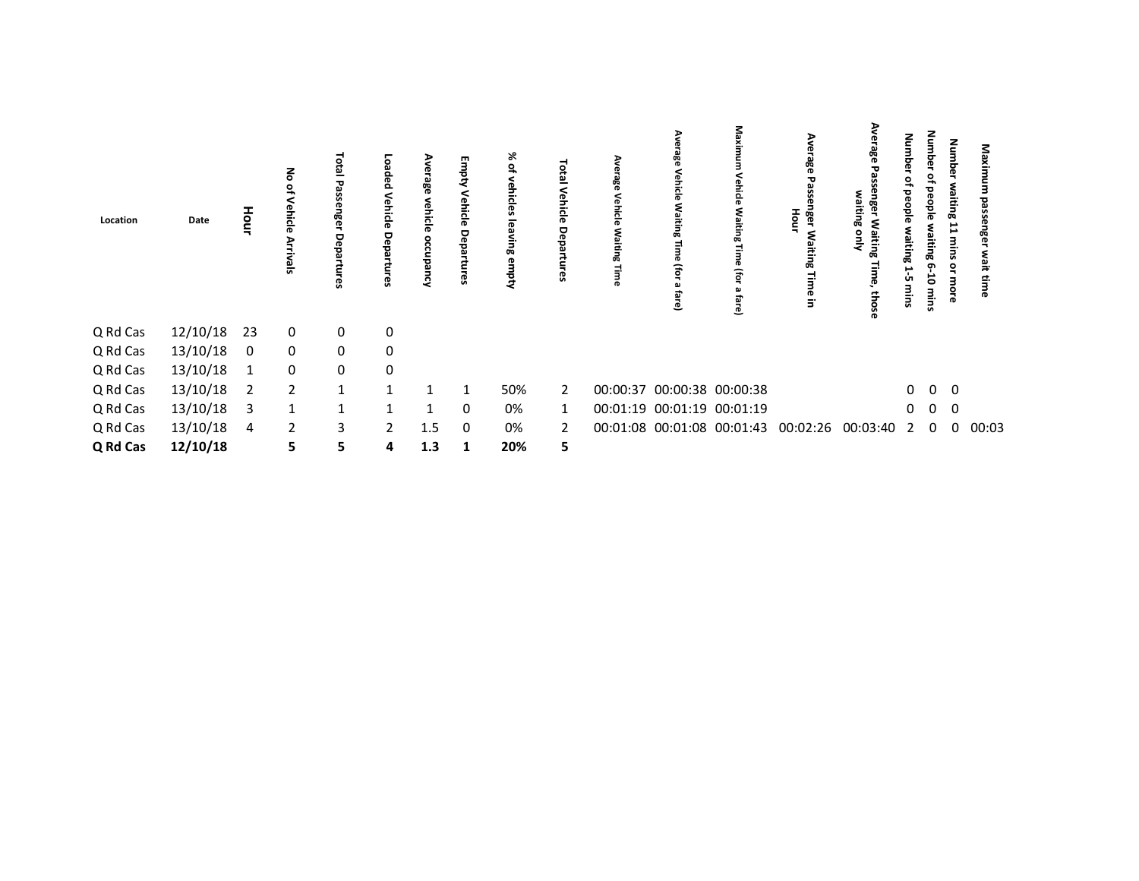| Location | Date     | Hour           | る<br>름<br>$\overline{a}$<br>ธ<br>ᇹ | <b>Total Passen</b><br>eer<br>De<br>ਰੂ<br>rtures | Loaded<br>Vehicle<br>Departur<br>ဇ္ဟ | ≺   | Empty<br>Vehicle<br>Departures | % of<br>vehicles<br><b>G</b><br><b>Ming</b><br>empty |                | Vehicle<br>Waitir<br>σā | Vehicle<br>٤ş<br>Ē<br>(for<br>ಪ<br>ڦ | Maxir<br>ehicle<br>٤ş<br>Ē<br>£<br>fare) | Aver<br>က္က<br>Hour<br>nger<br>E<br>چ<br>œ<br>Time in | ₹<br>ఇ<br>ssenger<br>waiting<br>Waiting<br>号<br>Time,<br>those | Numbe<br>of people<br>ដូ<br>⊢<br>ŮΠ<br>mins | <b>Number</b><br>۽<br>beople<br>Š<br>iting 6<br>ä<br>mins | Number<br>waiting 11 mins<br>or more | ۵g<br>ਨ੍ਹ<br>នីទ<br>wait |
|----------|----------|----------------|------------------------------------|--------------------------------------------------|--------------------------------------|-----|--------------------------------|------------------------------------------------------|----------------|-------------------------|--------------------------------------|------------------------------------------|-------------------------------------------------------|----------------------------------------------------------------|---------------------------------------------|-----------------------------------------------------------|--------------------------------------|--------------------------|
| Q Rd Cas | 12/10/18 | 23             | 0                                  | 0                                                | 0                                    |     |                                |                                                      |                |                         |                                      |                                          |                                                       |                                                                |                                             |                                                           |                                      |                          |
| Q Rd Cas | 13/10/18 | $\mathbf 0$    | $\mathbf 0$                        | $\mathbf 0$                                      | 0                                    |     |                                |                                                      |                |                         |                                      |                                          |                                                       |                                                                |                                             |                                                           |                                      |                          |
| Q Rd Cas | 13/10/18 | $\mathbf{1}$   | 0                                  | $\mathbf 0$                                      | 0                                    |     |                                |                                                      |                |                         |                                      |                                          |                                                       |                                                                |                                             |                                                           |                                      |                          |
| Q Rd Cas | 13/10/18 | $\overline{2}$ | $\overline{2}$                     | $\mathbf{1}$                                     | $\mathbf{1}$                         |     |                                | 50%                                                  | $\overline{2}$ |                         | 00:00:37 00:00:38 00:00:38           |                                          |                                                       |                                                                | $\mathbf{0}$                                | $\overline{0}$                                            | $\overline{\mathbf{0}}$              |                          |
| Q Rd Cas | 13/10/18 | 3              | 1                                  | 1                                                | $\mathbf{1}$                         | 1   | $\mathbf 0$                    | 0%                                                   | 1              |                         | 00:01:19 00:01:19 00:01:19           |                                          |                                                       |                                                                | 0                                           | $\overline{0}$                                            | $\mathbf 0$                          |                          |
| Q Rd Cas | 13/10/18 | -4             | $\overline{2}$                     | 3                                                | $2^{\circ}$                          | 1.5 | $\mathbf 0$                    | 0%                                                   | 2              |                         | 00:01:08 00:01:08 00:01:43           |                                          | 00:02:26                                              | 00:03:40                                                       | 2                                           | $\overline{0}$                                            | $\mathbf 0$                          | 00:03                    |
| Q Rd Cas | 12/10/18 |                | 5                                  | 5                                                | 4                                    | 1.3 | 1                              | 20%                                                  | 5              |                         |                                      |                                          |                                                       |                                                                |                                             |                                                           |                                      |                          |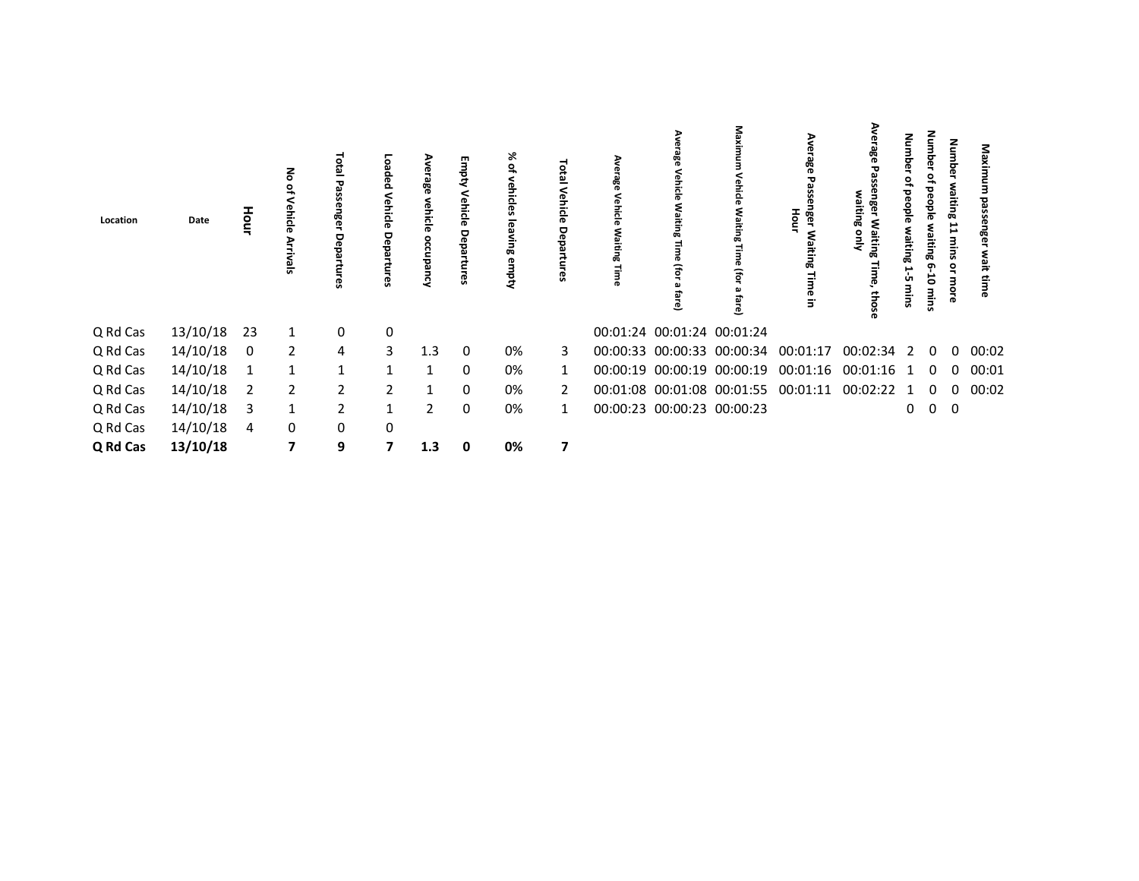| Location | Date     | Hour        | $\overline{a}$<br>Sien  | Total Pa<br>ច្ច<br>78<br>ទី<br>ਠ<br>ၛၟ | paped<br>Vehicle<br>Depa<br><b>G</b> | ъ              | Empty<br>Vehicle<br>Departures | 没<br>vehicles lea<br>Ning<br>empty |   | Vehicle<br>aitir<br>σā | enicle<br>ڡ                | 로<br>흚<br>٤g<br>Ē<br>ਛ<br>ōi<br>₾ | Ave<br>쯩<br>Hour<br><b>Rel</b><br>œ<br>Time | က္က<br>э<br>aitin<br>ఇ<br>Waiting<br>1<br>٩<br>those | guun<br>ō<br>۰<br>people<br>ω<br>iting<br>P<br>ÜП<br>ᆳ | Num<br>۵<br>ఇ<br>beople<br>š<br>iting<br>෨<br>5<br>mins | Numbe<br>waiting<br>⊨<br>sulu<br>$\mathbf{S}$<br>Е<br>۰ | క్ౖ<br>ភ្លើ |  |
|----------|----------|-------------|-------------------------|----------------------------------------|--------------------------------------|----------------|--------------------------------|------------------------------------|---|------------------------|----------------------------|-----------------------------------|---------------------------------------------|------------------------------------------------------|--------------------------------------------------------|---------------------------------------------------------|---------------------------------------------------------|-------------|--|
| Q Rd Cas | 13/10/18 | 23          | 1                       | 0                                      | 0                                    |                |                                |                                    |   |                        | 00:01:24 00:01:24 00:01:24 |                                   |                                             |                                                      |                                                        |                                                         |                                                         |             |  |
| Q Rd Cas | 14/10/18 | 0           | $\overline{2}$          | 4                                      | 3                                    | 1.3            | - 0                            | 0%                                 | 3 |                        |                            |                                   | 00:00:33 00:00:33 00:00:34 00:01:17         | 00:02:34 2                                           |                                                        | -0                                                      | $\Omega$                                                | 00:02       |  |
| Q Rd Cas | 14/10/18 | $\mathbf 1$ | 1                       | $\mathbf{1}$                           |                                      |                | $\mathbf{0}$                   | 0%                                 |   |                        |                            | 00:00:19 00:00:19 00:00:19        | 00:01:16                                    | 00:01:16                                             | -1                                                     | 0                                                       | 0                                                       | 00:01       |  |
| Q Rd Cas | 14/10/18 | -2          | $\overline{2}$          | $\overline{2}$                         | 2                                    |                | $\mathbf 0$                    | 0%                                 | 2 |                        |                            |                                   | 00:01:08 00:01:08 00:01:55 00:01:11         | 00:02:22 1                                           |                                                        | 0                                                       | 0                                                       | 00:02       |  |
| Q Rd Cas | 14/10/18 | -3          | 1                       | 2                                      | 1                                    | $\overline{2}$ | 0                              | 0%                                 | 1 |                        | 00:00:23 00:00:23 00:00:23 |                                   |                                             |                                                      | 0                                                      | $\overline{0}$                                          | $\mathbf 0$                                             |             |  |
| Q Rd Cas | 14/10/18 | 4           | $\mathbf{0}$            | 0                                      | 0                                    |                |                                |                                    |   |                        |                            |                                   |                                             |                                                      |                                                        |                                                         |                                                         |             |  |
| Q Rd Cas | 13/10/18 |             | $\overline{\mathbf{z}}$ | 9                                      | 7                                    | 1.3            | $\mathbf 0$                    | 0%                                 | 7 |                        |                            |                                   |                                             |                                                      |                                                        |                                                         |                                                         |             |  |
|          |          |             |                         |                                        |                                      |                |                                |                                    |   |                        |                            |                                   |                                             |                                                      |                                                        |                                                         |                                                         |             |  |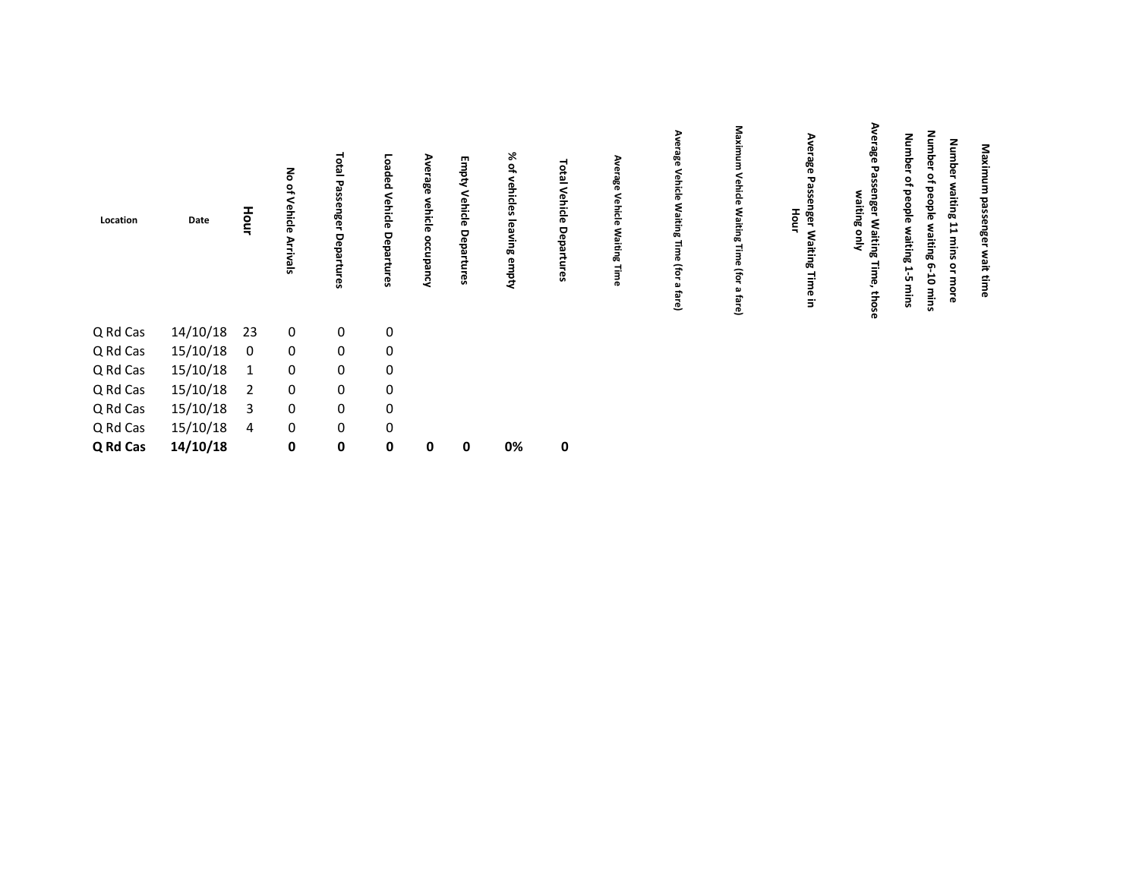| Location | Date     | Hour           | る<br>$\circ$<br>ehic<br>$\overline{0}$<br><b>Arrivals</b> | Total Passenger Departures | Loaded Vehicle Departures | rage<br>vehicle<br>occup<br>š | Empty Vehicle Departures | % of<br>vehicles leaving<br>empty | $\bullet$<br>효<br>Vehicle<br>Depa<br>Ü | Ave<br>age<br>Vehicle<br><b>Waiting</b><br>Time | Ave<br>iage<br>Vehicle<br>Waiting<br>Ē,<br>ወ<br>(for<br>ച<br>fare) | Maxim<br>Vehicle Waiting Time (for<br>മ<br>fare) | Average<br>Passenger Waiting Time in<br>Hour | Average Passenger Waiting<br>waiting<br>Alno<br>Time,<br>those | <b>Number</b><br><b>Number</b><br>Number waiting 11 mins or more<br>of people waiting 6-10<br>of people waiting 1-5 mins<br>mins | Maximum passenger wait time |  |
|----------|----------|----------------|-----------------------------------------------------------|----------------------------|---------------------------|-------------------------------|--------------------------|-----------------------------------|----------------------------------------|-------------------------------------------------|--------------------------------------------------------------------|--------------------------------------------------|----------------------------------------------|----------------------------------------------------------------|----------------------------------------------------------------------------------------------------------------------------------|-----------------------------|--|
| Q Rd Cas | 14/10/18 | 23             | 0                                                         | $\mathbf 0$                | $\mathbf 0$               |                               |                          |                                   |                                        |                                                 |                                                                    |                                                  |                                              |                                                                |                                                                                                                                  |                             |  |
| Q Rd Cas | 15/10/18 | $\mathbf 0$    | $\mathbf 0$                                               | $\mathsf{O}\xspace$        | 0                         |                               |                          |                                   |                                        |                                                 |                                                                    |                                                  |                                              |                                                                |                                                                                                                                  |                             |  |
| Q Rd Cas | 15/10/18 | $\mathbf{1}$   | 0                                                         | 0                          | $\mathbf 0$               |                               |                          |                                   |                                        |                                                 |                                                                    |                                                  |                                              |                                                                |                                                                                                                                  |                             |  |
| Q Rd Cas | 15/10/18 | $\overline{2}$ | 0                                                         | 0                          | $\mathbf 0$               |                               |                          |                                   |                                        |                                                 |                                                                    |                                                  |                                              |                                                                |                                                                                                                                  |                             |  |
| Q Rd Cas | 15/10/18 | 3              | $\mathbf 0$                                               | 0                          | $\mathbf 0$               |                               |                          |                                   |                                        |                                                 |                                                                    |                                                  |                                              |                                                                |                                                                                                                                  |                             |  |
| Q Rd Cas | 15/10/18 | 4              | $\mathbf 0$                                               | $\mathbf 0$                | $\mathbf 0$               |                               |                          |                                   |                                        |                                                 |                                                                    |                                                  |                                              |                                                                |                                                                                                                                  |                             |  |
| Q Rd Cas | 14/10/18 |                | 0                                                         | $\pmb{0}$                  | $\mathbf 0$               | 0                             | 0                        | 0%                                | $\pmb{0}$                              |                                                 |                                                                    |                                                  |                                              |                                                                |                                                                                                                                  |                             |  |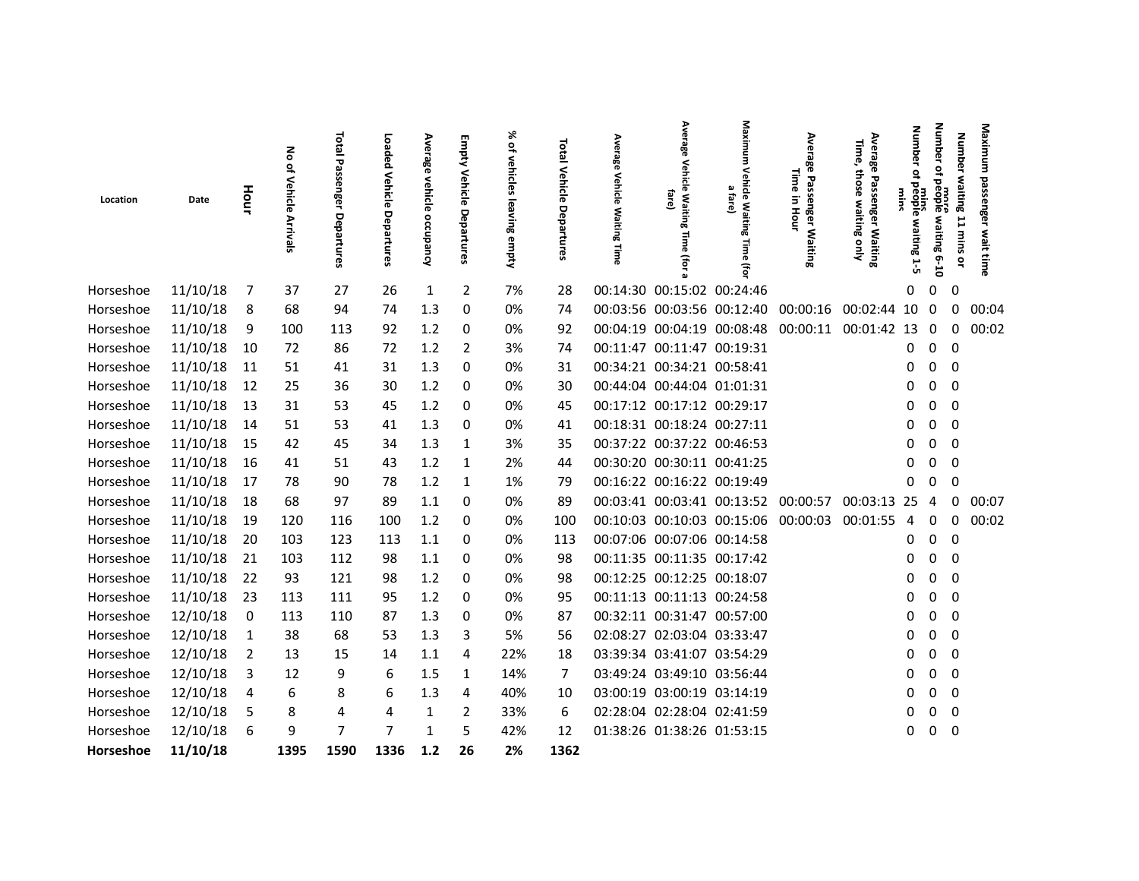| Location               | Date                 | Hour                         | る<br>of Vehicle<br><b>Arrivals</b> | Total<br>Passenger<br>Departures | Loaded<br>Vehicle<br>Departures | Average<br>vehicle<br>occupancy | Empty<br>Vehicle<br>Departures | ৯ৎ<br>$\tilde{\sigma}$<br>vehicles<br>leaving empty | Total Vehicle<br>Departures | Average<br>Vehicle Waiting Time | Average<br>Vehicle Waiting<br>fare)<br>Time<br>(For      | Vehicle Waiting<br>ω<br>fare)<br>Time<br>Э | Ave<br>᠊ᢦ<br>Ō<br>공<br>eer          | Average<br>Time,<br>those<br>Passenger Waiting<br>waiting only | Numb<br>mins<br>People<br>waiting | Number<br>₽<br>ъ<br>more<br>eople waiting<br>$01 - 9$ | <b>Number</b><br>waiting<br>$\overline{1}$<br>sulu | Maximum<br>passenger<br>wait tim |
|------------------------|----------------------|------------------------------|------------------------------------|----------------------------------|---------------------------------|---------------------------------|--------------------------------|-----------------------------------------------------|-----------------------------|---------------------------------|----------------------------------------------------------|--------------------------------------------|-------------------------------------|----------------------------------------------------------------|-----------------------------------|-------------------------------------------------------|----------------------------------------------------|----------------------------------|
| Horseshoe              | 11/10/18             | - 7                          | 37                                 | 27                               | 26                              | 1                               | $\overline{2}$                 | 7%                                                  | 28                          |                                 | 00:14:30 00:15:02 00:24:46                               |                                            |                                     |                                                                | 0                                 | 0                                                     | 0                                                  |                                  |
| Horseshoe              | 11/10/18             | -8                           | 68                                 | 94                               | 74                              | 1.3                             | 0                              | 0%                                                  | 74                          |                                 |                                                          |                                            | 00:03:56 00:03:56 00:12:40 00:00:16 | 00:02:44                                                       | 10                                | - 0                                                   | 0                                                  | 00:04                            |
| Horseshoe              | 11/10/18             | 9                            | 100                                | 113                              | 92                              | 1.2                             | 0                              | 0%                                                  | 92                          |                                 |                                                          | 00:04:19 00:04:19 00:08:48                 | 00:00:11 00:01:42                   |                                                                | 13                                | $\overline{0}$                                        | 0                                                  | 00:02                            |
| Horseshoe              | 11/10/18             | - 10                         | 72                                 | 86                               | 72                              | 1.2                             | 2                              | 3%                                                  | 74                          |                                 | 00:11:47 00:11:47 00:19:31                               |                                            |                                     |                                                                | 0                                 | 0                                                     | 0                                                  |                                  |
| Horseshoe              | 11/10/18 11          |                              | 51                                 | 41                               | 31                              | 1.3                             | 0                              | 0%                                                  | 31                          |                                 | 00:34:21 00:34:21 00:58:41                               |                                            |                                     |                                                                | 0                                 | $\mathbf 0$                                           | 0                                                  |                                  |
| Horseshoe              | 11/10/18             | - 12                         | 25                                 | 36                               | 30                              | 1.2                             | 0                              | 0%                                                  | 30                          |                                 | 00:44:04 00:44:04 01:01:31                               |                                            |                                     |                                                                | 0                                 | $\mathbf{0}$                                          | $\Omega$                                           |                                  |
| Horseshoe              | 11/10/18             | 13                           | 31                                 | 53                               | 45                              | 1.2                             | 0                              | 0%                                                  | 45                          |                                 | 00:17:12 00:17:12 00:29:17                               |                                            |                                     |                                                                | 0                                 | $\mathbf 0$                                           | $\Omega$                                           |                                  |
| Horseshoe              | 11/10/18             | 14                           | 51                                 | 53                               | 41                              | 1.3                             | 0                              | 0%                                                  | 41                          |                                 | 00:18:31 00:18:24 00:27:11                               |                                            |                                     |                                                                | 0                                 | 0                                                     | 0                                                  |                                  |
| Horseshoe              | 11/10/18             | 15                           | 42                                 | 45                               | 34                              | 1.3                             | 1                              | 3%                                                  | 35                          |                                 | 00:37:22 00:37:22 00:46:53                               |                                            |                                     |                                                                | 0                                 | $\mathbf 0$                                           | 0                                                  |                                  |
| Horseshoe              | 11/10/18             | - 16                         | 41                                 | 51                               | 43                              | 1.2                             | 1                              | 2%                                                  | 44                          |                                 | 00:30:20 00:30:11 00:41:25                               |                                            |                                     |                                                                | 0                                 | 0                                                     | 0                                                  |                                  |
| Horseshoe              | 11/10/18             | 17                           | 78                                 | 90                               | 78                              | 1.2                             | 1                              | 1%                                                  | 79                          |                                 | 00:16:22 00:16:22 00:19:49                               |                                            |                                     |                                                                | 0                                 | 0                                                     | 0                                                  |                                  |
| Horseshoe              | 11/10/18 18          |                              | 68                                 | 97                               | 89                              | 1.1                             | 0                              | 0%                                                  | 89                          |                                 |                                                          |                                            | 00:03:41 00:03:41 00:13:52 00:00:57 | 00:03:13 25                                                    |                                   | 4                                                     | 0                                                  | 00:07                            |
| Horseshoe              | 11/10/18             | 19                           | 120                                | 116                              | 100                             | 1.2                             | 0                              | 0%                                                  | 100                         |                                 |                                                          |                                            | 00:10:03 00:10:03 00:15:06 00:00:03 | 00:01:55                                                       | 4                                 | 0                                                     | 0                                                  | 00:02                            |
| Horseshoe              | 11/10/18             | - 20                         | 103                                | 123                              | 113                             | 1.1                             | 0                              | 0%                                                  | 113                         |                                 | 00:07:06 00:07:06 00:14:58                               |                                            |                                     |                                                                | 0                                 | $\mathbf 0$                                           | $\mathbf 0$                                        |                                  |
| Horseshoe              | 11/10/18             | 21                           | 103                                | 112                              | 98                              | 1.1                             | 0                              | 0%                                                  | 98                          |                                 |                                                          | 00:11:35 00:11:35 00:17:42                 |                                     |                                                                | 0                                 | $\mathbf 0$                                           | 0                                                  |                                  |
| Horseshoe              | 11/10/18 22          |                              | 93                                 | 121                              | 98                              | 1.2                             | 0                              | 0%                                                  | 98                          |                                 | 00:12:25 00:12:25 00:18:07                               |                                            |                                     |                                                                | 0                                 | 0                                                     | $\Omega$                                           |                                  |
| Horseshoe              | 11/10/18             | 23                           | 113                                | 111                              | 95                              | 1.2                             | 0                              | 0%                                                  | 95                          |                                 |                                                          | 00:11:13 00:11:13 00:24:58                 |                                     |                                                                | 0                                 | 0                                                     | 0                                                  |                                  |
| Horseshoe              | 12/10/18             | 0                            | 113                                | 110                              | 87                              | 1.3                             | 0                              | 0%                                                  | 87                          |                                 | 00:32:11 00:31:47 00:57:00                               |                                            |                                     |                                                                | 0                                 | $\mathbf 0$                                           | $\mathbf 0$                                        |                                  |
| Horseshoe<br>Horseshoe | 12/10/18<br>12/10/18 | -1                           | 38                                 | 68                               | 53                              | 1.3                             | 3<br>4                         | 5%                                                  | 56                          |                                 | 02:08:27 02:03:04 03:33:47<br>03:39:34 03:41:07 03:54:29 |                                            |                                     |                                                                | 0<br>0                            | 0<br>0                                                | 0<br>0                                             |                                  |
|                        | 12/10/18             | $\overline{2}$               | 13                                 | 15                               | 14                              | 1.1                             |                                | 22%                                                 | 18                          |                                 | 03:49:24 03:49:10 03:56:44                               |                                            |                                     |                                                                | 0                                 | 0                                                     | 0                                                  |                                  |
| Horseshoe              | 12/10/18             | $\overline{\mathbf{3}}$<br>4 | 12<br>6                            | 9<br>8                           | 6<br>6                          | 1.5<br>1.3                      | 1<br>4                         | 14%<br>40%                                          | 7<br>10                     |                                 | 03:00:19 03:00:19 03:14:19                               |                                            |                                     |                                                                | O                                 | $\mathbf 0$                                           | $\Omega$                                           |                                  |
| Horseshoe<br>Horseshoe | 12/10/18             | 5                            | 8                                  | 4                                | 4                               | 1                               | $\overline{2}$                 | 33%                                                 | 6                           |                                 | 02:28:04 02:28:04 02:41:59                               |                                            |                                     |                                                                | 0                                 | $\mathbf 0$                                           | 0                                                  |                                  |
| Horseshoe              | 12/10/18             | -6                           | 9                                  | $\overline{7}$                   | 7                               |                                 | 5                              | 42%                                                 | 12                          |                                 | 01:38:26 01:38:26 01:53:15                               |                                            |                                     |                                                                | 0                                 | 0                                                     | $\boldsymbol{0}$                                   |                                  |
| Horseshoe              | 11/10/18             |                              | 1395                               | 1590                             | 1336                            | 1.2                             | 26                             | 2%                                                  | 1362                        |                                 |                                                          |                                            |                                     |                                                                |                                   |                                                       |                                                    |                                  |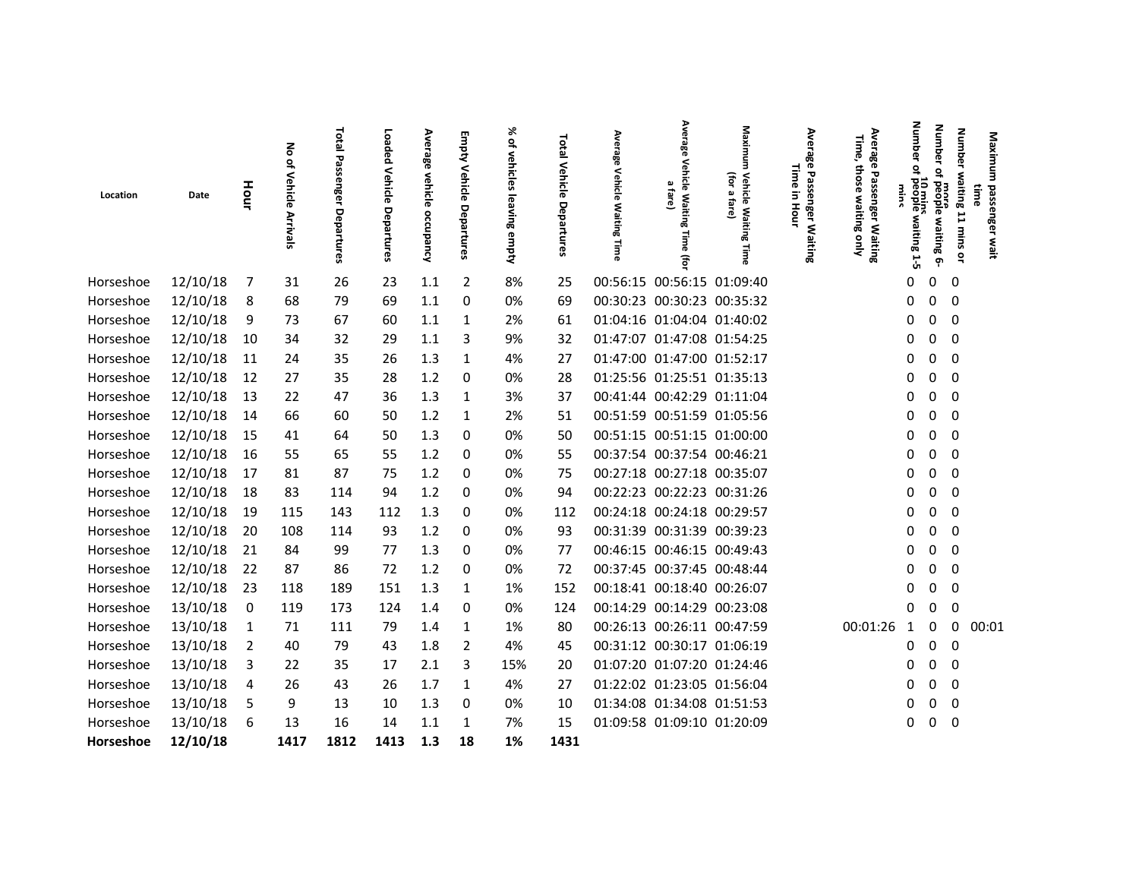|           |          |      | る                             | Total                         | Loaded                | Average              | Empty                 | X,                              |                                    | Averal                                 | Average                                     | Maximum                                        | Ave                                                                           | Average<br>Time,                        | Number                             | <b>Number</b>                  | <b>Number</b>              |                              |
|-----------|----------|------|-------------------------------|-------------------------------|-----------------------|----------------------|-----------------------|---------------------------------|------------------------------------|----------------------------------------|---------------------------------------------|------------------------------------------------|-------------------------------------------------------------------------------|-----------------------------------------|------------------------------------|--------------------------------|----------------------------|------------------------------|
| Location  | Date     | Hour | of Vehicle<br><b>Arrivals</b> | Passel<br>inger<br>Departures | Vehicle<br>Departures | vehicle<br>occupancy | Vehicle<br>Departures | of vehicles<br>leaving<br>empty | <b>Total Vehicle</b><br>Departures | ఇ<br><b>Vehicle</b><br>Waiting<br>Time | Vehicle Waiting<br>Ø,<br>fare)<br>Time<br>Ĵ | (for<br>Vehicle Waiting<br>Ø.<br>fare)<br>Time | <b>irage</b><br>Time<br>Passenger<br>$\overline{5}$<br>Hour<br><b>Waiting</b> | those waiting only<br>Passenger Waiting | ₽<br>10 mins<br>people waiting 1-5 | ₽<br>more<br>people waiting 6- | waiting 11 mins or<br>time | Maximum<br>passenger<br>wait |
| Horseshoe | 12/10/18 | 7    | 31                            | 26                            | 23                    | 1.1                  | $\overline{2}$        | 8%                              | 25                                 | 00:56:15 00:56:15 01:09:40             |                                             |                                                |                                                                               |                                         | 0                                  | 0                              | 0                          |                              |
| Horseshoe | 12/10/18 | 8    | 68                            | 79                            | 69                    | 1.1                  | 0                     | 0%                              | 69                                 | 00:30:23 00:30:23 00:35:32             |                                             |                                                |                                                                               |                                         | 0                                  | 0                              | $\overline{0}$             |                              |
| Horseshoe | 12/10/18 | 9    | 73                            | 67                            | 60                    | 1.1                  | 1                     | 2%                              | 61                                 | 01:04:16 01:04:04 01:40:02             |                                             |                                                |                                                                               |                                         | 0                                  | 0                              | - 0                        |                              |
| Horseshoe | 12/10/18 | 10   | 34                            | 32                            | 29                    | 1.1                  | 3                     | 9%                              | 32                                 | 01:47:07 01:47:08 01:54:25             |                                             |                                                |                                                                               |                                         | 0                                  | 0                              | - 0                        |                              |
| Horseshoe | 12/10/18 | 11   | 24                            | 35                            | 26                    | 1.3                  | 1                     | 4%                              | 27                                 | 01:47:00 01:47:00 01:52:17             |                                             |                                                |                                                                               |                                         | 0                                  | 0                              | 0                          |                              |
| Horseshoe | 12/10/18 | 12   | 27                            | 35                            | 28                    | 1.2                  | 0                     | 0%                              | 28                                 | 01:25:56 01:25:51 01:35:13             |                                             |                                                |                                                                               |                                         | 0                                  | 0                              | - 0                        |                              |
| Horseshoe | 12/10/18 | 13   | 22                            | 47                            | 36                    | 1.3                  | 1                     | 3%                              | 37                                 | 00:41:44 00:42:29 01:11:04             |                                             |                                                |                                                                               |                                         | 0                                  | 0                              | 0                          |                              |
| Horseshoe | 12/10/18 | 14   | 66                            | 60                            | 50                    | 1.2                  | 1                     | 2%                              | 51                                 | 00:51:59 00:51:59 01:05:56             |                                             |                                                |                                                                               |                                         |                                    | 0                              | 0                          |                              |
| Horseshoe | 12/10/18 | 15   | 41                            | 64                            | 50                    | 1.3                  | 0                     | 0%                              | 50                                 | 00:51:15 00:51:15 01:00:00             |                                             |                                                |                                                                               |                                         | 0                                  | 0                              | 0                          |                              |
| Horseshoe | 12/10/18 | 16   | 55                            | 65                            | 55                    | 1.2                  | 0                     | 0%                              | 55                                 | 00:37:54 00:37:54 00:46:21             |                                             |                                                |                                                                               |                                         | 0                                  | 0                              | 0                          |                              |
| Horseshoe | 12/10/18 | -17  | 81                            | 87                            | 75                    | 1.2                  | 0                     | 0%                              | 75                                 | 00:27:18 00:27:18 00:35:07             |                                             |                                                |                                                                               |                                         | 0                                  | 0                              | 0                          |                              |
| Horseshoe | 12/10/18 | 18   | 83                            | 114                           | 94                    | 1.2                  | 0                     | 0%                              | 94                                 | 00:22:23 00:22:23 00:31:26             |                                             |                                                |                                                                               |                                         |                                    | 0                              | 0                          |                              |
| Horseshoe | 12/10/18 | 19   | 115                           | 143                           | 112                   | 1.3                  | 0                     | 0%                              | 112                                | 00:24:18 00:24:18 00:29:57             |                                             |                                                |                                                                               |                                         |                                    | 0                              | $\Omega$                   |                              |
| Horseshoe | 12/10/18 | 20   | 108                           | 114                           | 93                    | 1.2                  | 0                     | 0%                              | 93                                 | 00:31:39 00:31:39 00:39:23             |                                             |                                                |                                                                               |                                         | 0                                  | 0                              | $\Omega$                   |                              |
| Horseshoe | 12/10/18 | 21   | 84                            | 99                            | 77                    | 1.3                  | 0                     | 0%                              | 77                                 | 00:46:15 00:46:15 00:49:43             |                                             |                                                |                                                                               |                                         | 0                                  | 0                              | 0                          |                              |
| Horseshoe | 12/10/18 | 22   | 87                            | 86                            | 72                    | 1.2                  | 0                     | 0%                              | 72                                 | 00:37:45 00:37:45 00:48:44             |                                             |                                                |                                                                               |                                         | 0                                  | 0                              | 0                          |                              |
| Horseshoe | 12/10/18 | 23   | 118                           | 189                           | 151                   | 1.3                  | 1                     | 1%                              | 152                                | 00:18:41 00:18:40 00:26:07             |                                             |                                                |                                                                               |                                         |                                    | 0                              | 0                          |                              |
| Horseshoe | 13/10/18 | 0    | 119                           | 173                           | 124                   | 1.4                  | 0                     | 0%                              | 124                                | 00:14:29 00:14:29 00:23:08             |                                             |                                                |                                                                               |                                         | O                                  | 0                              | 0                          |                              |
| Horseshoe | 13/10/18 | 1    | 71                            | 111                           | 79                    | 1.4                  | 1                     | 1%                              | 80                                 | 00:26:13 00:26:11 00:47:59             |                                             |                                                |                                                                               | 00:01:26                                | 1                                  | 0                              | 0                          | 00:01                        |
| Horseshoe | 13/10/18 | 2    | 40                            | 79                            | 43                    | 1.8                  | 2                     | 4%                              | 45                                 | 00:31:12 00:30:17 01:06:19             |                                             |                                                |                                                                               |                                         | 0                                  | 0                              | 0                          |                              |
| Horseshoe | 13/10/18 | 3    | 22                            | 35                            | 17                    | 2.1                  | 3                     | 15%                             | 20                                 | 01:07:20 01:07:20 01:24:46             |                                             |                                                |                                                                               |                                         | 0                                  | 0                              | 0                          |                              |
| Horseshoe | 13/10/18 | 4    | 26                            | 43                            | 26                    | 1.7                  | 1                     | 4%                              | 27                                 | 01:22:02 01:23:05 01:56:04             |                                             |                                                |                                                                               |                                         |                                    | 0                              | 0                          |                              |
| Horseshoe | 13/10/18 | 5    | 9                             | 13                            | 10                    | 1.3                  | 0                     | 0%                              | 10                                 | 01:34:08 01:34:08 01:51:53             |                                             |                                                |                                                                               |                                         |                                    | 0                              | 0                          |                              |
| Horseshoe | 13/10/18 | 6    | 13                            | 16                            | 14                    | 1.1                  | 1                     | 7%                              | 15                                 | 01:09:58 01:09:10 01:20:09             |                                             |                                                |                                                                               |                                         | 0                                  | 0                              | $\overline{0}$             |                              |
| Horseshoe | 12/10/18 |      | 1417                          | 1812                          | 1413                  | 1.3                  | 18                    | 1%                              | 1431                               |                                        |                                             |                                                |                                                                               |                                         |                                    |                                |                            |                              |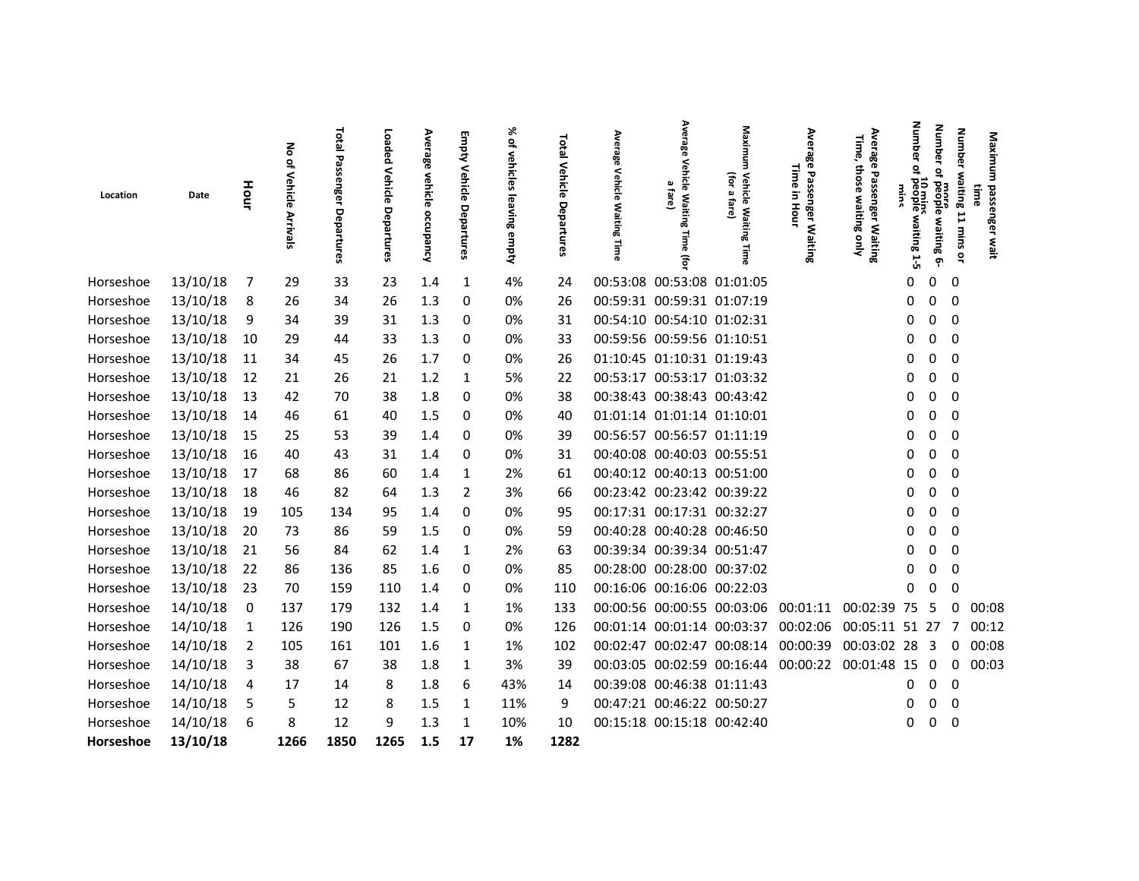|           |          |      | る                      | Total                                | Loaded                | Average              | Empty <sup>'</sup>    | X,                              |                             | Average                    | Average                                    | Maxim                                          | Average                                              | Average<br>Time,                           | dmub                                    | <b>Number</b>                   | <b>Number</b>                                             |  |
|-----------|----------|------|------------------------|--------------------------------------|-----------------------|----------------------|-----------------------|---------------------------------|-----------------------------|----------------------------|--------------------------------------------|------------------------------------------------|------------------------------------------------------|--------------------------------------------|-----------------------------------------|---------------------------------|-----------------------------------------------------------|--|
| Location  | Date     | Hour | of Vehicle<br>Arrivals | ъ<br>SSP.<br>Õ<br>mger<br>Departures | Vehicle<br>Departures | vehicle<br>occupancy | Vehicle<br>Departures | of vehicles<br>leaving<br>empty | Total Vehicle<br>Departures | <b>Vehicle</b><br>Waiting  | Vehicle Waiting<br>മ<br>fare)<br>Time<br>Ŧ | (for<br>Vehicle Waiting<br>ā,<br>fare)<br>Time | Time<br><b>Passenger</b><br>$\Xi$<br>Hour<br>Waiting | those<br>Passenger Waiting<br>waiting only | ğ<br>₽<br>10 mins<br>people waiting 1-5 | ٩,<br>more<br>people waiting 6- | Maximu<br>waiting 11 mins or<br>passenger<br>iime<br>wait |  |
| Horseshoe | 13/10/18 |      | 29                     | 33                                   | 23                    | 1.4                  | 1                     | 4%                              | 24                          | 00:53:08 00:53:08 01:01:05 |                                            |                                                |                                                      |                                            | 0                                       | $\mathbf 0$<br>0                |                                                           |  |
| Horseshoe | 13/10/18 | 8    | 26                     | 34                                   | 26                    | 1.3                  | 0                     | 0%                              | 26                          | 00:59:31 00:59:31 01:07:19 |                                            |                                                |                                                      |                                            | 0                                       | $\mathbf{0}$<br>- 0             |                                                           |  |
| Horseshoe | 13/10/18 | 9    | 34                     | 39                                   | 31                    | 1.3                  | 0                     | 0%                              | 31                          | 00:54:10 00:54:10 01:02:31 |                                            |                                                |                                                      |                                            | 0                                       | 0<br>- 0                        |                                                           |  |
| Horseshoe | 13/10/18 | 10   | 29                     | 44                                   | 33                    | 1.3                  | 0                     | 0%                              | 33                          | 00:59:56 00:59:56 01:10:51 |                                            |                                                |                                                      |                                            | 0                                       | 0<br>0                          |                                                           |  |
| Horseshoe | 13/10/18 | 11   | 34                     | 45                                   | 26                    | 1.7                  | 0                     | 0%                              | 26                          | 01:10:45 01:10:31 01:19:43 |                                            |                                                |                                                      |                                            | 0                                       | 0<br>0                          |                                                           |  |
| Horseshoe | 13/10/18 | 12   | 21                     | 26                                   | 21                    | 1.2                  | 1                     | 5%                              | 22                          | 00:53:17 00:53:17 01:03:32 |                                            |                                                |                                                      |                                            | 0                                       | 0<br>$\overline{\mathbf{0}}$    |                                                           |  |
| Horseshoe | 13/10/18 | 13   | 42                     | 70                                   | 38                    | 1.8                  | 0                     | 0%                              | 38                          | 00:38:43 00:38:43 00:43:42 |                                            |                                                |                                                      |                                            | 0                                       | 0<br>0                          |                                                           |  |
| Horseshoe | 13/10/18 | 14   | 46                     | 61                                   | 40                    | 1.5                  | 0                     | 0%                              | 40                          | 01:01:14 01:01:14 01:10:01 |                                            |                                                |                                                      |                                            | 0                                       | - 0<br>0                        |                                                           |  |
| Horseshoe | 13/10/18 | 15   | 25                     | 53                                   | 39                    | 1.4                  | 0                     | 0%                              | 39                          | 00:56:57 00:56:57 01:11:19 |                                            |                                                |                                                      |                                            | 0                                       | 0<br>0                          |                                                           |  |
| Horseshoe | 13/10/18 | 16   | 40                     | 43                                   | 31                    | 1.4                  | 0                     | 0%                              | 31                          | 00:40:08 00:40:03 00:55:51 |                                            |                                                |                                                      |                                            | 0                                       | 0<br>0                          |                                                           |  |
| Horseshoe | 13/10/18 | 17   | 68                     | 86                                   | 60                    | 1.4                  | 1                     | 2%                              | 61                          | 00:40:12 00:40:13 00:51:00 |                                            |                                                |                                                      |                                            | 0                                       | 0<br>0                          |                                                           |  |
| Horseshoe | 13/10/18 | 18   | 46                     | 82                                   | 64                    | 1.3                  | 2                     | 3%                              | 66                          | 00:23:42 00:23:42 00:39:22 |                                            |                                                |                                                      |                                            | 0                                       | 0<br>0                          |                                                           |  |
| Horseshoe | 13/10/18 | 19   | 105                    | 134                                  | 95                    | 1.4                  | 0                     | 0%                              | 95                          | 00:17:31 00:17:31 00:32:27 |                                            |                                                |                                                      |                                            |                                         | 0<br>0                          |                                                           |  |
| Horseshoe | 13/10/18 | 20   | 73                     | 86                                   | 59                    | 1.5                  | 0                     | 0%                              | 59                          | 00:40:28 00:40:28 00:46:50 |                                            |                                                |                                                      |                                            | O                                       | 0<br>0                          |                                                           |  |
| Horseshoe | 13/10/18 | 21   | 56                     | 84                                   | 62                    | 1.4                  | 1                     | 2%                              | 63                          | 00:39:34 00:39:34 00:51:47 |                                            |                                                |                                                      |                                            |                                         | $\overline{\phantom{0}}$<br>0   |                                                           |  |
| Horseshoe | 13/10/18 | 22   | 86                     | 136                                  | 85                    | 1.6                  | 0                     | 0%                              | 85                          | 00:28:00 00:28:00 00:37:02 |                                            |                                                |                                                      |                                            |                                         | 0<br>0                          |                                                           |  |
| Horseshoe | 13/10/18 | -23  | 70                     | 159                                  | 110                   | 1.4                  | 0                     | 0%                              | 110                         | 00:16:06 00:16:06 00:22:03 |                                            |                                                |                                                      |                                            | O                                       | $\Omega$<br>0                   |                                                           |  |
| Horseshoe | 14/10/18 | 0    | 137                    | 179                                  | 132                   | 1.4                  | 1                     | 1%                              | 133                         |                            |                                            |                                                | 00:00:56 00:00:55 00:03:06 00:01:11                  | 00:02:39 75 5                              |                                         | $\Omega$                        | 00:08                                                     |  |
| Horseshoe | 14/10/18 |      | 126                    | 190                                  | 126                   | 1.5                  | 0                     | 0%                              | 126                         |                            |                                            | 00:01:14 00:01:14 00:03:37 00:02:06            |                                                      | 00:05:11 51 27                             |                                         | 7                               | 00:12                                                     |  |
| Horseshoe | 14/10/18 | 2    | 105                    | 161                                  | 101                   | 1.6                  | 1                     | 1%                              | 102                         |                            |                                            | 00:02:47 00:02:47 00:08:14 00:00:39            |                                                      | 00:03:02 28 3                              |                                         | $\Omega$                        | 00:08                                                     |  |
| Horseshoe | 14/10/18 | 3    | 38                     | 67                                   | 38                    | 1.8                  | 1                     | 3%                              | 39                          |                            |                                            |                                                | 00:03:05 00:02:59 00:16:44 00:00:22                  | 00:01:48 15                                |                                         | - 0<br>0                        | 00:03                                                     |  |
| Horseshoe | 14/10/18 | 4    | 17                     | 14                                   | 8                     | 1.8                  | 6                     | 43%                             | 14                          | 00:39:08 00:46:38 01:11:43 |                                            |                                                |                                                      |                                            | 0                                       | $\overline{\mathbf{0}}$<br>0    |                                                           |  |
| Horseshoe | 14/10/18 | 5    | 5                      | 12                                   | 8                     | 1.5                  | 1                     | 11%                             | 9                           | 00:47:21 00:46:22 00:50:27 |                                            |                                                |                                                      |                                            | 0                                       | 0<br>0                          |                                                           |  |
| Horseshoe | 14/10/18 | 6    | 8                      | 12                                   | 9                     | 1.3                  | 1                     | 10%                             | 10                          | 00:15:18 00:15:18 00:42:40 |                                            |                                                |                                                      |                                            | 0                                       | $\overline{\mathbf{0}}$<br>0    |                                                           |  |
| Horseshoe | 13/10/18 |      | 1266                   | 1850                                 | 1265                  | 1.5                  | 17                    | 1%                              | 1282                        |                            |                                            |                                                |                                                      |                                            |                                         |                                 |                                                           |  |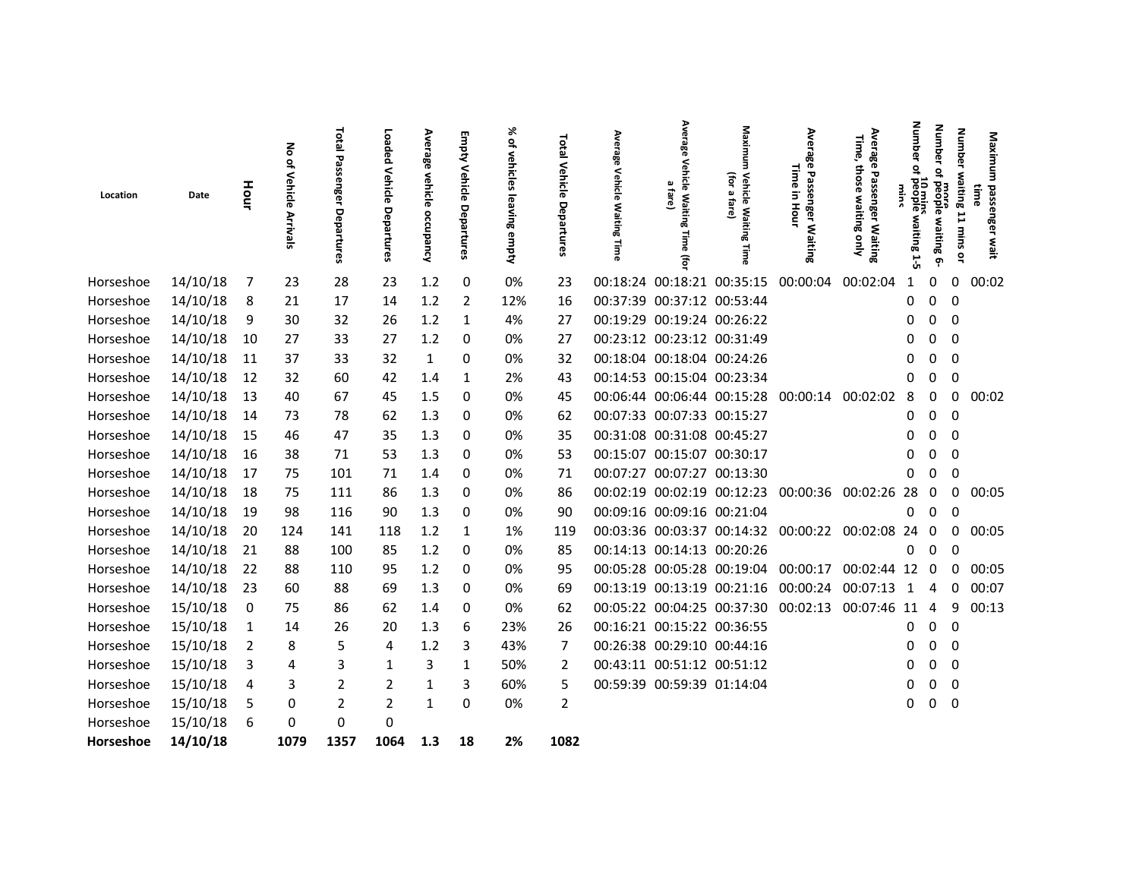|           |             |      | る                      | Total<br>᠊ᠣ<br>SSP.<br>Õ | Loaded                | Average                  | Empty                 | X,<br>of vehicles     | Total Vehicle  | Average                                         | Averag                                          | Maxim<br>Ĵ                                  | Ave<br><b>irage</b><br>Time               | Average<br>Time,<br>those         | dmub<br>፸<br>Չ                | <b>Number</b><br>٩,          | <b>Number</b>            | Maximu                    |  |
|-----------|-------------|------|------------------------|--------------------------|-----------------------|--------------------------|-----------------------|-----------------------|----------------|-------------------------------------------------|-------------------------------------------------|---------------------------------------------|-------------------------------------------|-----------------------------------|-------------------------------|------------------------------|--------------------------|---------------------------|--|
| Location  | Date        | Hour | of Vehicle<br>Arrivals | nger<br>Departures       | Vehicle<br>Departures | vehicle<br>۰<br>ccupancy | Vehicle<br>Departures | <b>Suing</b><br>empty | Departures     | <b>Vehicle</b><br><b>Waiting</b>                | Vehicle Waiting<br>$\pmb{\omega}$<br>fare)<br>F | Vehicle Waitin<br>ā,<br>fare)<br>ōō<br>Time | Passenger<br>$\Xi$<br>Hour<br>§٤<br>iting | Passenger Waiting<br>waiting only | 10 mins<br>people waiting 1-5 | more<br>people waiting<br>Ģ٠ | waiting 11 mins or       | passenger<br>iime<br>wait |  |
| Horseshoe | 14/10/18    | 7    | 23                     | 28                       | 23                    | 1.2                      | 0                     | 0%                    | 23             | 00:18:24 00:18:21 00:35:15                      |                                                 |                                             | 00:00:04                                  | 00:02:04                          | 1                             | 0                            | 0                        | 00:02                     |  |
| Horseshoe | 14/10/18    | 8    | 21                     | 17                       | 14                    | $1.2$                    | 2                     | 12%                   | 16             | 00:37:39 00:37:12 00:53:44                      |                                                 |                                             |                                           |                                   |                               | 0                            | - 0                      |                           |  |
| Horseshoe | 14/10/18    | 9    | 30                     | 32                       | 26                    | 1.2                      | 1                     | 4%                    | 27             | 00:19:29 00:19:24 00:26:22                      |                                                 |                                             |                                           |                                   | 0                             | 0                            | - 0                      |                           |  |
| Horseshoe | 14/10/18    | 10   | 27                     | 33                       | 27                    | 1.2                      | 0                     | 0%                    | 27             | 00:23:12 00:23:12 00:31:49                      |                                                 |                                             |                                           |                                   | 0                             | 0                            | - 0                      |                           |  |
| Horseshoe | 14/10/18    | 11   | 37                     | 33                       | 32                    | 1                        | 0                     | 0%                    | 32             | 00:18:04 00:18:04 00:24:26                      |                                                 |                                             |                                           |                                   | 0                             | 0                            | 0                        |                           |  |
| Horseshoe | 14/10/18    | 12   | 32                     | 60                       | 42                    | 1.4                      | 1                     | 2%                    | 43             | 00:14:53 00:15:04 00:23:34                      |                                                 |                                             |                                           |                                   |                               | 0                            | 0                        |                           |  |
| Horseshoe | 14/10/18    | 13   | 40                     | 67                       | 45                    | 1.5                      | 0                     | 0%                    | 45             | 00:06:44 00:06:44 00:15:28 00:00:14 00:02:02    |                                                 |                                             |                                           |                                   | 8                             | 0                            | 0                        | 00:02                     |  |
| Horseshoe | 14/10/18 14 |      | 73                     | 78                       | 62                    | 1.3                      | 0                     | 0%                    | 62             | 00:07:33 00:07:33 00:15:27                      |                                                 |                                             |                                           |                                   | 0                             | $0\quad 0$                   |                          |                           |  |
| Horseshoe | 14/10/18    | 15   | 46                     | 47                       | 35                    | 1.3                      | 0                     | 0%                    | 35             | 00:31:08 00:31:08 00:45:27                      |                                                 |                                             |                                           |                                   | 0                             | 0                            | - 0                      |                           |  |
| Horseshoe | 14/10/18    | 16   | 38                     | 71                       | 53                    | 1.3                      | 0                     | 0%                    | 53             | 00:15:07 00:15:07 00:30:17                      |                                                 |                                             |                                           |                                   |                               | 0                            | 0                        |                           |  |
| Horseshoe | 14/10/18    | 17   | 75                     | 101                      | 71                    | 1.4                      | 0                     | 0%                    | 71             | 00:07:27 00:07:27 00:13:30                      |                                                 |                                             |                                           |                                   |                               |                              | 0                        |                           |  |
| Horseshoe | 14/10/18    | 18   | 75                     | 111                      | 86                    | 1.3                      | 0                     | 0%                    | 86             | 00:02:19 00:02:19 00:12:23 00:00:36             |                                                 |                                             |                                           | 00:02:26 28                       |                               | 0                            | 0                        | 00:05                     |  |
| Horseshoe | 14/10/18    | 19   | 98                     | 116                      | 90                    | 1.3                      | 0                     | 0%                    | 90             | 00:09:16 00:09:16 00:21:04                      |                                                 |                                             |                                           |                                   | 0                             | 0                            | 0                        |                           |  |
| Horseshoe | 14/10/18    | 20   | 124                    | 141                      | 118                   | 1.2                      | 1                     | 1%                    | 119            | 00:03:36 00:03:37 00:14:32 00:00:22 00:02:08 24 |                                                 |                                             |                                           |                                   |                               | 0                            | 0                        | 00:05                     |  |
| Horseshoe | 14/10/18    | 21   | 88                     | 100                      | 85                    | 1.2                      | 0                     | 0%                    | 85             | 00:14:13 00:14:13 00:20:26                      |                                                 |                                             |                                           |                                   | 0                             | $\Omega$                     | - 0                      |                           |  |
| Horseshoe | 14/10/18    | 22   | 88                     | 110                      | 95                    | 1.2                      | 0                     | 0%                    | 95             | 00:05:28 00:05:28 00:19:04 00:00:17             |                                                 |                                             |                                           | 00:02:44 12 0                     |                               |                              | $\Omega$                 | 00:05                     |  |
| Horseshoe | 14/10/18    | 23   | 60                     | 88                       | 69                    | 1.3                      | 0                     | 0%                    | 69             | 00:13:19 00:13:19 00:21:16 00:00:24             |                                                 |                                             |                                           | 00:07:13 1                        |                               | 4                            |                          | 0 00:07                   |  |
| Horseshoe | 15/10/18    | - 0  | 75                     | 86                       | 62                    | 1.4                      | 0                     | 0%                    | 62             | 00:05:22 00:04:25 00:37:30 00:02:13             |                                                 |                                             |                                           | 00:07:46 11                       |                               | 4                            | 9                        | 00:13                     |  |
| Horseshoe | 15/10/18    | 1    | 14                     | 26                       | 20                    | 1.3                      | 6                     | 23%                   | 26             | 00:16:21 00:15:22 00:36:55                      |                                                 |                                             |                                           |                                   | 0                             | $\mathbf 0$                  | $\overline{\phantom{0}}$ |                           |  |
| Horseshoe | 15/10/18    | 2    | 8                      | 5                        | 4                     | 1.2                      | 3                     | 43%                   |                | 00:26:38 00:29:10 00:44:16                      |                                                 |                                             |                                           |                                   | 0                             | 0                            | 0                        |                           |  |
| Horseshoe | 15/10/18    | 3    | 4                      | 3                        | 1                     | 3                        | 1                     | 50%                   | 2              | 00:43:11 00:51:12 00:51:12                      |                                                 |                                             |                                           |                                   | O                             | 0                            | 0                        |                           |  |
| Horseshoe | 15/10/18    | 4    | 3                      | $\overline{2}$           | 2                     | 1                        | 3                     | 60%                   | 5              | 00:59:39 00:59:39 01:14:04                      |                                                 |                                             |                                           |                                   |                               | 0                            | 0                        |                           |  |
| Horseshoe | 15/10/18    | 5    | 0                      | 2                        | 2                     | 1                        | 0                     | 0%                    | $\overline{2}$ |                                                 |                                                 |                                             |                                           |                                   | 0                             |                              | $0\quad 0$               |                           |  |
| Horseshoe | 15/10/18    | 6    | 0                      | 0                        | 0                     |                          |                       |                       |                |                                                 |                                                 |                                             |                                           |                                   |                               |                              |                          |                           |  |
| Horseshoe | 14/10/18    |      | 1079                   | 1357                     | 1064                  | 1.3                      | 18                    | 2%                    | 1082           |                                                 |                                                 |                                             |                                           |                                   |                               |                              |                          |                           |  |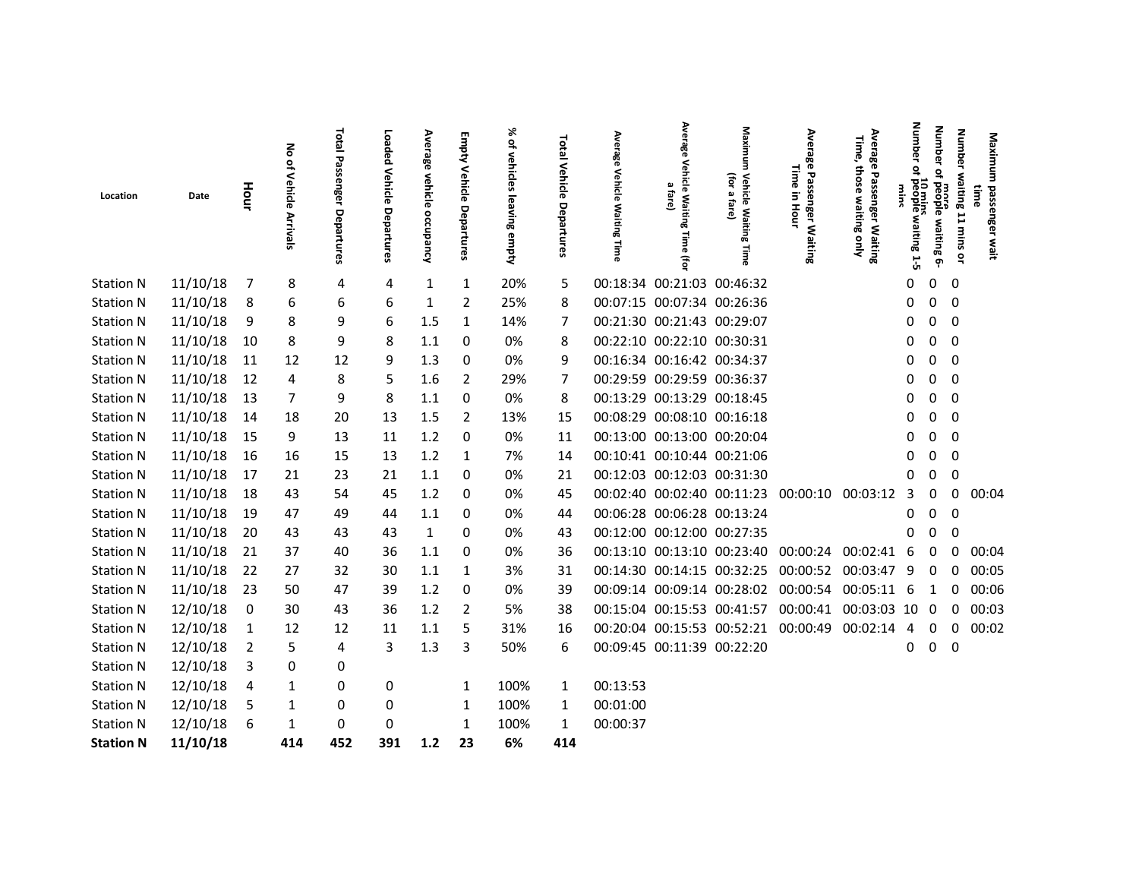| Location         | Date     | Hour                    | 종<br>$\frac{Q}{\sqrt{2}}$<br>Vehicle<br>Arrivals | Total Passenger<br>Departures | Loaded<br><b>Vehicle</b><br>Departures | Average<br>vehicle occupancy | Empty<br>Vehicle<br>Departures | ৯<br>of vehicles<br>leaving empty | <b>Total Vehicle</b><br>Departures | Average<br>Vehicle<br><b>Waiting</b><br>Time | Average<br>Vehicle<br>$\pmb{\omega}$<br>fare<br>Waiting<br><b>Time</b><br>Ĵ. | Maxim<br>€Ē<br>Vehicle Waitin<br>$\pmb{\omega}$<br>fare)<br>œ.<br>Time | Average<br>Time<br>Passenger Waiting<br>Ξ.<br>Hour | Average<br>Time,<br>those<br>Passenger Waiting<br>waiting<br>gnly | Number<br>្ទ<br>10 mins<br>waiting 1-5 | Number<br>$\overline{a}$<br>more<br>people waiting 6- | <b>Number</b><br>waiting 11 mins or<br>awn | Maximu<br>passenger<br>wait |
|------------------|----------|-------------------------|--------------------------------------------------|-------------------------------|----------------------------------------|------------------------------|--------------------------------|-----------------------------------|------------------------------------|----------------------------------------------|------------------------------------------------------------------------------|------------------------------------------------------------------------|----------------------------------------------------|-------------------------------------------------------------------|----------------------------------------|-------------------------------------------------------|--------------------------------------------|-----------------------------|
| <b>Station N</b> | 11/10/18 | $\overline{7}$          | 8                                                | 4                             | 4                                      | 1                            | 1                              | 20%                               | 5                                  |                                              | 00:18:34 00:21:03 00:46:32                                                   |                                                                        |                                                    |                                                                   | 0                                      | 0                                                     | $\mathbf 0$                                |                             |
| <b>Station N</b> | 11/10/18 | 8                       | 6                                                | 6                             | 6                                      | 1                            | $\overline{2}$                 | 25%                               | 8                                  |                                              | 00:07:15 00:07:34 00:26:36                                                   |                                                                        |                                                    |                                                                   | 0                                      | 0                                                     | $\overline{0}$                             |                             |
| <b>Station N</b> | 11/10/18 | 9                       | 8                                                | 9                             | 6                                      | 1.5                          | 1                              | 14%                               | 7                                  | 00:21:30 00:21:43 00:29:07                   |                                                                              |                                                                        |                                                    |                                                                   | O                                      | 0                                                     | 0                                          |                             |
| <b>Station N</b> | 11/10/18 | 10                      | 8                                                | 9                             | 8                                      | 1.1                          | 0                              | 0%                                | 8                                  |                                              | 00:22:10 00:22:10 00:30:31                                                   |                                                                        |                                                    |                                                                   | 0                                      | 0                                                     | $\mathbf 0$                                |                             |
| <b>Station N</b> | 11/10/18 | 11                      | 12                                               | 12                            | 9                                      | 1.3                          | 0                              | 0%                                | 9                                  | 00:16:34 00:16:42 00:34:37                   |                                                                              |                                                                        |                                                    |                                                                   | 0                                      | 0                                                     | $\mathbf{0}$                               |                             |
| <b>Station N</b> | 11/10/18 | 12                      | 4                                                | 8                             | 5                                      | 1.6                          | $\overline{2}$                 | 29%                               | 7                                  | 00:29:59 00:29:59 00:36:37                   |                                                                              |                                                                        |                                                    |                                                                   | 0                                      | 0                                                     | 0                                          |                             |
| <b>Station N</b> | 11/10/18 | 13                      | 7                                                | 9                             | 8                                      | 1.1                          | 0                              | 0%                                | 8                                  | 00:13:29 00:13:29 00:18:45                   |                                                                              |                                                                        |                                                    |                                                                   | 0                                      | 0                                                     | 0                                          |                             |
| <b>Station N</b> | 11/10/18 | 14                      | 18                                               | 20                            | 13                                     | 1.5                          | $\overline{2}$                 | 13%                               | 15                                 | 00:08:29 00:08:10 00:16:18                   |                                                                              |                                                                        |                                                    |                                                                   | 0                                      | 0                                                     | $\mathbf 0$                                |                             |
| <b>Station N</b> | 11/10/18 | 15                      | 9                                                | 13                            | 11                                     | 1.2                          | 0                              | 0%                                | 11                                 |                                              | 00:13:00 00:13:00 00:20:04                                                   |                                                                        |                                                    |                                                                   | 0                                      | 0                                                     | $\mathbf 0$                                |                             |
| <b>Station N</b> | 11/10/18 | 16                      | 16                                               | 15                            | 13                                     | 1.2                          | 1                              | 7%                                | 14                                 | 00:10:41 00:10:44 00:21:06                   |                                                                              |                                                                        |                                                    |                                                                   | O                                      | U                                                     | $\mathbf 0$                                |                             |
| <b>Station N</b> | 11/10/18 | 17                      | 21                                               | 23                            | 21                                     | 1.1                          | 0                              | 0%                                | 21                                 | 00:12:03 00:12:03 00:31:30                   |                                                                              |                                                                        |                                                    |                                                                   | O                                      | 0                                                     | 0                                          |                             |
| <b>Station N</b> | 11/10/18 | 18                      | 43                                               | 54                            | 45                                     | 1.2                          | 0                              | 0%                                | 45                                 |                                              |                                                                              | 00:02:40 00:02:40 00:11:23 00:00:10                                    |                                                    | 00:03:12                                                          | 3                                      |                                                       | 00:04<br>0                                 |                             |
| <b>Station N</b> | 11/10/18 | - 19                    | 47                                               | 49                            | 44                                     | 1.1                          | 0                              | 0%                                | 44                                 |                                              | 00:06:28 00:06:28 00:13:24                                                   |                                                                        |                                                    |                                                                   | 0                                      | 0                                                     | $\overline{\mathbf{0}}$                    |                             |
| <b>Station N</b> | 11/10/18 | - 20                    | 43                                               | 43                            | 43                                     | $\mathbf{1}$                 | 0                              | 0%                                | 43                                 | 00:12:00 00:12:00 00:27:35                   |                                                                              |                                                                        |                                                    |                                                                   | O                                      | 0                                                     | $\Omega$                                   |                             |
| <b>Station N</b> | 11/10/18 | 21                      | 37                                               | 40                            | 36                                     | 1.1                          | 0                              | 0%                                | 36                                 |                                              |                                                                              | 00:13:10 00:13:10 00:23:40 00:00:24                                    |                                                    | 00:02:41 6                                                        |                                        | 0                                                     | 00:04<br>0                                 |                             |
| <b>Station N</b> | 11/10/18 | 22                      | 27                                               | 32                            | 30                                     | 1.1                          | $\mathbf{1}$                   | 3%                                | 31                                 |                                              |                                                                              |                                                                        | 00:14:30 00:14:15 00:32:25 00:00:52 00:03:47       |                                                                   | 9                                      | 0                                                     | 00:05<br>$\mathbf 0$                       |                             |
| <b>Station N</b> | 11/10/18 | - 23                    | 50                                               | 47                            | 39                                     | 1.2                          | 0                              | 0%                                | 39                                 |                                              |                                                                              | 00:09:14 00:09:14 00:28:02 00:00:54                                    |                                                    | 00:05:11 6                                                        |                                        | 1                                                     | 00:06<br>0                                 |                             |
| <b>Station N</b> | 12/10/18 | $\overline{\mathbf{0}}$ | 30                                               | 43                            | 36                                     | 1.2                          | $\overline{2}$                 | 5%                                | 38                                 |                                              |                                                                              |                                                                        | 00:15:04 00:15:53 00:41:57 00:00:41                | 00:03:03 10                                                       |                                        | 0                                                     | 00:03<br>0                                 |                             |
| <b>Station N</b> | 12/10/18 | $\mathbf{1}$            | 12                                               | 12                            | 11                                     | 1.1                          | 5                              | 31%                               | 16                                 |                                              |                                                                              | 00:20:04 00:15:53 00:52:21                                             | 00:00:49                                           | 00:02:14                                                          | 4                                      | 0                                                     | 0<br>00:02                                 |                             |
| <b>Station N</b> | 12/10/18 | 2                       | 5                                                | 4                             | 3                                      | 1.3                          | 3                              | 50%                               | 6                                  |                                              | 00:09:45 00:11:39 00:22:20                                                   |                                                                        |                                                    |                                                                   | 0                                      | 0                                                     | $\mathbf 0$                                |                             |
| <b>Station N</b> | 12/10/18 | 3                       | 0                                                | 0                             |                                        |                              |                                |                                   |                                    |                                              |                                                                              |                                                                        |                                                    |                                                                   |                                        |                                                       |                                            |                             |
| <b>Station N</b> | 12/10/18 | $\overline{4}$          | 1                                                | 0                             | 0                                      |                              | 1                              | 100%                              | 1                                  | 00:13:53                                     |                                                                              |                                                                        |                                                    |                                                                   |                                        |                                                       |                                            |                             |
| <b>Station N</b> | 12/10/18 | 5                       | 1                                                | 0                             | 0                                      |                              | 1                              | 100%                              | 1                                  | 00:01:00                                     |                                                                              |                                                                        |                                                    |                                                                   |                                        |                                                       |                                            |                             |
| <b>Station N</b> | 12/10/18 | 6                       | 1                                                | 0                             | 0                                      |                              | 1                              | 100%                              | 1                                  | 00:00:37                                     |                                                                              |                                                                        |                                                    |                                                                   |                                        |                                                       |                                            |                             |
| <b>Station N</b> | 11/10/18 |                         | 414                                              | 452                           | 391                                    | $1.2$                        | 23                             | 6%                                | 414                                |                                              |                                                                              |                                                                        |                                                    |                                                                   |                                        |                                                       |                                            |                             |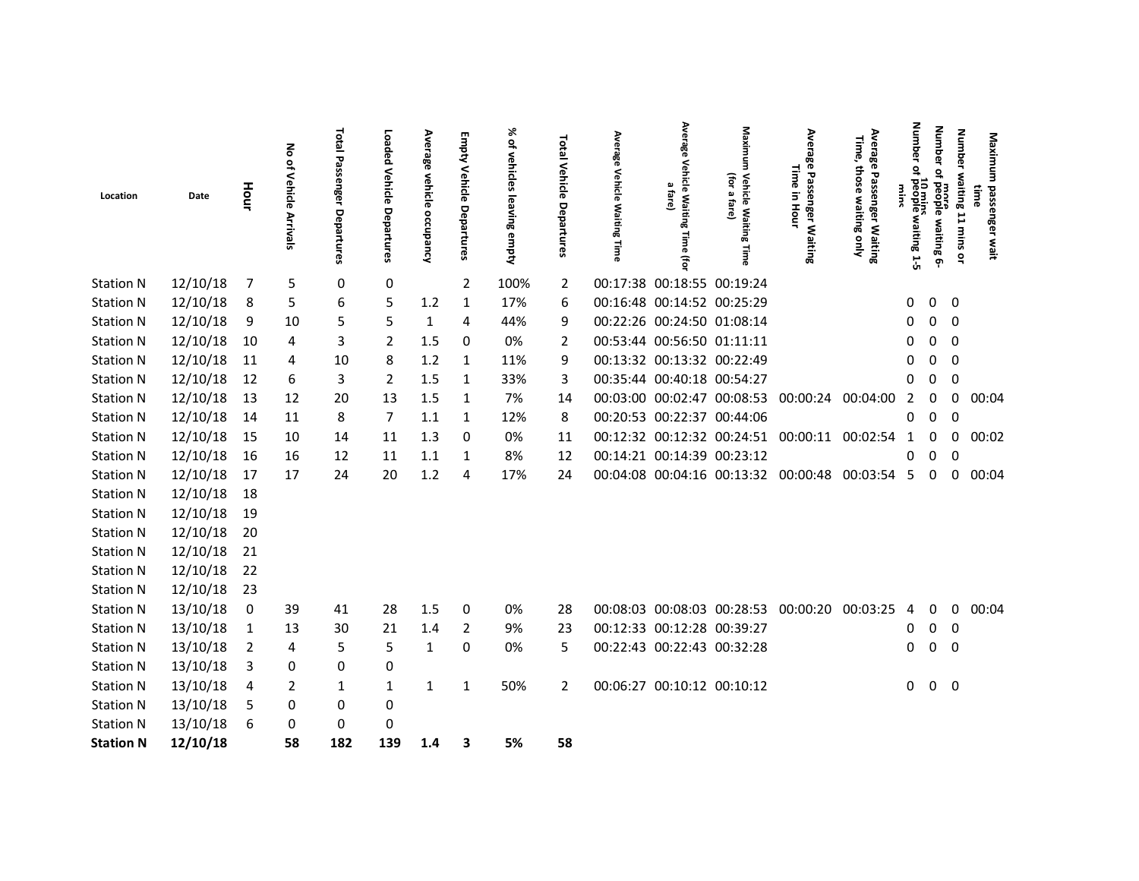| 12/10/18<br>5<br>0<br>0<br>00:17:38 00:18:55 00:19:24<br>$\overline{2}$<br>100%<br>-7<br>2<br>12/10/18<br>00:16:48 00:14:52 00:25:29<br>17%<br>$0\quad 0$<br>8<br>5<br>6<br>5<br>1.2<br>$\mathbf{1}$<br>6<br>0<br>12/10/18<br>00:22:26 00:24:50 01:08:14<br>5<br>5<br>44%<br>$\overline{0}$<br>9<br>10<br>$\mathbf{1}$<br>4<br>9<br>0<br>0<br>12/10/18<br>00:53:44 00:56:50 01:11:11<br>10<br>3<br>2<br>1.5<br>0<br>0%<br>0<br>$\overline{\mathbf{0}}$<br>4<br>0<br>2<br>12/10/18<br>00:13:32 00:13:32 00:22:49<br>11<br>1.2<br>$\mathbf 0$<br>10<br>8<br>1<br>11%<br>9<br>0<br>4<br>12/10/18<br>00:35:44 00:40:18 00:54:27<br>12<br>1.5<br>33%<br>0<br>6<br>3<br>2<br>1<br>3<br>0<br>12/10/18<br>13<br>20<br>1.5<br>$\mathbf{1}$<br>7%<br>00:03:00 00:02:47 00:08:53 00:00:24<br>00:04:00<br>00:04<br>12<br>13<br>14<br>0<br>2<br>0<br>12/10/18<br>8<br>00:20:53 00:22:37 00:44:06<br>$\mathbf 0$<br>14<br>7<br>1.1<br>1<br>8<br>0<br>11<br>12%<br>0<br>12/10/18<br>15<br>$\mathbf 0$<br>0%<br>00:12:32 00:12:32 00:24:51 00:00:11<br>00:02:54<br>00:02<br>10<br>11<br>1.3<br>0<br>14<br>11<br>1<br>0<br>12/10/18<br>00:14:21 00:14:39 00:23:12<br>16<br>8%<br>0<br>16<br>12<br>11<br>1.1<br>1<br>12<br>0<br>12/10/18<br>17<br>20<br>1.2<br>17%<br>00:04:08 00:04:16 00:13:32 00:00:48<br>00:03:54<br>00:04<br>17<br>24<br>24<br>-5<br>0<br>0<br>4<br>12/10/18<br>18<br>12/10/18<br>19<br>12/10/18<br>20<br>12/10/18<br>21<br>12/10/18<br>22<br>12/10/18<br>23<br>13/10/18<br>39<br>1.5<br>0%<br>00:08:03 00:08:03 00:28:53 00:00:20<br>00:03:25<br>00:04<br>0<br>41<br>28<br>0<br>0<br>0<br>28<br>4<br>13/10/18<br>00:12:33 00:12:28 00:39:27<br>9%<br>$0\quad 0$<br>$\overline{1}$<br>13<br>30<br>21<br>1.4<br>2<br>0<br>23<br>13/10/18<br>00:22:43 00:22:43 00:32:28<br>5<br>5<br>0<br>0%<br>5<br>0<br>$\overline{\mathbf{0}}$<br>$\overline{2}$<br>$\mathbf{1}$<br>0<br>4<br>13/10/18<br>0<br>0<br>0<br>-3<br>13/10/18<br>50%<br>00:06:27 00:10:12 00:10:12<br>$0\quad 0$<br>2<br>$\overline{2}$<br>4<br>1<br>1<br>1<br>0<br>1<br>13/10/18<br>5<br>0<br>0<br>0<br>13/10/18<br>0<br>6<br>0<br>0<br>12/10/18<br>58<br>182<br>139<br>5%<br>1.4<br>3<br>58 | Location         | Date | Hour | No of Vehicle<br>Arrivals | <b>Total Passenger Departures</b> | Loaded<br>Vehicle Departures | Average<br>vehicle occupancy | Empty<br>Vehicle Departures | % of vehicles<br>leaving empty | Total Vehicle<br>Departures | Average<br>Vehicle<br><b>Waiting Time</b> | Average<br>Vehicle<br>മ<br>fare]<br>Waiting<br>Time (for | Maxim<br>(for<br>Vehicle Waitin<br>$\mathbf{v}$<br>fare)<br>œ<br>lime | Average<br>Time<br>Passenger Waiting<br>Ξ.<br>Hour | Average<br>Time,<br>those<br>Passenger Waiting<br>waiting only | Number<br>₽<br>10 mins<br>waiting 1-5 | Number<br>$\overline{a}$<br>more<br>people waiting 6- | Number waiting 11 mins or | Maximum<br>passenger wait<br>awr |  |
|-------------------------------------------------------------------------------------------------------------------------------------------------------------------------------------------------------------------------------------------------------------------------------------------------------------------------------------------------------------------------------------------------------------------------------------------------------------------------------------------------------------------------------------------------------------------------------------------------------------------------------------------------------------------------------------------------------------------------------------------------------------------------------------------------------------------------------------------------------------------------------------------------------------------------------------------------------------------------------------------------------------------------------------------------------------------------------------------------------------------------------------------------------------------------------------------------------------------------------------------------------------------------------------------------------------------------------------------------------------------------------------------------------------------------------------------------------------------------------------------------------------------------------------------------------------------------------------------------------------------------------------------------------------------------------------------------------------------------------------------------------------------------------------------------------------------------------------------------------------------------------------------------------------------------------------------------------------------------------------------------------------------------------------------------------------------------------------------------------------------------------------------------------------|------------------|------|------|---------------------------|-----------------------------------|------------------------------|------------------------------|-----------------------------|--------------------------------|-----------------------------|-------------------------------------------|----------------------------------------------------------|-----------------------------------------------------------------------|----------------------------------------------------|----------------------------------------------------------------|---------------------------------------|-------------------------------------------------------|---------------------------|----------------------------------|--|
|                                                                                                                                                                                                                                                                                                                                                                                                                                                                                                                                                                                                                                                                                                                                                                                                                                                                                                                                                                                                                                                                                                                                                                                                                                                                                                                                                                                                                                                                                                                                                                                                                                                                                                                                                                                                                                                                                                                                                                                                                                                                                                                                                             | <b>Station N</b> |      |      |                           |                                   |                              |                              |                             |                                |                             |                                           |                                                          |                                                                       |                                                    |                                                                |                                       |                                                       |                           |                                  |  |
|                                                                                                                                                                                                                                                                                                                                                                                                                                                                                                                                                                                                                                                                                                                                                                                                                                                                                                                                                                                                                                                                                                                                                                                                                                                                                                                                                                                                                                                                                                                                                                                                                                                                                                                                                                                                                                                                                                                                                                                                                                                                                                                                                             | <b>Station N</b> |      |      |                           |                                   |                              |                              |                             |                                |                             |                                           |                                                          |                                                                       |                                                    |                                                                |                                       |                                                       |                           |                                  |  |
|                                                                                                                                                                                                                                                                                                                                                                                                                                                                                                                                                                                                                                                                                                                                                                                                                                                                                                                                                                                                                                                                                                                                                                                                                                                                                                                                                                                                                                                                                                                                                                                                                                                                                                                                                                                                                                                                                                                                                                                                                                                                                                                                                             | <b>Station N</b> |      |      |                           |                                   |                              |                              |                             |                                |                             |                                           |                                                          |                                                                       |                                                    |                                                                |                                       |                                                       |                           |                                  |  |
|                                                                                                                                                                                                                                                                                                                                                                                                                                                                                                                                                                                                                                                                                                                                                                                                                                                                                                                                                                                                                                                                                                                                                                                                                                                                                                                                                                                                                                                                                                                                                                                                                                                                                                                                                                                                                                                                                                                                                                                                                                                                                                                                                             | <b>Station N</b> |      |      |                           |                                   |                              |                              |                             |                                |                             |                                           |                                                          |                                                                       |                                                    |                                                                |                                       |                                                       |                           |                                  |  |
|                                                                                                                                                                                                                                                                                                                                                                                                                                                                                                                                                                                                                                                                                                                                                                                                                                                                                                                                                                                                                                                                                                                                                                                                                                                                                                                                                                                                                                                                                                                                                                                                                                                                                                                                                                                                                                                                                                                                                                                                                                                                                                                                                             | <b>Station N</b> |      |      |                           |                                   |                              |                              |                             |                                |                             |                                           |                                                          |                                                                       |                                                    |                                                                |                                       |                                                       |                           |                                  |  |
|                                                                                                                                                                                                                                                                                                                                                                                                                                                                                                                                                                                                                                                                                                                                                                                                                                                                                                                                                                                                                                                                                                                                                                                                                                                                                                                                                                                                                                                                                                                                                                                                                                                                                                                                                                                                                                                                                                                                                                                                                                                                                                                                                             | <b>Station N</b> |      |      |                           |                                   |                              |                              |                             |                                |                             |                                           |                                                          |                                                                       |                                                    |                                                                |                                       |                                                       |                           |                                  |  |
|                                                                                                                                                                                                                                                                                                                                                                                                                                                                                                                                                                                                                                                                                                                                                                                                                                                                                                                                                                                                                                                                                                                                                                                                                                                                                                                                                                                                                                                                                                                                                                                                                                                                                                                                                                                                                                                                                                                                                                                                                                                                                                                                                             | <b>Station N</b> |      |      |                           |                                   |                              |                              |                             |                                |                             |                                           |                                                          |                                                                       |                                                    |                                                                |                                       |                                                       |                           |                                  |  |
|                                                                                                                                                                                                                                                                                                                                                                                                                                                                                                                                                                                                                                                                                                                                                                                                                                                                                                                                                                                                                                                                                                                                                                                                                                                                                                                                                                                                                                                                                                                                                                                                                                                                                                                                                                                                                                                                                                                                                                                                                                                                                                                                                             | <b>Station N</b> |      |      |                           |                                   |                              |                              |                             |                                |                             |                                           |                                                          |                                                                       |                                                    |                                                                |                                       |                                                       |                           |                                  |  |
|                                                                                                                                                                                                                                                                                                                                                                                                                                                                                                                                                                                                                                                                                                                                                                                                                                                                                                                                                                                                                                                                                                                                                                                                                                                                                                                                                                                                                                                                                                                                                                                                                                                                                                                                                                                                                                                                                                                                                                                                                                                                                                                                                             | <b>Station N</b> |      |      |                           |                                   |                              |                              |                             |                                |                             |                                           |                                                          |                                                                       |                                                    |                                                                |                                       |                                                       |                           |                                  |  |
|                                                                                                                                                                                                                                                                                                                                                                                                                                                                                                                                                                                                                                                                                                                                                                                                                                                                                                                                                                                                                                                                                                                                                                                                                                                                                                                                                                                                                                                                                                                                                                                                                                                                                                                                                                                                                                                                                                                                                                                                                                                                                                                                                             | <b>Station N</b> |      |      |                           |                                   |                              |                              |                             |                                |                             |                                           |                                                          |                                                                       |                                                    |                                                                |                                       |                                                       |                           |                                  |  |
|                                                                                                                                                                                                                                                                                                                                                                                                                                                                                                                                                                                                                                                                                                                                                                                                                                                                                                                                                                                                                                                                                                                                                                                                                                                                                                                                                                                                                                                                                                                                                                                                                                                                                                                                                                                                                                                                                                                                                                                                                                                                                                                                                             | <b>Station N</b> |      |      |                           |                                   |                              |                              |                             |                                |                             |                                           |                                                          |                                                                       |                                                    |                                                                |                                       |                                                       |                           |                                  |  |
|                                                                                                                                                                                                                                                                                                                                                                                                                                                                                                                                                                                                                                                                                                                                                                                                                                                                                                                                                                                                                                                                                                                                                                                                                                                                                                                                                                                                                                                                                                                                                                                                                                                                                                                                                                                                                                                                                                                                                                                                                                                                                                                                                             | <b>Station N</b> |      |      |                           |                                   |                              |                              |                             |                                |                             |                                           |                                                          |                                                                       |                                                    |                                                                |                                       |                                                       |                           |                                  |  |
|                                                                                                                                                                                                                                                                                                                                                                                                                                                                                                                                                                                                                                                                                                                                                                                                                                                                                                                                                                                                                                                                                                                                                                                                                                                                                                                                                                                                                                                                                                                                                                                                                                                                                                                                                                                                                                                                                                                                                                                                                                                                                                                                                             | <b>Station N</b> |      |      |                           |                                   |                              |                              |                             |                                |                             |                                           |                                                          |                                                                       |                                                    |                                                                |                                       |                                                       |                           |                                  |  |
|                                                                                                                                                                                                                                                                                                                                                                                                                                                                                                                                                                                                                                                                                                                                                                                                                                                                                                                                                                                                                                                                                                                                                                                                                                                                                                                                                                                                                                                                                                                                                                                                                                                                                                                                                                                                                                                                                                                                                                                                                                                                                                                                                             | <b>Station N</b> |      |      |                           |                                   |                              |                              |                             |                                |                             |                                           |                                                          |                                                                       |                                                    |                                                                |                                       |                                                       |                           |                                  |  |
|                                                                                                                                                                                                                                                                                                                                                                                                                                                                                                                                                                                                                                                                                                                                                                                                                                                                                                                                                                                                                                                                                                                                                                                                                                                                                                                                                                                                                                                                                                                                                                                                                                                                                                                                                                                                                                                                                                                                                                                                                                                                                                                                                             | <b>Station N</b> |      |      |                           |                                   |                              |                              |                             |                                |                             |                                           |                                                          |                                                                       |                                                    |                                                                |                                       |                                                       |                           |                                  |  |
|                                                                                                                                                                                                                                                                                                                                                                                                                                                                                                                                                                                                                                                                                                                                                                                                                                                                                                                                                                                                                                                                                                                                                                                                                                                                                                                                                                                                                                                                                                                                                                                                                                                                                                                                                                                                                                                                                                                                                                                                                                                                                                                                                             | <b>Station N</b> |      |      |                           |                                   |                              |                              |                             |                                |                             |                                           |                                                          |                                                                       |                                                    |                                                                |                                       |                                                       |                           |                                  |  |
|                                                                                                                                                                                                                                                                                                                                                                                                                                                                                                                                                                                                                                                                                                                                                                                                                                                                                                                                                                                                                                                                                                                                                                                                                                                                                                                                                                                                                                                                                                                                                                                                                                                                                                                                                                                                                                                                                                                                                                                                                                                                                                                                                             | <b>Station N</b> |      |      |                           |                                   |                              |                              |                             |                                |                             |                                           |                                                          |                                                                       |                                                    |                                                                |                                       |                                                       |                           |                                  |  |
|                                                                                                                                                                                                                                                                                                                                                                                                                                                                                                                                                                                                                                                                                                                                                                                                                                                                                                                                                                                                                                                                                                                                                                                                                                                                                                                                                                                                                                                                                                                                                                                                                                                                                                                                                                                                                                                                                                                                                                                                                                                                                                                                                             | <b>Station N</b> |      |      |                           |                                   |                              |                              |                             |                                |                             |                                           |                                                          |                                                                       |                                                    |                                                                |                                       |                                                       |                           |                                  |  |
|                                                                                                                                                                                                                                                                                                                                                                                                                                                                                                                                                                                                                                                                                                                                                                                                                                                                                                                                                                                                                                                                                                                                                                                                                                                                                                                                                                                                                                                                                                                                                                                                                                                                                                                                                                                                                                                                                                                                                                                                                                                                                                                                                             | <b>Station N</b> |      |      |                           |                                   |                              |                              |                             |                                |                             |                                           |                                                          |                                                                       |                                                    |                                                                |                                       |                                                       |                           |                                  |  |
|                                                                                                                                                                                                                                                                                                                                                                                                                                                                                                                                                                                                                                                                                                                                                                                                                                                                                                                                                                                                                                                                                                                                                                                                                                                                                                                                                                                                                                                                                                                                                                                                                                                                                                                                                                                                                                                                                                                                                                                                                                                                                                                                                             | <b>Station N</b> |      |      |                           |                                   |                              |                              |                             |                                |                             |                                           |                                                          |                                                                       |                                                    |                                                                |                                       |                                                       |                           |                                  |  |
|                                                                                                                                                                                                                                                                                                                                                                                                                                                                                                                                                                                                                                                                                                                                                                                                                                                                                                                                                                                                                                                                                                                                                                                                                                                                                                                                                                                                                                                                                                                                                                                                                                                                                                                                                                                                                                                                                                                                                                                                                                                                                                                                                             | <b>Station N</b> |      |      |                           |                                   |                              |                              |                             |                                |                             |                                           |                                                          |                                                                       |                                                    |                                                                |                                       |                                                       |                           |                                  |  |
|                                                                                                                                                                                                                                                                                                                                                                                                                                                                                                                                                                                                                                                                                                                                                                                                                                                                                                                                                                                                                                                                                                                                                                                                                                                                                                                                                                                                                                                                                                                                                                                                                                                                                                                                                                                                                                                                                                                                                                                                                                                                                                                                                             | <b>Station N</b> |      |      |                           |                                   |                              |                              |                             |                                |                             |                                           |                                                          |                                                                       |                                                    |                                                                |                                       |                                                       |                           |                                  |  |
|                                                                                                                                                                                                                                                                                                                                                                                                                                                                                                                                                                                                                                                                                                                                                                                                                                                                                                                                                                                                                                                                                                                                                                                                                                                                                                                                                                                                                                                                                                                                                                                                                                                                                                                                                                                                                                                                                                                                                                                                                                                                                                                                                             | <b>Station N</b> |      |      |                           |                                   |                              |                              |                             |                                |                             |                                           |                                                          |                                                                       |                                                    |                                                                |                                       |                                                       |                           |                                  |  |
|                                                                                                                                                                                                                                                                                                                                                                                                                                                                                                                                                                                                                                                                                                                                                                                                                                                                                                                                                                                                                                                                                                                                                                                                                                                                                                                                                                                                                                                                                                                                                                                                                                                                                                                                                                                                                                                                                                                                                                                                                                                                                                                                                             | <b>Station N</b> |      |      |                           |                                   |                              |                              |                             |                                |                             |                                           |                                                          |                                                                       |                                                    |                                                                |                                       |                                                       |                           |                                  |  |
|                                                                                                                                                                                                                                                                                                                                                                                                                                                                                                                                                                                                                                                                                                                                                                                                                                                                                                                                                                                                                                                                                                                                                                                                                                                                                                                                                                                                                                                                                                                                                                                                                                                                                                                                                                                                                                                                                                                                                                                                                                                                                                                                                             | <b>Station N</b> |      |      |                           |                                   |                              |                              |                             |                                |                             |                                           |                                                          |                                                                       |                                                    |                                                                |                                       |                                                       |                           |                                  |  |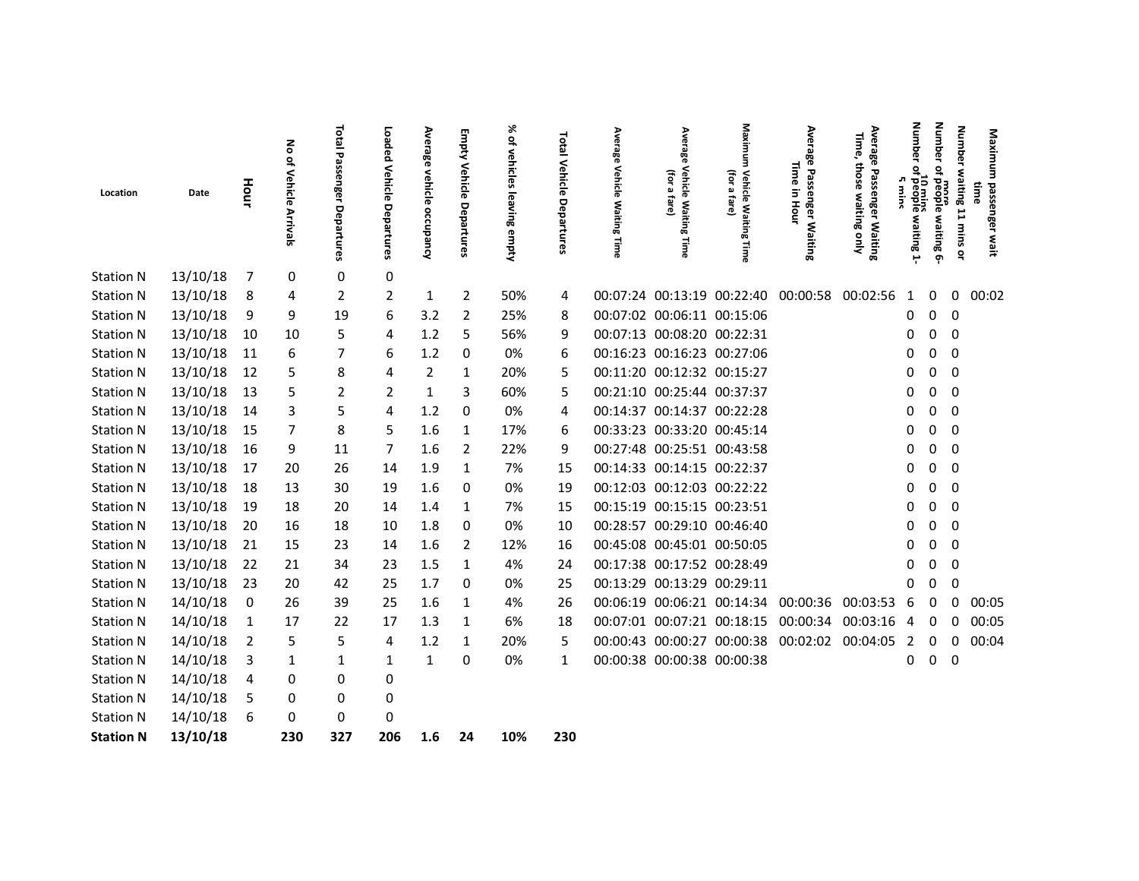|                  |          |                | る                      | Total                   | Loaded                | Average           | Empty              | ℅                            |                                 | Average                    | Average                                                 | Maxim                                                                    | Average                                      | Average<br>量<br>ღ                             | Number                                                   | Number                         | <b>Number</b>           | Maxim                          |  |
|------------------|----------|----------------|------------------------|-------------------------|-----------------------|-------------------|--------------------|------------------------------|---------------------------------|----------------------------|---------------------------------------------------------|--------------------------------------------------------------------------|----------------------------------------------|-----------------------------------------------|----------------------------------------------------------|--------------------------------|-------------------------|--------------------------------|--|
| Location         | Date     | Hour           | of Vehicle<br>Arrivals | Passenger<br>Departures | Vehicle<br>Departures | vehicle occupancy | Vehicle Departures | of vehicles<br>leaving empty | <b>Total Vehicle Departures</b> | Vehicle<br>Waiting<br>Time | Vehicle<br>(for<br>മ<br>fare]<br><b>Waiting</b><br>Time | €Ē<br>Vehicl<br>$\pmb{\omega}$<br>đ,<br>त<br><b>Waiting</b><br>ݹ<br>Time | Time<br>Passenger Waiting<br>2.<br>Hour      | those<br>Passenger Waiting<br>waiting<br>guly | ۰<br>10 mins<br>heople<br>л<br><b>Wind</b><br>waiting 1- | å<br>more<br>people waiting 6- | waiting 11 mins or      | Ē<br>passenger<br>time<br>wait |  |
| <b>Station N</b> | 13/10/18 | - 7            | 0                      | 0                       | 0                     |                   |                    |                              |                                 |                            |                                                         |                                                                          |                                              |                                               |                                                          |                                |                         |                                |  |
| <b>Station N</b> | 13/10/18 | 8              | 4                      | 2                       | $\overline{2}$        | 1                 | $\overline{2}$     | 50%                          | 4                               |                            |                                                         |                                                                          | 00:07:24 00:13:19 00:22:40 00:00:58          | 00:02:56                                      | 1                                                        | 0                              | 0                       | 00:02                          |  |
| <b>Station N</b> | 13/10/18 | 9              | 9                      | 19                      | 6                     | 3.2               | 2                  | 25%                          | 8                               |                            | 00:07:02 00:06:11 00:15:06                              |                                                                          |                                              |                                               | 0                                                        | $\Omega$                       | 0                       |                                |  |
| <b>Station N</b> | 13/10/18 | 10             | 10                     | 5                       | 4                     | 1.2               | 5                  | 56%                          | 9                               |                            | 00:07:13 00:08:20 00:22:31                              |                                                                          |                                              |                                               | 0                                                        | 0                              | 0                       |                                |  |
| <b>Station N</b> | 13/10/18 | 11             | 6                      | 7                       | 6                     | 1.2               | 0                  | 0%                           | 6                               |                            | 00:16:23 00:16:23 00:27:06                              |                                                                          |                                              |                                               | 0                                                        | 0                              | $\mathbf 0$             |                                |  |
| <b>Station N</b> | 13/10/18 | 12             | 5                      | 8                       | 4                     | 2                 | 1                  | 20%                          | 5                               |                            | 00:11:20 00:12:32 00:15:27                              |                                                                          |                                              |                                               | 0                                                        | 0                              | 0                       |                                |  |
| <b>Station N</b> | 13/10/18 | 13             | 5                      | 2                       | 2                     | 1                 | 3                  | 60%                          | 5                               |                            | 00:21:10 00:25:44 00:37:37                              |                                                                          |                                              |                                               | 0                                                        | 0                              | 0                       |                                |  |
| <b>Station N</b> | 13/10/18 | 14             | 3                      | 5                       | 4                     | 1.2               | 0                  | 0%                           | 4                               |                            | 00:14:37 00:14:37 00:22:28                              |                                                                          |                                              |                                               | $\Omega$                                                 | 0                              | 0                       |                                |  |
| <b>Station N</b> | 13/10/18 | 15             | 7                      | 8                       | 5                     | 1.6               | 1                  | 17%                          | 6                               |                            | 00:33:23 00:33:20 00:45:14                              |                                                                          |                                              |                                               | 0                                                        | 0                              | $\mathbf 0$             |                                |  |
| <b>Station N</b> | 13/10/18 | 16             | 9                      | 11                      | 7                     | 1.6               | $\overline{2}$     | 22%                          | 9                               |                            | 00:27:48 00:25:51 00:43:58                              |                                                                          |                                              |                                               | 0                                                        | 0                              | $\mathbf 0$             |                                |  |
| <b>Station N</b> | 13/10/18 | 17             | 20                     | 26                      | 14                    | 1.9               | 1                  | 7%                           | 15                              |                            | 00:14:33 00:14:15 00:22:37                              |                                                                          |                                              |                                               | 0                                                        | 0                              | $\overline{0}$          |                                |  |
| <b>Station N</b> | 13/10/18 | 18             | 13                     | 30                      | 19                    | 1.6               | 0                  | 0%                           | 19                              |                            | 00:12:03 00:12:03 00:22:22                              |                                                                          |                                              |                                               | 0                                                        | 0                              | 0                       |                                |  |
| <b>Station N</b> | 13/10/18 | 19             | 18                     | 20                      | 14                    | 1.4               | 1                  | 7%                           | 15                              |                            | 00:15:19 00:15:15 00:23:51                              |                                                                          |                                              |                                               | 0                                                        | 0                              | 0                       |                                |  |
| <b>Station N</b> | 13/10/18 | 20             | 16                     | 18                      | 10                    | 1.8               | 0                  | 0%                           | 10                              |                            | 00:28:57 00:29:10 00:46:40                              |                                                                          |                                              |                                               | 0                                                        | 0                              | 0                       |                                |  |
| <b>Station N</b> | 13/10/18 | 21             | 15                     | 23                      | 14                    | 1.6               | 2                  | 12%                          | 16                              |                            | 00:45:08 00:45:01 00:50:05                              |                                                                          |                                              |                                               | 0                                                        | 0                              | $\mathbf 0$             |                                |  |
| <b>Station N</b> | 13/10/18 | 22             | 21                     | 34                      | 23                    | 1.5               | $\mathbf{1}$       | 4%                           | 24                              |                            | 00:17:38 00:17:52 00:28:49                              |                                                                          |                                              |                                               |                                                          | 0                              | 0                       |                                |  |
| <b>Station N</b> | 13/10/18 | 23             | 20                     | 42                      | 25                    | 1.7               | $\mathbf 0$        | 0%                           | 25                              |                            | 00:13:29 00:13:29 00:29:11                              |                                                                          |                                              |                                               |                                                          | 0                              | $\Omega$                |                                |  |
| <b>Station N</b> | 14/10/18 | - 0            | 26                     | 39                      | 25                    | 1.6               | 1                  | 4%                           | 26                              |                            |                                                         |                                                                          | 00:06:19 00:06:21 00:14:34 00:00:36          | 00:03:53                                      | 6                                                        | 0                              | 0                       | 00:05                          |  |
| <b>Station N</b> | 14/10/18 | $\overline{1}$ | 17                     | 22                      | 17                    | 1.3               | 1                  | 6%                           | 18                              |                            |                                                         | 00:07:01 00:07:21 00:18:15 00:00:34                                      |                                              | 00:03:16                                      | 4                                                        | 0                              | 0                       | 00:05                          |  |
| <b>Station N</b> | 14/10/18 | $\overline{2}$ | 5                      | 5                       | 4                     | 1.2               | 1                  | 20%                          | 5                               |                            |                                                         |                                                                          | 00:00:43 00:00:27 00:00:38 00:02:02 00:04:05 |                                               | 2                                                        | 0                              | 0                       | 00:04                          |  |
| <b>Station N</b> | 14/10/18 | 3              | 1                      | 1                       | 1                     | 1                 | 0                  | 0%                           | 1                               |                            | 00:00:38 00:00:38 00:00:38                              |                                                                          |                                              |                                               | 0                                                        | 0                              | $\overline{\mathbf{0}}$ |                                |  |
| <b>Station N</b> | 14/10/18 | $\overline{4}$ | 0                      | 0                       | 0                     |                   |                    |                              |                                 |                            |                                                         |                                                                          |                                              |                                               |                                                          |                                |                         |                                |  |
| <b>Station N</b> | 14/10/18 | 5              | 0                      | 0                       | 0                     |                   |                    |                              |                                 |                            |                                                         |                                                                          |                                              |                                               |                                                          |                                |                         |                                |  |
| <b>Station N</b> | 14/10/18 | 6              | 0                      | 0                       | 0                     |                   |                    |                              |                                 |                            |                                                         |                                                                          |                                              |                                               |                                                          |                                |                         |                                |  |
| <b>Station N</b> | 13/10/18 |                | 230                    | 327                     | 206                   | 1.6               | 24                 | 10%                          | 230                             |                            |                                                         |                                                                          |                                              |                                               |                                                          |                                |                         |                                |  |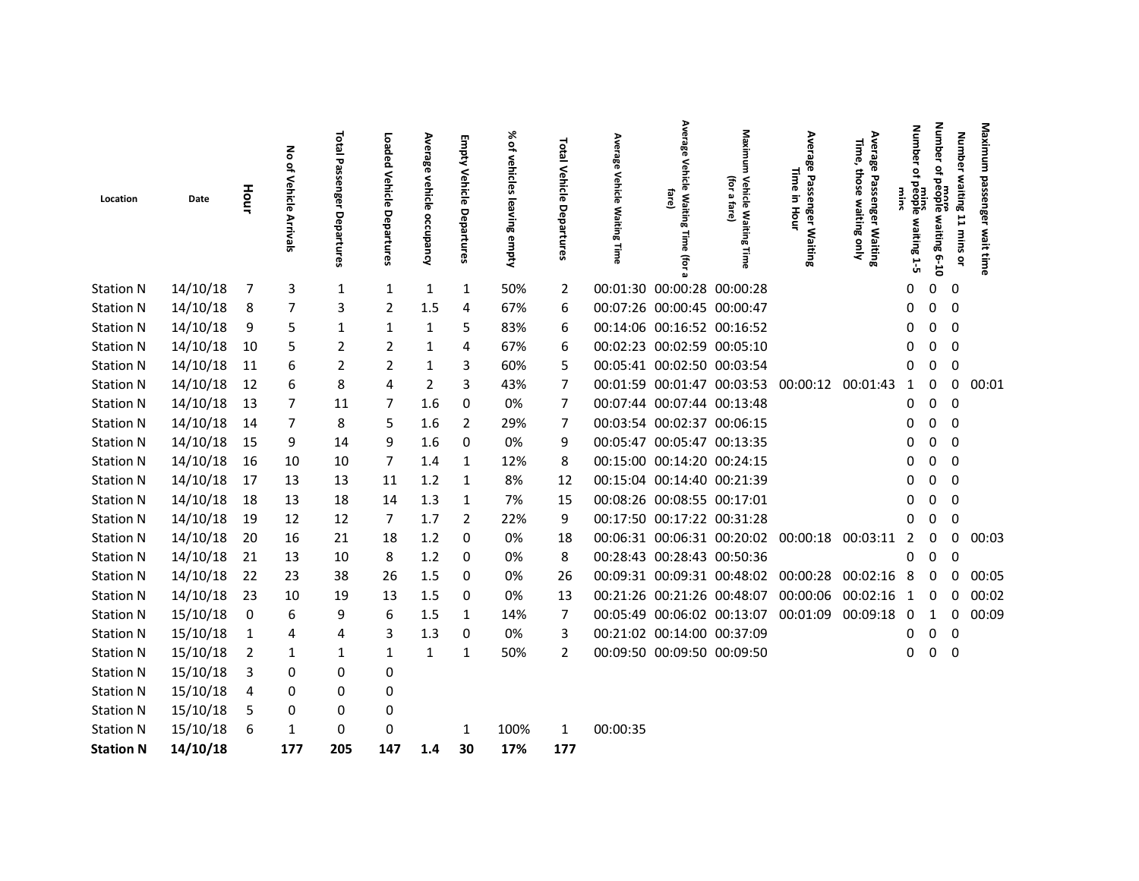| 14/10/18<br>3<br>1<br>1<br>50%<br>00:01:30 00:00:28 00:00:28<br>0<br>0<br>0<br>$\overline{\phantom{0}}$<br>1<br>1<br>2<br>14/10/18<br>3<br>00:07:26 00:00:45 00:00:47<br>0<br>7<br>2<br>1.5<br>4<br>67%<br>0<br>0<br>- 8<br>6<br>14/10/18<br>00:14:06 00:16:52 00:16:52<br>5<br>5<br>83%<br>$\mathbf 0$<br>$\Omega$<br>- 9<br>1<br>1<br>6<br>1<br>14/10/18<br>$\overline{2}$<br>00:02:23 00:02:59 00:05:10<br>5<br>$\overline{2}$<br>4<br>67%<br>10<br>6<br>0<br>0<br>1<br>00:05:41 00:02:50 00:03:54<br>14/10/18<br>11<br>$\overline{2}$<br>$\overline{2}$<br>3<br>60%<br>6<br>1<br>5<br>0<br>0<br>0<br>14/10/18 12<br>8<br>00:01:59 00:01:47 00:03:53 00:00:12 00:01:43<br>6<br>3<br>$\Omega$<br>00:01<br>4<br>2<br>43%<br>7<br>0<br>1<br>14/10/18<br>13<br>0<br>00:07:44 00:07:44 00:13:48<br>$\mathbf 0$<br>7<br>11<br>1.6<br>0%<br>0<br>7<br>7<br>0<br>14/10/18<br>00:03:54 00:02:37 00:06:15<br>8<br>1.6<br>2<br>0<br>14<br>7<br>29%<br>0<br>0<br>5<br>7<br>14/10/18<br>1.6<br>0%<br>00:05:47 00:05:47 00:13:35<br>15<br>9<br>14<br>9<br>0<br>0<br>0<br>9<br>0<br>00:15:00 00:14:20 00:24:15<br>14/10/18<br>$\mathbf 0$<br>16<br>10<br>10<br>7<br>1.4<br>1<br>12%<br>0<br>8<br>0<br>14/10/18<br>1.2<br>8%<br>00:15:04 00:14:40 00:21:39<br>17<br>13<br>13<br>0<br>11<br>1<br>12<br>0<br>00:08:26 00:08:55 00:17:01<br>14/10/18<br>18<br>1.3<br>1<br>7%<br>- 18<br>13<br>14<br>15<br>ŋ<br>0<br>14/10/18<br>12<br>1.7<br>$\overline{2}$<br>00:17:50 00:17:22 00:31:28<br>19<br>12<br>22%<br>9<br>7<br>$\Omega$<br>0<br>0<br>14/10/18<br>1.2<br>0<br>00:06:31 00:06:31 00:20:02 00:00:18 00:03:11<br>20<br>16<br>21<br>18<br>0%<br>0<br>00:03<br>18<br>2<br>0<br>14/10/18<br>00:28:43 00:28:43 00:50:36<br>21<br>10<br>1.2<br>0<br>13<br>8<br>0%<br>8<br>$\Omega$<br>ŋ<br>14/10/18<br>00:09:31 00:09:31 00:48:02 00:00:28 00:02:16<br>22<br>23<br>38<br>1.5<br>00:05<br>26<br>0<br>0%<br>-8<br>0<br>26<br>0<br>14/10/18<br>19<br>1.5<br>00:21:26 00:21:26 00:48:07 00:00:06<br>00:02:16<br>23<br>10<br>13<br>0<br>0%<br>13<br>00:02<br>0<br>1<br>0<br>15/10/18<br>9<br>00:05:49 00:06:02 00:13:07 00:01:09<br>00:09:18<br>6<br>1.5<br>00:09<br>- 0<br>6<br>1<br>14%<br>7<br>- 0<br>$\mathbf{1}$<br>0<br>15/10/18<br>00:21:02 00:14:00 00:37:09<br>0%<br>4<br>1.3<br>0<br>3<br>0<br>0<br>4<br>3<br>0<br>-1<br>15/10/18<br>00:09:50 00:09:50 00:09:50<br>50%<br>0<br>0<br>0<br>1<br>1<br>1<br>2<br>-2<br>1<br>1<br>15/10/18<br>0<br>$\overline{\mathbf{3}}$<br>0<br>0<br>15/10/18<br>0<br>4<br>0<br>0<br>15/10/18<br>0<br>-5<br>0<br>0 | Location         | Date | Hour | る<br>of Vehicle<br>rrivals | <b>Total Passenger Departures</b> | Loaded<br>Vehicle<br>Departures | Average<br>vehicle<br>occupancy | Empty<br>Vehicle<br>Departures | ৯ৎ<br>of vehicles<br>leaving empty | Total Vehicle<br>Departure | Average<br>Vehicle Waiting Time | Average<br><b>Vehicle Waiting</b><br>fare)<br>lime<br>(for | Maximum<br>Vehicle Waiting<br>(for a<br>fare) | Ave<br>œ<br>릝<br>Passen<br>ō<br>Б<br>Hour<br>ត្តិ | Average Passenger Waiting<br>Time,<br>those<br>waiting only | Number<br>people.<br>waiting 1-5 | Number<br>₽<br>more<br>people waiting 6-10 | Number waiting 11 mins<br>å | Maximum<br>passenger<br>wait time |
|-----------------------------------------------------------------------------------------------------------------------------------------------------------------------------------------------------------------------------------------------------------------------------------------------------------------------------------------------------------------------------------------------------------------------------------------------------------------------------------------------------------------------------------------------------------------------------------------------------------------------------------------------------------------------------------------------------------------------------------------------------------------------------------------------------------------------------------------------------------------------------------------------------------------------------------------------------------------------------------------------------------------------------------------------------------------------------------------------------------------------------------------------------------------------------------------------------------------------------------------------------------------------------------------------------------------------------------------------------------------------------------------------------------------------------------------------------------------------------------------------------------------------------------------------------------------------------------------------------------------------------------------------------------------------------------------------------------------------------------------------------------------------------------------------------------------------------------------------------------------------------------------------------------------------------------------------------------------------------------------------------------------------------------------------------------------------------------------------------------------------------------------------------------------------------------------------------------------------------------------------------------------------------------------------------------------------------------------------------------------------------------------------------------------------------------------------------------------------------------------------------------------------------------------|------------------|------|------|----------------------------|-----------------------------------|---------------------------------|---------------------------------|--------------------------------|------------------------------------|----------------------------|---------------------------------|------------------------------------------------------------|-----------------------------------------------|---------------------------------------------------|-------------------------------------------------------------|----------------------------------|--------------------------------------------|-----------------------------|-----------------------------------|
| <b>Station N</b><br><b>Station N</b><br><b>Station N</b><br><b>Station N</b><br><b>Station N</b><br><b>Station N</b><br><b>Station N</b><br><b>Station N</b><br><b>Station N</b><br><b>Station N</b><br><b>Station N</b><br><b>Station N</b><br><b>Station N</b><br><b>Station N</b><br><b>Station N</b><br><b>Station N</b><br><b>Station N</b><br><b>Station N</b><br><b>Station N</b><br><b>Station N</b><br><b>Station N</b><br><b>Station N</b>                                                                                                                                                                                                                                                                                                                                                                                                                                                                                                                                                                                                                                                                                                                                                                                                                                                                                                                                                                                                                                                                                                                                                                                                                                                                                                                                                                                                                                                                                                                                                                                                                                                                                                                                                                                                                                                                                                                                                                                                                                                                                    | <b>Station N</b> |      |      |                            |                                   |                                 |                                 |                                |                                    |                            |                                 |                                                            |                                               |                                                   |                                                             |                                  |                                            |                             |                                   |
|                                                                                                                                                                                                                                                                                                                                                                                                                                                                                                                                                                                                                                                                                                                                                                                                                                                                                                                                                                                                                                                                                                                                                                                                                                                                                                                                                                                                                                                                                                                                                                                                                                                                                                                                                                                                                                                                                                                                                                                                                                                                                                                                                                                                                                                                                                                                                                                                                                                                                                                                         |                  |      |      |                            |                                   |                                 |                                 |                                |                                    |                            |                                 |                                                            |                                               |                                                   |                                                             |                                  |                                            |                             |                                   |
|                                                                                                                                                                                                                                                                                                                                                                                                                                                                                                                                                                                                                                                                                                                                                                                                                                                                                                                                                                                                                                                                                                                                                                                                                                                                                                                                                                                                                                                                                                                                                                                                                                                                                                                                                                                                                                                                                                                                                                                                                                                                                                                                                                                                                                                                                                                                                                                                                                                                                                                                         |                  |      |      |                            |                                   |                                 |                                 |                                |                                    |                            |                                 |                                                            |                                               |                                                   |                                                             |                                  |                                            |                             |                                   |
|                                                                                                                                                                                                                                                                                                                                                                                                                                                                                                                                                                                                                                                                                                                                                                                                                                                                                                                                                                                                                                                                                                                                                                                                                                                                                                                                                                                                                                                                                                                                                                                                                                                                                                                                                                                                                                                                                                                                                                                                                                                                                                                                                                                                                                                                                                                                                                                                                                                                                                                                         |                  |      |      |                            |                                   |                                 |                                 |                                |                                    |                            |                                 |                                                            |                                               |                                                   |                                                             |                                  |                                            |                             |                                   |
|                                                                                                                                                                                                                                                                                                                                                                                                                                                                                                                                                                                                                                                                                                                                                                                                                                                                                                                                                                                                                                                                                                                                                                                                                                                                                                                                                                                                                                                                                                                                                                                                                                                                                                                                                                                                                                                                                                                                                                                                                                                                                                                                                                                                                                                                                                                                                                                                                                                                                                                                         |                  |      |      |                            |                                   |                                 |                                 |                                |                                    |                            |                                 |                                                            |                                               |                                                   |                                                             |                                  |                                            |                             |                                   |
|                                                                                                                                                                                                                                                                                                                                                                                                                                                                                                                                                                                                                                                                                                                                                                                                                                                                                                                                                                                                                                                                                                                                                                                                                                                                                                                                                                                                                                                                                                                                                                                                                                                                                                                                                                                                                                                                                                                                                                                                                                                                                                                                                                                                                                                                                                                                                                                                                                                                                                                                         |                  |      |      |                            |                                   |                                 |                                 |                                |                                    |                            |                                 |                                                            |                                               |                                                   |                                                             |                                  |                                            |                             |                                   |
|                                                                                                                                                                                                                                                                                                                                                                                                                                                                                                                                                                                                                                                                                                                                                                                                                                                                                                                                                                                                                                                                                                                                                                                                                                                                                                                                                                                                                                                                                                                                                                                                                                                                                                                                                                                                                                                                                                                                                                                                                                                                                                                                                                                                                                                                                                                                                                                                                                                                                                                                         |                  |      |      |                            |                                   |                                 |                                 |                                |                                    |                            |                                 |                                                            |                                               |                                                   |                                                             |                                  |                                            |                             |                                   |
|                                                                                                                                                                                                                                                                                                                                                                                                                                                                                                                                                                                                                                                                                                                                                                                                                                                                                                                                                                                                                                                                                                                                                                                                                                                                                                                                                                                                                                                                                                                                                                                                                                                                                                                                                                                                                                                                                                                                                                                                                                                                                                                                                                                                                                                                                                                                                                                                                                                                                                                                         |                  |      |      |                            |                                   |                                 |                                 |                                |                                    |                            |                                 |                                                            |                                               |                                                   |                                                             |                                  |                                            |                             |                                   |
|                                                                                                                                                                                                                                                                                                                                                                                                                                                                                                                                                                                                                                                                                                                                                                                                                                                                                                                                                                                                                                                                                                                                                                                                                                                                                                                                                                                                                                                                                                                                                                                                                                                                                                                                                                                                                                                                                                                                                                                                                                                                                                                                                                                                                                                                                                                                                                                                                                                                                                                                         |                  |      |      |                            |                                   |                                 |                                 |                                |                                    |                            |                                 |                                                            |                                               |                                                   |                                                             |                                  |                                            |                             |                                   |
|                                                                                                                                                                                                                                                                                                                                                                                                                                                                                                                                                                                                                                                                                                                                                                                                                                                                                                                                                                                                                                                                                                                                                                                                                                                                                                                                                                                                                                                                                                                                                                                                                                                                                                                                                                                                                                                                                                                                                                                                                                                                                                                                                                                                                                                                                                                                                                                                                                                                                                                                         |                  |      |      |                            |                                   |                                 |                                 |                                |                                    |                            |                                 |                                                            |                                               |                                                   |                                                             |                                  |                                            |                             |                                   |
|                                                                                                                                                                                                                                                                                                                                                                                                                                                                                                                                                                                                                                                                                                                                                                                                                                                                                                                                                                                                                                                                                                                                                                                                                                                                                                                                                                                                                                                                                                                                                                                                                                                                                                                                                                                                                                                                                                                                                                                                                                                                                                                                                                                                                                                                                                                                                                                                                                                                                                                                         |                  |      |      |                            |                                   |                                 |                                 |                                |                                    |                            |                                 |                                                            |                                               |                                                   |                                                             |                                  |                                            |                             |                                   |
|                                                                                                                                                                                                                                                                                                                                                                                                                                                                                                                                                                                                                                                                                                                                                                                                                                                                                                                                                                                                                                                                                                                                                                                                                                                                                                                                                                                                                                                                                                                                                                                                                                                                                                                                                                                                                                                                                                                                                                                                                                                                                                                                                                                                                                                                                                                                                                                                                                                                                                                                         |                  |      |      |                            |                                   |                                 |                                 |                                |                                    |                            |                                 |                                                            |                                               |                                                   |                                                             |                                  |                                            |                             |                                   |
|                                                                                                                                                                                                                                                                                                                                                                                                                                                                                                                                                                                                                                                                                                                                                                                                                                                                                                                                                                                                                                                                                                                                                                                                                                                                                                                                                                                                                                                                                                                                                                                                                                                                                                                                                                                                                                                                                                                                                                                                                                                                                                                                                                                                                                                                                                                                                                                                                                                                                                                                         |                  |      |      |                            |                                   |                                 |                                 |                                |                                    |                            |                                 |                                                            |                                               |                                                   |                                                             |                                  |                                            |                             |                                   |
|                                                                                                                                                                                                                                                                                                                                                                                                                                                                                                                                                                                                                                                                                                                                                                                                                                                                                                                                                                                                                                                                                                                                                                                                                                                                                                                                                                                                                                                                                                                                                                                                                                                                                                                                                                                                                                                                                                                                                                                                                                                                                                                                                                                                                                                                                                                                                                                                                                                                                                                                         |                  |      |      |                            |                                   |                                 |                                 |                                |                                    |                            |                                 |                                                            |                                               |                                                   |                                                             |                                  |                                            |                             |                                   |
|                                                                                                                                                                                                                                                                                                                                                                                                                                                                                                                                                                                                                                                                                                                                                                                                                                                                                                                                                                                                                                                                                                                                                                                                                                                                                                                                                                                                                                                                                                                                                                                                                                                                                                                                                                                                                                                                                                                                                                                                                                                                                                                                                                                                                                                                                                                                                                                                                                                                                                                                         |                  |      |      |                            |                                   |                                 |                                 |                                |                                    |                            |                                 |                                                            |                                               |                                                   |                                                             |                                  |                                            |                             |                                   |
|                                                                                                                                                                                                                                                                                                                                                                                                                                                                                                                                                                                                                                                                                                                                                                                                                                                                                                                                                                                                                                                                                                                                                                                                                                                                                                                                                                                                                                                                                                                                                                                                                                                                                                                                                                                                                                                                                                                                                                                                                                                                                                                                                                                                                                                                                                                                                                                                                                                                                                                                         |                  |      |      |                            |                                   |                                 |                                 |                                |                                    |                            |                                 |                                                            |                                               |                                                   |                                                             |                                  |                                            |                             |                                   |
|                                                                                                                                                                                                                                                                                                                                                                                                                                                                                                                                                                                                                                                                                                                                                                                                                                                                                                                                                                                                                                                                                                                                                                                                                                                                                                                                                                                                                                                                                                                                                                                                                                                                                                                                                                                                                                                                                                                                                                                                                                                                                                                                                                                                                                                                                                                                                                                                                                                                                                                                         |                  |      |      |                            |                                   |                                 |                                 |                                |                                    |                            |                                 |                                                            |                                               |                                                   |                                                             |                                  |                                            |                             |                                   |
|                                                                                                                                                                                                                                                                                                                                                                                                                                                                                                                                                                                                                                                                                                                                                                                                                                                                                                                                                                                                                                                                                                                                                                                                                                                                                                                                                                                                                                                                                                                                                                                                                                                                                                                                                                                                                                                                                                                                                                                                                                                                                                                                                                                                                                                                                                                                                                                                                                                                                                                                         |                  |      |      |                            |                                   |                                 |                                 |                                |                                    |                            |                                 |                                                            |                                               |                                                   |                                                             |                                  |                                            |                             |                                   |
|                                                                                                                                                                                                                                                                                                                                                                                                                                                                                                                                                                                                                                                                                                                                                                                                                                                                                                                                                                                                                                                                                                                                                                                                                                                                                                                                                                                                                                                                                                                                                                                                                                                                                                                                                                                                                                                                                                                                                                                                                                                                                                                                                                                                                                                                                                                                                                                                                                                                                                                                         |                  |      |      |                            |                                   |                                 |                                 |                                |                                    |                            |                                 |                                                            |                                               |                                                   |                                                             |                                  |                                            |                             |                                   |
|                                                                                                                                                                                                                                                                                                                                                                                                                                                                                                                                                                                                                                                                                                                                                                                                                                                                                                                                                                                                                                                                                                                                                                                                                                                                                                                                                                                                                                                                                                                                                                                                                                                                                                                                                                                                                                                                                                                                                                                                                                                                                                                                                                                                                                                                                                                                                                                                                                                                                                                                         |                  |      |      |                            |                                   |                                 |                                 |                                |                                    |                            |                                 |                                                            |                                               |                                                   |                                                             |                                  |                                            |                             |                                   |
|                                                                                                                                                                                                                                                                                                                                                                                                                                                                                                                                                                                                                                                                                                                                                                                                                                                                                                                                                                                                                                                                                                                                                                                                                                                                                                                                                                                                                                                                                                                                                                                                                                                                                                                                                                                                                                                                                                                                                                                                                                                                                                                                                                                                                                                                                                                                                                                                                                                                                                                                         |                  |      |      |                            |                                   |                                 |                                 |                                |                                    |                            |                                 |                                                            |                                               |                                                   |                                                             |                                  |                                            |                             |                                   |
|                                                                                                                                                                                                                                                                                                                                                                                                                                                                                                                                                                                                                                                                                                                                                                                                                                                                                                                                                                                                                                                                                                                                                                                                                                                                                                                                                                                                                                                                                                                                                                                                                                                                                                                                                                                                                                                                                                                                                                                                                                                                                                                                                                                                                                                                                                                                                                                                                                                                                                                                         |                  |      |      |                            |                                   |                                 |                                 |                                |                                    |                            |                                 |                                                            |                                               |                                                   |                                                             |                                  |                                            |                             |                                   |
| 15/10/18<br>0<br>100%<br>00:00:35<br><b>Station N</b><br>6<br>1<br>0<br>1<br>1                                                                                                                                                                                                                                                                                                                                                                                                                                                                                                                                                                                                                                                                                                                                                                                                                                                                                                                                                                                                                                                                                                                                                                                                                                                                                                                                                                                                                                                                                                                                                                                                                                                                                                                                                                                                                                                                                                                                                                                                                                                                                                                                                                                                                                                                                                                                                                                                                                                          |                  |      |      |                            |                                   |                                 |                                 |                                |                                    |                            |                                 |                                                            |                                               |                                                   |                                                             |                                  |                                            |                             |                                   |
| 14/10/18<br>205<br>177<br>147<br>30<br>17%<br>177<br><b>Station N</b><br>1.4                                                                                                                                                                                                                                                                                                                                                                                                                                                                                                                                                                                                                                                                                                                                                                                                                                                                                                                                                                                                                                                                                                                                                                                                                                                                                                                                                                                                                                                                                                                                                                                                                                                                                                                                                                                                                                                                                                                                                                                                                                                                                                                                                                                                                                                                                                                                                                                                                                                            |                  |      |      |                            |                                   |                                 |                                 |                                |                                    |                            |                                 |                                                            |                                               |                                                   |                                                             |                                  |                                            |                             |                                   |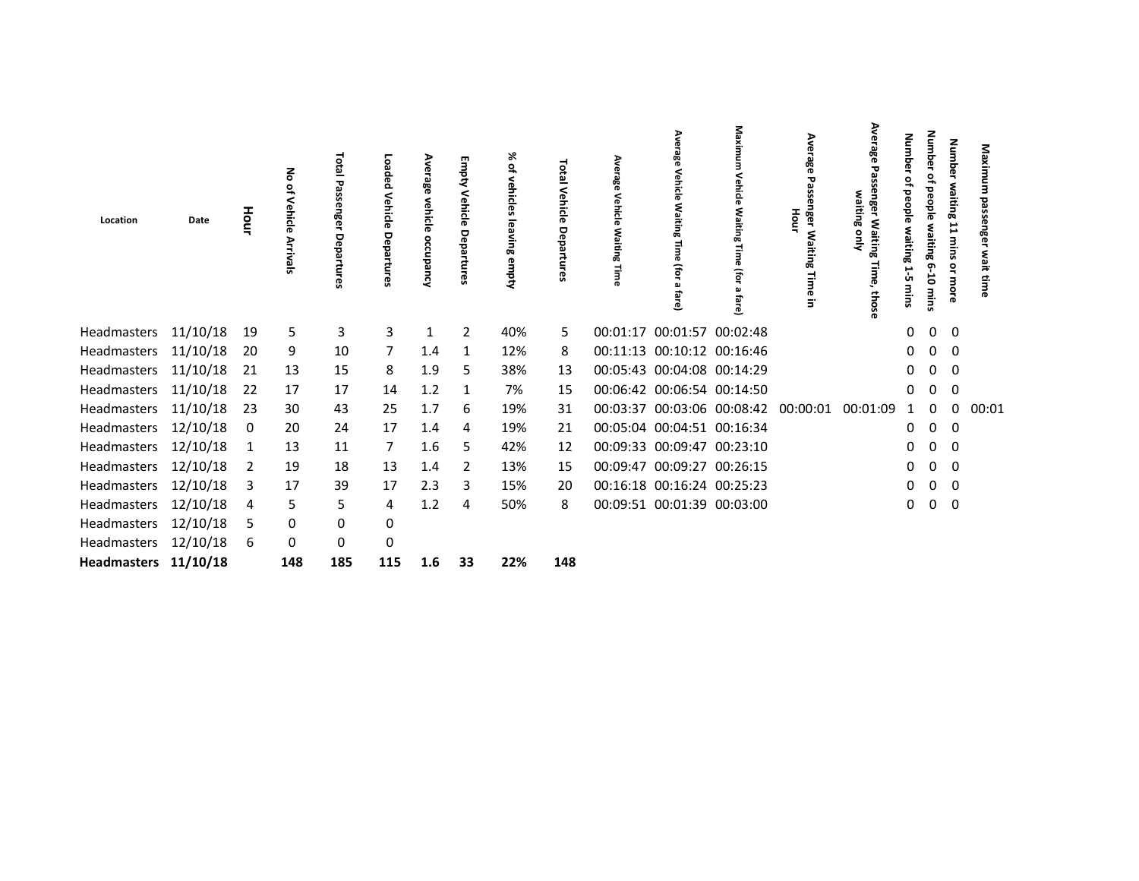| Location             | Date | Hour | 종<br>읶<br>Vehicle<br>Arrivals | Lota<br>SS <sub>E</sub><br>enger<br>Depa<br>G | Ь<br>Vehic<br>ъ | Average<br>vehicle<br>occupancy | з<br>Vehicle<br>Depa<br>Fure | % of<br>vehicles<br>leaving empty | <b>Total Vehicle</b><br>Departure | Vehicle | Vehicle<br>Ŧ<br>తే         | (for                                | Average<br>Passe<br>inger<br>ᅙ<br>ξ<br>iting<br>Time<br>$\overline{5}$ | Average<br>waiting<br>ន្លឺ<br>Waiting<br>Time,<br>those | <b>Numbe</b><br>₽<br>beople<br>waiting<br>ů<br>mins | <b>Number</b><br>₽<br>people<br>waiting 6-10<br>mins | <b>Number</b><br>waiting 11<br>mins<br>å<br><b>HOLL</b> | Maximum<br>passenger<br>wait time |
|----------------------|------|------|-------------------------------|-----------------------------------------------|-----------------|---------------------------------|------------------------------|-----------------------------------|-----------------------------------|---------|----------------------------|-------------------------------------|------------------------------------------------------------------------|---------------------------------------------------------|-----------------------------------------------------|------------------------------------------------------|---------------------------------------------------------|-----------------------------------|
| Headmasters 11/10/18 |      | 19   | 5                             | 3                                             | 3               | 1                               | $\overline{2}$               | 40%                               | 5.                                |         | 00:01:17 00:01:57 00:02:48 |                                     |                                                                        |                                                         | 0                                                   | 0                                                    | 0                                                       |                                   |
| Headmasters 11/10/18 |      | 20   | 9                             | 10                                            | 7               | 1.4                             | $\mathbf{1}$                 | 12%                               | 8                                 |         | 00:11:13 00:10:12 00:16:46 |                                     |                                                                        |                                                         | 0                                                   | 0                                                    | 0                                                       |                                   |
| Headmasters 11/10/18 |      | 21   | 13                            | 15                                            | 8               | 1.9                             | 5                            | 38%                               | 13                                |         | 00:05:43 00:04:08 00:14:29 |                                     |                                                                        |                                                         | 0                                                   | 0                                                    | 0                                                       |                                   |
| Headmasters 11/10/18 |      | 22   | 17                            | 17                                            | 14              | 1.2                             | 1                            | 7%                                | 15                                |         | 00:06:42 00:06:54 00:14:50 |                                     |                                                                        |                                                         | 0                                                   | 0                                                    | $\mathbf 0$                                             |                                   |
| Headmasters 11/10/18 |      | 23   | 30                            | 43                                            | 25              | 1.7                             | 6                            | 19%                               | 31                                |         |                            | 00:03:37 00:03:06 00:08:42 00:00:01 |                                                                        | 00:01:09                                                |                                                     | 0                                                    | 0                                                       | 00:01                             |
| Headmasters 12/10/18 |      | 0    | 20                            | 24                                            | 17              | 1.4                             | 4                            | 19%                               | 21                                |         | 00:05:04 00:04:51 00:16:34 |                                     |                                                                        |                                                         | 0                                                   | 0                                                    | 0                                                       |                                   |
| Headmasters 12/10/18 |      |      | 13                            | 11                                            | 7               | 1.6                             | 5                            | 42%                               | 12                                |         | 00:09:33 00:09:47 00:23:10 |                                     |                                                                        |                                                         | 0                                                   | 0                                                    | 0                                                       |                                   |
| Headmasters 12/10/18 |      | 2    | 19                            | 18                                            | 13              | 1.4                             | 2                            | 13%                               | 15                                |         | 00:09:47 00:09:27 00:26:15 |                                     |                                                                        |                                                         | 0                                                   | 0                                                    | 0                                                       |                                   |
| Headmasters 12/10/18 |      | 3    | 17                            | 39                                            | 17              | 2.3                             | 3                            | 15%                               | 20                                |         | 00:16:18 00:16:24 00:25:23 |                                     |                                                                        |                                                         | 0                                                   | 0                                                    | 0                                                       |                                   |
| Headmasters 12/10/18 |      | 4    | 5                             | 5                                             | 4               | 1.2                             | 4                            | 50%                               | 8                                 |         | 00:09:51 00:01:39 00:03:00 |                                     |                                                                        |                                                         | 0                                                   | 0                                                    | 0                                                       |                                   |
| Headmasters 12/10/18 |      | 5    | 0                             | 0                                             | 0               |                                 |                              |                                   |                                   |         |                            |                                     |                                                                        |                                                         |                                                     |                                                      |                                                         |                                   |
| Headmasters 12/10/18 |      | 6    | 0                             | 0                                             | 0               |                                 |                              |                                   |                                   |         |                            |                                     |                                                                        |                                                         |                                                     |                                                      |                                                         |                                   |
| Headmasters 11/10/18 |      |      | 148                           | 185                                           | 115             | 1.6                             | 33                           | 22%                               | 148                               |         |                            |                                     |                                                                        |                                                         |                                                     |                                                      |                                                         |                                   |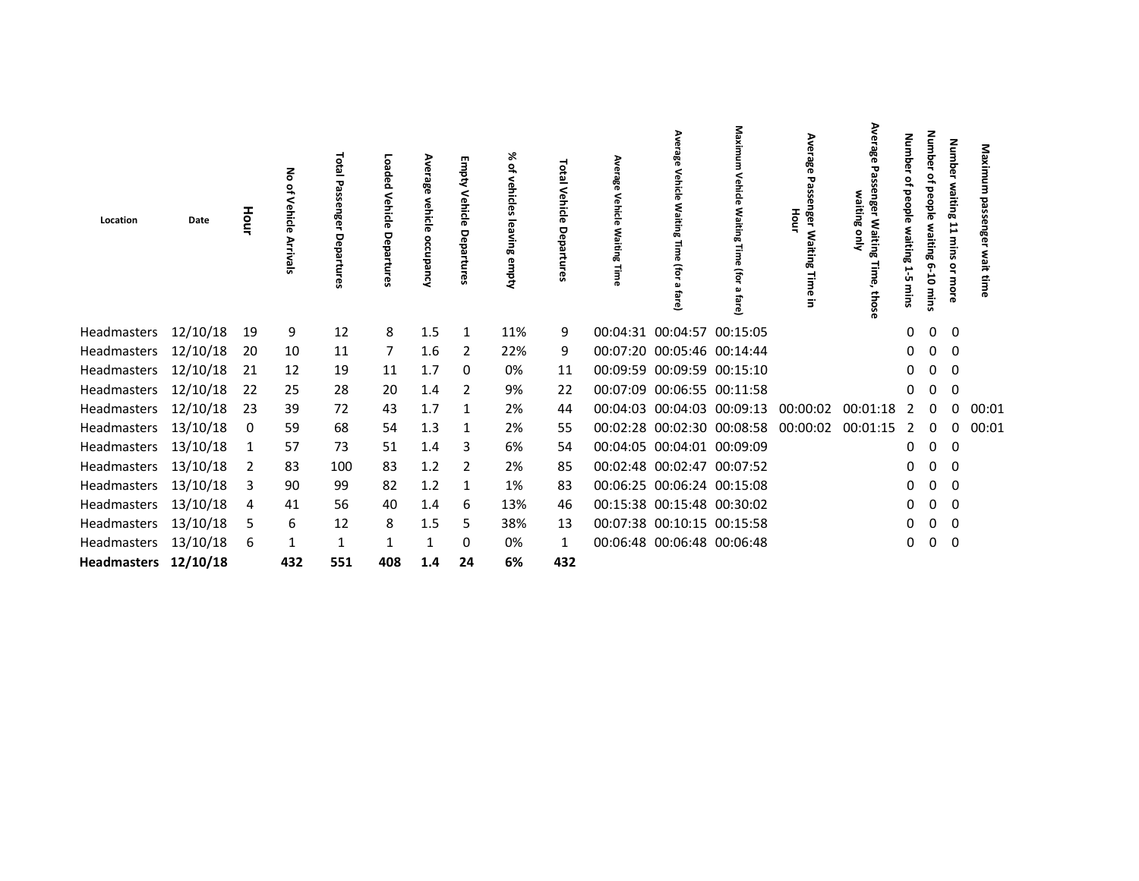| Location             | Date     | Hour | Vehicle      | <b>Total</b><br>Passenger<br>Depa<br>rtures | چ<br>hicle<br>Depa<br>rtures | Ave<br>rage<br>vehicle<br>occupancy | శ<br>Depa | ⋇<br>$\mathbf{S}$<br><b>vehicles</b><br>leaving<br>empty | Total<br>Vehicle<br>Departures | က္က | 흐                          | ᅙ                                            | Average<br>Passenger<br>Hour<br>Waiting<br>Time<br>Ξ | Average<br>waiting<br>ន្លឺ<br><b>Waiting</b><br>Time,<br>those | Numbe<br>ዹ<br>people<br>waiting<br>ŮΠ | Number<br>people<br>waiting<br>$-10$<br>mins | Number<br>waiting 11<br>mins<br>$\tilde{a}$ | Maximum<br>passenger<br>wait time |
|----------------------|----------|------|--------------|---------------------------------------------|------------------------------|-------------------------------------|-----------|----------------------------------------------------------|--------------------------------|-----|----------------------------|----------------------------------------------|------------------------------------------------------|----------------------------------------------------------------|---------------------------------------|----------------------------------------------|---------------------------------------------|-----------------------------------|
| Headmasters 12/10/18 |          | 19   | 9            | 12                                          | 8                            | 1.5                                 | 1         | 11%                                                      | 9                              |     | 00:04:31 00:04:57 00:15:05 |                                              |                                                      |                                                                | 0                                     | $\mathbf 0$                                  | $\overline{0}$                              |                                   |
| Headmasters 12/10/18 |          | 20   | 10           | 11                                          | 7                            | 1.6                                 | 2         | 22%                                                      | 9                              |     | 00:07:20 00:05:46 00:14:44 |                                              |                                                      |                                                                | 0                                     | $\mathbf{0}$                                 | 0                                           |                                   |
| Headmasters 12/10/18 |          | 21   | 12           | 19                                          | 11                           | 1.7                                 | 0         | 0%                                                       | 11                             |     | 00:09:59 00:09:59 00:15:10 |                                              |                                                      |                                                                | 0                                     | 0                                            | $\mathbf 0$                                 |                                   |
| Headmasters 12/10/18 |          | 22   | 25           | 28                                          | 20                           | 1.4                                 | 2         | 9%                                                       | 22                             |     | 00:07:09 00:06:55 00:11:58 |                                              |                                                      |                                                                | 0                                     | 0                                            | 0                                           |                                   |
| Headmasters 12/10/18 |          | 23   | 39           | 72                                          | 43                           | 1.7                                 | 1         | 2%                                                       | 44                             |     |                            | 00:04:03 00:04:03 00:09:13                   | 00:00:02                                             | 00:01:18                                                       | 2                                     | 0                                            | $\Omega$                                    | 00:01                             |
| Headmasters 13/10/18 |          | 0    | 59           | 68                                          | 54                           | 1.3                                 | 1         | 2%                                                       | 55                             |     |                            | 00:02:28 00:02:30 00:08:58 00:00:02 00:01:15 |                                                      |                                                                | 2                                     | $\mathbf{0}$                                 | 0                                           | 00:01                             |
| Headmasters 13/10/18 |          | 1    | 57           | 73                                          | 51                           | 1.4                                 | 3         | 6%                                                       | 54                             |     | 00:04:05 00:04:01 00:09:09 |                                              |                                                      |                                                                | 0                                     | 0                                            | 0                                           |                                   |
| Headmasters 13/10/18 |          | 2    | 83           | 100                                         | 83                           | 1.2                                 | 2         | 2%                                                       | 85                             |     | 00:02:48 00:02:47 00:07:52 |                                              |                                                      |                                                                | 0                                     | 0                                            | 0                                           |                                   |
| Headmasters          | 13/10/18 | 3    | 90           | 99                                          | 82                           | 1.2                                 | 1         | 1%                                                       | 83                             |     | 00:06:25 00:06:24 00:15:08 |                                              |                                                      |                                                                | 0                                     | 0                                            | 0                                           |                                   |
| Headmasters          | 13/10/18 | 4    | 41           | 56                                          | 40                           | 1.4                                 | 6         | 13%                                                      | 46                             |     | 00:15:38 00:15:48 00:30:02 |                                              |                                                      |                                                                | 0                                     | 0                                            | $\mathbf 0$                                 |                                   |
| Headmasters 13/10/18 |          | 5    | 6            | 12                                          | 8                            | 1.5                                 | 5         | 38%                                                      | 13                             |     | 00:07:38 00:10:15 00:15:58 |                                              |                                                      |                                                                | 0                                     | 0                                            | $\Omega$                                    |                                   |
| Headmasters 13/10/18 |          | 6    | $\mathbf{1}$ | 1                                           |                              | 1                                   | 0         | 0%                                                       | 1                              |     | 00:06:48 00:06:48 00:06:48 |                                              |                                                      |                                                                | 0                                     | 0                                            | $\mathbf 0$                                 |                                   |
| Headmasters 12/10/18 |          |      | 432          | 551                                         | 408                          | 1.4                                 | 24        | 6%                                                       | 432                            |     |                            |                                              |                                                      |                                                                |                                       |                                              |                                             |                                   |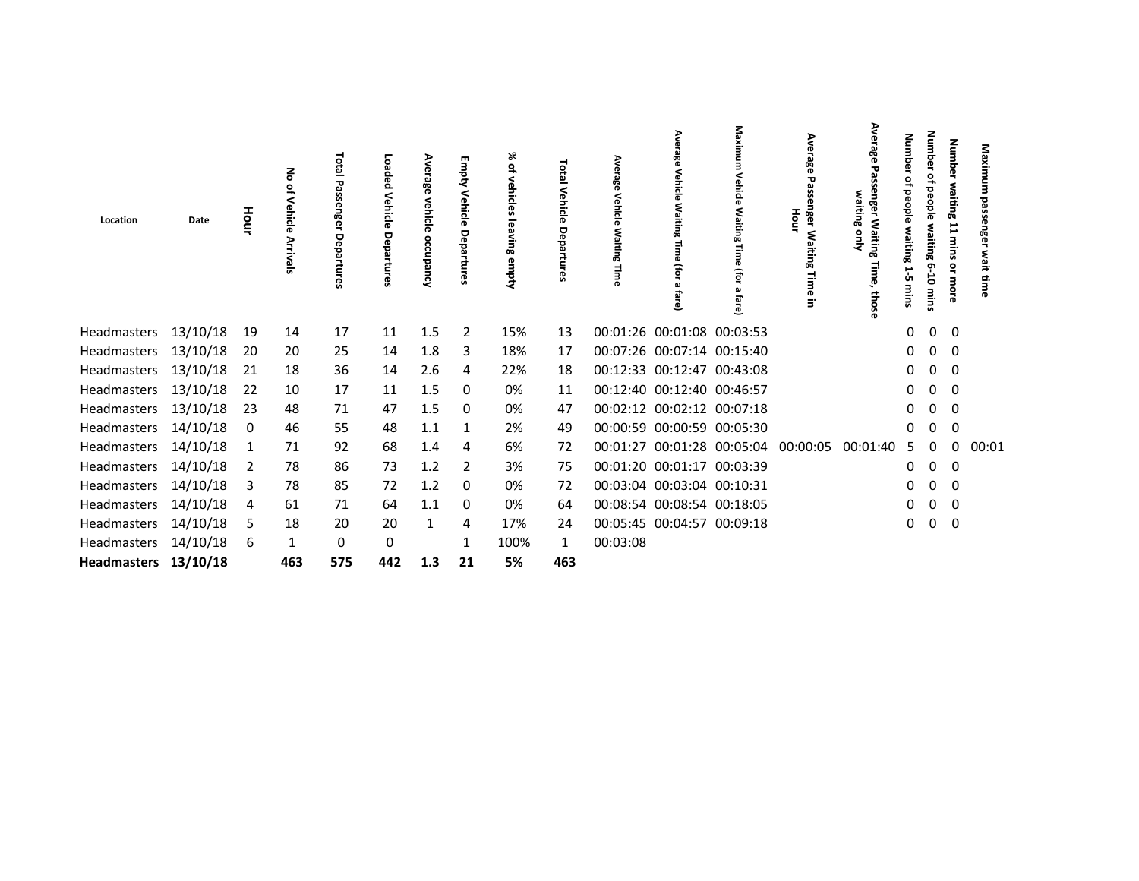| Location                                     | Date | Hour | Vehicle  | letal<br>τ<br>$\mathbf{a}$<br>ssenger<br>Depa<br>ទី | ö<br>ົ<br>Depa<br>ዌ | Ave<br>rage<br>vehicle<br>occupancy | శ<br>hicle<br>Depa | ⋇<br>٩<br>vehicles<br>leavin<br>Œ<br>ര<br>kadwa | Total<br>Vehicle<br>Departur<br>D | œ<br>ehicle<br>Waiting | हो<br>ē                    | ᄛ                          | Average<br>Passenger Waiting<br>Hour<br>Time<br>Ξ | Average<br>enger<br>waiting only<br>Waiting<br>Time,<br>those | Numbe<br>₽<br>people<br>waiting<br>.<br>دان<br>mins | <b>Number</b><br>₽<br>people<br>waiting<br>$6 - 10$<br>mins | <b>Number</b><br>waiting<br>11<br>mins<br>o | Maximum<br>passenger<br>wait tim |
|----------------------------------------------|------|------|----------|-----------------------------------------------------|---------------------|-------------------------------------|--------------------|-------------------------------------------------|-----------------------------------|------------------------|----------------------------|----------------------------|---------------------------------------------------|---------------------------------------------------------------|-----------------------------------------------------|-------------------------------------------------------------|---------------------------------------------|----------------------------------|
| Headmasters 13/10/18                         |      | 19   | 14       | 17                                                  | 11                  | 1.5                                 | $\overline{2}$     | 15%                                             | 13                                |                        |                            | 00:01:26 00:01:08 00:03:53 |                                                   |                                                               | 0                                                   | 0                                                           | $\mathbf 0$                                 |                                  |
| Headmasters 13/10/18                         |      | 20   | 20       | 25                                                  | 14                  | 1.8                                 | 3                  | 18%                                             | 17                                |                        |                            | 00:07:26 00:07:14 00:15:40 |                                                   |                                                               | 0                                                   | 0                                                           | 0                                           |                                  |
| Headmasters 13/10/18                         |      | 21   | 18       | 36                                                  | 14                  | 2.6                                 | 4                  | 22%                                             | 18                                |                        |                            | 00:12:33 00:12:47 00:43:08 |                                                   |                                                               | 0                                                   | 0                                                           | $\Omega$                                    |                                  |
| Headmasters 13/10/18                         |      | 22   | 10       | 17                                                  | 11                  | 1.5                                 | 0                  | 0%                                              | 11                                |                        | 00:12:40 00:12:40 00:46:57 |                            |                                                   |                                                               | 0                                                   | 0                                                           | 0                                           |                                  |
| Headmasters 13/10/18                         |      | 23   | 48       | 71                                                  | 47                  | 1.5                                 | 0                  | 0%                                              | 47                                |                        |                            | 00:02:12 00:02:12 00:07:18 |                                                   |                                                               | 0                                                   | 0                                                           | 0                                           |                                  |
| Headmasters 14/10/18                         |      | 0    | 46       | 55                                                  | 48                  | 1.1                                 |                    | 2%                                              | 49                                |                        |                            | 00:00:59 00:00:59 00:05:30 |                                                   |                                                               | 0                                                   | 0                                                           | 0                                           |                                  |
| Headmasters 14/10/18                         |      |      | 71       | 92                                                  | 68                  | 1.4                                 | 4                  | 6%                                              | 72                                |                        |                            |                            | 00:01:27 00:01:28 00:05:04 00:00:05               | 00:01:40                                                      | 5                                                   | 0                                                           | 0                                           | 00:01                            |
| Headmasters 14/10/18                         |      | 2    | 78       | 86                                                  | 73                  | 1.2                                 | 2                  | 3%                                              | 75                                |                        |                            | 00:01:20 00:01:17 00:03:39 |                                                   |                                                               | 0                                                   | 0                                                           | 0                                           |                                  |
| Headmasters 14/10/18                         |      | 3    | 78       | 85                                                  | 72                  | 1.2                                 | 0                  | 0%                                              | 72                                |                        | 00:03:04 00:03:04 00:10:31 |                            |                                                   |                                                               | 0                                                   | 0                                                           | 0                                           |                                  |
| Headmasters 14/10/18                         |      | 4    | 61       | 71                                                  | 64                  | 1.1                                 | 0                  | 0%                                              | 64                                |                        |                            | 00:08:54 00:08:54 00:18:05 |                                                   |                                                               | 0                                                   | 0                                                           | $\Omega$                                    |                                  |
| Headmasters 14/10/18                         |      | 5    | 18       | 20                                                  | 20                  | 1                                   | 4                  | 17%                                             | 24                                |                        |                            | 00:05:45 00:04:57 00:09:18 |                                                   |                                                               | 0                                                   | 0                                                           | 0                                           |                                  |
| Headmasters 14/10/18<br>Headmasters 13/10/18 |      | 6    | 1<br>463 | 0<br>575                                            | 0<br>442            | 1.3                                 | 21                 | 100%<br>5%                                      | 463                               | 00:03:08               |                            |                            |                                                   |                                                               |                                                     |                                                             |                                             |                                  |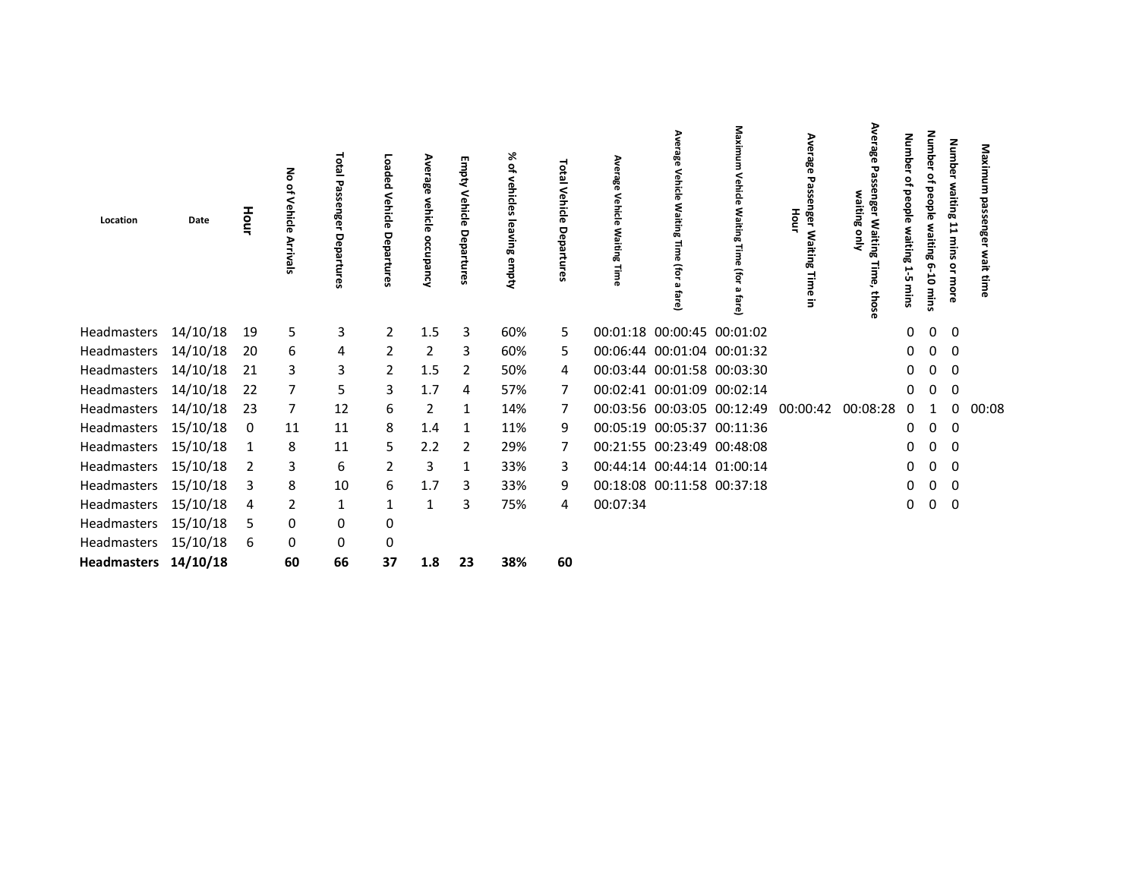| Location             | Date | Hour | る<br>٩<br>Vehicle<br>Arrivals | <b>Lota</b><br>enger<br>Depa<br>ဇ္ဟ | ត្ត<br>ped<br>Vehicle<br><b>De</b><br>ъ<br>œ | Average<br>vehicle<br>occupancy | ₹<br>Vehicle<br>Departures | % of<br>vehicles<br>leaving empty | Total Vehicle<br>Departur | Vehicle<br><b>Waiting</b> | ehicle<br>Waitin<br>€<br>ē | Maxim<br>(for              | Average<br>Passe<br>nger Wa<br>Hour<br>iting<br><b>Time</b><br>$\overline{5}$ | Average<br>enge<br>waiting<br>Waiting<br>Time,<br>those | Number<br>₽<br>people waiting<br>ن<br>شا<br>mins | <b>Number</b><br>٩<br>people<br>waiting 6-10<br>mins | <b>Number</b><br>waiting 11<br>mins<br>ă<br>more | Maximum<br>passenger<br>wait time |
|----------------------|------|------|-------------------------------|-------------------------------------|----------------------------------------------|---------------------------------|----------------------------|-----------------------------------|---------------------------|---------------------------|----------------------------|----------------------------|-------------------------------------------------------------------------------|---------------------------------------------------------|--------------------------------------------------|------------------------------------------------------|--------------------------------------------------|-----------------------------------|
| Headmasters 14/10/18 |      | 19   | 5                             | 3                                   | $\overline{2}$                               | 1.5                             | 3                          | 60%                               | 5.                        |                           | 00:01:18 00:00:45 00:01:02 |                            |                                                                               |                                                         | $\Omega$                                         | $\mathbf{0}$                                         | $\mathbf 0$                                      |                                   |
| Headmasters 14/10/18 |      | 20   | 6                             | 4                                   | 2                                            | 2                               | 3                          | 60%                               | 5.                        |                           | 00:06:44 00:01:04 00:01:32 |                            |                                                                               |                                                         | 0                                                | 0                                                    | 0                                                |                                   |
| Headmasters 14/10/18 |      | 21   | 3                             | 3                                   | $\overline{2}$                               | 1.5                             | 2                          | 50%                               | 4                         |                           | 00:03:44 00:01:58 00:03:30 |                            |                                                                               |                                                         | 0                                                | 0                                                    | 0                                                |                                   |
| Headmasters 14/10/18 |      | 22   | 7                             | 5                                   | 3                                            | 1.7                             | 4                          | 57%                               | 7                         |                           | 00:02:41 00:01:09 00:02:14 |                            |                                                                               |                                                         | 0                                                | 0                                                    | 0                                                |                                   |
| Headmasters 14/10/18 |      | 23   | 7                             | 12                                  | 6                                            | $\overline{2}$                  | 1                          | 14%                               | 7                         |                           |                            | 00:03:56 00:03:05 00:12:49 | 00:00:42                                                                      | 00:08:28                                                | 0                                                | 1                                                    | 0                                                | 00:08                             |
| Headmasters 15/10/18 |      | 0    | 11                            | 11                                  | 8                                            | 1.4                             | 1                          | 11%                               | 9                         |                           | 00:05:19 00:05:37 00:11:36 |                            |                                                                               |                                                         | 0                                                | 0                                                    | 0                                                |                                   |
| Headmasters 15/10/18 |      | 1    | 8                             | 11                                  | 5                                            | 2.2                             | 2                          | 29%                               | 7                         |                           | 00:21:55 00:23:49 00:48:08 |                            |                                                                               |                                                         | 0                                                | 0                                                    | 0                                                |                                   |
| Headmasters 15/10/18 |      |      | 3                             | 6                                   | 2                                            | 3                               | 1                          | 33%                               | 3                         |                           | 00:44:14 00:44:14 01:00:14 |                            |                                                                               |                                                         | 0                                                | 0                                                    | 0                                                |                                   |
| Headmasters 15/10/18 |      | 3    | 8                             | 10                                  | 6                                            | 1.7                             | 3                          | 33%                               | 9                         |                           | 00:18:08 00:11:58 00:37:18 |                            |                                                                               |                                                         | 0                                                | 0                                                    | 0                                                |                                   |
| Headmasters 15/10/18 |      | 4    | 2                             | 1                                   | 1                                            | 1                               | 3                          | 75%                               | 4                         | 00:07:34                  |                            |                            |                                                                               |                                                         | 0                                                | 0                                                    | 0                                                |                                   |
| Headmasters 15/10/18 |      | 5    | 0                             | 0                                   | 0                                            |                                 |                            |                                   |                           |                           |                            |                            |                                                                               |                                                         |                                                  |                                                      |                                                  |                                   |
| Headmasters 15/10/18 |      | 6    | 0                             | 0                                   | 0                                            |                                 |                            |                                   |                           |                           |                            |                            |                                                                               |                                                         |                                                  |                                                      |                                                  |                                   |
| Headmasters 14/10/18 |      |      | 60                            | 66                                  | 37                                           | 1.8                             | 23                         | 38%                               | 60                        |                           |                            |                            |                                                                               |                                                         |                                                  |                                                      |                                                  |                                   |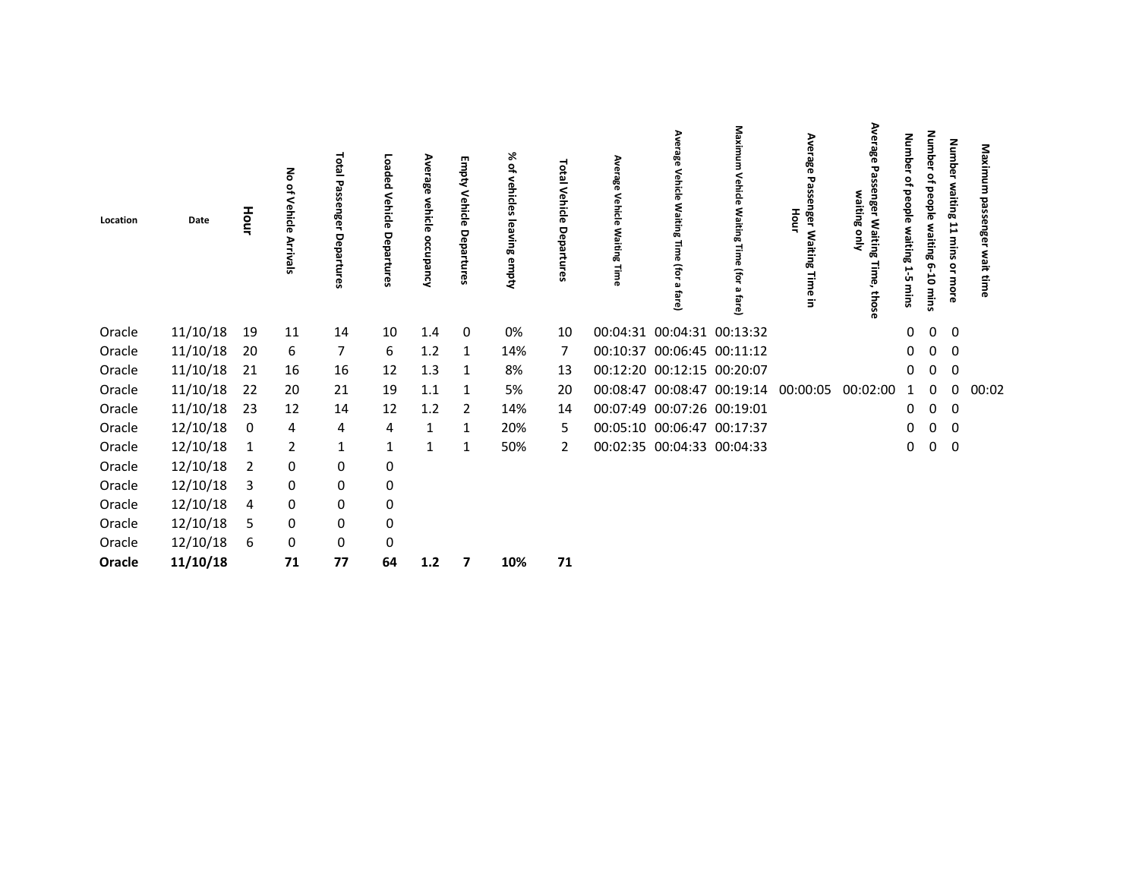| Location | Date     | Hour | ᅙ<br>٩,<br>Vehicle<br>Arrivals | Total<br>œ<br>nger<br>Depa<br>ဇ္ဟ | Loaded<br>Vehicle<br>Departures | Ave<br>rage<br>vehicle<br>occupancy | Empty Vehicle Departures | ৯<br>$\tilde{\vec{\sigma}}$<br>vehicles<br>leaving empty | <b>101a</b><br>Vehicle<br>Departures | Average<br>Vehicle<br><b>Waiting</b><br>Time | Ave<br>rage<br>Vehicle<br>ξ<br>iting<br>B<br>Time<br>(for<br>മ<br>fare) | Maxim<br>Vehicle<br>Waiting<br>൹<br>(for<br>മ<br>fare) | Average<br>Pass<br>nger Waiting<br>Hour<br>lime<br>$\overline{5}$ | Ave<br>ឌឹ<br>᠊ᡆ<br>൹<br>waiting<br>ä<br><b>Waiting</b><br>ψŅ<br>Time,<br>thos | Numb<br>൹<br>윽<br>people<br>waiting<br>1-5<br>mins | Number<br>읶<br>people waiting 6-10 mins | Number waiting 11 mins<br>or more | Maximum<br>passenger<br>wait<br>time |
|----------|----------|------|--------------------------------|-----------------------------------|---------------------------------|-------------------------------------|--------------------------|----------------------------------------------------------|--------------------------------------|----------------------------------------------|-------------------------------------------------------------------------|--------------------------------------------------------|-------------------------------------------------------------------|-------------------------------------------------------------------------------|----------------------------------------------------|-----------------------------------------|-----------------------------------|--------------------------------------|
| Oracle   | 11/10/18 | 19   | 11                             | 14                                | 10                              | 1.4                                 | $\mathbf 0$              | 0%                                                       | 10                                   |                                              | 00:04:31 00:04:31 00:13:32                                              |                                                        |                                                                   |                                                                               | $\mathbf{0}$                                       | $\Omega$                                | $\mathbf 0$                       |                                      |
| Oracle   | 11/10/18 | 20   | 6                              | 7                                 | 6                               | 1.2                                 | 1                        | 14%                                                      | 7                                    |                                              | 00:10:37 00:06:45 00:11:12                                              |                                                        |                                                                   |                                                                               | 0                                                  | 0                                       | 0                                 |                                      |
| Oracle   | 11/10/18 | 21   | 16                             | 16                                | 12                              | 1.3                                 | 1                        | 8%                                                       | 13                                   |                                              | 00:12:20 00:12:15 00:20:07                                              |                                                        |                                                                   |                                                                               | 0                                                  | 0                                       | 0                                 |                                      |
| Oracle   | 11/10/18 | 22   | 20                             | 21                                | 19                              | 1.1                                 | 1                        | 5%                                                       | 20                                   |                                              |                                                                         | 00:08:47 00:08:47 00:19:14                             | 00:00:05                                                          | 00:02:00                                                                      | 1                                                  | 0                                       | 0                                 | 00:02                                |
| Oracle   | 11/10/18 | 23   | 12                             | 14                                | 12                              | 1.2                                 | 2                        | 14%                                                      | 14                                   |                                              | 00:07:49 00:07:26 00:19:01                                              |                                                        |                                                                   |                                                                               | 0                                                  | 0                                       | 0                                 |                                      |
| Oracle   | 12/10/18 | 0    | 4                              | 4                                 | 4                               | 1                                   | 1                        | 20%                                                      | 5                                    |                                              | 00:05:10 00:06:47 00:17:37                                              |                                                        |                                                                   |                                                                               | 0                                                  | $\Omega$                                | 0                                 |                                      |
| Oracle   | 12/10/18 | 1    | 2                              | $\mathbf{1}$                      | 1                               | $\mathbf{1}$                        | 1                        | 50%                                                      | 2                                    |                                              | 00:02:35 00:04:33 00:04:33                                              |                                                        |                                                                   |                                                                               | 0                                                  | 0                                       | 0                                 |                                      |
| Oracle   | 12/10/18 | 2    | 0                              | 0                                 | 0                               |                                     |                          |                                                          |                                      |                                              |                                                                         |                                                        |                                                                   |                                                                               |                                                    |                                         |                                   |                                      |
| Oracle   | 12/10/18 | 3    | 0                              | 0                                 | 0                               |                                     |                          |                                                          |                                      |                                              |                                                                         |                                                        |                                                                   |                                                                               |                                                    |                                         |                                   |                                      |
| Oracle   | 12/10/18 | 4    | 0                              | 0                                 | 0                               |                                     |                          |                                                          |                                      |                                              |                                                                         |                                                        |                                                                   |                                                                               |                                                    |                                         |                                   |                                      |
| Oracle   | 12/10/18 | 5    | 0                              | 0                                 | 0                               |                                     |                          |                                                          |                                      |                                              |                                                                         |                                                        |                                                                   |                                                                               |                                                    |                                         |                                   |                                      |
| Oracle   | 12/10/18 | 6    | 0                              | 0                                 | 0                               |                                     |                          |                                                          |                                      |                                              |                                                                         |                                                        |                                                                   |                                                                               |                                                    |                                         |                                   |                                      |
| Oracle   | 11/10/18 |      | 71                             | 77                                | 64                              | $1.2$                               | 7                        | 10%                                                      | 71                                   |                                              |                                                                         |                                                        |                                                                   |                                                                               |                                                    |                                         |                                   |                                      |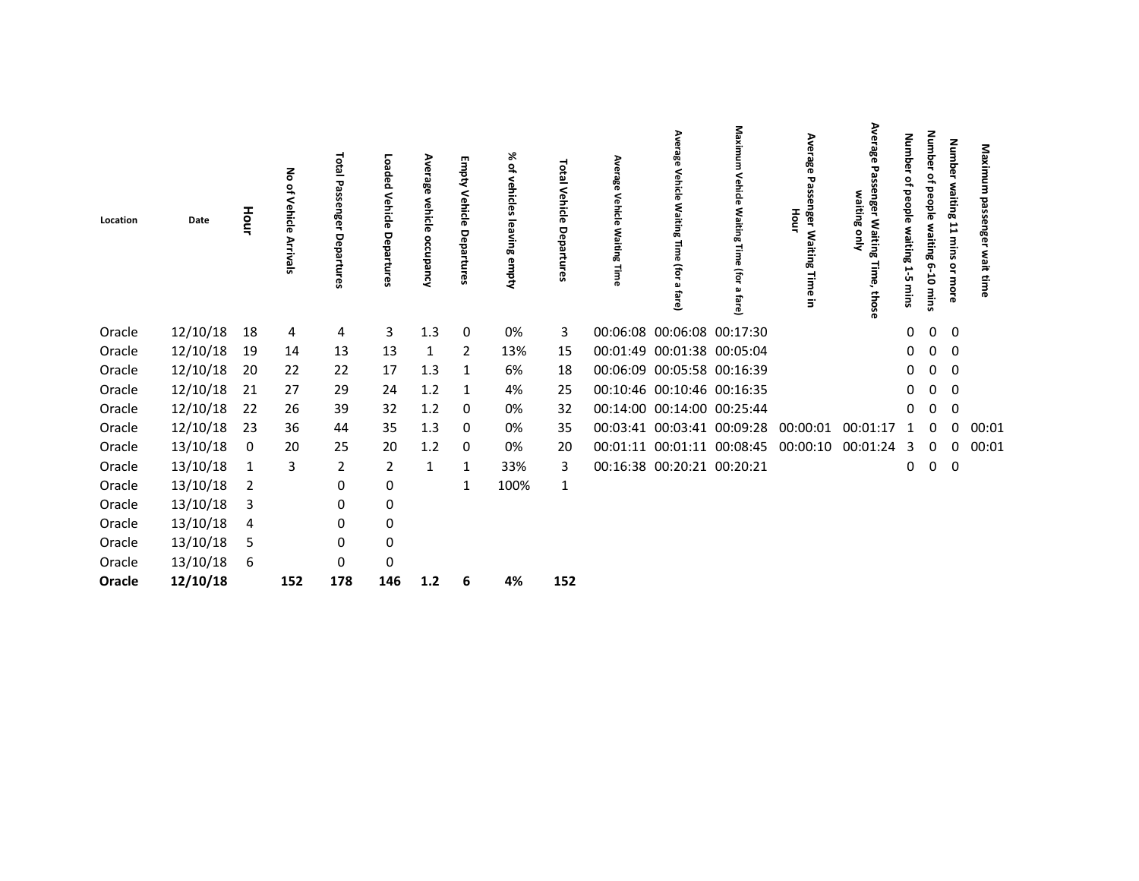| Location | Date     | Hour | る<br>٩<br>Vehicle<br><b>Arrivals</b> | <b>Total</b><br>ω<br>ၜႜ<br>σ<br>edag<br>Fures | Loaded<br>Vehicle<br>Departures | Ave<br>rage<br>vehicle<br>occupancy | Empty Vehicle Departures | ৯ৎ<br>ዹ<br>vehicles leaving empty | Total<br>Vehicle<br>Departures | Average<br>Vehicle<br>Waiting<br>Time | Average<br>Vehicle<br>ξ<br>iting<br>S<br>$\bar{0}$<br>(for<br>മ<br>fare) | Maxim<br>Vehicle<br>Waiting<br>$\vec{a}$<br><b>D</b><br>(for<br>fare) | Average<br>Passenger Waiting Time<br>Hour<br>$\overline{5}$ | Ave<br>ఇ<br>29<br>enger Waiting<br>waiting<br>을<br>Time,<br>those | Numb<br>Φ<br>₽<br>people<br>waiting<br>Н<br>ůπ<br>mins | Number<br>٩<br>people<br>waiting 6<br>-10 mins | Number waiting 11 mins<br>or more | Maximum<br>passenger<br>wait time |  |
|----------|----------|------|--------------------------------------|-----------------------------------------------|---------------------------------|-------------------------------------|--------------------------|-----------------------------------|--------------------------------|---------------------------------------|--------------------------------------------------------------------------|-----------------------------------------------------------------------|-------------------------------------------------------------|-------------------------------------------------------------------|--------------------------------------------------------|------------------------------------------------|-----------------------------------|-----------------------------------|--|
| Oracle   | 12/10/18 | 18   | 4                                    | 4                                             | 3                               | 1.3                                 | 0                        | 0%                                | 3                              |                                       | 00:06:08 00:06:08 00:17:30                                               |                                                                       |                                                             |                                                                   | 0                                                      | $\mathbf 0$                                    | 0                                 |                                   |  |
| Oracle   | 12/10/18 | 19   | 14                                   | 13                                            | 13                              | 1                                   | 2                        | 13%                               | 15                             |                                       | 00:01:49 00:01:38 00:05:04                                               |                                                                       |                                                             |                                                                   | 0                                                      | 0                                              | 0                                 |                                   |  |
| Oracle   | 12/10/18 | 20   | 22                                   | 22                                            | 17                              | 1.3                                 | -1                       | 6%                                | 18                             |                                       | 00:06:09 00:05:58 00:16:39                                               |                                                                       |                                                             |                                                                   | $\mathbf{0}$                                           | 0                                              | 0                                 |                                   |  |
| Oracle   | 12/10/18 | 21   | 27                                   | 29                                            | 24                              | 1.2                                 | 1                        | 4%                                | 25                             |                                       | 00:10:46 00:10:46 00:16:35                                               |                                                                       |                                                             |                                                                   | $\mathbf{0}$                                           | 0                                              | $\mathbf 0$                       |                                   |  |
| Oracle   | 12/10/18 | 22   | 26                                   | 39                                            | 32                              | 1.2                                 | 0                        | 0%                                | 32                             |                                       | 00:14:00 00:14:00 00:25:44                                               |                                                                       |                                                             |                                                                   | 0                                                      | 0                                              | 0                                 |                                   |  |
| Oracle   | 12/10/18 | 23   | 36                                   | 44                                            | 35                              | 1.3                                 | 0                        | 0%                                | 35                             |                                       | 00:03:41 00:03:41 00:09:28                                               |                                                                       | 00:00:01                                                    | 00:01:17                                                          | $\mathbf{1}$                                           | $\Omega$                                       | 0                                 | 00:01                             |  |
| Oracle   | 13/10/18 | 0    | 20                                   | 25                                            | 20                              | 1.2                                 | 0                        | 0%                                | 20                             |                                       |                                                                          | 00:01:11 00:01:11 00:08:45                                            | 00:00:10                                                    | 00:01:24                                                          | 3                                                      | 0                                              | 0                                 | 00:01                             |  |
| Oracle   | 13/10/18 | 1    | 3                                    | $\overline{2}$                                | $\overline{2}$                  | $\mathbf{1}$                        | 1                        | 33%                               | 3                              |                                       | 00:16:38 00:20:21 00:20:21                                               |                                                                       |                                                             |                                                                   | 0                                                      | $\mathbf{0}$                                   | 0                                 |                                   |  |
| Oracle   | 13/10/18 | 2    |                                      | 0                                             | 0                               |                                     | 1                        | 100%                              | $\mathbf{1}$                   |                                       |                                                                          |                                                                       |                                                             |                                                                   |                                                        |                                                |                                   |                                   |  |
| Oracle   | 13/10/18 | 3    |                                      | 0                                             | 0                               |                                     |                          |                                   |                                |                                       |                                                                          |                                                                       |                                                             |                                                                   |                                                        |                                                |                                   |                                   |  |
| Oracle   | 13/10/18 | 4    |                                      | 0                                             | 0                               |                                     |                          |                                   |                                |                                       |                                                                          |                                                                       |                                                             |                                                                   |                                                        |                                                |                                   |                                   |  |
| Oracle   | 13/10/18 | 5    |                                      | 0                                             | $\pmb{0}$                       |                                     |                          |                                   |                                |                                       |                                                                          |                                                                       |                                                             |                                                                   |                                                        |                                                |                                   |                                   |  |
| Oracle   | 13/10/18 | 6    |                                      | 0                                             | 0                               |                                     |                          |                                   |                                |                                       |                                                                          |                                                                       |                                                             |                                                                   |                                                        |                                                |                                   |                                   |  |
| Oracle   | 12/10/18 |      | 152                                  | 178                                           | 146                             | $1.2$                               | 6                        | 4%                                | 152                            |                                       |                                                                          |                                                                       |                                                             |                                                                   |                                                        |                                                |                                   |                                   |  |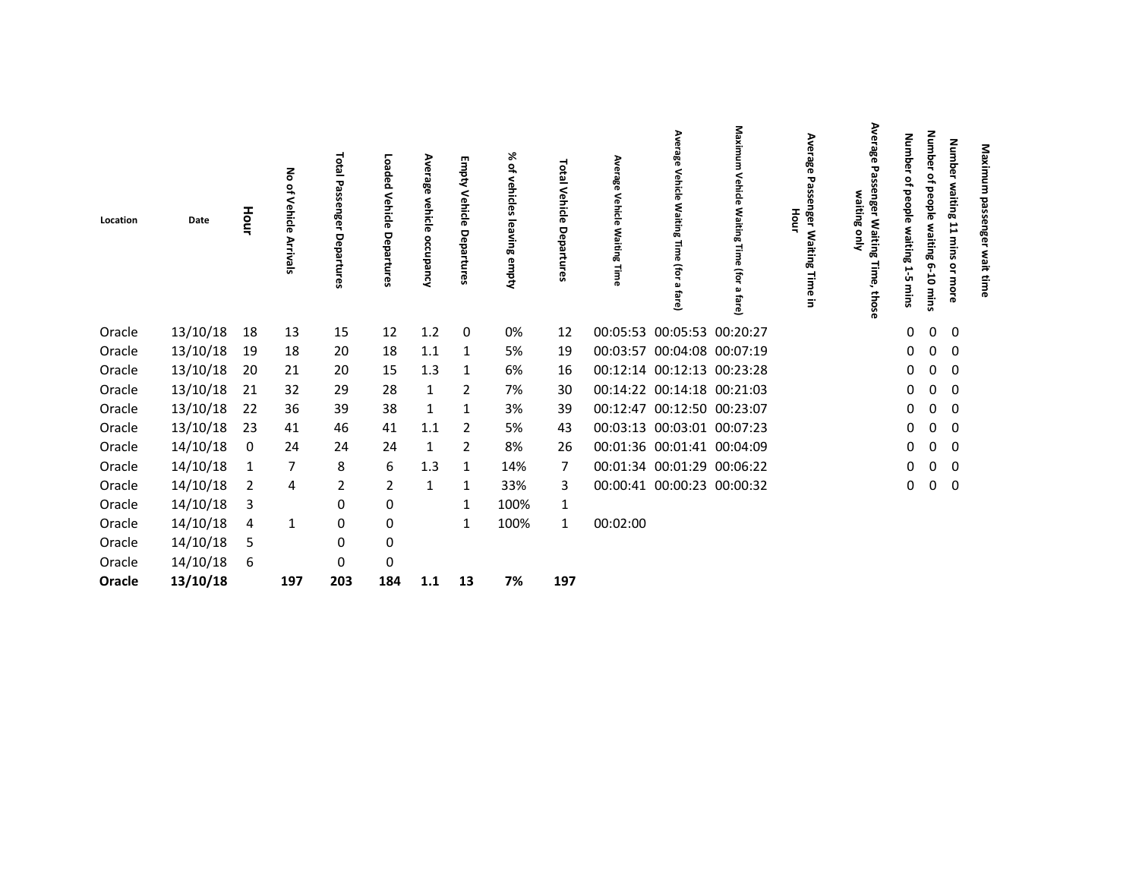| Location | Date     | Hour           | ᅙ<br>٩,<br>Vehicle<br>Arrivals | Total<br>۵<br>nge<br>o<br>eda<br>rtures | Loaded<br>Vehicle<br>Departures | Ave<br>age<br>vehicle<br>occupancy | <b>Empty Vehicle Departures</b> | ৯<br>$\tilde{\vec{\sigma}}$<br>vehicles<br>leaving<br>empty | <b>Total</b><br>Vehicle<br>Departures | Ave<br>급<br>8<br>Vehicle<br><b>Waiting</b><br>Time | Average<br>Vehicle<br>§۶<br>iting<br>Ĵ<br>fare) | Maxim<br>Vehicle<br><b>Waiting</b><br>Time<br>(for<br>fare) | Average<br>Passenger Waiting<br>Hour<br>Time<br>$\Xi$ | Ave<br>ఇ<br>꿃<br>enger Waiting<br>waiting<br>gnly<br>Time,<br>those | Numb<br>Φ<br>٩<br>people waiting<br>ц<br>ù<br>mins | <b>Number</b><br>۽<br>beople<br>waiting 6-10<br>mins | Number waiting 11 mins or more | Maximum<br>passenger<br>wait time |  |
|----------|----------|----------------|--------------------------------|-----------------------------------------|---------------------------------|------------------------------------|---------------------------------|-------------------------------------------------------------|---------------------------------------|----------------------------------------------------|-------------------------------------------------|-------------------------------------------------------------|-------------------------------------------------------|---------------------------------------------------------------------|----------------------------------------------------|------------------------------------------------------|--------------------------------|-----------------------------------|--|
| Oracle   | 13/10/18 | 18             | 13                             | 15                                      | 12                              | 1.2                                | 0                               | 0%                                                          | 12                                    |                                                    | 00:05:53 00:05:53 00:20:27                      |                                                             |                                                       |                                                                     | 0                                                  | 0                                                    | 0                              |                                   |  |
| Oracle   | 13/10/18 | 19             | 18                             | 20                                      | 18                              | 1.1                                | 1                               | 5%                                                          | 19                                    |                                                    | 00:03:57 00:04:08 00:07:19                      |                                                             |                                                       |                                                                     | 0                                                  | 0                                                    | 0                              |                                   |  |
| Oracle   | 13/10/18 | 20             | 21                             | 20                                      | 15                              | 1.3                                | 1                               | 6%                                                          | 16                                    |                                                    | 00:12:14 00:12:13 00:23:28                      |                                                             |                                                       |                                                                     | 0                                                  | 0                                                    | 0                              |                                   |  |
| Oracle   | 13/10/18 | 21             | 32                             | 29                                      | 28                              | $\mathbf{1}$                       | 2                               | 7%                                                          | 30                                    |                                                    | 00:14:22 00:14:18 00:21:03                      |                                                             |                                                       |                                                                     | 0                                                  | 0                                                    | 0                              |                                   |  |
| Oracle   | 13/10/18 | 22             | 36                             | 39                                      | 38                              | 1                                  | 1                               | 3%                                                          | 39                                    |                                                    | 00:12:47 00:12:50 00:23:07                      |                                                             |                                                       |                                                                     | 0                                                  | 0                                                    | 0                              |                                   |  |
| Oracle   | 13/10/18 | 23             | 41                             | 46                                      | 41                              | 1.1                                | 2                               | 5%                                                          | 43                                    |                                                    | 00:03:13 00:03:01 00:07:23                      |                                                             |                                                       |                                                                     | 0                                                  | 0                                                    | 0                              |                                   |  |
| Oracle   | 14/10/18 | 0              | 24                             | 24                                      | 24                              | 1                                  | 2                               | 8%                                                          | 26                                    |                                                    | 00:01:36 00:01:41 00:04:09                      |                                                             |                                                       |                                                                     | 0                                                  | 0                                                    | 0                              |                                   |  |
| Oracle   | 14/10/18 | $\mathbf{1}$   | $\overline{7}$                 | 8                                       | 6                               | 1.3                                | 1                               | 14%                                                         | 7                                     |                                                    | 00:01:34 00:01:29 00:06:22                      |                                                             |                                                       |                                                                     | 0                                                  | $\Omega$                                             | 0                              |                                   |  |
| Oracle   | 14/10/18 | $\overline{2}$ | 4                              | $\overline{2}$                          | $\overline{2}$                  | 1                                  | 1                               | 33%                                                         | 3                                     |                                                    | 00:00:41 00:00:23 00:00:32                      |                                                             |                                                       |                                                                     | 0                                                  | $\mathbf{0}$                                         | 0                              |                                   |  |
| Oracle   | 14/10/18 | 3              |                                | $\pmb{0}$                               | $\pmb{0}$                       |                                    | 1                               | 100%                                                        | 1                                     |                                                    |                                                 |                                                             |                                                       |                                                                     |                                                    |                                                      |                                |                                   |  |
| Oracle   | 14/10/18 | 4              | 1                              | $\pmb{0}$                               | $\pmb{0}$                       |                                    | 1                               | 100%                                                        | $\mathbf{1}$                          | 00:02:00                                           |                                                 |                                                             |                                                       |                                                                     |                                                    |                                                      |                                |                                   |  |
| Oracle   | 14/10/18 | 5              |                                | 0                                       | $\pmb{0}$                       |                                    |                                 |                                                             |                                       |                                                    |                                                 |                                                             |                                                       |                                                                     |                                                    |                                                      |                                |                                   |  |
| Oracle   | 14/10/18 | 6              |                                | 0                                       | $\pmb{0}$                       |                                    |                                 |                                                             |                                       |                                                    |                                                 |                                                             |                                                       |                                                                     |                                                    |                                                      |                                |                                   |  |
| Oracle   | 13/10/18 |                | 197                            | 203                                     | 184                             | 1.1                                | 13                              | 7%                                                          | 197                                   |                                                    |                                                 |                                                             |                                                       |                                                                     |                                                    |                                                      |                                |                                   |  |